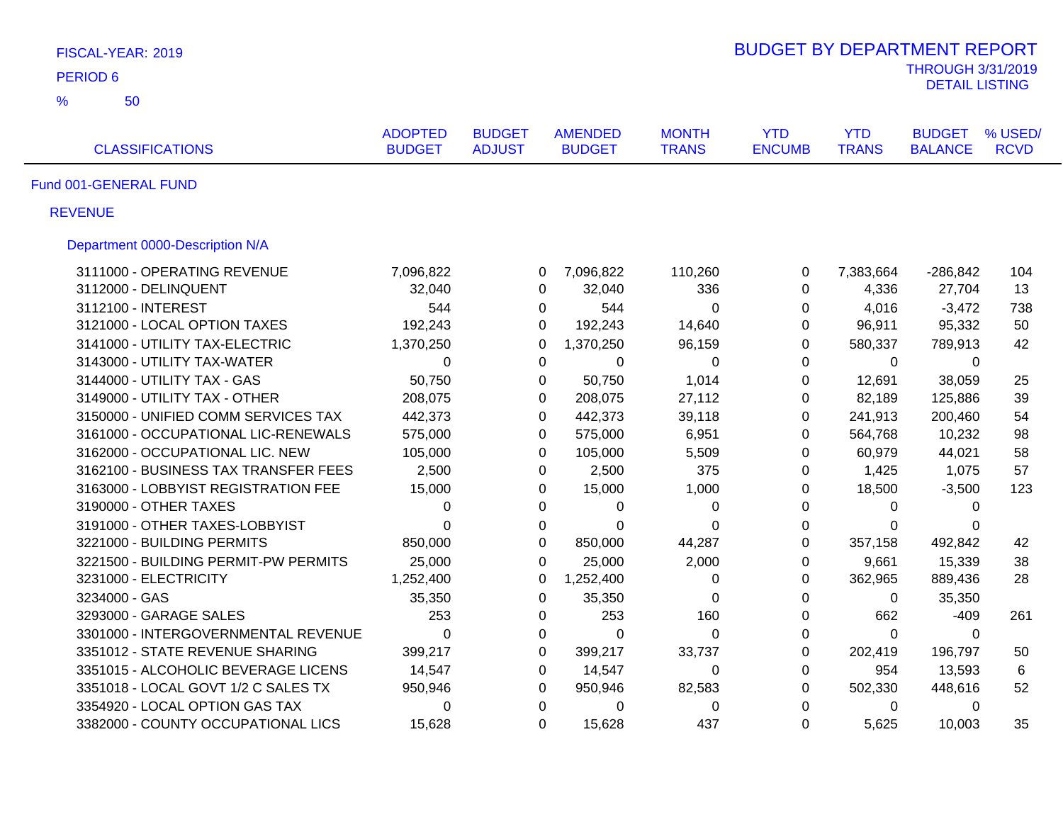| FISCAL-YEAR: 2019                    |                                 |                                |                                 |                              | <b>BUDGET BY DEPARTMENT REPORT</b> |                            |                                                   |                        |
|--------------------------------------|---------------------------------|--------------------------------|---------------------------------|------------------------------|------------------------------------|----------------------------|---------------------------------------------------|------------------------|
| <b>PERIOD 6</b>                      |                                 |                                |                                 |                              |                                    |                            | <b>THROUGH 3/31/2019</b><br><b>DETAIL LISTING</b> |                        |
| $\frac{9}{6}$<br>50                  |                                 |                                |                                 |                              |                                    |                            |                                                   |                        |
| <b>CLASSIFICATIONS</b>               | <b>ADOPTED</b><br><b>BUDGET</b> | <b>BUDGET</b><br><b>ADJUST</b> | <b>AMENDED</b><br><b>BUDGET</b> | <b>MONTH</b><br><b>TRANS</b> | <b>YTD</b><br><b>ENCUMB</b>        | <b>YTD</b><br><b>TRANS</b> | <b>BUDGET</b><br><b>BALANCE</b>                   | % USED/<br><b>RCVD</b> |
| Fund 001-GENERAL FUND                |                                 |                                |                                 |                              |                                    |                            |                                                   |                        |
| <b>REVENUE</b>                       |                                 |                                |                                 |                              |                                    |                            |                                                   |                        |
| Department 0000-Description N/A      |                                 |                                |                                 |                              |                                    |                            |                                                   |                        |
| 3111000 - OPERATING REVENUE          | 7,096,822                       | 0                              | 7,096,822                       | 110,260                      | 0                                  | 7,383,664                  | $-286,842$                                        | 104                    |
| 3112000 - DELINQUENT                 | 32,040                          | 0                              | 32,040                          | 336                          | 0                                  | 4,336                      | 27,704                                            | 13                     |
| 3112100 - INTEREST                   | 544                             |                                | 0<br>544                        | 0                            | 0                                  | 4,016                      | $-3,472$                                          | 738                    |
| 3121000 - LOCAL OPTION TAXES         | 192,243                         | $\Omega$                       | 192,243                         | 14,640                       | 0                                  | 96,911                     | 95,332                                            | 50                     |
| 3141000 - UTILITY TAX-ELECTRIC       | 1,370,250                       | 0                              | 1,370,250                       | 96,159                       | $\mathbf 0$                        | 580,337                    | 789,913                                           | 42                     |
| 3143000 - UTILITY TAX-WATER          | $\mathbf 0$                     | $\Omega$                       | $\Omega$                        | $\Omega$                     | $\Omega$                           | 0                          | $\mathbf{0}$                                      |                        |
| 3144000 - UTILITY TAX - GAS          | 50,750                          | 0                              | 50,750                          | 1,014                        | $\mathbf 0$                        | 12,691                     | 38,059                                            | 25                     |
| 3149000 - UTILITY TAX - OTHER        | 208,075                         |                                | 0<br>208,075                    | 27,112                       | 0                                  | 82,189                     | 125,886                                           | 39                     |
| 3150000 - UNIFIED COMM SERVICES TAX  | 442,373                         | $\mathbf 0$                    | 442,373                         | 39,118                       | $\mathbf 0$                        | 241,913                    | 200,460                                           | 54                     |
| 3161000 - OCCUPATIONAL LIC-RENEWALS  | 575,000                         | $\Omega$                       | 575,000                         | 6,951                        | $\Omega$                           | 564,768                    | 10,232                                            | 98                     |
| 3162000 - OCCUPATIONAL LIC. NEW      | 105,000                         | $\Omega$                       | 105,000                         | 5,509                        | $\Omega$                           | 60,979                     | 44,021                                            | 58                     |
| 3162100 - BUSINESS TAX TRANSFER FEES | 2,500                           |                                | 0<br>2,500                      | 375                          | 0                                  | 1,425                      | 1,075                                             | 57                     |
| 3163000 - LOBBYIST REGISTRATION FEE  | 15,000                          | 0                              | 15,000                          | 1,000                        | 0                                  | 18,500                     | $-3,500$                                          | 123                    |
| 3190000 - OTHER TAXES                | 0                               | 0                              | 0                               | 0                            | 0                                  | 0                          | $\mathbf{0}$                                      |                        |
| 3191000 - OTHER TAXES-LOBBYIST       | $\Omega$                        | $\Omega$                       | $\Omega$                        | 0                            | 0                                  | $\Omega$                   | 0                                                 |                        |
| 3221000 - BUILDING PERMITS           | 850,000                         | 0                              | 850,000                         | 44,287                       | $\mathbf 0$                        | 357,158                    | 492,842                                           | 42                     |
| 3221500 - BUILDING PERMIT-PW PERMITS | 25,000                          | $\Omega$                       | 25,000                          | 2,000                        | $\Omega$                           | 9,661                      | 15,339                                            | 38                     |
| 3231000 - ELECTRICITY                | 1,252,400                       | $\Omega$                       | 1,252,400                       | 0                            | 0                                  | 362,965                    | 889,436                                           | 28                     |
| 3234000 - GAS                        | 35,350                          | 0                              | 35,350                          | 0                            | $\mathbf 0$                        | 0                          | 35,350                                            |                        |
| 3293000 - GARAGE SALES               | 253                             | 0                              | 253                             | 160                          | $\pmb{0}$                          | 662                        | $-409$                                            | 261                    |
| 3301000 - INTERGOVERNMENTAL REVENUE  | $\mathbf 0$                     | 0                              | $\mathbf 0$                     | 0                            | $\pmb{0}$                          | $\mathbf 0$                | 0                                                 |                        |
| 3351012 - STATE REVENUE SHARING      | 399,217                         | 0                              | 399,217                         | 33,737                       | 0                                  | 202,419                    | 196,797                                           | 50                     |
| 3351015 - ALCOHOLIC BEVERAGE LICENS  | 14,547                          | 0                              | 14,547                          | 0                            | $\mathbf 0$                        | 954                        | 13,593                                            | 6                      |
| 3351018 - LOCAL GOVT 1/2 C SALES TX  | 950,946                         | 0                              | 950,946                         | 82,583                       | 0                                  | 502,330                    | 448,616                                           | 52                     |
| 3354920 - LOCAL OPTION GAS TAX       | 0                               | $\mathbf 0$                    | 0                               | 0                            | $\mathbf 0$                        | 0                          | 0                                                 |                        |
| 3382000 - COUNTY OCCUPATIONAL LICS   | 15,628                          | $\Omega$                       | 15,628                          | 437                          | $\Omega$                           | 5,625                      | 10,003                                            | 35                     |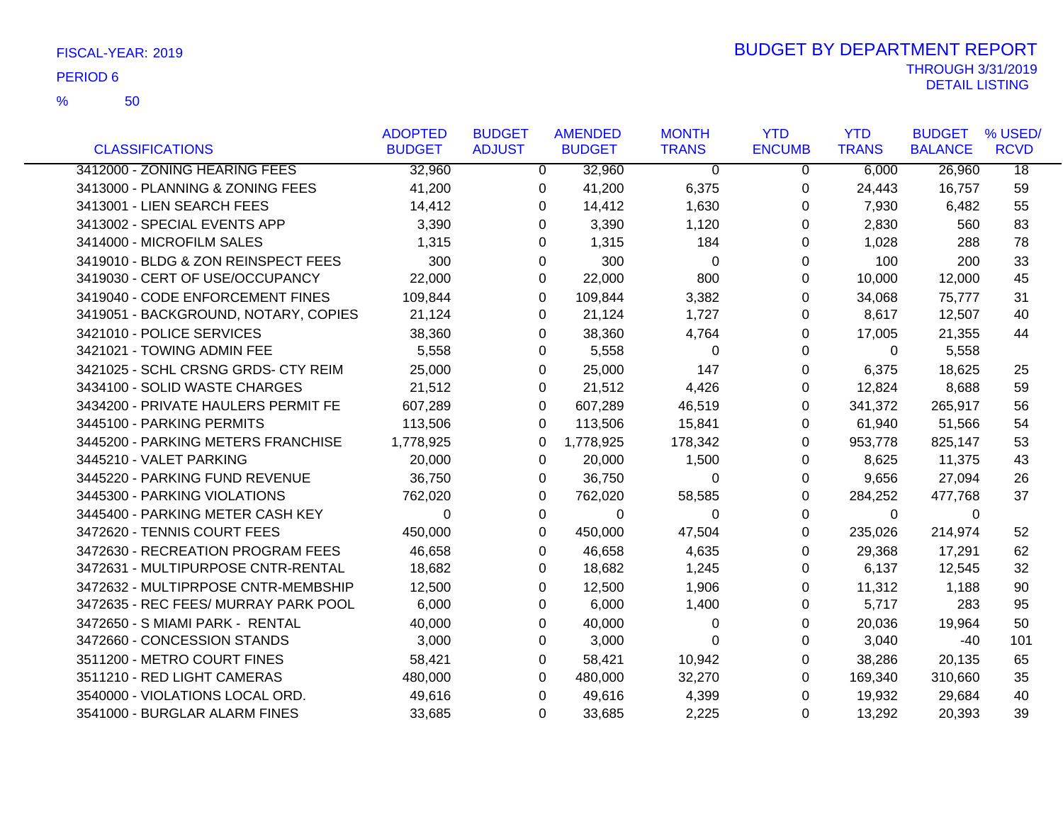|                                      | <b>ADOPTED</b> | <b>BUDGET</b> | <b>AMENDED</b> | <b>MONTH</b>   | <b>YTD</b>    | <b>YTD</b>   | <b>BUDGET</b>  | % USED/         |
|--------------------------------------|----------------|---------------|----------------|----------------|---------------|--------------|----------------|-----------------|
| <b>CLASSIFICATIONS</b>               | <b>BUDGET</b>  | <b>ADJUST</b> | <b>BUDGET</b>  | <b>TRANS</b>   | <b>ENCUMB</b> | <b>TRANS</b> | <b>BALANCE</b> | <b>RCVD</b>     |
| 3412000 - ZONING HEARING FEES        | 32,960         | 0             | 32,960         | $\Omega$       | 0             | 6,000        | 26,960         | $\overline{18}$ |
| 3413000 - PLANNING & ZONING FEES     | 41,200         | 0             | 41,200         | 6,375          | 0             | 24,443       | 16,757         | 59              |
| 3413001 - LIEN SEARCH FEES           | 14,412         | 0             | 14,412         | 1,630          | 0             | 7,930        | 6,482          | 55              |
| 3413002 - SPECIAL EVENTS APP         | 3,390          | 0             | 3,390          | 1,120          | 0             | 2,830        | 560            | 83              |
| 3414000 - MICROFILM SALES            | 1,315          | 0             | 1,315          | 184            | 0             | 1,028        | 288            | 78              |
| 3419010 - BLDG & ZON REINSPECT FEES  | 300            | 0             | 300            | $\Omega$       | 0             | 100          | 200            | 33              |
| 3419030 - CERT OF USE/OCCUPANCY      | 22,000         | 0             | 22,000         | 800            | 0             | 10,000       | 12,000         | 45              |
| 3419040 - CODE ENFORCEMENT FINES     | 109,844        | 0             | 109,844        | 3,382          | 0             | 34,068       | 75,777         | 31              |
| 3419051 - BACKGROUND, NOTARY, COPIES | 21,124         | 0             | 21,124         | 1,727          | 0             | 8,617        | 12,507         | 40              |
| 3421010 - POLICE SERVICES            | 38,360         | 0             | 38,360         | 4,764          | 0             | 17,005       | 21,355         | 44              |
| 3421021 - TOWING ADMIN FEE           | 5,558          | 0             | 5,558          | 0              | 0             | 0            | 5,558          |                 |
| 3421025 - SCHL CRSNG GRDS- CTY REIM  | 25,000         | 0             | 25,000         | 147            | 0             | 6,375        | 18,625         | 25              |
| 3434100 - SOLID WASTE CHARGES        | 21,512         | 0             | 21,512         | 4,426          | 0             | 12,824       | 8,688          | 59              |
| 3434200 - PRIVATE HAULERS PERMIT FE  | 607,289        | 0             | 607,289        | 46,519         | 0             | 341,372      | 265,917        | 56              |
| 3445100 - PARKING PERMITS            | 113,506        | 0             | 113,506        | 15,841         | 0             | 61,940       | 51,566         | 54              |
| 3445200 - PARKING METERS FRANCHISE   | 1,778,925      | 0             | 1,778,925      | 178,342        | 0             | 953,778      | 825,147        | 53              |
| 3445210 - VALET PARKING              | 20,000         | 0             | 20,000         | 1,500          | 0             | 8,625        | 11,375         | 43              |
| 3445220 - PARKING FUND REVENUE       | 36,750         | 0             | 36,750         | 0              | 0             | 9,656        | 27,094         | 26              |
| 3445300 - PARKING VIOLATIONS         | 762,020        | 0             | 762,020        | 58,585         | 0             | 284,252      | 477,768        | 37              |
| 3445400 - PARKING METER CASH KEY     | $\Omega$       | 0             | 0              | 0              | 0             | $\Omega$     | 0              |                 |
| 3472620 - TENNIS COURT FEES          | 450,000        | 0             | 450,000        | 47,504         | 0             | 235,026      | 214,974        | 52              |
| 3472630 - RECREATION PROGRAM FEES    | 46,658         | 0             | 46,658         | 4,635          | 0             | 29,368       | 17,291         | 62              |
| 3472631 - MULTIPURPOSE CNTR-RENTAL   | 18,682         | 0             | 18,682         | 1,245          | 0             | 6,137        | 12,545         | 32              |
| 3472632 - MULTIPRPOSE CNTR-MEMBSHIP  | 12,500         | 0             | 12,500         | 1,906          | 0             | 11,312       | 1,188          | 90              |
| 3472635 - REC FEES/ MURRAY PARK POOL | 6,000          | 0             | 6,000          | 1,400          | 0             | 5,717        | 283            | 95              |
| 3472650 - S MIAMI PARK - RENTAL      | 40,000         | 0             | 40,000         | 0              | 0             | 20,036       | 19,964         | 50              |
| 3472660 - CONCESSION STANDS          | 3,000          | 0             | 3,000          | $\overline{0}$ | 0             | 3,040        | -40            | 101             |
| 3511200 - METRO COURT FINES          | 58,421         | 0             | 58,421         | 10,942         | 0             | 38,286       | 20,135         | 65              |
| 3511210 - RED LIGHT CAMERAS          | 480,000        | 0             | 480,000        | 32,270         | 0             | 169,340      | 310,660        | 35              |
| 3540000 - VIOLATIONS LOCAL ORD.      | 49,616         | 0             | 49,616         | 4,399          | 0             | 19,932       | 29,684         | 40              |
| 3541000 - BURGLAR ALARM FINES        | 33,685         | 0             | 33,685         | 2,225          | 0             | 13,292       | 20,393         | 39              |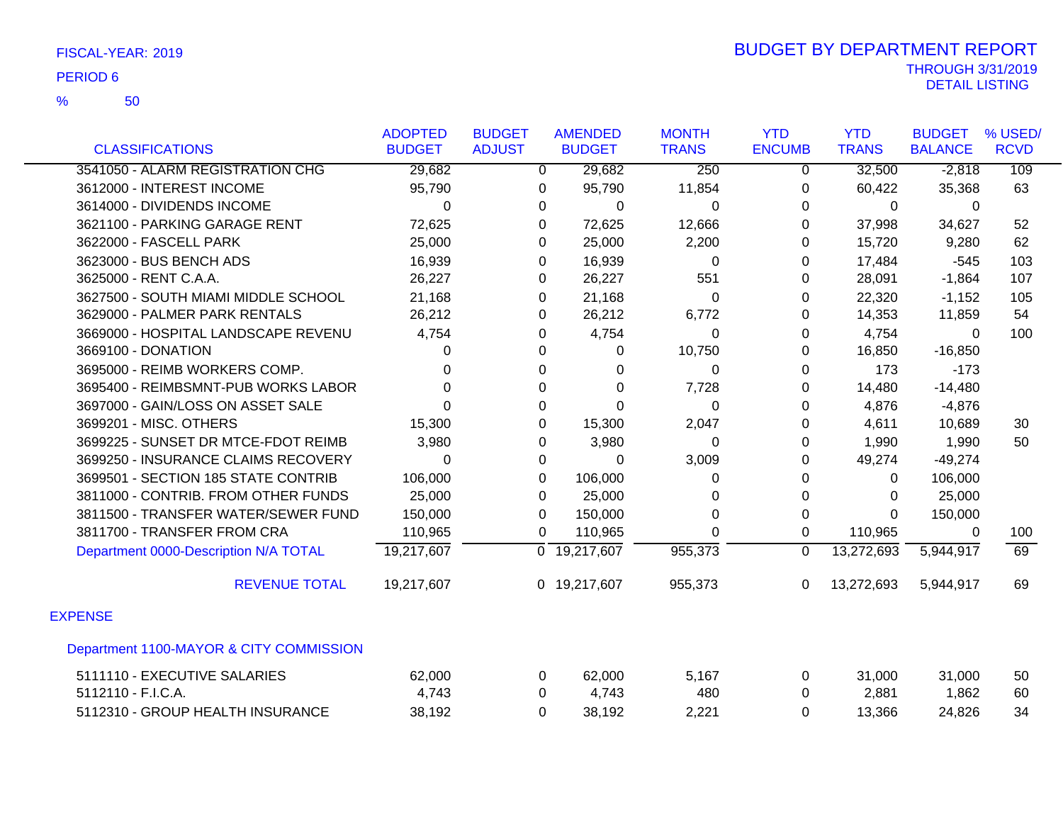|                                         | <b>ADOPTED</b> | <b>BUDGET</b> | <b>AMENDED</b>            | <b>MONTH</b> | <b>YTD</b>    | <b>YTD</b>   | <b>BUDGET</b>  | % USED/     |
|-----------------------------------------|----------------|---------------|---------------------------|--------------|---------------|--------------|----------------|-------------|
| <b>CLASSIFICATIONS</b>                  | <b>BUDGET</b>  | <b>ADJUST</b> | <b>BUDGET</b>             | <b>TRANS</b> | <b>ENCUMB</b> | <b>TRANS</b> | <b>BALANCE</b> | <b>RCVD</b> |
| 3541050 - ALARM REGISTRATION CHG        | 29,682         | 0             | 29,682                    | 250          | 0             | 32,500       | $-2,818$       | 109         |
| 3612000 - INTEREST INCOME               | 95,790         | 0             | 95,790                    | 11,854       | $\Omega$      | 60,422       | 35,368         | 63          |
| 3614000 - DIVIDENDS INCOME              | 0              | 0             | 0                         | 0            | $\Omega$      | 0            | $\Omega$       |             |
| 3621100 - PARKING GARAGE RENT           | 72,625         | 0             | 72,625                    | 12,666       | 0             | 37,998       | 34,627         | 52          |
| 3622000 - FASCELL PARK                  | 25,000         | 0             | 25,000                    | 2,200        | $\Omega$      | 15,720       | 9,280          | 62          |
| 3623000 - BUS BENCH ADS                 | 16,939         | 0             | 16,939                    | 0            | $\Omega$      | 17,484       | $-545$         | 103         |
| 3625000 - RENT C.A.A.                   | 26,227         | 0             | 26,227                    | 551          | 0             | 28,091       | $-1,864$       | 107         |
| 3627500 - SOUTH MIAMI MIDDLE SCHOOL     | 21,168         | 0             | 21,168                    | 0            | 0             | 22,320       | $-1,152$       | 105         |
| 3629000 - PALMER PARK RENTALS           | 26,212         | 0             | 26,212                    | 6,772        | $\Omega$      | 14,353       | 11,859         | 54          |
| 3669000 - HOSPITAL LANDSCAPE REVENU     | 4,754          | 0             | 4,754                     | 0            | 0             | 4,754        | $\Omega$       | 100         |
| 3669100 - DONATION                      | $\Omega$       | $\Omega$      | 0                         | 10,750       | 0             | 16,850       | $-16,850$      |             |
| 3695000 - REIMB WORKERS COMP.           | 0              | 0             | 0                         | 0            | $\Omega$      | 173          | $-173$         |             |
| 3695400 - REIMBSMNT-PUB WORKS LABOR     | $\Omega$       | 0             | 0                         | 7,728        | $\Omega$      | 14,480       | $-14,480$      |             |
| 3697000 - GAIN/LOSS ON ASSET SALE       | $\Omega$       | $\Omega$      | $\Omega$                  | 0            | $\Omega$      | 4,876        | $-4,876$       |             |
| 3699201 - MISC. OTHERS                  | 15,300         | 0             | 15,300                    | 2,047        | 0             | 4,611        | 10,689         | 30          |
| 3699225 - SUNSET DR MTCE-FDOT REIMB     | 3,980          | 0             | 3,980                     | 0            | 0             | 1,990        | 1,990          | 50          |
| 3699250 - INSURANCE CLAIMS RECOVERY     | $\Omega$       | $\Omega$      | $\Omega$                  | 3,009        | 0             | 49,274       | $-49,274$      |             |
| 3699501 - SECTION 185 STATE CONTRIB     | 106,000        | 0             | 106,000                   | 0            | $\Omega$      | 0            | 106,000        |             |
| 3811000 - CONTRIB. FROM OTHER FUNDS     | 25,000         | 0             | 25,000                    | 0            | 0             | 0            | 25,000         |             |
| 3811500 - TRANSFER WATER/SEWER FUND     | 150,000        | 0             | 150,000                   | $\Omega$     | $\Omega$      | $\Omega$     | 150,000        |             |
| 3811700 - TRANSFER FROM CRA             | 110,965        | 0             | 110,965                   | 0            | 0             | 110,965      | 0              | 100         |
| Department 0000-Description N/A TOTAL   | 19,217,607     |               | $\overline{0}$ 19,217,607 | 955,373      | $\Omega$      | 13,272,693   | 5,944,917      | 69          |
| <b>REVENUE TOTAL</b>                    | 19,217,607     |               | 0 19,217,607              | 955,373      | $\Omega$      | 13,272,693   | 5,944,917      | 69          |
| <b>EXPENSE</b>                          |                |               |                           |              |               |              |                |             |
| Department 1100-MAYOR & CITY COMMISSION |                |               |                           |              |               |              |                |             |
| 5111110 - EXECUTIVE SALARIES            | 62,000         | 0             | 62,000                    | 5,167        | $\Omega$      | 31,000       | 31,000         | 50          |
| 5112110 - F.I.C.A.                      | 4,743          | 0             | 4,743                     | 480          | 0             | 2,881        | 1,862          | 60          |
| 5112310 - GROUP HEALTH INSURANCE        | 38,192         | 0             | 38,192                    | 2,221        | $\Omega$      | 13,366       | 24,826         | 34          |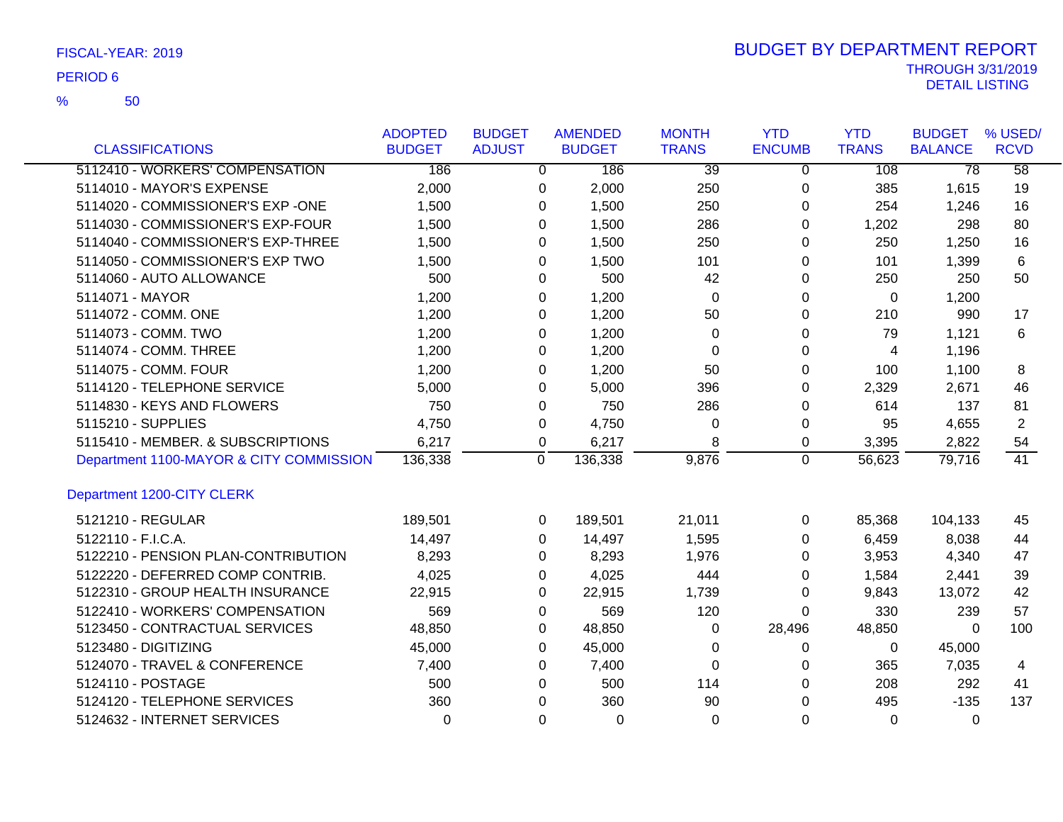50 %

|                                         | <b>ADOPTED</b> | <b>BUDGET</b> |             | <b>AMENDED</b> | <b>MONTH</b> | <b>YTD</b>     | <b>YTD</b>   | <b>BUDGET</b>   | % USED/         |
|-----------------------------------------|----------------|---------------|-------------|----------------|--------------|----------------|--------------|-----------------|-----------------|
| <b>CLASSIFICATIONS</b>                  | <b>BUDGET</b>  | <b>ADJUST</b> |             | <b>BUDGET</b>  | <b>TRANS</b> | <b>ENCUMB</b>  | <b>TRANS</b> | <b>BALANCE</b>  | <b>RCVD</b>     |
| 5112410 - WORKERS' COMPENSATION         | 186            |               | 0           | 186            | 39           | 0              | 108          | $\overline{78}$ | $\overline{58}$ |
| 5114010 - MAYOR'S EXPENSE               | 2,000          |               | 0           | 2,000          | 250          | 0              | 385          | 1,615           | 19              |
| 5114020 - COMMISSIONER'S EXP -ONE       | 1,500          |               | 0           | 1,500          | 250          | 0              | 254          | 1,246           | 16              |
| 5114030 - COMMISSIONER'S EXP-FOUR       | 1,500          |               | 0           | 1,500          | 286          | 0              | 1,202        | 298             | 80              |
| 5114040 - COMMISSIONER'S EXP-THREE      | 1,500          |               | 0           | 1,500          | 250          | 0              | 250          | 1,250           | 16              |
| 5114050 - COMMISSIONER'S EXP TWO        | 1,500          |               | 0           | 1,500          | 101          | 0              | 101          | 1,399           | 6               |
| 5114060 - AUTO ALLOWANCE                | 500            |               | 0           | 500            | 42           | 0              | 250          | 250             | 50              |
| 5114071 - MAYOR                         | 1,200          |               | 0           | 1,200          | $\Omega$     | 0              | $\Omega$     | 1,200           |                 |
| 5114072 - COMM. ONE                     | 1,200          |               | 0           | 1,200          | 50           | 0              | 210          | 990             | 17              |
| 5114073 - COMM. TWO                     | 1,200          |               | 0           | 1,200          | 0            | 0              | 79           | 1,121           | 6               |
| 5114074 - COMM. THREE                   | 1,200          |               | 0           | 1,200          | $\Omega$     | 0              | 4            | 1,196           |                 |
| 5114075 - COMM. FOUR                    | 1,200          |               | 0           | 1,200          | 50           | 0              | 100          | 1,100           | 8               |
| 5114120 - TELEPHONE SERVICE             | 5,000          |               | 0           | 5,000          | 396          | 0              | 2,329        | 2,671           | 46              |
| 5114830 - KEYS AND FLOWERS              | 750            |               | 0           | 750            | 286          | 0              | 614          | 137             | 81              |
| 5115210 - SUPPLIES                      | 4,750          |               | 0           | 4,750          | $\Omega$     | 0              | 95           | 4,655           | 2               |
| 5115410 - MEMBER. & SUBSCRIPTIONS       | 6,217          |               | 0           | 6,217          | 8            | 0              | 3,395        | 2,822           | 54              |
| Department 1100-MAYOR & CITY COMMISSION | 136,338        |               | $\mathbf 0$ | 136,338        | 9,876        | $\overline{0}$ | 56,623       | 79,716          | 41              |
| Department 1200-CITY CLERK              |                |               |             |                |              |                |              |                 |                 |
| 5121210 - REGULAR                       | 189,501        |               | 0           | 189,501        | 21,011       | 0              | 85,368       | 104,133         | 45              |
| 5122110 - F.I.C.A.                      | 14,497         |               | 0           | 14,497         | 1,595        | 0              | 6,459        | 8,038           | 44              |
| 5122210 - PENSION PLAN-CONTRIBUTION     | 8,293          |               | 0           | 8,293          | 1,976        | 0              | 3,953        | 4,340           | 47              |
| 5122220 - DEFERRED COMP CONTRIB.        | 4,025          |               | 0           | 4,025          | 444          | 0              | 1,584        | 2,441           | 39              |
| 5122310 - GROUP HEALTH INSURANCE        | 22,915         |               | 0           | 22,915         | 1,739        | 0              | 9,843        | 13,072          | 42              |
| 5122410 - WORKERS' COMPENSATION         | 569            |               | 0           | 569            | 120          | 0              | 330          | 239             | 57              |
| 5123450 - CONTRACTUAL SERVICES          | 48,850         |               | 0           | 48,850         | 0            | 28,496         | 48,850       | $\Omega$        | 100             |
| 5123480 - DIGITIZING                    | 45,000         |               | 0           | 45,000         | 0            | 0              | 0            | 45,000          |                 |
| 5124070 - TRAVEL & CONFERENCE           | 7,400          |               | 0           | 7,400          | $\Omega$     | 0              | 365          | 7,035           | 4               |
| 5124110 - POSTAGE                       | 500            |               | 0           | 500            | 114          | 0              | 208          | 292             | 41              |
| 5124120 - TELEPHONE SERVICES            | 360            |               | 0           | 360            | 90           | 0              | 495          | $-135$          | 137             |
| 5124632 - INTERNET SERVICES             | 0              |               | $\Omega$    | $\Omega$       | $\Omega$     | $\Omega$       | $\Omega$     | $\Omega$        |                 |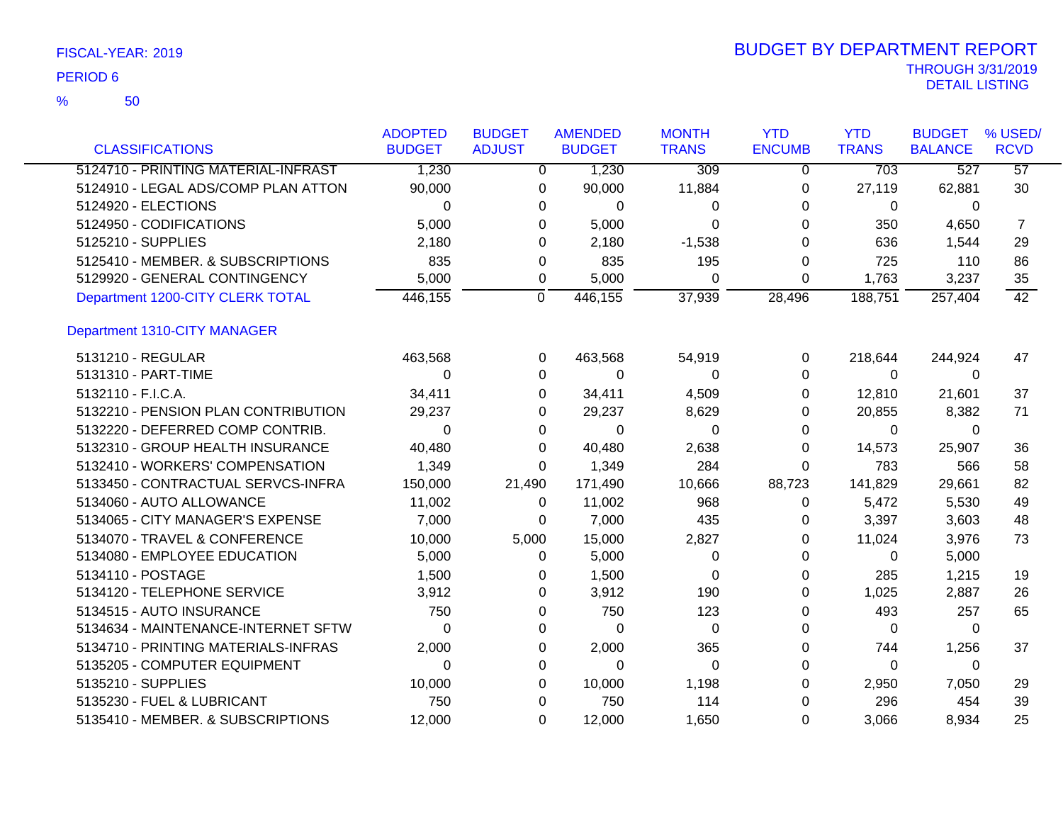| <b>CLASSIFICATIONS</b>              | <b>ADOPTED</b><br><b>BUDGET</b> | <b>BUDGET</b><br><b>ADJUST</b> | <b>AMENDED</b><br><b>BUDGET</b> | <b>MONTH</b><br><b>TRANS</b> | <b>YTD</b><br><b>ENCUMB</b> | <b>YTD</b><br><b>TRANS</b> | <b>BUDGET</b><br><b>BALANCE</b> | % USED/<br><b>RCVD</b> |
|-------------------------------------|---------------------------------|--------------------------------|---------------------------------|------------------------------|-----------------------------|----------------------------|---------------------------------|------------------------|
| 5124710 - PRINTING MATERIAL-INFRAST | 1,230                           | $\Omega$                       | 1,230                           | 309                          | $\overline{0}$              | 703                        | 527                             | $\overline{57}$        |
| 5124910 - LEGAL ADS/COMP PLAN ATTON | 90,000                          | 0                              | 90,000                          | 11,884                       | 0                           | 27,119                     | 62,881                          | 30                     |
| 5124920 - ELECTIONS                 | $\Omega$                        | 0                              | 0                               | 0                            | 0                           | 0                          | $\mathbf{0}$                    |                        |
| 5124950 - CODIFICATIONS             |                                 |                                |                                 |                              |                             |                            |                                 |                        |
| 5125210 - SUPPLIES                  | 5,000<br>2,180                  | 0                              | 5,000                           | 0                            | 0<br>0                      | 350                        | 4,650                           | 7                      |
|                                     |                                 | 0                              | 2,180                           | $-1,538$                     |                             | 636                        | 1,544                           | 29                     |
| 5125410 - MEMBER. & SUBSCRIPTIONS   | 835                             | 0                              | 835                             | 195                          | 0                           | 725                        | 110                             | 86                     |
| 5129920 - GENERAL CONTINGENCY       | 5,000                           | 0                              | 5,000                           | 0                            | 0                           | 1,763                      | 3,237                           | 35                     |
| Department 1200-CITY CLERK TOTAL    | 446,155                         | 0                              | 446,155                         | 37,939                       | 28,496                      | 188,751                    | 257,404                         | 42                     |
| <b>Department 1310-CITY MANAGER</b> |                                 |                                |                                 |                              |                             |                            |                                 |                        |
| 5131210 - REGULAR                   | 463,568                         | 0                              | 463,568                         | 54,919                       | 0                           | 218,644                    | 244,924                         | 47                     |
| 5131310 - PART-TIME                 | $\Omega$                        | 0                              | $\Omega$                        | 0                            | 0                           | $\Omega$                   | $\Omega$                        |                        |
| 5132110 - F.I.C.A.                  | 34,411                          | 0                              | 34,411                          | 4,509                        | 0                           | 12,810                     | 21,601                          | 37                     |
| 5132210 - PENSION PLAN CONTRIBUTION | 29,237                          | 0                              | 29,237                          | 8,629                        | 0                           | 20,855                     | 8,382                           | 71                     |
| 5132220 - DEFERRED COMP CONTRIB.    | $\Omega$                        | 0                              | 0                               | 0                            | 0                           | 0                          | 0                               |                        |
| 5132310 - GROUP HEALTH INSURANCE    | 40,480                          | 0                              | 40,480                          | 2,638                        | 0                           | 14,573                     | 25,907                          | 36                     |
| 5132410 - WORKERS' COMPENSATION     | 1,349                           | 0                              | 1,349                           | 284                          | 0                           | 783                        | 566                             | 58                     |
| 5133450 - CONTRACTUAL SERVCS-INFRA  | 150,000                         | 21,490                         | 171,490                         | 10,666                       | 88,723                      | 141,829                    | 29,661                          | 82                     |
| 5134060 - AUTO ALLOWANCE            | 11,002                          | 0                              | 11,002                          | 968                          | 0                           | 5,472                      | 5,530                           | 49                     |
| 5134065 - CITY MANAGER'S EXPENSE    | 7,000                           | 0                              | 7,000                           | 435                          | 0                           | 3,397                      | 3,603                           | 48                     |
| 5134070 - TRAVEL & CONFERENCE       | 10,000                          | 5,000                          | 15,000                          | 2,827                        | 0                           | 11,024                     | 3,976                           | 73                     |
| 5134080 - EMPLOYEE EDUCATION        | 5,000                           | 0                              | 5,000                           | 0                            | 0                           | $\Omega$                   | 5,000                           |                        |
| 5134110 - POSTAGE                   | 1,500                           | 0                              | 1,500                           | 0                            | 0                           | 285                        | 1,215                           | 19                     |
| 5134120 - TELEPHONE SERVICE         | 3,912                           | 0                              | 3,912                           | 190                          | 0                           | 1,025                      | 2,887                           | 26                     |
| 5134515 - AUTO INSURANCE            | 750                             | 0                              | 750                             | 123                          | 0                           | 493                        | 257                             | 65                     |
| 5134634 - MAINTENANCE-INTERNET SFTW | $\Omega$                        | 0                              | $\Omega$                        | $\Omega$                     | 0                           | $\Omega$                   | $\mathbf{0}$                    |                        |
| 5134710 - PRINTING MATERIALS-INFRAS | 2,000                           | 0                              | 2,000                           | 365                          | 0                           | 744                        | 1,256                           | 37                     |
| 5135205 - COMPUTER EQUIPMENT        | $\Omega$                        | 0                              | 0                               | $\Omega$                     | 0                           | 0                          | 0                               |                        |
| 5135210 - SUPPLIES                  | 10,000                          | 0                              | 10,000                          | 1,198                        | 0                           | 2,950                      | 7,050                           | 29                     |
| 5135230 - FUEL & LUBRICANT          | 750                             | 0                              | 750                             | 114                          | 0                           | 296                        | 454                             | 39                     |
| 5135410 - MEMBER. & SUBSCRIPTIONS   | 12,000                          | 0                              | 12,000                          | 1,650                        | 0                           | 3,066                      | 8,934                           | 25                     |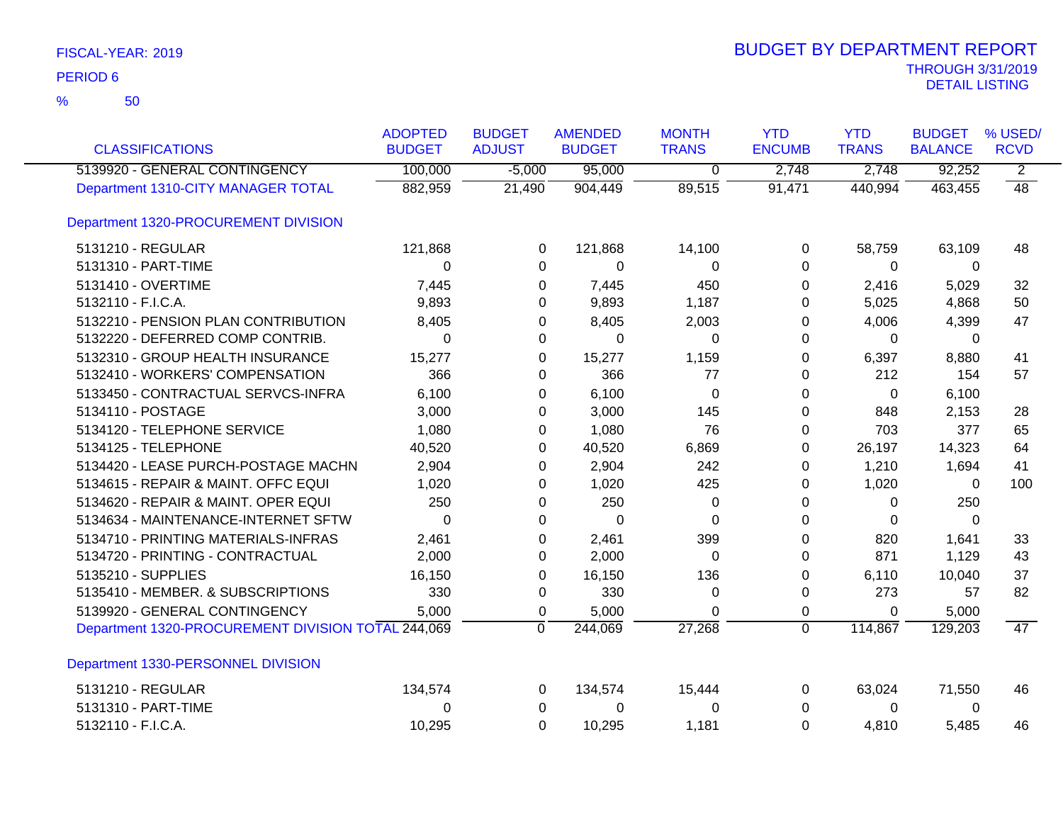| <b>CLASSIFICATIONS</b>                             | <b>ADOPTED</b><br><b>BUDGET</b> | <b>BUDGET</b><br><b>ADJUST</b> | <b>AMENDED</b><br><b>BUDGET</b> | <b>MONTH</b><br><b>TRANS</b> | <b>YTD</b><br><b>ENCUMB</b> | <b>YTD</b><br><b>TRANS</b> | <b>BUDGET</b><br><b>BALANCE</b> | % USED/<br><b>RCVD</b> |
|----------------------------------------------------|---------------------------------|--------------------------------|---------------------------------|------------------------------|-----------------------------|----------------------------|---------------------------------|------------------------|
| 5139920 - GENERAL CONTINGENCY                      | 100,000                         | $-5,000$                       | 95,000                          | $\overline{0}$               | 2,748                       | 2,748                      | 92,252                          | $\overline{2}$         |
| Department 1310-CITY MANAGER TOTAL                 | 882,959                         | 21,490                         | 904,449                         | 89,515                       | 91,471                      | 440,994                    | 463,455                         | 48                     |
| Department 1320-PROCUREMENT DIVISION               |                                 |                                |                                 |                              |                             |                            |                                 |                        |
| 5131210 - REGULAR                                  | 121,868                         | $\Omega$                       | 121,868                         | 14,100                       | $\Omega$                    | 58,759                     | 63,109                          | 48                     |
| 5131310 - PART-TIME                                | 0                               | 0                              | 0                               | 0                            | $\Omega$                    | $\Omega$                   | 0                               |                        |
| 5131410 - OVERTIME                                 | 7,445                           | 0                              | 7,445                           | 450                          | 0                           | 2,416                      | 5,029                           | 32                     |
| 5132110 - F.I.C.A.                                 | 9,893                           | 0                              | 9,893                           | 1,187                        | 0                           | 5,025                      | 4,868                           | 50                     |
| 5132210 - PENSION PLAN CONTRIBUTION                | 8,405                           | 0                              | 8,405                           | 2,003                        | 0                           | 4,006                      | 4,399                           | 47                     |
| 5132220 - DEFERRED COMP CONTRIB.                   | 0                               | 0                              | 0                               | 0                            | 0                           | $\Omega$                   | 0                               |                        |
| 5132310 - GROUP HEALTH INSURANCE                   | 15,277                          | 0                              | 15,277                          | 1,159                        | 0                           | 6,397                      | 8,880                           | 41                     |
| 5132410 - WORKERS' COMPENSATION                    | 366                             | 0                              | 366                             | 77                           | 0                           | 212                        | 154                             | 57                     |
| 5133450 - CONTRACTUAL SERVCS-INFRA                 | 6,100                           | 0                              | 6,100                           | 0                            | $\Omega$                    | $\mathbf{0}$               | 6,100                           |                        |
| 5134110 - POSTAGE                                  | 3,000                           | 0                              | 3,000                           | 145                          | 0                           | 848                        | 2,153                           | 28                     |
| 5134120 - TELEPHONE SERVICE                        | 1,080                           | 0                              | 1,080                           | 76                           | 0                           | 703                        | 377                             | 65                     |
| 5134125 - TELEPHONE                                | 40,520                          | 0                              | 40,520                          | 6,869                        | 0                           | 26,197                     | 14,323                          | 64                     |
| 5134420 - LEASE PURCH-POSTAGE MACHN                | 2,904                           | 0                              | 2,904                           | 242                          | 0                           | 1,210                      | 1,694                           | 41                     |
| 5134615 - REPAIR & MAINT. OFFC EQUI                | 1,020                           | 0                              | 1,020                           | 425                          | 0                           | 1,020                      | $\Omega$                        | 100                    |
| 5134620 - REPAIR & MAINT. OPER EQUI                | 250                             | 0                              | 250                             | 0                            | 0                           | $\Omega$                   | 250                             |                        |
| 5134634 - MAINTENANCE-INTERNET SFTW                | $\Omega$                        | 0                              | $\Omega$                        | $\Omega$                     | 0                           | $\Omega$                   | $\Omega$                        |                        |
| 5134710 - PRINTING MATERIALS-INFRAS                | 2,461                           | 0                              | 2,461                           | 399                          | 0                           | 820                        | 1,641                           | 33                     |
| 5134720 - PRINTING - CONTRACTUAL                   | 2,000                           | 0                              | 2,000                           | 0                            | 0                           | 871                        | 1,129                           | 43                     |
| 5135210 - SUPPLIES                                 | 16,150                          | 0                              | 16,150                          | 136                          | $\Omega$                    | 6,110                      | 10,040                          | 37                     |
| 5135410 - MEMBER. & SUBSCRIPTIONS                  | 330                             | 0                              | 330                             | 0                            | $\pmb{0}$                   | 273                        | 57                              | 82                     |
| 5139920 - GENERAL CONTINGENCY                      | 5,000                           | 0                              | 5,000                           | $\Omega$                     | $\mathbf 0$                 | $\mathbf 0$                | 5,000                           |                        |
| Department 1320-PROCUREMENT DIVISION TOTAL 244,069 |                                 | $\mathbf 0$                    | 244,069                         | 27,268                       | $\overline{0}$              | 114,867                    | 129,203                         | 47                     |
| Department 1330-PERSONNEL DIVISION                 |                                 |                                |                                 |                              |                             |                            |                                 |                        |
| 5131210 - REGULAR                                  | 134,574                         | 0                              | 134,574                         | 15,444                       | 0                           | 63,024                     | 71,550                          | 46                     |
| 5131310 - PART-TIME                                | 0                               | 0                              | 0                               | 0                            | 0                           | $\mathbf 0$                | 0                               |                        |
| 5132110 - F.I.C.A.                                 | 10,295                          | $\Omega$                       | 10,295                          | 1,181                        | 0                           | 4,810                      | 5,485                           | 46                     |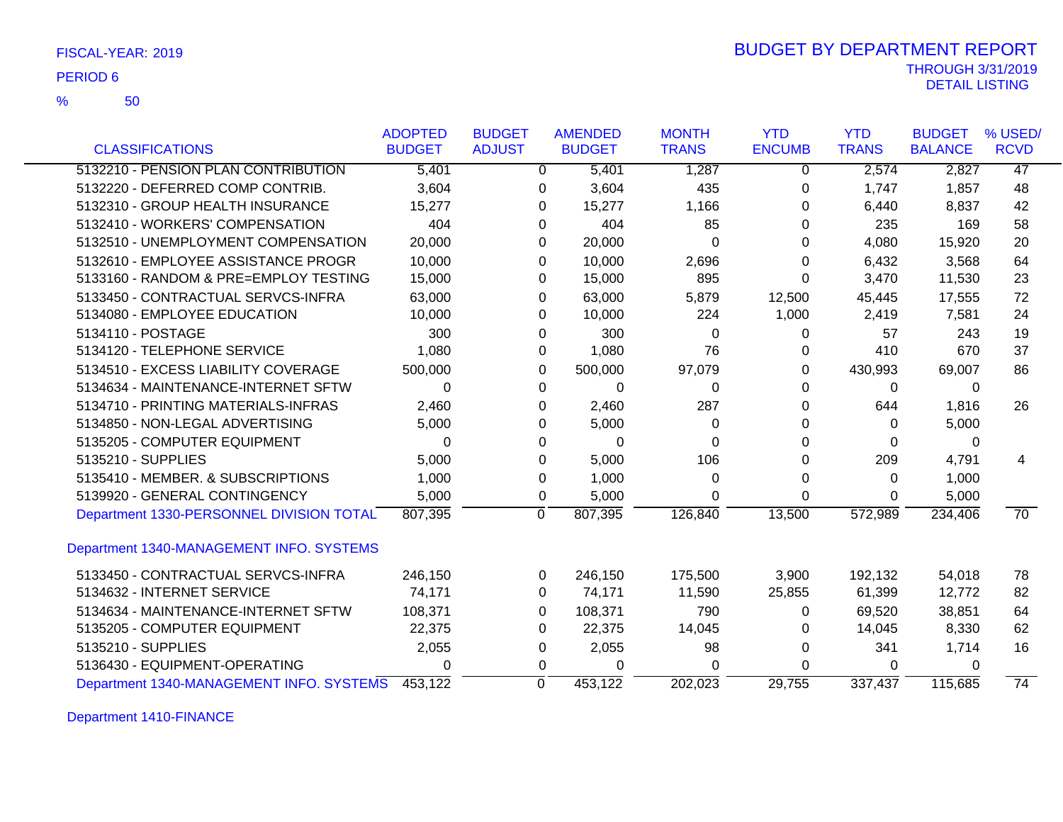|  | FISCAL-YEAR: 2019 |
|--|-------------------|
|  |                   |

50 %

|                                          | <b>ADOPTED</b> | <b>BUDGET</b> | <b>AMENDED</b> | <b>MONTH</b> | <b>YTD</b>    | <b>YTD</b>   | <b>BUDGET</b>  | % USED/         |
|------------------------------------------|----------------|---------------|----------------|--------------|---------------|--------------|----------------|-----------------|
| <b>CLASSIFICATIONS</b>                   | <b>BUDGET</b>  | <b>ADJUST</b> | <b>BUDGET</b>  | <b>TRANS</b> | <b>ENCUMB</b> | <b>TRANS</b> | <b>BALANCE</b> | <b>RCVD</b>     |
| 5132210 - PENSION PLAN CONTRIBUTION      | 5,401          | 0             | 5,401          | 1,287        | $\mathbf 0$   | 2,574        | 2,827          | 47              |
| 5132220 - DEFERRED COMP CONTRIB.         | 3,604          | 0             | 3,604          | 435          | $\mathbf 0$   | 1,747        | 1,857          | 48              |
| 5132310 - GROUP HEALTH INSURANCE         | 15,277         | 0             | 15,277         | 1,166        | 0             | 6,440        | 8,837          | 42              |
| 5132410 - WORKERS' COMPENSATION          | 404            | 0             | 404            | 85           | 0             | 235          | 169            | 58              |
| 5132510 - UNEMPLOYMENT COMPENSATION      | 20,000         | 0             | 20,000         | $\Omega$     | $\Omega$      | 4,080        | 15,920         | 20              |
| 5132610 - EMPLOYEE ASSISTANCE PROGR      | 10,000         | 0             | 10,000         | 2,696        | $\mathbf{0}$  | 6,432        | 3,568          | 64              |
| 5133160 - RANDOM & PRE=EMPLOY TESTING    | 15,000         | 0             | 15,000         | 895          | $\Omega$      | 3,470        | 11,530         | 23              |
| 5133450 - CONTRACTUAL SERVCS-INFRA       | 63,000         | 0             | 63,000         | 5,879        | 12,500        | 45,445       | 17,555         | 72              |
| 5134080 - EMPLOYEE EDUCATION             | 10,000         | 0             | 10,000         | 224          | 1,000         | 2,419        | 7,581          | 24              |
| 5134110 - POSTAGE                        | 300            | 0             | 300            | 0            | 0             | 57           | 243            | 19              |
| 5134120 - TELEPHONE SERVICE              | 1,080          | 0             | 1,080          | 76           | 0             | 410          | 670            | 37              |
| 5134510 - EXCESS LIABILITY COVERAGE      | 500,000        | $\Omega$      | 500,000        | 97,079       | $\Omega$      | 430,993      | 69,007         | 86              |
| 5134634 - MAINTENANCE-INTERNET SFTW      | $\Omega$       | $\Omega$      | $\Omega$       | 0            | $\Omega$      | $\Omega$     | $\Omega$       |                 |
| 5134710 - PRINTING MATERIALS-INFRAS      | 2,460          | $\Omega$      | 2,460          | 287          | $\Omega$      | 644          | 1,816          | 26              |
| 5134850 - NON-LEGAL ADVERTISING          | 5,000          | 0             | 5,000          | 0            | 0             | $\Omega$     | 5,000          |                 |
| 5135205 - COMPUTER EQUIPMENT             | 0              | $\Omega$      | 0              | 0            | 0             | 0            | 0              |                 |
| 5135210 - SUPPLIES                       | 5,000          | 0             | 5,000          | 106          | 0             | 209          | 4,791          | 4               |
| 5135410 - MEMBER, & SUBSCRIPTIONS        | 1,000          | 0             | 1,000          | $\Omega$     | 0             | $\Omega$     | 1,000          |                 |
| 5139920 - GENERAL CONTINGENCY            | 5,000          | 0             | 5,000          | $\Omega$     | $\Omega$      | 0            | 5,000          |                 |
| Department 1330-PERSONNEL DIVISION TOTAL | 807,395        | 0             | 807,395        | 126,840      | 13,500        | 572,989      | 234,406        | $\overline{70}$ |
| Department 1340-MANAGEMENT INFO. SYSTEMS |                |               |                |              |               |              |                |                 |
| 5133450 - CONTRACTUAL SERVCS-INFRA       | 246,150        | 0             | 246,150        | 175,500      | 3,900         | 192,132      | 54,018         | 78              |
| 5134632 - INTERNET SERVICE               | 74,171         | 0             | 74,171         | 11,590       | 25,855        | 61,399       | 12,772         | 82              |
| 5134634 - MAINTENANCE-INTERNET SFTW      | 108,371        | 0             | 108,371        | 790          | 0             | 69,520       | 38,851         | 64              |
| 5135205 - COMPUTER EQUIPMENT             | 22,375         | $\Omega$      | 22,375         | 14,045       | 0             | 14,045       | 8,330          | 62              |
| 5135210 - SUPPLIES                       | 2,055          | 0             | 2,055          | 98           | $\mathbf 0$   | 341          | 1,714          | 16              |
| 5136430 - EQUIPMENT-OPERATING            | 0              | 0             | 0              | 0            | 0             | 0            | 0              |                 |
| Department 1340-MANAGEMENT INFO. SYSTEMS | 453,122        | $\Omega$      | 453,122        | 202,023      | 29,755        | 337,437      | 115,685        | $\overline{74}$ |

Department 1410-FINANCE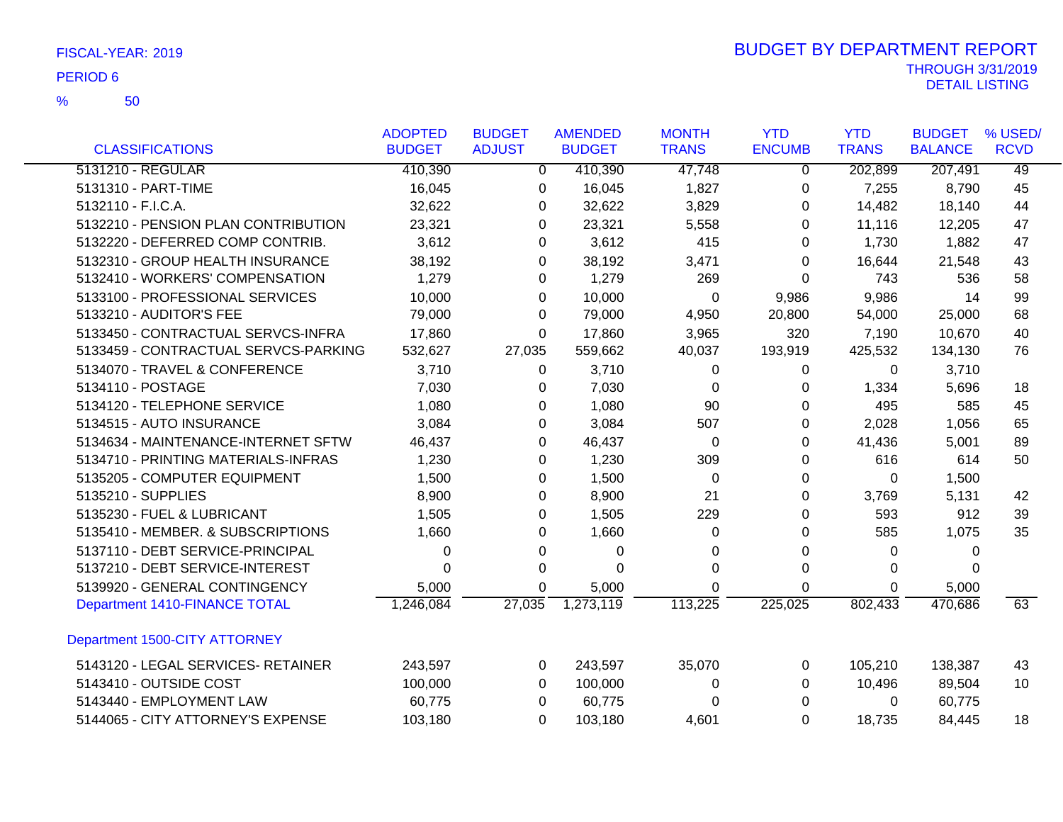50 %

|                                      | <b>ADOPTED</b> | <b>BUDGET</b> | <b>AMENDED</b> | <b>MONTH</b> | <b>YTD</b>    | <b>YTD</b>   | <b>BUDGET</b>  | % USED/     |
|--------------------------------------|----------------|---------------|----------------|--------------|---------------|--------------|----------------|-------------|
| <b>CLASSIFICATIONS</b>               | <b>BUDGET</b>  | <b>ADJUST</b> | <b>BUDGET</b>  | <b>TRANS</b> | <b>ENCUMB</b> | <b>TRANS</b> | <b>BALANCE</b> | <b>RCVD</b> |
| 5131210 - REGULAR                    | 410,390        | $\mathbf 0$   | 410,390        | 47,748       | 0             | 202,899      | 207,491        | 49          |
| 5131310 - PART-TIME                  | 16,045         | 0             | 16,045         | 1,827        | 0             | 7,255        | 8,790          | 45          |
| 5132110 - F.I.C.A.                   | 32,622         | 0             | 32,622         | 3,829        | 0             | 14,482       | 18,140         | 44          |
| 5132210 - PENSION PLAN CONTRIBUTION  | 23,321         | 0             | 23,321         | 5,558        | 0             | 11,116       | 12,205         | 47          |
| 5132220 - DEFERRED COMP CONTRIB.     | 3,612          | 0             | 3,612          | 415          | 0             | 1,730        | 1,882          | 47          |
| 5132310 - GROUP HEALTH INSURANCE     | 38,192         | 0             | 38,192         | 3,471        | 0             | 16,644       | 21,548         | 43          |
| 5132410 - WORKERS' COMPENSATION      | 1,279          | 0             | 1,279          | 269          | 0             | 743          | 536            | 58          |
| 5133100 - PROFESSIONAL SERVICES      | 10,000         | 0             | 10,000         | 0            | 9,986         | 9,986        | 14             | 99          |
| 5133210 - AUDITOR'S FEE              | 79,000         | 0             | 79,000         | 4,950        | 20,800        | 54,000       | 25,000         | 68          |
| 5133450 - CONTRACTUAL SERVCS-INFRA   | 17,860         | 0             | 17,860         | 3,965        | 320           | 7,190        | 10,670         | 40          |
| 5133459 - CONTRACTUAL SERVCS-PARKING | 532,627        | 27,035        | 559,662        | 40,037       | 193,919       | 425,532      | 134,130        | 76          |
| 5134070 - TRAVEL & CONFERENCE        | 3,710          | 0             | 3,710          | 0            | 0             | 0            | 3,710          |             |
| 5134110 - POSTAGE                    | 7,030          | 0             | 7,030          | 0            | 0             | 1,334        | 5,696          | 18          |
| 5134120 - TELEPHONE SERVICE          | 1,080          | 0             | 1,080          | 90           | 0             | 495          | 585            | 45          |
| 5134515 - AUTO INSURANCE             | 3,084          | 0             | 3,084          | 507          | 0             | 2,028        | 1,056          | 65          |
| 5134634 - MAINTENANCE-INTERNET SFTW  | 46,437         | 0             | 46,437         | 0            | 0             | 41,436       | 5,001          | 89          |
| 5134710 - PRINTING MATERIALS-INFRAS  | 1,230          | 0             | 1,230          | 309          | $\Omega$      | 616          | 614            | 50          |
| 5135205 - COMPUTER EQUIPMENT         | 1,500          | 0             | 1,500          | 0            | 0             | $\Omega$     | 1,500          |             |
| 5135210 - SUPPLIES                   | 8,900          | 0             | 8,900          | 21           | 0             | 3,769        | 5,131          | 42          |
| 5135230 - FUEL & LUBRICANT           | 1,505          | 0             | 1,505          | 229          | 0             | 593          | 912            | 39          |
| 5135410 - MEMBER. & SUBSCRIPTIONS    | 1,660          | 0             | 1,660          | 0            | 0             | 585          | 1,075          | 35          |
| 5137110 - DEBT SERVICE-PRINCIPAL     | 0              | 0             | $\pmb{0}$      | 0            | 0             | 0            | 0              |             |
| 5137210 - DEBT SERVICE-INTEREST      | 0              | 0             | $\Omega$       | $\Omega$     | $\Omega$      | 0            | $\Omega$       |             |
| 5139920 - GENERAL CONTINGENCY        | 5,000          | 0             | 5,000          | 0            | 0             | $\Omega$     | 5,000          |             |
| Department 1410-FINANCE TOTAL        | 1,246,084      | 27,035        | 1,273,119      | 113,225      | 225,025       | 802,433      | 470,686        | 63          |
| Department 1500-CITY ATTORNEY        |                |               |                |              |               |              |                |             |
| 5143120 - LEGAL SERVICES- RETAINER   | 243,597        | $\mathbf 0$   | 243,597        | 35,070       | 0             | 105,210      | 138,387        | 43          |
| 5143410 - OUTSIDE COST               | 100,000        | $\Omega$      | 100,000        | 0            | 0             | 10,496       | 89,504         | 10          |
| 5143440 - EMPLOYMENT LAW             | 60,775         | 0             | 60,775         | $\Omega$     | 0             | $\Omega$     | 60,775         |             |
| 5144065 - CITY ATTORNEY'S EXPENSE    | 103,180        | $\Omega$      | 103,180        | 4,601        | $\Omega$      | 18,735       | 84,445         | 18          |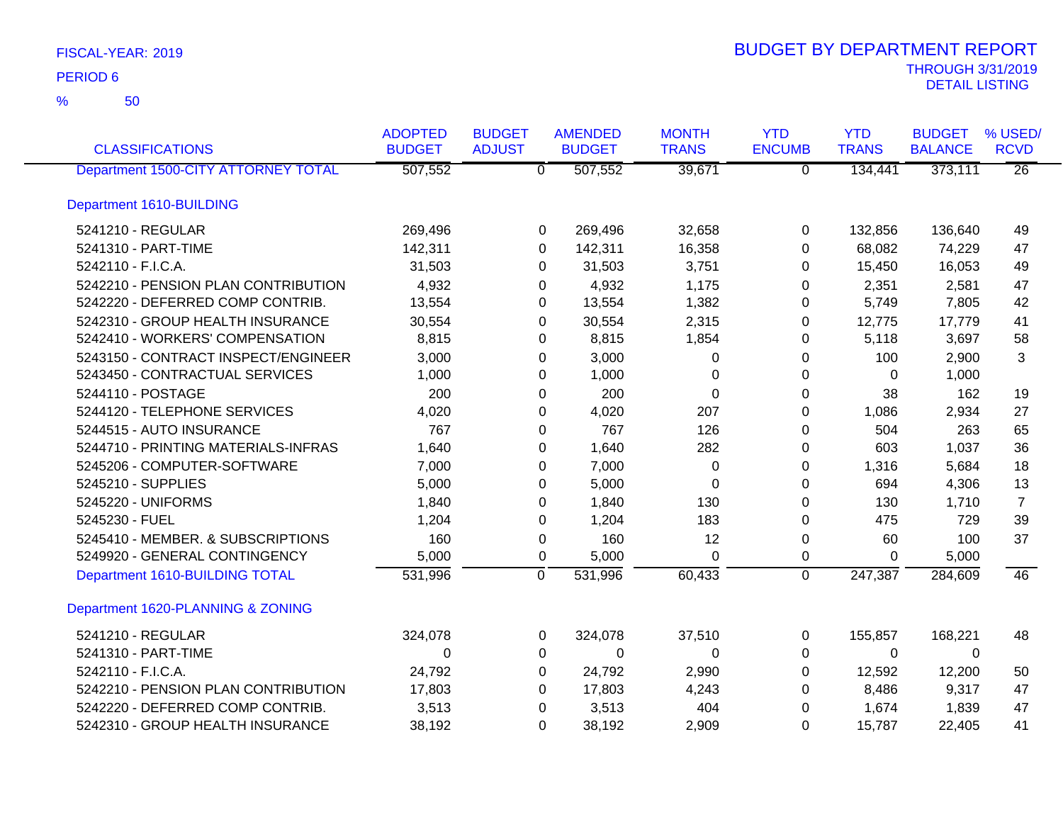| <b>CLASSIFICATIONS</b>              | <b>ADOPTED</b><br><b>BUDGET</b> | <b>BUDGET</b><br><b>ADJUST</b> | <b>AMENDED</b><br><b>BUDGET</b> | <b>MONTH</b><br><b>TRANS</b> | <b>YTD</b><br><b>ENCUMB</b> | <b>YTD</b><br><b>TRANS</b> | <b>BUDGET</b><br><b>BALANCE</b> | % USED/<br><b>RCVD</b> |
|-------------------------------------|---------------------------------|--------------------------------|---------------------------------|------------------------------|-----------------------------|----------------------------|---------------------------------|------------------------|
| Department 1500-CITY ATTORNEY TOTAL | 507,552                         | $\overline{\mathfrak{o}}$      | 507,552                         | 39,671                       | $\overline{\mathfrak{o}}$   | 134,441                    | 373,111                         | $\overline{26}$        |
| Department 1610-BUILDING            |                                 |                                |                                 |                              |                             |                            |                                 |                        |
| 5241210 - REGULAR                   | 269,496                         | 0                              | 269,496                         | 32,658                       | 0                           | 132,856                    | 136,640                         | 49                     |
| 5241310 - PART-TIME                 | 142,311                         | 0                              | 142,311                         | 16,358                       | 0                           | 68,082                     | 74,229                          | 47                     |
| 5242110 - F.I.C.A.                  | 31,503                          | 0                              | 31,503                          | 3,751                        | 0                           | 15,450                     | 16,053                          | 49                     |
| 5242210 - PENSION PLAN CONTRIBUTION | 4,932                           | 0                              | 4,932                           | 1,175                        | 0                           | 2,351                      | 2,581                           | 47                     |
| 5242220 - DEFERRED COMP CONTRIB.    | 13,554                          | 0                              | 13,554                          | 1,382                        | 0                           | 5,749                      | 7,805                           | 42                     |
| 5242310 - GROUP HEALTH INSURANCE    | 30,554                          | 0                              | 30,554                          | 2,315                        | 0                           | 12,775                     | 17,779                          | 41                     |
| 5242410 - WORKERS' COMPENSATION     | 8,815                           | 0                              | 8,815                           | 1,854                        | 0                           | 5,118                      | 3,697                           | 58                     |
| 5243150 - CONTRACT INSPECT/ENGINEER | 3,000                           | 0                              | 3,000                           | 0                            | 0                           | 100                        | 2,900                           | 3                      |
| 5243450 - CONTRACTUAL SERVICES      | 1,000                           | 0                              | 1,000                           | 0                            | 0                           | $\mathbf 0$                | 1,000                           |                        |
| 5244110 - POSTAGE                   | 200                             | 0                              | 200                             | 0                            | 0                           | 38                         | 162                             | 19                     |
| 5244120 - TELEPHONE SERVICES        | 4,020                           | 0                              | 4,020                           | 207                          | 0                           | 1,086                      | 2,934                           | 27                     |
| 5244515 - AUTO INSURANCE            | 767                             | 0                              | 767                             | 126                          | 0                           | 504                        | 263                             | 65                     |
| 5244710 - PRINTING MATERIALS-INFRAS | 1,640                           | 0                              | 1,640                           | 282                          | 0                           | 603                        | 1,037                           | 36                     |
| 5245206 - COMPUTER-SOFTWARE         | 7,000                           | 0                              | 7,000                           | 0                            | 0                           | 1,316                      | 5,684                           | 18                     |
| 5245210 - SUPPLIES                  | 5,000                           | 0                              | 5,000                           | 0                            | 0                           | 694                        | 4,306                           | 13                     |
| 5245220 - UNIFORMS                  | 1,840                           | 0                              | 1,840                           | 130                          | 0                           | 130                        | 1,710                           | $\overline{7}$         |
| 5245230 - FUEL                      | 1,204                           | 0                              | 1,204                           | 183                          | $\Omega$                    | 475                        | 729                             | 39                     |
| 5245410 - MEMBER. & SUBSCRIPTIONS   | 160                             | 0                              | 160                             | 12                           | 0                           | 60                         | 100                             | 37                     |
| 5249920 - GENERAL CONTINGENCY       | 5,000                           | 0                              | 5,000                           | 0                            | 0                           | $\Omega$                   | 5,000                           |                        |
| Department 1610-BUILDING TOTAL      | 531,996                         | $\mathbf 0$                    | 531,996                         | 60,433                       | $\mathbf 0$                 | 247,387                    | 284,609                         | 46                     |
| Department 1620-PLANNING & ZONING   |                                 |                                |                                 |                              |                             |                            |                                 |                        |
| 5241210 - REGULAR                   | 324,078                         | 0                              | 324,078                         | 37,510                       | 0                           | 155,857                    | 168,221                         | 48                     |
| 5241310 - PART-TIME                 | 0                               | 0                              | 0                               | $\Omega$                     | 0                           | 0                          | $\Omega$                        |                        |
| 5242110 - F.I.C.A.                  | 24,792                          | 0                              | 24,792                          | 2,990                        | 0                           | 12,592                     | 12,200                          | 50                     |
| 5242210 - PENSION PLAN CONTRIBUTION | 17,803                          | 0                              | 17,803                          | 4,243                        | 0                           | 8,486                      | 9,317                           | 47                     |
| 5242220 - DEFERRED COMP CONTRIB.    | 3,513                           | 0                              | 3,513                           | 404                          | 0                           | 1,674                      | 1,839                           | 47                     |
| 5242310 - GROUP HEALTH INSURANCE    | 38,192                          | $\Omega$                       | 38,192                          | 2,909                        | $\Omega$                    | 15,787                     | 22,405                          | 41                     |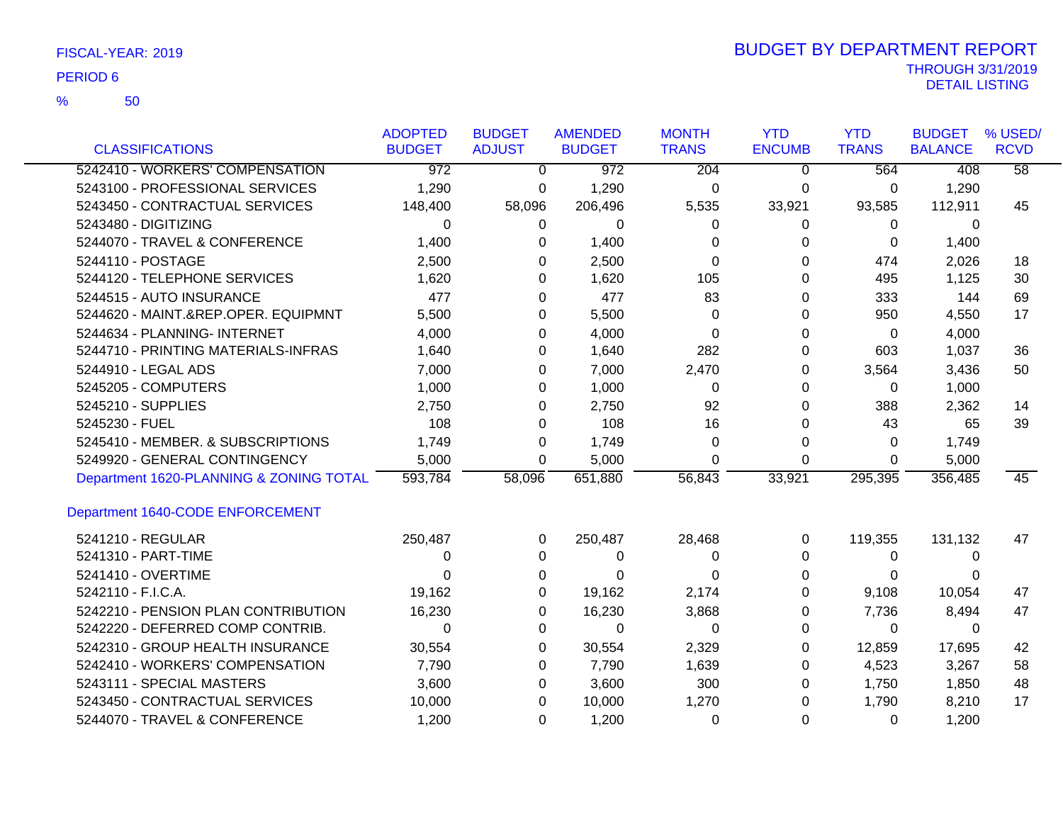50 %

|                                         | <b>ADOPTED</b> | <b>BUDGET</b> | <b>AMENDED</b>   | <b>MONTH</b> | <b>YTD</b>    | <b>YTD</b>   | <b>BUDGET</b>  | % USED/         |
|-----------------------------------------|----------------|---------------|------------------|--------------|---------------|--------------|----------------|-----------------|
| <b>CLASSIFICATIONS</b>                  | <b>BUDGET</b>  | <b>ADJUST</b> | <b>BUDGET</b>    | <b>TRANS</b> | <b>ENCUMB</b> | <b>TRANS</b> | <b>BALANCE</b> | <b>RCVD</b>     |
| 5242410 - WORKERS' COMPENSATION         | 972            | $\Omega$      | $\overline{972}$ | 204          | $\Omega$      | 564          | 408            | $\overline{58}$ |
| 5243100 - PROFESSIONAL SERVICES         | 1,290          | 0             | 1,290            | 0            | 0             | 0            | 1,290          |                 |
| 5243450 - CONTRACTUAL SERVICES          | 148,400        | 58,096        | 206,496          | 5,535        | 33,921        | 93,585       | 112,911        | 45              |
| 5243480 - DIGITIZING                    | 0              | 0             | 0                | 0            | 0             | 0            | $\Omega$       |                 |
| 5244070 - TRAVEL & CONFERENCE           | 1,400          | 0             | 1,400            | 0            | $\Omega$      | $\Omega$     | 1,400          |                 |
| 5244110 - POSTAGE                       | 2,500          | 0             | 2,500            | 0            | $\Omega$      | 474          | 2,026          | 18              |
| 5244120 - TELEPHONE SERVICES            | 1,620          | 0             | 1,620            | 105          | 0             | 495          | 1,125          | 30              |
| 5244515 - AUTO INSURANCE                | 477            | 0             | 477              | 83           | 0             | 333          | 144            | 69              |
| 5244620 - MAINT.&REP.OPER. EQUIPMNT     | 5,500          | 0             | 5,500            | 0            | 0             | 950          | 4,550          | 17              |
| 5244634 - PLANNING- INTERNET            | 4,000          | 0             | 4,000            | $\Omega$     | 0             | $\Omega$     | 4,000          |                 |
| 5244710 - PRINTING MATERIALS-INFRAS     | 1,640          | 0             | 1,640            | 282          | 0             | 603          | 1,037          | 36              |
| 5244910 - LEGAL ADS                     | 7,000          | 0             | 7,000            | 2,470        | 0             | 3,564        | 3,436          | 50              |
| 5245205 - COMPUTERS                     | 1,000          | 0             | 1,000            | 0            | 0             | 0            | 1,000          |                 |
| 5245210 - SUPPLIES                      | 2,750          | 0             | 2,750            | 92           | 0             | 388          | 2,362          | 14              |
| 5245230 - FUEL                          | 108            | 0             | 108              | 16           | 0             | 43           | 65             | 39              |
| 5245410 - MEMBER. & SUBSCRIPTIONS       | 1,749          | 0             | 1,749            | 0            | 0             | $\Omega$     | 1,749          |                 |
| 5249920 - GENERAL CONTINGENCY           | 5,000          | 0             | 5,000            | 0            | $\Omega$      | $\Omega$     | 5,000          |                 |
| Department 1620-PLANNING & ZONING TOTAL | 593,784        | 58,096        | 651,880          | 56,843       | 33,921        | 295,395      | 356,485        | 45              |
| Department 1640-CODE ENFORCEMENT        |                |               |                  |              |               |              |                |                 |
| 5241210 - REGULAR                       | 250,487        | $\Omega$      | 250,487          | 28,468       | $\Omega$      | 119,355      | 131,132        | 47              |
| 5241310 - PART-TIME                     | 0              | 0             | 0                | 0            | $\Omega$      | 0            | 0              |                 |
| 5241410 - OVERTIME                      | 0              | 0             | 0                | 0            | 0             | $\Omega$     | 0              |                 |
| 5242110 - F.I.C.A.                      | 19,162         | 0             | 19,162           | 2,174        | 0             | 9,108        | 10,054         | 47              |
| 5242210 - PENSION PLAN CONTRIBUTION     | 16,230         | 0             | 16,230           | 3,868        | 0             | 7,736        | 8,494          | 47              |
| 5242220 - DEFERRED COMP CONTRIB.        | 0              | 0             | 0                | $\Omega$     | 0             | $\Omega$     | $\Omega$       |                 |
| 5242310 - GROUP HEALTH INSURANCE        | 30,554         | 0             | 30,554           | 2,329        | 0             | 12,859       | 17,695         | 42              |
| 5242410 - WORKERS' COMPENSATION         | 7,790          | 0             | 7,790            | 1,639        | 0             | 4,523        | 3,267          | 58              |
| 5243111 - SPECIAL MASTERS               | 3,600          | 0             | 3,600            | 300          | 0             | 1,750        | 1,850          | 48              |
| 5243450 - CONTRACTUAL SERVICES          | 10,000         | 0             | 10,000           | 1,270        | 0             | 1,790        | 8,210          | 17              |
| 5244070 - TRAVEL & CONFERENCE           | 1,200          | 0             | 1,200            | 0            | 0             | 0            | 1,200          |                 |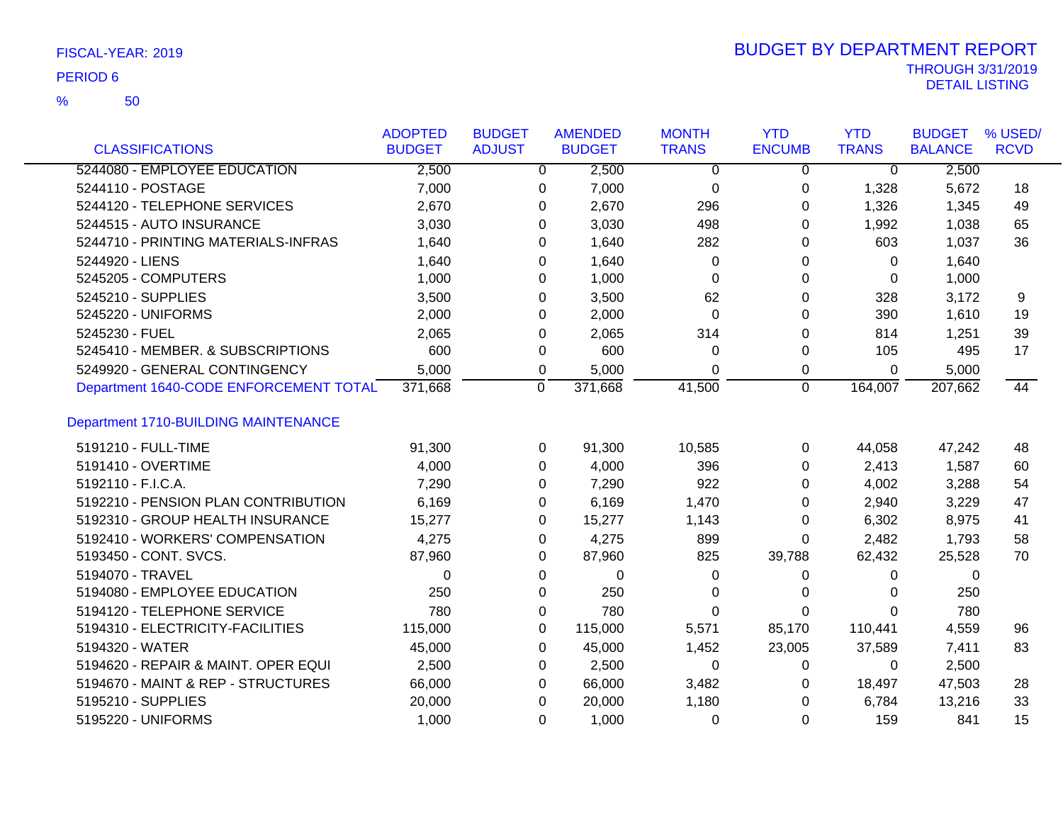50 %

|                                        | <b>ADOPTED</b> | <b>BUDGET</b>  | <b>AMENDED</b> | <b>MONTH</b>   | <b>YTD</b>     | <b>YTD</b>     | <b>BUDGET</b>  | % USED/     |
|----------------------------------------|----------------|----------------|----------------|----------------|----------------|----------------|----------------|-------------|
| <b>CLASSIFICATIONS</b>                 | <b>BUDGET</b>  | <b>ADJUST</b>  | <b>BUDGET</b>  | <b>TRANS</b>   | <b>ENCUMB</b>  | <b>TRANS</b>   | <b>BALANCE</b> | <b>RCVD</b> |
| 5244080 - EMPLOYEE EDUCATION           | 2,500          | $\overline{0}$ | 2,500          | $\overline{0}$ | $\overline{0}$ | $\overline{0}$ | 2,500          |             |
| 5244110 - POSTAGE                      | 7,000          | 0              | 7,000          | 0              | 0              | 1,328          | 5,672          | 18          |
| 5244120 - TELEPHONE SERVICES           | 2,670          | 0              | 2,670          | 296            | 0              | 1,326          | 1,345          | 49          |
| 5244515 - AUTO INSURANCE               | 3,030          | $\Omega$       | 3,030          | 498            | 0              | 1,992          | 1,038          | 65          |
| 5244710 - PRINTING MATERIALS-INFRAS    | 1,640          | 0              | 1,640          | 282            | 0              | 603            | 1,037          | 36          |
| 5244920 - LIENS                        | 1,640          | 0              | 1,640          | 0              | 0              | 0              | 1,640          |             |
| 5245205 - COMPUTERS                    | 1,000          | 0              | 1,000          | $\Omega$       | 0              | 0              | 1,000          |             |
| 5245210 - SUPPLIES                     | 3,500          | $\Omega$       | 3,500          | 62             | $\Omega$       | 328            | 3,172          | 9           |
| 5245220 - UNIFORMS                     | 2,000          | 0              | 2,000          | $\Omega$       | $\Omega$       | 390            | 1,610          | 19          |
| 5245230 - FUEL                         | 2,065          | 0              | 2,065          | 314            | 0              | 814            | 1,251          | 39          |
| 5245410 - MEMBER. & SUBSCRIPTIONS      | 600            | 0              | 600            | 0              | 0              | 105            | 495            | 17          |
| 5249920 - GENERAL CONTINGENCY          | 5,000          | 0              | 5,000          | 0              | 0              | 0              | 5,000          |             |
| Department 1640-CODE ENFORCEMENT TOTAL | 371,668        | 0              | 371,668        | 41,500         | $\overline{0}$ | 164,007        | 207,662        | 44          |
| Department 1710-BUILDING MAINTENANCE   |                |                |                |                |                |                |                |             |
| 5191210 - FULL-TIME                    | 91,300         | 0              | 91,300         | 10,585         | 0              | 44,058         | 47,242         | 48          |
| 5191410 - OVERTIME                     | 4,000          | $\Omega$       | 4,000          | 396            | 0              | 2,413          | 1,587          | 60          |
| 5192110 - F.I.C.A.                     | 7,290          | 0              | 7,290          | 922            | 0              | 4,002          | 3,288          | 54          |
| 5192210 - PENSION PLAN CONTRIBUTION    | 6,169          | 0              | 6,169          | 1,470          | 0              | 2,940          | 3,229          | 47          |
| 5192310 - GROUP HEALTH INSURANCE       | 15,277         | 0              | 15,277         | 1,143          | 0              | 6,302          | 8,975          | 41          |
| 5192410 - WORKERS' COMPENSATION        | 4,275          | 0              | 4,275          | 899            | 0              | 2,482          | 1,793          | 58          |
| 5193450 - CONT. SVCS.                  | 87,960         | 0              | 87,960         | 825            | 39,788         | 62,432         | 25,528         | 70          |
| 5194070 - TRAVEL                       | 0              | 0              | 0              | 0              | 0              | 0              | 0              |             |
| 5194080 - EMPLOYEE EDUCATION           | 250            | 0              | 250            | 0              | 0              | 0              | 250            |             |
| 5194120 - TELEPHONE SERVICE            | 780            | 0              | 780            | $\Omega$       | 0              | $\Omega$       | 780            |             |
| 5194310 - ELECTRICITY-FACILITIES       | 115,000        | 0              | 115,000        | 5,571          | 85,170         | 110,441        | 4,559          | 96          |
| 5194320 - WATER                        | 45,000         | 0              | 45,000         | 1,452          | 23,005         | 37,589         | 7,411          | 83          |
| 5194620 - REPAIR & MAINT. OPER EQUI    | 2,500          | 0              | 2,500          | 0              | 0              | 0              | 2,500          |             |
| 5194670 - MAINT & REP - STRUCTURES     | 66,000         | 0              | 66,000         | 3,482          | 0              | 18,497         | 47,503         | 28          |
| 5195210 - SUPPLIES                     | 20,000         | 0              | 20,000         | 1,180          | 0              | 6,784          | 13,216         | 33          |
| 5195220 - UNIFORMS                     | 1,000          | $\Omega$       | 1,000          | $\Omega$       | 0              | 159            | 841            | 15          |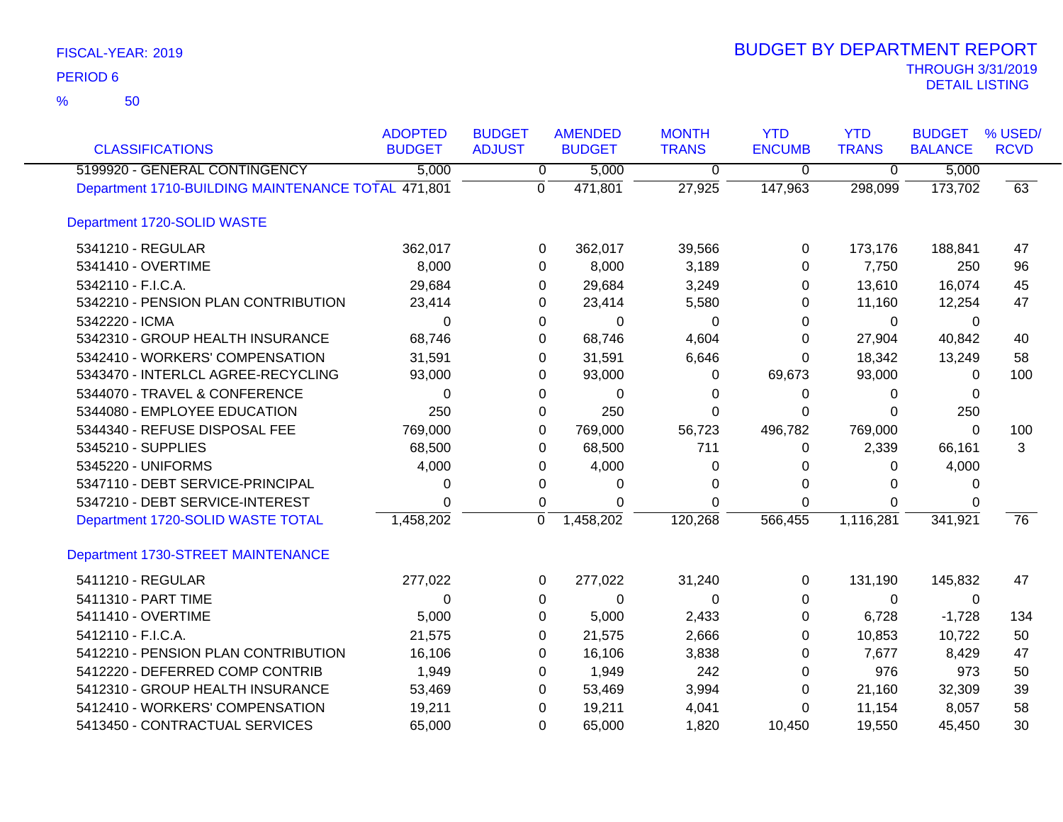| <b>CLASSIFICATIONS</b>                             | <b>ADOPTED</b><br><b>BUDGET</b> | <b>BUDGET</b><br><b>ADJUST</b> | <b>AMENDED</b><br><b>BUDGET</b> | <b>MONTH</b><br><b>TRANS</b> | <b>YTD</b><br><b>ENCUMB</b> | <b>YTD</b><br><b>TRANS</b> | <b>BUDGET</b><br><b>BALANCE</b> | % USED/<br><b>RCVD</b> |
|----------------------------------------------------|---------------------------------|--------------------------------|---------------------------------|------------------------------|-----------------------------|----------------------------|---------------------------------|------------------------|
| 5199920 - GENERAL CONTINGENCY                      | 5,000                           | $\overline{0}$                 | 5,000                           | $\overline{0}$               | $\overline{0}$              | $\overline{0}$             | 5,000                           |                        |
| Department 1710-BUILDING MAINTENANCE TOTAL 471,801 |                                 | $\Omega$                       | 471,801                         | 27,925                       | 147,963                     | 298,099                    | 173,702                         | 63                     |
| Department 1720-SOLID WASTE                        |                                 |                                |                                 |                              |                             |                            |                                 |                        |
| 5341210 - REGULAR                                  | 362,017                         | 0                              | 362,017                         | 39,566                       | 0                           | 173,176                    | 188,841                         | 47                     |
| 5341410 - OVERTIME                                 | 8,000                           | 0                              | 8,000                           | 3,189                        | 0                           | 7,750                      | 250                             | 96                     |
| 5342110 - F.I.C.A.                                 | 29,684                          | 0                              | 29,684                          | 3,249                        | 0                           | 13,610                     | 16,074                          | 45                     |
| 5342210 - PENSION PLAN CONTRIBUTION                | 23,414                          | 0                              | 23,414                          | 5,580                        | 0                           | 11,160                     | 12,254                          | 47                     |
| 5342220 - ICMA                                     | 0                               | 0                              | 0                               | 0                            | 0                           | 0                          | 0                               |                        |
| 5342310 - GROUP HEALTH INSURANCE                   | 68,746                          | 0                              | 68,746                          | 4,604                        | 0                           | 27,904                     | 40,842                          | 40                     |
| 5342410 - WORKERS' COMPENSATION                    | 31,591                          | 0                              | 31,591                          | 6,646                        | $\Omega$                    | 18,342                     | 13,249                          | 58                     |
| 5343470 - INTERLCL AGREE-RECYCLING                 | 93,000                          | 0                              | 93,000                          | 0                            | 69,673                      | 93,000                     | 0                               | 100                    |
| 5344070 - TRAVEL & CONFERENCE                      | 0                               | 0                              | 0                               | 0                            | 0                           | 0                          | 0                               |                        |
| 5344080 - EMPLOYEE EDUCATION                       | 250                             | 0                              | 250                             | $\Omega$                     | $\Omega$                    | $\Omega$                   | 250                             |                        |
| 5344340 - REFUSE DISPOSAL FEE                      | 769,000                         | 0                              | 769,000                         | 56,723                       | 496,782                     | 769,000                    | $\mathbf 0$                     | 100                    |
| 5345210 - SUPPLIES                                 | 68,500                          | 0                              | 68,500                          | 711                          | 0                           | 2,339                      | 66,161                          | 3                      |
| 5345220 - UNIFORMS                                 | 4,000                           | 0                              | 4,000                           | 0                            | 0                           | 0                          | 4,000                           |                        |
| 5347110 - DEBT SERVICE-PRINCIPAL                   | 0                               | 0                              | 0                               | 0                            | $\Omega$                    | 0                          | $\Omega$                        |                        |
| 5347210 - DEBT SERVICE-INTEREST                    | 0                               | 0                              | 0                               | $\Omega$                     | $\Omega$                    | $\Omega$                   | 0                               |                        |
| Department 1720-SOLID WASTE TOTAL                  | 1,458,202                       | $\Omega$                       | 1,458,202                       | 120,268                      | 566,455                     | 1,116,281                  | 341,921                         | $\overline{76}$        |
| Department 1730-STREET MAINTENANCE                 |                                 |                                |                                 |                              |                             |                            |                                 |                        |
| 5411210 - REGULAR                                  | 277,022                         | 0                              | 277,022                         | 31,240                       | 0                           | 131,190                    | 145,832                         | 47                     |
| 5411310 - PART TIME                                | 0                               | 0                              | 0                               | 0                            | 0                           | 0                          | 0                               |                        |
| 5411410 - OVERTIME                                 | 5,000                           | 0                              | 5,000                           | 2,433                        | 0                           | 6,728                      | $-1,728$                        | 134                    |
| 5412110 - F.I.C.A.                                 | 21,575                          | 0                              | 21,575                          | 2,666                        | 0                           | 10,853                     | 10,722                          | 50                     |
| 5412210 - PENSION PLAN CONTRIBUTION                | 16,106                          | 0                              | 16,106                          | 3,838                        | 0                           | 7,677                      | 8,429                           | 47                     |
| 5412220 - DEFERRED COMP CONTRIB                    | 1,949                           | 0                              | 1,949                           | 242                          | 0                           | 976                        | 973                             | 50                     |
| 5412310 - GROUP HEALTH INSURANCE                   | 53,469                          | 0                              | 53,469                          | 3,994                        | 0                           | 21,160                     | 32,309                          | 39                     |
| 5412410 - WORKERS' COMPENSATION                    | 19,211                          | 0                              | 19,211                          | 4,041                        | 0                           | 11,154                     | 8,057                           | 58                     |
| 5413450 - CONTRACTUAL SERVICES                     | 65,000                          | $\Omega$                       | 65,000                          | 1,820                        | 10,450                      | 19,550                     | 45,450                          | 30                     |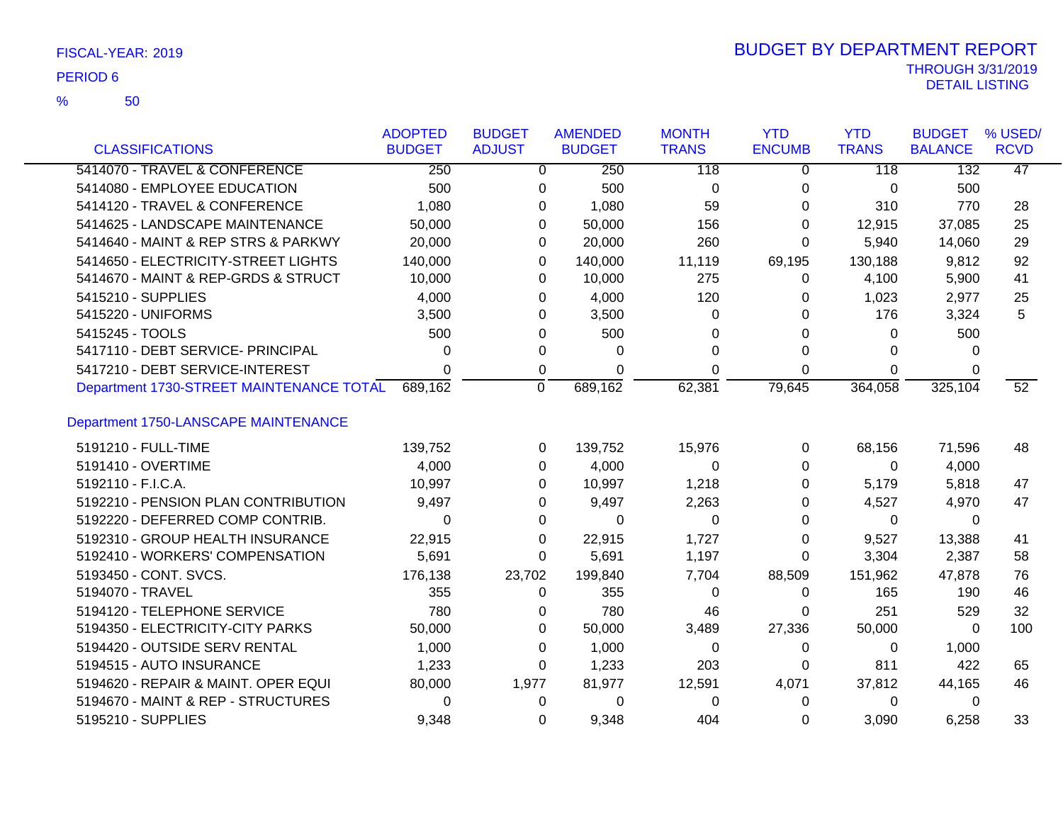| FISCAL-YEAR: 2019 |  |
|-------------------|--|
|                   |  |

50 %

| <b>CLASSIFICATIONS</b>                   | <b>ADOPTED</b><br><b>BUDGET</b> | <b>BUDGET</b><br><b>ADJUST</b> | <b>AMENDED</b><br><b>BUDGET</b> | <b>MONTH</b><br><b>TRANS</b> | <b>YTD</b><br><b>ENCUMB</b> | <b>YTD</b><br><b>TRANS</b> | <b>BUDGET</b><br><b>BALANCE</b> | % USED/<br><b>RCVD</b> |
|------------------------------------------|---------------------------------|--------------------------------|---------------------------------|------------------------------|-----------------------------|----------------------------|---------------------------------|------------------------|
| 5414070 - TRAVEL & CONFERENCE            | 250                             | 0                              | 250                             | 118                          | 0                           | 118                        | 132                             | 47                     |
| 5414080 - EMPLOYEE EDUCATION             | 500                             | 0                              | 500                             | $\pmb{0}$                    | 0                           | 0                          | 500                             |                        |
| 5414120 - TRAVEL & CONFERENCE            | 1,080                           | 0                              | 1,080                           | 59                           | 0                           | 310                        | 770                             | 28                     |
| 5414625 - LANDSCAPE MAINTENANCE          | 50,000                          | 0                              | 50,000                          | 156                          | 0                           | 12,915                     | 37,085                          | 25                     |
| 5414640 - MAINT & REP STRS & PARKWY      | 20,000                          | 0                              | 20,000                          | 260                          | 0                           | 5,940                      | 14,060                          | 29                     |
| 5414650 - ELECTRICITY-STREET LIGHTS      | 140,000                         | 0                              | 140,000                         | 11,119                       | 69,195                      | 130,188                    | 9,812                           | 92                     |
| 5414670 - MAINT & REP-GRDS & STRUCT      | 10,000                          | 0                              | 10,000                          | 275                          | 0                           | 4,100                      | 5,900                           | 41                     |
| 5415210 - SUPPLIES                       | 4,000                           | 0                              | 4,000                           | 120                          | 0                           | 1,023                      | 2,977                           | 25                     |
| 5415220 - UNIFORMS                       | 3,500                           | 0                              | 3,500                           | 0                            | 0                           | 176                        | 3,324                           | 5                      |
| 5415245 - TOOLS                          | 500                             | 0                              | 500                             | 0                            | 0                           | 0                          | 500                             |                        |
| 5417110 - DEBT SERVICE- PRINCIPAL        | 0                               | 0                              | 0                               | $\Omega$                     | 0                           | 0                          | 0                               |                        |
| 5417210 - DEBT SERVICE-INTEREST          | $\Omega$                        | 0                              | $\Omega$                        | $\Omega$                     | 0                           | 0                          | 0                               |                        |
| Department 1730-STREET MAINTENANCE TOTAL | 689,162                         | $\mathbf 0$                    | 689,162                         | 62,381                       | 79,645                      | 364,058                    | 325,104                         | $\overline{52}$        |
| Department 1750-LANSCAPE MAINTENANCE     |                                 |                                |                                 |                              |                             |                            |                                 |                        |
| 5191210 - FULL-TIME                      | 139,752                         | 0                              | 139,752                         | 15,976                       | 0                           | 68,156                     | 71,596                          | 48                     |
| 5191410 - OVERTIME                       | 4,000                           | $\Omega$                       | 4,000                           | 0                            | 0                           | 0                          | 4,000                           |                        |
| 5192110 - F.I.C.A.                       | 10,997                          | 0                              | 10,997                          | 1,218                        | 0                           | 5,179                      | 5,818                           | 47                     |
| 5192210 - PENSION PLAN CONTRIBUTION      | 9,497                           | 0                              | 9,497                           | 2,263                        | 0                           | 4,527                      | 4,970                           | 47                     |
| 5192220 - DEFERRED COMP CONTRIB.         | $\Omega$                        | 0                              | $\Omega$                        | $\Omega$                     | 0                           | $\Omega$                   | 0                               |                        |
| 5192310 - GROUP HEALTH INSURANCE         | 22,915                          | 0                              | 22,915                          | 1,727                        | 0                           | 9,527                      | 13,388                          | 41                     |
| 5192410 - WORKERS' COMPENSATION          | 5,691                           | 0                              | 5,691                           | 1,197                        | 0                           | 3,304                      | 2,387                           | 58                     |
| 5193450 - CONT. SVCS.                    | 176,138                         | 23,702                         | 199,840                         | 7,704                        | 88,509                      | 151,962                    | 47,878                          | 76                     |
| 5194070 - TRAVEL                         | 355                             | 0                              | 355                             | 0                            | $\Omega$                    | 165                        | 190                             | 46                     |
| 5194120 - TELEPHONE SERVICE              | 780                             | 0                              | 780                             | 46                           | 0                           | 251                        | 529                             | 32                     |
| 5194350 - ELECTRICITY-CITY PARKS         | 50,000                          | 0                              | 50,000                          | 3,489                        | 27,336                      | 50,000                     | $\Omega$                        | 100                    |
| 5194420 - OUTSIDE SERV RENTAL            | 1,000                           | 0                              | 1,000                           | 0                            | 0                           | 0                          | 1,000                           |                        |
| 5194515 - AUTO INSURANCE                 | 1,233                           | 0                              | 1,233                           | 203                          | 0                           | 811                        | 422                             | 65                     |
| 5194620 - REPAIR & MAINT. OPER EQUI      | 80,000                          | 1,977                          | 81,977                          | 12,591                       | 4,071                       | 37,812                     | 44,165                          | 46                     |
| 5194670 - MAINT & REP - STRUCTURES       | 0                               | 0                              | 0                               | 0                            | 0                           | 0                          | 0                               |                        |
| 5195210 - SUPPLIES                       | 9.348                           | $\Omega$                       | 9,348                           | 404                          | $\Omega$                    | 3,090                      | 6.258                           | 33                     |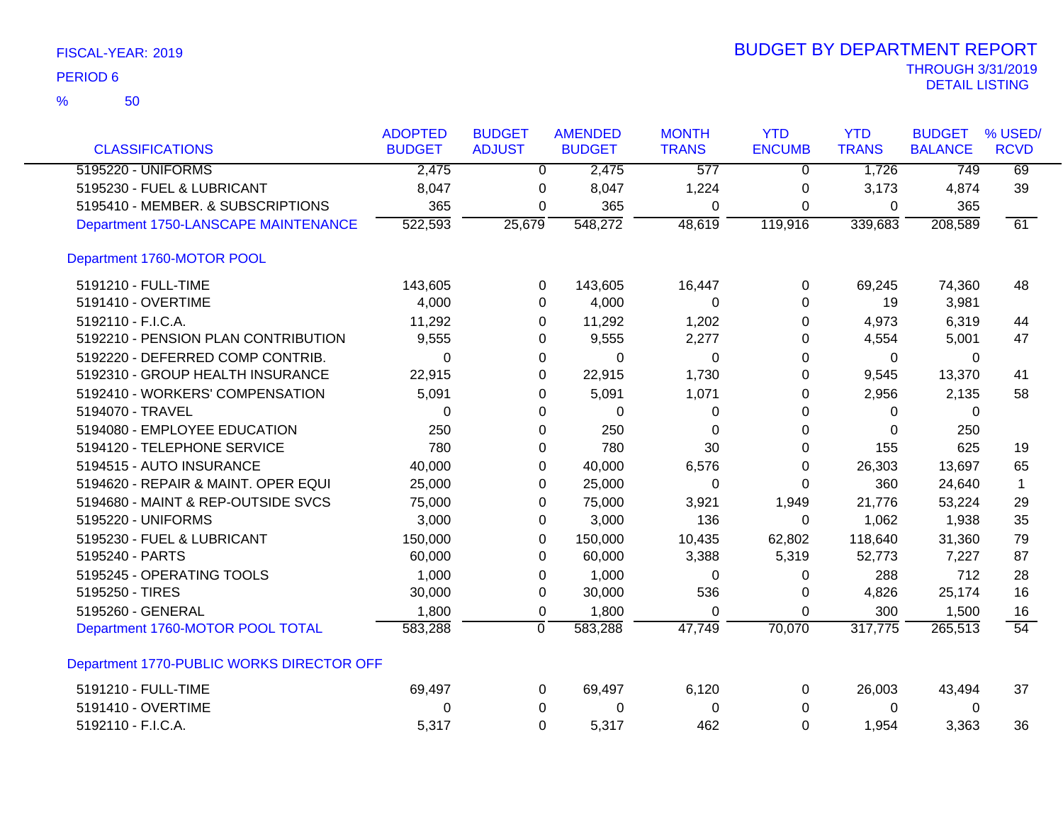| FISCAL-YEAR: 2019 |  |  |
|-------------------|--|--|
|-------------------|--|--|

| <b>CLASSIFICATIONS</b>                    | <b>ADOPTED</b><br><b>BUDGET</b> | <b>BUDGET</b><br><b>ADJUST</b> | <b>AMENDED</b><br><b>BUDGET</b> | <b>MONTH</b><br><b>TRANS</b> | <b>YTD</b><br><b>ENCUMB</b> | <b>YTD</b><br><b>TRANS</b> | <b>BUDGET</b><br><b>BALANCE</b> | % USED/<br><b>RCVD</b> |
|-------------------------------------------|---------------------------------|--------------------------------|---------------------------------|------------------------------|-----------------------------|----------------------------|---------------------------------|------------------------|
| 5195220 - UNIFORMS                        | 2,475                           | $\Omega$                       | 2,475                           | 577                          | $\mathbf{0}$                | 1,726                      | 749                             | 69                     |
| 5195230 - FUEL & LUBRICANT                | 8,047                           | 0                              | 8,047                           | 1,224                        | 0                           | 3,173                      | 4,874                           | 39                     |
| 5195410 - MEMBER. & SUBSCRIPTIONS         | 365                             | 0                              | 365                             | 0                            | 0                           | 0                          | 365                             |                        |
| Department 1750-LANSCAPE MAINTENANCE      | 522,593                         | 25,679                         | 548,272                         | 48,619                       | 119,916                     | 339,683                    | 208,589                         | 61                     |
| Department 1760-MOTOR POOL                |                                 |                                |                                 |                              |                             |                            |                                 |                        |
| 5191210 - FULL-TIME                       | 143,605                         | 0                              | 143,605                         | 16,447                       | 0                           | 69,245                     | 74,360                          | 48                     |
| 5191410 - OVERTIME                        | 4,000                           | 0                              | 4,000                           | 0                            | 0                           | 19                         | 3,981                           |                        |
| 5192110 - F.I.C.A.                        | 11,292                          | 0                              | 11,292                          | 1,202                        | 0                           | 4,973                      | 6,319                           | 44                     |
| 5192210 - PENSION PLAN CONTRIBUTION       | 9,555                           | 0                              | 9,555                           | 2,277                        | 0                           | 4,554                      | 5,001                           | 47                     |
| 5192220 - DEFERRED COMP CONTRIB.          | 0                               | 0                              | 0                               | 0                            | 0                           | 0                          | 0                               |                        |
| 5192310 - GROUP HEALTH INSURANCE          | 22,915                          | 0                              | 22,915                          | 1,730                        | 0                           | 9,545                      | 13,370                          | 41                     |
| 5192410 - WORKERS' COMPENSATION           | 5,091                           | 0                              | 5,091                           | 1,071                        | 0                           | 2,956                      | 2,135                           | 58                     |
| 5194070 - TRAVEL                          | $\Omega$                        | 0                              | $\Omega$                        | 0                            | 0                           | 0                          | 0                               |                        |
| 5194080 - EMPLOYEE EDUCATION              | 250                             | 0                              | 250                             | $\Omega$                     | $\Omega$                    | 0                          | 250                             |                        |
| 5194120 - TELEPHONE SERVICE               | 780                             | 0                              | 780                             | 30                           | 0                           | 155                        | 625                             | 19                     |
| 5194515 - AUTO INSURANCE                  | 40,000                          | 0                              | 40,000                          | 6,576                        | 0                           | 26,303                     | 13,697                          | 65                     |
| 5194620 - REPAIR & MAINT. OPER EQUI       | 25,000                          | 0                              | 25,000                          | 0                            | 0                           | 360                        | 24,640                          | $\mathbf 1$            |
| 5194680 - MAINT & REP-OUTSIDE SVCS        | 75,000                          | 0                              | 75,000                          | 3,921                        | 1,949                       | 21,776                     | 53,224                          | 29                     |
| 5195220 - UNIFORMS                        | 3,000                           | 0                              | 3,000                           | 136                          | 0                           | 1,062                      | 1,938                           | 35                     |
| 5195230 - FUEL & LUBRICANT                | 150,000                         | 0                              | 150,000                         | 10,435                       | 62,802                      | 118,640                    | 31,360                          | 79                     |
| 5195240 - PARTS                           | 60,000                          | 0                              | 60,000                          | 3,388                        | 5,319                       | 52,773                     | 7,227                           | 87                     |
| 5195245 - OPERATING TOOLS                 | 1,000                           | 0                              | 1,000                           | $\Omega$                     | 0                           | 288                        | 712                             | 28                     |
| 5195250 - TIRES                           | 30,000                          | 0                              | 30,000                          | 536                          | 0                           | 4,826                      | 25,174                          | 16                     |
| 5195260 - GENERAL                         | 1,800                           | 0                              | 1,800                           | 0                            | 0                           | 300                        | 1,500                           | 16                     |
| Department 1760-MOTOR POOL TOTAL          | 583,288                         | $\overline{0}$                 | 583,288                         | 47,749                       | 70,070                      | 317,775                    | 265,513                         | $\overline{54}$        |
| Department 1770-PUBLIC WORKS DIRECTOR OFF |                                 |                                |                                 |                              |                             |                            |                                 |                        |
| 5191210 - FULL-TIME                       | 69,497                          | 0                              | 69,497                          | 6,120                        | 0                           | 26,003                     | 43,494                          | 37                     |
| 5191410 - OVERTIME                        | 0                               | 0                              | 0                               | 0                            | 0                           | 0                          | 0                               |                        |
| 5192110 - F.I.C.A.                        | 5,317                           | $\Omega$                       | 5,317                           | 462                          | $\Omega$                    | 1,954                      | 3,363                           | 36                     |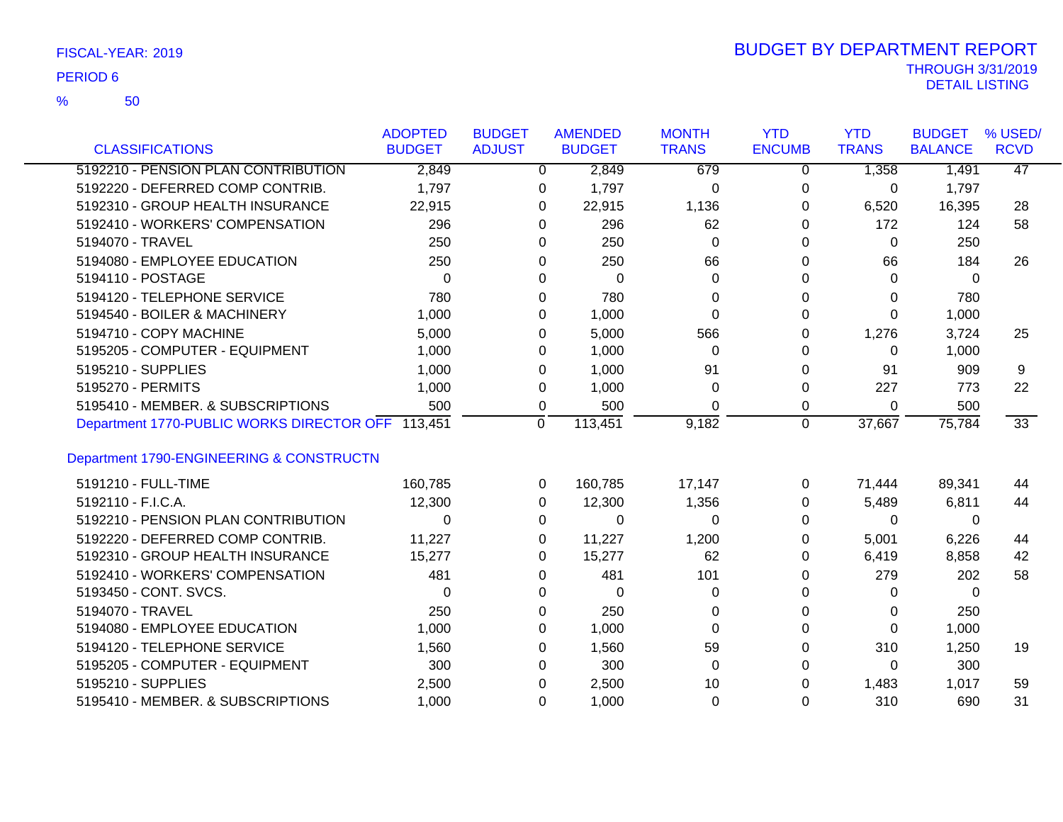50 %

|                                                   | <b>ADOPTED</b> | <b>BUDGET</b> | <b>AMENDED</b> | <b>MONTH</b> | <b>YTD</b>    | <b>YTD</b>   | <b>BUDGET</b>  | % USED/         |
|---------------------------------------------------|----------------|---------------|----------------|--------------|---------------|--------------|----------------|-----------------|
| <b>CLASSIFICATIONS</b>                            | <b>BUDGET</b>  | <b>ADJUST</b> | <b>BUDGET</b>  | <b>TRANS</b> | <b>ENCUMB</b> | <b>TRANS</b> | <b>BALANCE</b> | <b>RCVD</b>     |
| 5192210 - PENSION PLAN CONTRIBUTION               | 2,849          | $\Omega$      | 2,849          | 679          | $\Omega$      | 1,358        | 1,491          | 47              |
| 5192220 - DEFERRED COMP CONTRIB.                  | 1,797          | 0             | 1,797          | 0            | 0             | 0            | 1,797          |                 |
| 5192310 - GROUP HEALTH INSURANCE                  | 22,915         | 0             | 22,915         | 1,136        | 0             | 6,520        | 16,395         | 28              |
| 5192410 - WORKERS' COMPENSATION                   | 296            | 0             | 296            | 62           | 0             | 172          | 124            | 58              |
| 5194070 - TRAVEL                                  | 250            | $\Omega$      | 250            | $\Omega$     | 0             | 0            | 250            |                 |
| 5194080 - EMPLOYEE EDUCATION                      | 250            | 0             | 250            | 66           | 0             | 66           | 184            | 26              |
| 5194110 - POSTAGE                                 | $\Omega$       | 0             | $\Omega$       | $\Omega$     | 0             | 0            | $\Omega$       |                 |
| 5194120 - TELEPHONE SERVICE                       | 780            | 0             | 780            | $\Omega$     | 0             | 0            | 780            |                 |
| 5194540 - BOILER & MACHINERY                      | 1,000          | 0             | 1,000          | $\Omega$     | 0             | 0            | 1,000          |                 |
| 5194710 - COPY MACHINE                            | 5,000          | 0             | 5,000          | 566          | 0             | 1,276        | 3,724          | 25              |
| 5195205 - COMPUTER - EQUIPMENT                    | 1,000          | 0             | 1,000          | $\Omega$     | 0             | 0            | 1,000          |                 |
| 5195210 - SUPPLIES                                | 1,000          | 0             | 1,000          | 91           | 0             | 91           | 909            | 9               |
| 5195270 - PERMITS                                 | 1,000          | 0             | 1,000          | 0            | 0             | 227          | 773            | 22              |
| 5195410 - MEMBER. & SUBSCRIPTIONS                 | 500            | 0             | 500            | $\Omega$     | $\mathbf 0$   | 0            | 500            |                 |
| Department 1770-PUBLIC WORKS DIRECTOR OFF 113,451 |                | $\Omega$      | 113,451        | 9,182        | $\mathbf 0$   | 37,667       | 75,784         | $\overline{33}$ |
|                                                   |                |               |                |              |               |              |                |                 |
| Department 1790-ENGINEERING & CONSTRUCTN          |                |               |                |              |               |              |                |                 |
| 5191210 - FULL-TIME                               | 160,785        | 0             | 160,785        | 17,147       | 0             | 71,444       | 89,341         | 44              |
| 5192110 - F.I.C.A.                                | 12,300         | $\Omega$      | 12,300         | 1,356        | 0             | 5,489        | 6,811          | 44              |
| 5192210 - PENSION PLAN CONTRIBUTION               | $\Omega$       | 0             | $\Omega$       | 0            | 0             | 0            | 0              |                 |
| 5192220 - DEFERRED COMP CONTRIB.                  | 11,227         | 0             | 11,227         | 1,200        | 0             | 5,001        | 6,226          | 44              |
| 5192310 - GROUP HEALTH INSURANCE                  | 15,277         | $\Omega$      | 15,277         | 62           | 0             | 6,419        | 8,858          | 42              |
| 5192410 - WORKERS' COMPENSATION                   | 481            | 0             | 481            | 101          | 0             | 279          | 202            | 58              |
| 5193450 - CONT. SVCS.                             | 0              | 0             | $\mathbf 0$    | 0            | 0             | 0            | 0              |                 |
| 5194070 - TRAVEL                                  | 250            | $\Omega$      | 250            | $\Omega$     | 0             | 0            | 250            |                 |
| 5194080 - EMPLOYEE EDUCATION                      | 1,000          | 0             | 1,000          | $\Omega$     | 0             | 0            | 1,000          |                 |
| 5194120 - TELEPHONE SERVICE                       | 1,560          | 0             | 1,560          | 59           | 0             | 310          | 1,250          | 19              |
| 5195205 - COMPUTER - EQUIPMENT                    | 300            | 0             | 300            | $\Omega$     | 0             | 0            | 300            |                 |
| 5195210 - SUPPLIES                                | 2,500          | 0             | 2,500          | 10           | 0             | 1,483        | 1,017          | 59              |
| 5195410 - MEMBER. & SUBSCRIPTIONS                 | 1,000          | $\Omega$      | 1,000          | $\Omega$     | $\Omega$      | 310          | 690            | 31              |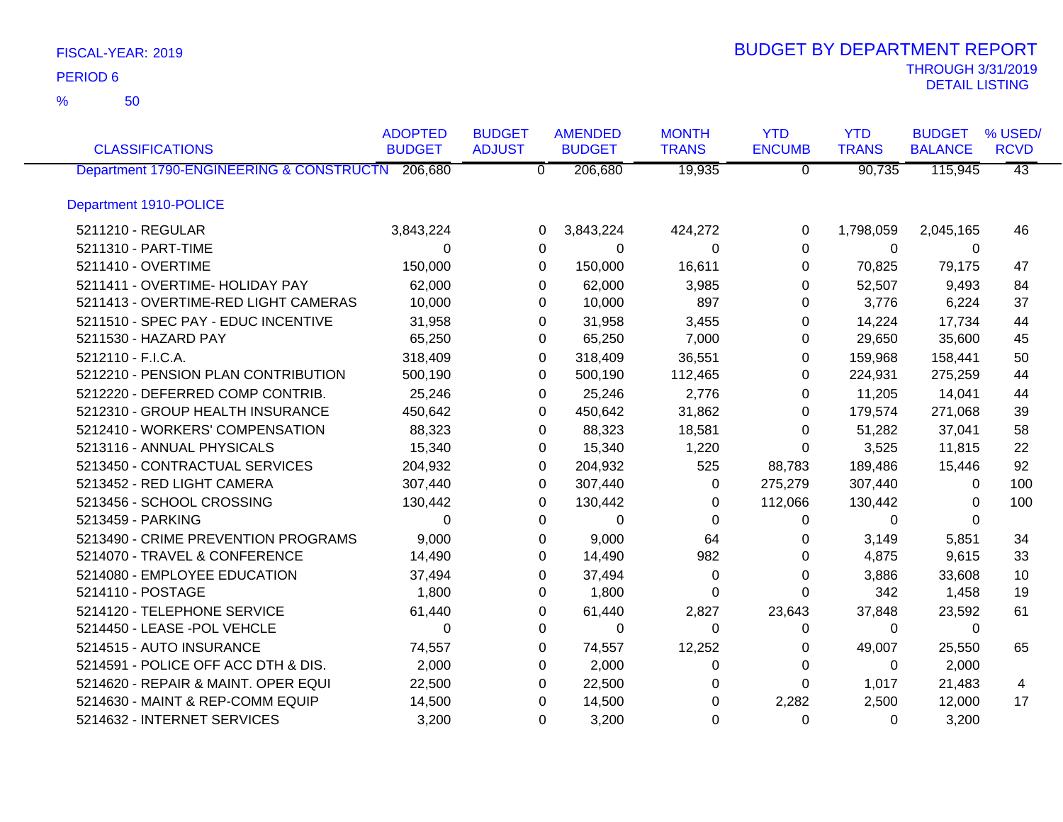50 %

| <b>CLASSIFICATIONS</b>                           | <b>ADOPTED</b><br><b>BUDGET</b> | <b>BUDGET</b><br><b>ADJUST</b> | <b>AMENDED</b><br><b>BUDGET</b> | <b>MONTH</b><br><b>TRANS</b> | <b>YTD</b><br><b>ENCUMB</b> | <b>YTD</b><br><b>TRANS</b> | <b>BUDGET</b><br><b>BALANCE</b> | % USED/<br><b>RCVD</b> |
|--------------------------------------------------|---------------------------------|--------------------------------|---------------------------------|------------------------------|-----------------------------|----------------------------|---------------------------------|------------------------|
| Department 1790-ENGINEERING & CONSTRUCTN 206,680 |                                 | $\overline{0}$                 | 206,680                         | 19,935                       | $\overline{0}$              | 90,735                     | 115,945                         | $\overline{43}$        |
| Department 1910-POLICE                           |                                 |                                |                                 |                              |                             |                            |                                 |                        |
| 5211210 - REGULAR                                | 3,843,224                       | 0                              | 3,843,224                       | 424,272                      | 0                           | 1,798,059                  | 2,045,165                       | 46                     |
| 5211310 - PART-TIME                              | $\Omega$                        | 0                              | $\Omega$                        | $\Omega$                     | $\Omega$                    | $\Omega$                   | $\Omega$                        |                        |
| 5211410 - OVERTIME                               | 150,000                         | $\Omega$                       | 150,000                         | 16,611                       | 0                           | 70,825                     | 79,175                          | 47                     |
| 5211411 - OVERTIME- HOLIDAY PAY                  | 62,000                          | 0                              | 62,000                          | 3,985                        | 0                           | 52,507                     | 9,493                           | 84                     |
| 5211413 - OVERTIME-RED LIGHT CAMERAS             | 10,000                          | 0                              | 10,000                          | 897                          | 0                           | 3,776                      | 6,224                           | 37                     |
| 5211510 - SPEC PAY - EDUC INCENTIVE              | 31,958                          | 0                              | 31,958                          | 3,455                        | 0                           | 14,224                     | 17,734                          | 44                     |
| 5211530 - HAZARD PAY                             | 65,250                          | $\Omega$                       | 65,250                          | 7,000                        | 0                           | 29,650                     | 35,600                          | 45                     |
| 5212110 - F.I.C.A.                               | 318,409                         | 0                              | 318,409                         | 36,551                       | 0                           | 159,968                    | 158,441                         | 50                     |
| 5212210 - PENSION PLAN CONTRIBUTION              | 500,190                         | 0                              | 500,190                         | 112,465                      | 0                           | 224,931                    | 275,259                         | 44                     |
| 5212220 - DEFERRED COMP CONTRIB.                 | 25,246                          | 0                              | 25,246                          | 2,776                        | 0                           | 11,205                     | 14,041                          | 44                     |
| 5212310 - GROUP HEALTH INSURANCE                 | 450,642                         | 0                              | 450,642                         | 31,862                       | 0                           | 179,574                    | 271,068                         | 39                     |
| 5212410 - WORKERS' COMPENSATION                  | 88,323                          | 0                              | 88,323                          | 18,581                       | 0                           | 51,282                     | 37,041                          | 58                     |
| 5213116 - ANNUAL PHYSICALS                       | 15,340                          | 0                              | 15,340                          | 1,220                        | 0                           | 3,525                      | 11,815                          | 22                     |
| 5213450 - CONTRACTUAL SERVICES                   | 204,932                         | 0                              | 204,932                         | 525                          | 88,783                      | 189,486                    | 15,446                          | 92                     |
| 5213452 - RED LIGHT CAMERA                       | 307,440                         | 0                              | 307,440                         | $\Omega$                     | 275,279                     | 307,440                    | $\Omega$                        | 100                    |
| 5213456 - SCHOOL CROSSING                        | 130,442                         | 0                              | 130,442                         | 0                            | 112,066                     | 130,442                    | $\Omega$                        | 100                    |
| 5213459 - PARKING                                | $\mathbf{0}$                    | 0                              | 0                               | $\Omega$                     | 0                           | 0                          | $\Omega$                        |                        |
| 5213490 - CRIME PREVENTION PROGRAMS              | 9,000                           | 0                              | 9,000                           | 64                           | 0                           | 3,149                      | 5,851                           | 34                     |
| 5214070 - TRAVEL & CONFERENCE                    | 14,490                          | 0                              | 14,490                          | 982                          | 0                           | 4,875                      | 9,615                           | 33                     |
| 5214080 - EMPLOYEE EDUCATION                     | 37,494                          | 0                              | 37,494                          | 0                            | 0                           | 3,886                      | 33,608                          | 10                     |
| 5214110 - POSTAGE                                | 1,800                           | 0                              | 1,800                           | 0                            | 0                           | 342                        | 1,458                           | 19                     |
| 5214120 - TELEPHONE SERVICE                      | 61,440                          | 0                              | 61,440                          | 2,827                        | 23,643                      | 37,848                     | 23,592                          | 61                     |
| 5214450 - LEASE -POL VEHCLE                      | $\Omega$                        | 0                              | $\Omega$                        | $\Omega$                     | 0                           | $\Omega$                   | $\Omega$                        |                        |
| 5214515 - AUTO INSURANCE                         | 74,557                          | 0                              | 74,557                          | 12,252                       | 0                           | 49,007                     | 25,550                          | 65                     |
| 5214591 - POLICE OFF ACC DTH & DIS.              | 2,000                           | 0                              | 2,000                           | 0                            | 0                           | 0                          | 2,000                           |                        |
| 5214620 - REPAIR & MAINT. OPER EQUI              | 22,500                          | 0                              | 22,500                          | 0                            | 0                           | 1,017                      | 21,483                          | 4                      |
| 5214630 - MAINT & REP-COMM EQUIP                 | 14,500                          | 0                              | 14,500                          | $\Omega$                     | 2,282                       | 2,500                      | 12,000                          | 17                     |
| 5214632 - INTERNET SERVICES                      | 3,200                           | $\Omega$                       | 3,200                           | $\Omega$                     | $\Omega$                    | $\Omega$                   | 3,200                           |                        |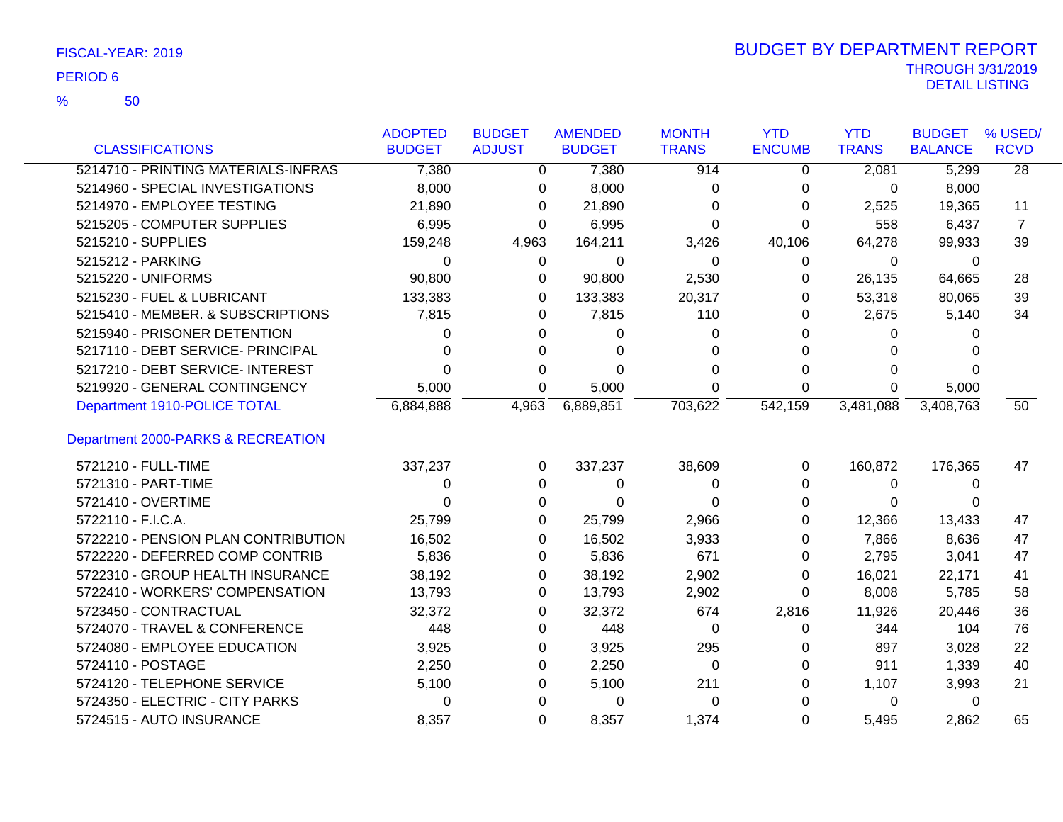50 %

|                                     | <b>ADOPTED</b> | <b>BUDGET</b> | <b>AMENDED</b> | <b>MONTH</b> | <b>YTD</b>    | <b>YTD</b>   | <b>BUDGET</b>  | % USED/         |
|-------------------------------------|----------------|---------------|----------------|--------------|---------------|--------------|----------------|-----------------|
| <b>CLASSIFICATIONS</b>              | <b>BUDGET</b>  | <b>ADJUST</b> | <b>BUDGET</b>  | <b>TRANS</b> | <b>ENCUMB</b> | <b>TRANS</b> | <b>BALANCE</b> | <b>RCVD</b>     |
| 5214710 - PRINTING MATERIALS-INFRAS | 7,380          | $\Omega$      | 7,380          | 914          | $\Omega$      | 2,081        | 5,299          | $\overline{28}$ |
| 5214960 - SPECIAL INVESTIGATIONS    | 8,000          | 0             | 8,000          | 0            | 0             | $\mathbf{0}$ | 8,000          |                 |
| 5214970 - EMPLOYEE TESTING          | 21,890         | 0             | 21,890         | 0            | 0             | 2,525        | 19,365         | 11              |
| 5215205 - COMPUTER SUPPLIES         | 6,995          | 0             | 6,995          | 0            | 0             | 558          | 6,437          | 7               |
| 5215210 - SUPPLIES                  | 159,248        | 4,963         | 164,211        | 3,426        | 40,106        | 64,278       | 99,933         | 39              |
| 5215212 - PARKING                   | 0              | 0             | 0              | 0            | 0             | $\mathbf 0$  | 0              |                 |
| 5215220 - UNIFORMS                  | 90,800         | 0             | 90,800         | 2,530        | 0             | 26,135       | 64,665         | 28              |
| 5215230 - FUEL & LUBRICANT          | 133,383        | 0             | 133,383        | 20,317       | 0             | 53,318       | 80,065         | 39              |
| 5215410 - MEMBER. & SUBSCRIPTIONS   | 7,815          | 0             | 7,815          | 110          | 0             | 2,675        | 5,140          | 34              |
| 5215940 - PRISONER DETENTION        | 0              | 0             | 0              | 0            | $\Omega$      | $\Omega$     | 0              |                 |
| 5217110 - DEBT SERVICE- PRINCIPAL   | 0              | 0             | 0              |              | 0             | 0            |                |                 |
| 5217210 - DEBT SERVICE- INTEREST    | 0              | 0             | 0              | ∩            | 0             | 0            | $\Omega$       |                 |
| 5219920 - GENERAL CONTINGENCY       | 5,000          | 0             | 5,000          | $\Omega$     | 0             | 0            | 5,000          |                 |
| Department 1910-POLICE TOTAL        | 6,884,888      | 4,963         | 6,889,851      | 703,622      | 542,159       | 3,481,088    | 3,408,763      | 50 <sup>°</sup> |
| Department 2000-PARKS & RECREATION  |                |               |                |              |               |              |                |                 |
| 5721210 - FULL-TIME                 | 337,237        | $\Omega$      | 337,237        | 38,609       | 0             | 160,872      | 176,365        | 47              |
| 5721310 - PART-TIME                 | 0              | 0             | 0              | 0            | 0             | 0            | 0              |                 |
| 5721410 - OVERTIME                  | 0              | 0             | 0              | 0            | 0             | $\Omega$     | 0              |                 |
| 5722110 - F.I.C.A.                  | 25,799         | 0             | 25,799         | 2,966        | 0             | 12,366       | 13,433         | 47              |
| 5722210 - PENSION PLAN CONTRIBUTION | 16,502         | 0             | 16,502         | 3,933        | 0             | 7,866        | 8,636          | 47              |
| 5722220 - DEFERRED COMP CONTRIB     | 5,836          | 0             | 5,836          | 671          | 0             | 2,795        | 3,041          | 47              |
| 5722310 - GROUP HEALTH INSURANCE    | 38,192         | 0             | 38,192         | 2,902        | 0             | 16,021       | 22,171         | 41              |
| 5722410 - WORKERS' COMPENSATION     | 13,793         | 0             | 13,793         | 2,902        | 0             | 8,008        | 5,785          | 58              |
| 5723450 - CONTRACTUAL               | 32,372         | 0             | 32,372         | 674          | 2,816         | 11,926       | 20,446         | 36              |
| 5724070 - TRAVEL & CONFERENCE       | 448            | 0             | 448            | 0            | 0             | 344          | 104            | 76              |
| 5724080 - EMPLOYEE EDUCATION        | 3,925          | 0             | 3,925          | 295          | 0             | 897          | 3,028          | 22              |
| 5724110 - POSTAGE                   | 2,250          | 0             | 2,250          | 0            | 0             | 911          | 1,339          | 40              |
| 5724120 - TELEPHONE SERVICE         | 5,100          | 0             | 5,100          | 211          | 0             | 1,107        | 3,993          | 21              |
| 5724350 - ELECTRIC - CITY PARKS     | 0              | 0             | 0              | 0            | 0             | 0            | 0              |                 |
| 5724515 - AUTO INSURANCE            | 8,357          | 0             | 8,357          | 1,374        | 0             | 5,495        | 2,862          | 65              |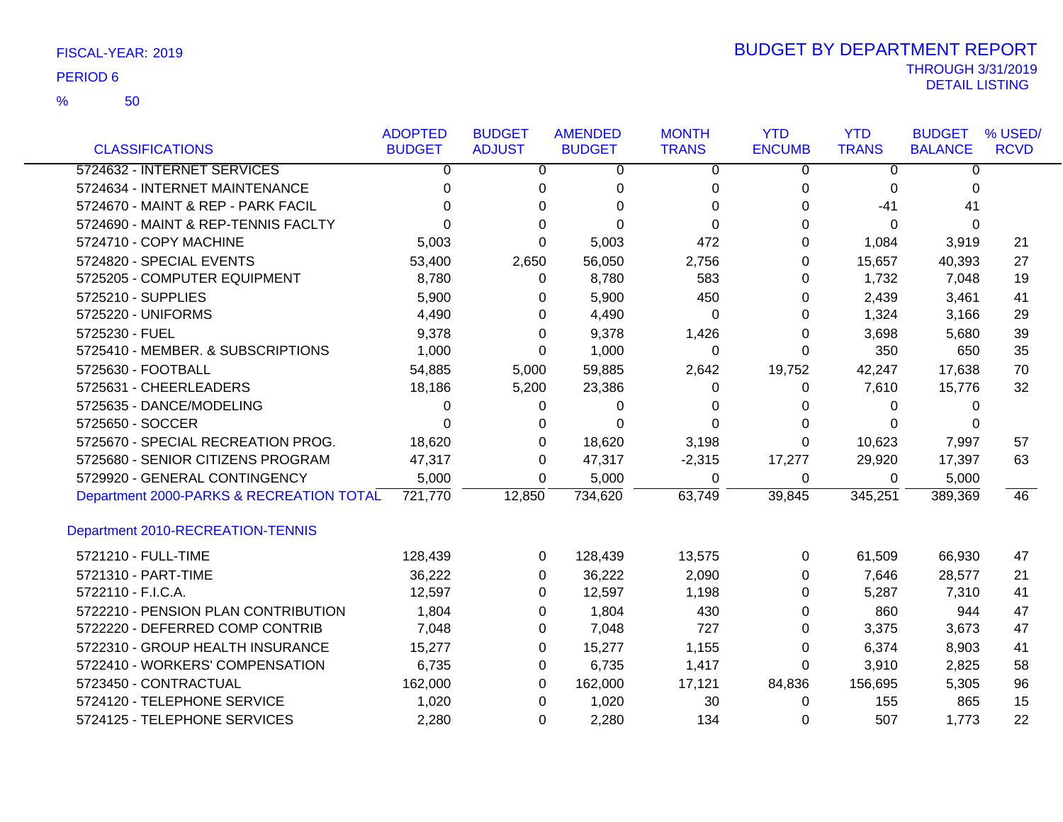|                                          | <b>ADOPTED</b> | <b>BUDGET</b>  | <b>AMENDED</b> | <b>MONTH</b>   | <b>YTD</b>     | <b>YTD</b>     | <b>BUDGET</b>  | % USED/     |
|------------------------------------------|----------------|----------------|----------------|----------------|----------------|----------------|----------------|-------------|
| <b>CLASSIFICATIONS</b>                   | <b>BUDGET</b>  | <b>ADJUST</b>  | <b>BUDGET</b>  | <b>TRANS</b>   | <b>ENCUMB</b>  | <b>TRANS</b>   | <b>BALANCE</b> | <b>RCVD</b> |
| 5724632 - INTERNET SERVICES              | 0              | $\overline{0}$ | $\overline{0}$ | $\overline{0}$ | $\overline{0}$ | $\overline{0}$ | $\overline{0}$ |             |
| 5724634 - INTERNET MAINTENANCE           | 0              | 0              | 0              | 0              | 0              | 0              | $\Omega$       |             |
| 5724670 - MAINT & REP - PARK FACIL       | U              | $\Omega$       | $\Omega$       | $\Omega$       | 0              | $-41$          | 41             |             |
| 5724690 - MAINT & REP-TENNIS FACLTY      |                | $\Omega$       | $\Omega$       | $\Omega$       | 0              | $\Omega$       | $\Omega$       |             |
| 5724710 - COPY MACHINE                   | 5,003          | $\Omega$       | 5,003          | 472            | 0              | 1,084          | 3,919          | 21          |
| 5724820 - SPECIAL EVENTS                 | 53,400         | 2,650          | 56,050         | 2,756          | 0              | 15,657         | 40,393         | 27          |
| 5725205 - COMPUTER EQUIPMENT             | 8,780          | 0              | 8,780          | 583            | 0              | 1,732          | 7,048          | 19          |
| 5725210 - SUPPLIES                       | 5,900          | 0              | 5,900          | 450            | 0              | 2,439          | 3,461          | 41          |
| 5725220 - UNIFORMS                       | 4,490          | $\Omega$       | 4,490          | $\Omega$       | 0              | 1,324          | 3,166          | 29          |
| 5725230 - FUEL                           | 9,378          | 0              | 9,378          | 1,426          | 0              | 3,698          | 5,680          | 39          |
| 5725410 - MEMBER. & SUBSCRIPTIONS        | 1,000          | 0              | 1,000          | $\Omega$       | 0              | 350            | 650            | 35          |
| 5725630 - FOOTBALL                       | 54,885         | 5,000          | 59,885         | 2,642          | 19,752         | 42,247         | 17,638         | 70          |
| 5725631 - CHEERLEADERS                   | 18,186         | 5,200          | 23,386         | 0              | 0              | 7,610          | 15,776         | 32          |
| 5725635 - DANCE/MODELING                 | 0              | 0              | 0              | 0              | 0              | 0              | 0              |             |
| 5725650 - SOCCER                         | 0              | 0              | $\Omega$       | $\Omega$       | 0              | 0              | 0              |             |
| 5725670 - SPECIAL RECREATION PROG.       | 18,620         | 0              | 18,620         | 3,198          | 0              | 10,623         | 7,997          | 57          |
| 5725680 - SENIOR CITIZENS PROGRAM        | 47,317         | 0              | 47,317         | $-2,315$       | 17,277         | 29,920         | 17,397         | 63          |
| 5729920 - GENERAL CONTINGENCY            | 5,000          | 0              | 5,000          | 0              | 0              | 0              | 5,000          |             |
| Department 2000-PARKS & RECREATION TOTAL | 721,770        | 12,850         | 734,620        | 63,749         | 39,845         | 345,251        | 389,369        | 46          |
| Department 2010-RECREATION-TENNIS        |                |                |                |                |                |                |                |             |
| 5721210 - FULL-TIME                      | 128,439        | 0              | 128,439        | 13,575         | 0              | 61,509         | 66,930         | 47          |
| 5721310 - PART-TIME                      | 36,222         | 0              | 36,222         | 2,090          | 0              | 7,646          | 28,577         | 21          |
| 5722110 - F.I.C.A.                       | 12,597         | 0              | 12,597         | 1,198          | 0              | 5,287          | 7,310          | 41          |
| 5722210 - PENSION PLAN CONTRIBUTION      | 1,804          | $\Omega$       | 1,804          | 430            | 0              | 860            | 944            | 47          |
| 5722220 - DEFERRED COMP CONTRIB          | 7,048          | 0              | 7,048          | 727            | 0              | 3,375          | 3,673          | 47          |
| 5722310 - GROUP HEALTH INSURANCE         | 15,277         | 0              | 15,277         | 1,155          | 0              | 6,374          | 8,903          | 41          |
| 5722410 - WORKERS' COMPENSATION          | 6,735          | 0              | 6,735          | 1,417          | 0              | 3,910          | 2,825          | 58          |
| 5723450 - CONTRACTUAL                    | 162,000        | 0              | 162,000        | 17,121         | 84,836         | 156,695        | 5,305          | 96          |
| 5724120 - TELEPHONE SERVICE              | 1,020          | 0              | 1,020          | 30             | 0              | 155            | 865            | 15          |
| 5724125 - TELEPHONE SERVICES             | 2,280          | 0              | 2,280          | 134            | 0              | 507            | 1,773          | 22          |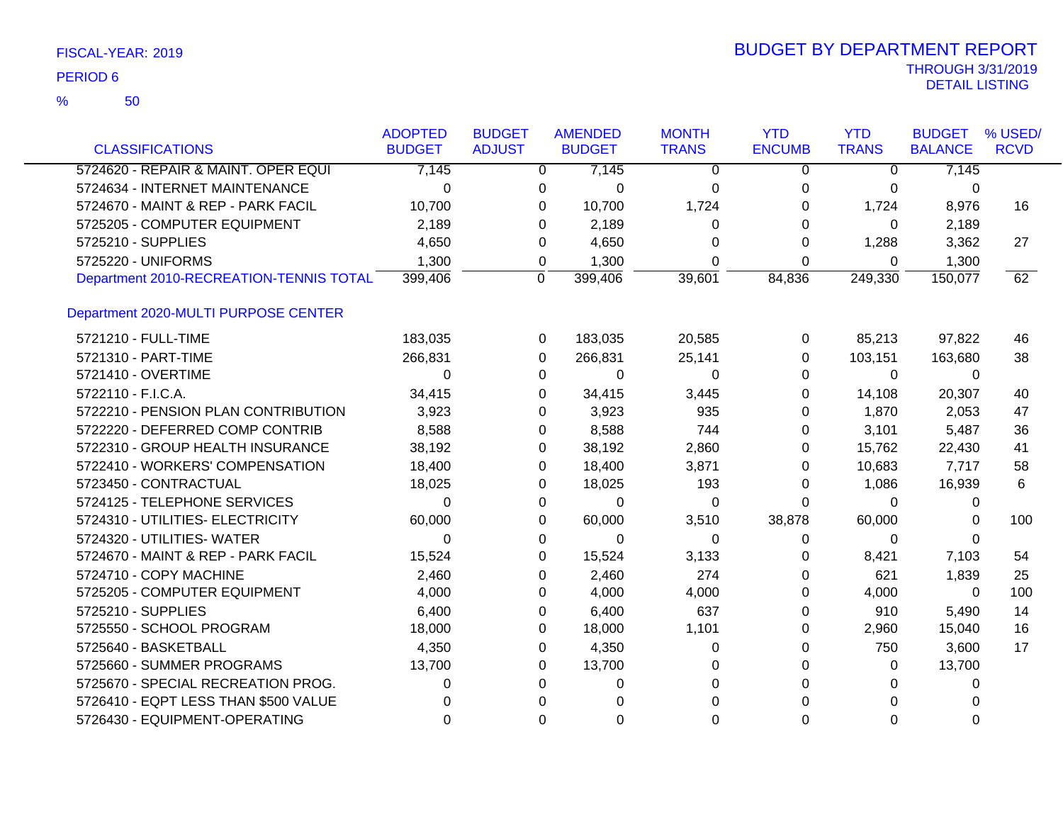| <b>CLASSIFICATIONS</b>                  | <b>ADOPTED</b><br><b>BUDGET</b> | <b>BUDGET</b><br><b>ADJUST</b> |          | <b>AMENDED</b><br><b>BUDGET</b> | <b>MONTH</b><br><b>TRANS</b> | <b>YTD</b><br><b>ENCUMB</b> | <b>YTD</b><br><b>TRANS</b> | <b>BUDGET</b><br><b>BALANCE</b> | % USED/<br><b>RCVD</b> |
|-----------------------------------------|---------------------------------|--------------------------------|----------|---------------------------------|------------------------------|-----------------------------|----------------------------|---------------------------------|------------------------|
| 5724620 - REPAIR & MAINT. OPER EQUI     | 7,145                           |                                | 0        | 7,145                           | 0                            | 0                           | 0                          | 7,145                           |                        |
| 5724634 - INTERNET MAINTENANCE          | $\Omega$                        |                                | 0        | $\Omega$                        | 0                            | 0                           | 0                          | 0                               |                        |
| 5724670 - MAINT & REP - PARK FACIL      | 10,700                          |                                | 0        | 10,700                          | 1,724                        | 0                           | 1,724                      | 8,976                           | 16                     |
| 5725205 - COMPUTER EQUIPMENT            | 2,189                           |                                | 0        | 2,189                           | 0                            | 0                           | $\Omega$                   | 2,189                           |                        |
| 5725210 - SUPPLIES                      | 4,650                           |                                | 0        | 4,650                           | 0                            | 0                           | 1,288                      | 3,362                           | 27                     |
| 5725220 - UNIFORMS                      | 1,300                           |                                | 0        | 1,300                           | 0                            | 0                           | 0                          | 1,300                           |                        |
| Department 2010-RECREATION-TENNIS TOTAL | 399,406                         |                                | 0        | 399,406                         | 39,601                       | 84,836                      | 249,330                    | 150,077                         | 62                     |
| Department 2020-MULTI PURPOSE CENTER    |                                 |                                |          |                                 |                              |                             |                            |                                 |                        |
| 5721210 - FULL-TIME                     | 183,035                         |                                | 0        | 183,035                         | 20,585                       | 0                           | 85,213                     | 97,822                          | 46                     |
| 5721310 - PART-TIME                     | 266,831                         |                                | 0        | 266,831                         | 25,141                       | 0                           | 103,151                    | 163,680                         | 38                     |
| 5721410 - OVERTIME                      | $\Omega$                        |                                | $\Omega$ | $\Omega$                        | $\Omega$                     | $\Omega$                    | $\Omega$                   | $\mathbf{0}$                    |                        |
| 5722110 - F.I.C.A.                      | 34,415                          |                                | 0        | 34,415                          | 3,445                        | 0                           | 14,108                     | 20,307                          | 40                     |
| 5722210 - PENSION PLAN CONTRIBUTION     | 3,923                           |                                | 0        | 3,923                           | 935                          | 0                           | 1,870                      | 2,053                           | 47                     |
| 5722220 - DEFERRED COMP CONTRIB         | 8,588                           |                                | 0        | 8,588                           | 744                          | 0                           | 3,101                      | 5,487                           | 36                     |
| 5722310 - GROUP HEALTH INSURANCE        | 38,192                          |                                | 0        | 38,192                          | 2,860                        | 0                           | 15,762                     | 22,430                          | 41                     |
| 5722410 - WORKERS' COMPENSATION         | 18,400                          |                                | 0        | 18,400                          | 3,871                        | 0                           | 10,683                     | 7,717                           | 58                     |
| 5723450 - CONTRACTUAL                   | 18,025                          |                                | 0        | 18,025                          | 193                          | 0                           | 1,086                      | 16,939                          | 6                      |
| 5724125 - TELEPHONE SERVICES            | $\Omega$                        |                                | 0        | $\mathbf 0$                     | 0                            | $\Omega$                    | $\Omega$                   | 0                               |                        |
| 5724310 - UTILITIES- ELECTRICITY        | 60,000                          |                                | 0        | 60,000                          | 3,510                        | 38,878                      | 60,000                     | 0                               | 100                    |
| 5724320 - UTILITIES- WATER              | $\Omega$                        |                                | 0        | $\Omega$                        | 0                            | 0                           | 0                          | 0                               |                        |
| 5724670 - MAINT & REP - PARK FACIL      | 15,524                          |                                | 0        | 15,524                          | 3,133                        | 0                           | 8,421                      | 7,103                           | 54                     |
| 5724710 - COPY MACHINE                  | 2,460                           |                                | 0        | 2,460                           | 274                          | 0                           | 621                        | 1,839                           | 25                     |
| 5725205 - COMPUTER EQUIPMENT            | 4,000                           |                                | 0        | 4,000                           | 4,000                        | 0                           | 4,000                      | $\mathbf{0}$                    | 100                    |
| 5725210 - SUPPLIES                      | 6,400                           |                                | 0        | 6,400                           | 637                          | 0                           | 910                        | 5,490                           | 14                     |
| 5725550 - SCHOOL PROGRAM                | 18,000                          |                                | 0        | 18,000                          | 1,101                        | 0                           | 2,960                      | 15,040                          | 16                     |
| 5725640 - BASKETBALL                    | 4,350                           |                                | 0        | 4,350                           | 0                            | 0                           | 750                        | 3,600                           | 17                     |
| 5725660 - SUMMER PROGRAMS               | 13,700                          |                                | 0        | 13,700                          | 0                            | 0                           | $\Omega$                   | 13,700                          |                        |
| 5725670 - SPECIAL RECREATION PROG.      | $\Omega$                        |                                | 0        | $\Omega$                        | $\Omega$                     | 0                           | 0                          | 0                               |                        |
| 5726410 - EQPT LESS THAN \$500 VALUE    | 0                               |                                | $\Omega$ | $\Omega$                        | 0                            |                             | $\Omega$                   | 0                               |                        |
| 5726430 - EQUIPMENT-OPERATING           | $\Omega$                        |                                | $\Omega$ | $\Omega$                        | 0                            | $\Omega$                    | $\Omega$                   | $\Omega$                        |                        |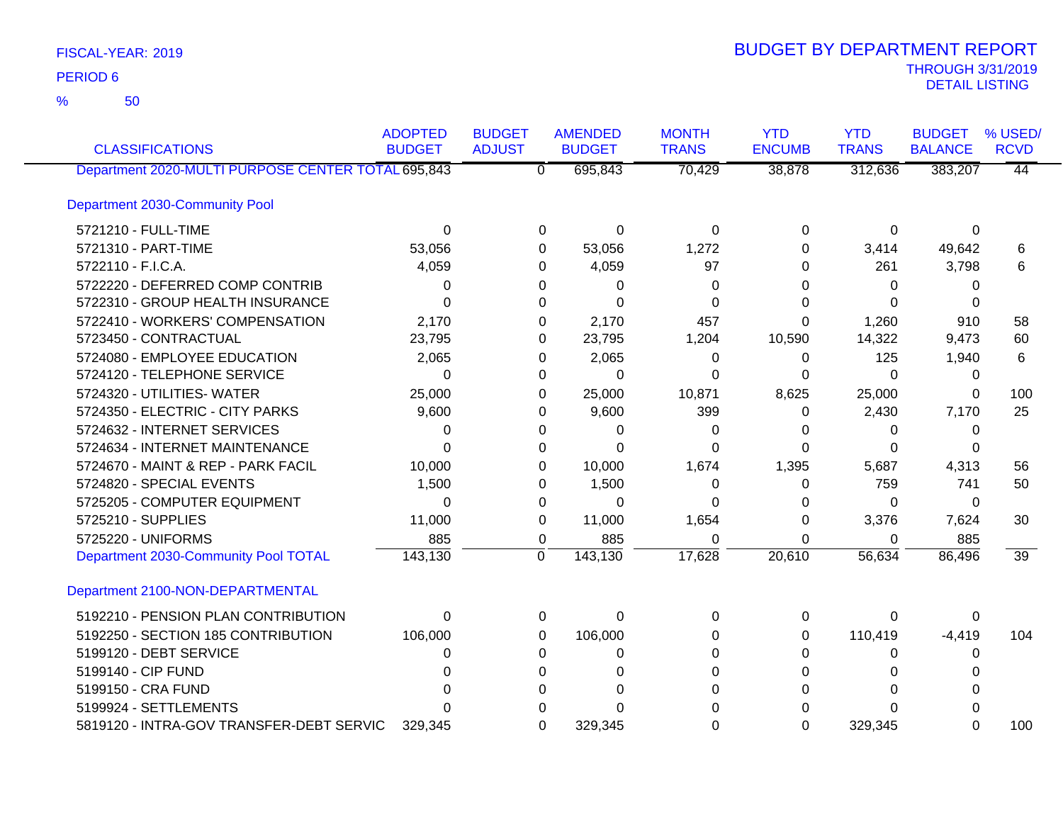50 %

| <b>CLASSIFICATIONS</b>                             | <b>ADOPTED</b><br><b>BUDGET</b> | <b>BUDGET</b><br><b>ADJUST</b> | <b>AMENDED</b><br><b>BUDGET</b>      | <b>MONTH</b><br><b>TRANS</b> | <b>YTD</b><br><b>ENCUMB</b> | <b>YTD</b><br><b>TRANS</b> | <b>BUDGET</b><br><b>BALANCE</b> | % USED/<br><b>RCVD</b> |
|----------------------------------------------------|---------------------------------|--------------------------------|--------------------------------------|------------------------------|-----------------------------|----------------------------|---------------------------------|------------------------|
| Department 2020-MULTI PURPOSE CENTER TOTAL 695,843 |                                 |                                | $\overline{\mathfrak{o}}$<br>695,843 | 70,429                       | 38,878                      | 312,636                    | 383,207                         | 44                     |
| Department 2030-Community Pool                     |                                 |                                |                                      |                              |                             |                            |                                 |                        |
| 5721210 - FULL-TIME                                | $\Omega$                        |                                | $\Omega$<br>0                        | $\Omega$                     | $\Omega$                    | $\Omega$                   | $\Omega$                        |                        |
| 5721310 - PART-TIME                                | 53,056                          |                                | 53,056<br>0                          | 1,272                        | 0                           | 3,414                      | 49,642                          | 6                      |
| 5722110 - F.I.C.A.                                 | 4,059                           |                                | 4,059<br>$\Omega$                    | 97                           | 0                           | 261                        | 3,798                           | 6                      |
| 5722220 - DEFERRED COMP CONTRIB                    | 0                               |                                | 0<br>0                               | 0                            | 0                           | 0                          | 0                               |                        |
| 5722310 - GROUP HEALTH INSURANCE                   | 0                               |                                | $\Omega$<br>0                        | $\Omega$                     | 0                           | $\Omega$                   | 0                               |                        |
| 5722410 - WORKERS' COMPENSATION                    | 2,170                           |                                | 2,170<br>0                           | 457                          | 0                           | 1,260                      | 910                             | 58                     |
| 5723450 - CONTRACTUAL                              | 23,795                          |                                | 23,795<br>0                          | 1,204                        | 10,590                      | 14,322                     | 9,473                           | 60                     |
| 5724080 - EMPLOYEE EDUCATION                       | 2,065                           |                                | 2,065<br>0                           | 0                            | 0                           | 125                        | 1,940                           | 6                      |
| 5724120 - TELEPHONE SERVICE                        | 0                               |                                | $\Omega$<br>0                        | 0                            | $\Omega$                    | $\Omega$                   | 0                               |                        |
| 5724320 - UTILITIES- WATER                         | 25,000                          |                                | 25,000<br>0                          | 10,871                       | 8,625                       | 25,000                     | 0                               | 100                    |
| 5724350 - ELECTRIC - CITY PARKS                    | 9,600                           |                                | 9,600<br>$\Omega$                    | 399                          | 0                           | 2,430                      | 7,170                           | 25                     |
| 5724632 - INTERNET SERVICES                        | 0                               |                                | 0<br>0                               | $\Omega$                     | 0                           | 0                          | 0                               |                        |
| 5724634 - INTERNET MAINTENANCE                     | $\Omega$                        |                                | $\Omega$<br>0                        | 0                            | $\Omega$                    | $\Omega$                   | 0                               |                        |
| 5724670 - MAINT & REP - PARK FACIL                 | 10,000                          |                                | 10,000<br>0                          | 1,674                        | 1,395                       | 5,687                      | 4,313                           | 56                     |
| 5724820 - SPECIAL EVENTS                           | 1,500                           |                                | 1,500<br>0                           | 0                            | 0                           | 759                        | 741                             | 50                     |
| 5725205 - COMPUTER EQUIPMENT                       | 0                               |                                | 0<br>0                               | 0                            | 0                           | $\Omega$                   | $\Omega$                        |                        |
| 5725210 - SUPPLIES                                 | 11,000                          |                                | 11,000<br>0                          | 1,654                        | 0                           | 3,376                      | 7,624                           | 30                     |
| 5725220 - UNIFORMS                                 | 885                             |                                | 885<br>0                             | $\Omega$                     | 0                           | 0                          | 885                             |                        |
| Department 2030-Community Pool TOTAL               | 143,130                         | $\mathbf{0}$                   | 143,130                              | 17,628                       | 20,610                      | 56,634                     | 86,496                          | $\overline{39}$        |
| Department 2100-NON-DEPARTMENTAL                   |                                 |                                |                                      |                              |                             |                            |                                 |                        |
| 5192210 - PENSION PLAN CONTRIBUTION                | $\Omega$                        |                                | $\Omega$<br>0                        | $\Omega$                     | 0                           | 0                          | 0                               |                        |
| 5192250 - SECTION 185 CONTRIBUTION                 | 106,000                         |                                | 106,000<br>0                         | 0                            | 0                           | 110,419                    | $-4,419$                        | 104                    |
| 5199120 - DEBT SERVICE                             | 0                               |                                | 0<br>0                               | 0                            | 0                           | 0                          | 0                               |                        |
| 5199140 - CIP FUND                                 | U                               |                                | $\Omega$<br>0                        | 0                            | 0                           | 0                          | 0                               |                        |
| 5199150 - CRA FUND                                 | ∩                               |                                | $\Omega$<br>$\Omega$                 | 0                            | 0                           | $\Omega$                   | 0                               |                        |
| 5199924 - SETTLEMENTS                              |                                 |                                | $\Omega$<br>U                        | 0                            | 0                           | $\Omega$                   | O                               |                        |
| 5819120 - INTRA-GOV TRANSFER-DEBT SERVIC           | 329,345                         |                                | $\Omega$<br>329,345                  | 0                            | $\Omega$                    | 329,345                    | $\Omega$                        | 100                    |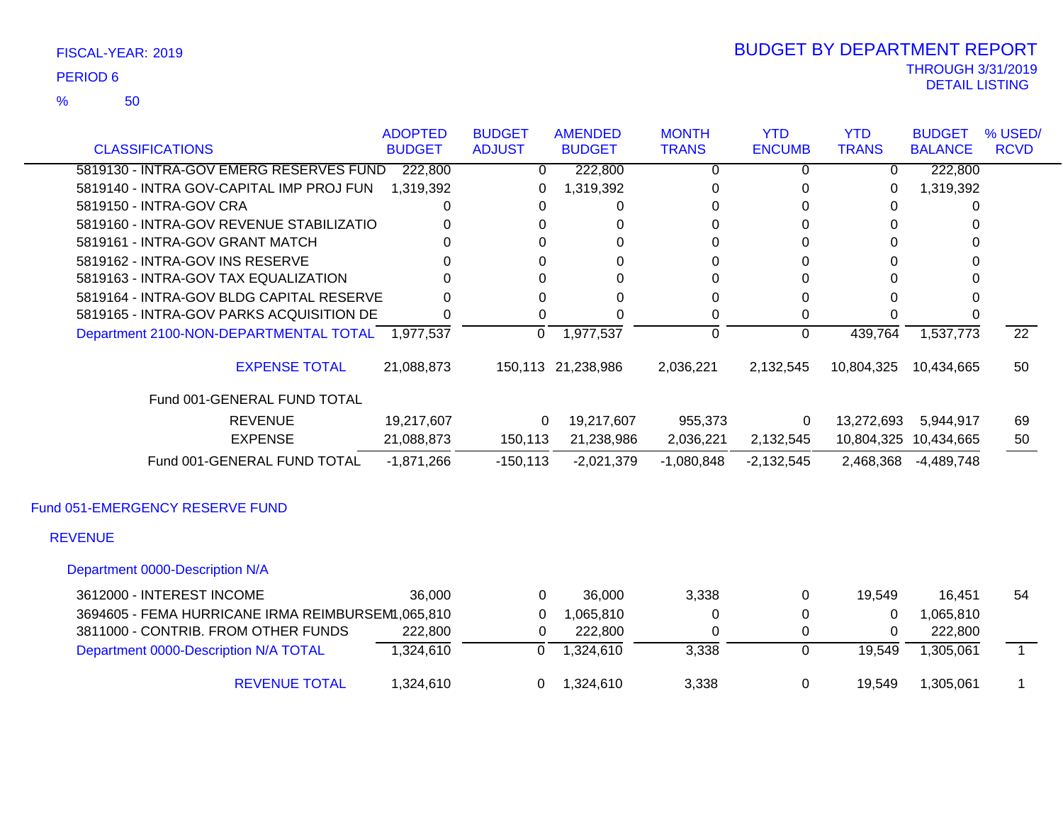50 %

| <b>CLASSIFICATIONS</b>                           | <b>ADOPTED</b><br><b>BUDGET</b> | <b>BUDGET</b><br><b>ADJUST</b> | <b>AMENDED</b><br><b>BUDGET</b> | <b>MONTH</b><br><b>TRANS</b> | <b>YTD</b><br><b>ENCUMB</b> | <b>YTD</b><br><b>TRANS</b> | <b>BUDGET</b><br><b>BALANCE</b> | % USED/<br><b>RCVD</b> |
|--------------------------------------------------|---------------------------------|--------------------------------|---------------------------------|------------------------------|-----------------------------|----------------------------|---------------------------------|------------------------|
|                                                  |                                 |                                |                                 |                              |                             |                            |                                 |                        |
| 5819130 - INTRA-GOV EMERG RESERVES FUND          | 222,800                         | 0                              | 222,800                         | 0                            | 0                           | 0                          | 222,800                         |                        |
| 5819140 - INTRA GOV-CAPITAL IMP PROJ FUN         | 1,319,392                       | 0                              | 1,319,392                       | 0                            | 0                           | 0                          | 1,319,392                       |                        |
| 5819150 - INTRA-GOV CRA                          |                                 | 0                              | 0                               |                              | ი                           | 0                          | 0                               |                        |
| 5819160 - INTRA-GOV REVENUE STABILIZATIO         |                                 |                                | 0                               | 0                            | 0                           | 0                          |                                 |                        |
| 5819161 - INTRA-GOV GRANT MATCH                  |                                 |                                | 0                               |                              | 0                           | O                          |                                 |                        |
| 5819162 - INTRA-GOV INS RESERVE                  |                                 |                                | 0                               | 0                            | 0                           |                            |                                 |                        |
| 5819163 - INTRA-GOV TAX EQUALIZATION             |                                 |                                |                                 |                              | O                           |                            |                                 |                        |
| 5819164 - INTRA-GOV BLDG CAPITAL RESERVE         |                                 |                                | 0                               |                              | 0                           |                            |                                 |                        |
| 5819165 - INTRA-GOV PARKS ACQUISITION DE         |                                 |                                |                                 | 0                            | 0                           |                            |                                 |                        |
| Department 2100-NON-DEPARTMENTAL TOTAL 1,977,537 |                                 | $\Omega$                       | 1,977,537                       | $\Omega$                     | $\Omega$                    | 439,764                    | 1,537,773                       | $\overline{22}$        |
| <b>EXPENSE TOTAL</b>                             | 21,088,873                      |                                | 150,113 21,238,986              | 2,036,221                    | 2,132,545                   | 10,804,325                 | 10,434,665                      | 50                     |
| Fund 001-GENERAL FUND TOTAL                      |                                 |                                |                                 |                              |                             |                            |                                 |                        |
| <b>REVENUE</b>                                   | 19,217,607                      | $\mathbf{0}$                   | 19,217,607                      | 955,373                      | 0                           | 13,272,693                 | 5,944,917                       | 69                     |
| <b>EXPENSE</b>                                   | 21,088,873                      | 150,113                        | 21,238,986                      | 2,036,221                    | 2,132,545                   |                            | 10,804,325 10,434,665           | 50                     |
| Fund 001-GENERAL FUND TOTAL                      | $-1,871,266$                    | $-150, 113$                    | $-2,021,379$                    | $-1,080,848$                 | $-2,132,545$                | 2,468,368                  | $-4,489,748$                    |                        |
| Fund 051-EMERGENCY RESERVE FUND                  |                                 |                                |                                 |                              |                             |                            |                                 |                        |
| <b>REVENUE</b>                                   |                                 |                                |                                 |                              |                             |                            |                                 |                        |
| Department 0000-Description N/A                  |                                 |                                |                                 |                              |                             |                            |                                 |                        |
| 3612000 - INTEREST INCOME                        | 36,000                          | $\mathbf{0}$                   | 36,000                          | 3,338                        | 0                           | 19,549                     | 16,451                          | 54                     |
|                                                  |                                 |                                |                                 |                              |                             |                            |                                 |                        |

| 3694605 - FEMA HURRICANE IRMA REIMBURSEM1,065,810 |           | 1.065.810 |       |        | 1.065.810 |  |
|---------------------------------------------------|-----------|-----------|-------|--------|-----------|--|
| 3811000 - CONTRIB. FROM OTHER FUNDS               | 222.800   | 222,800   |       |        | 222.800   |  |
| Department 0000-Description N/A TOTAL             | 1.324.610 | 1.324.610 | 3.338 | 19.549 | 1.305.061 |  |
| <b>REVENUE TOTAL</b>                              | 1.324.610 | 1.324.610 | 3,338 | 19.549 | 1.305.061 |  |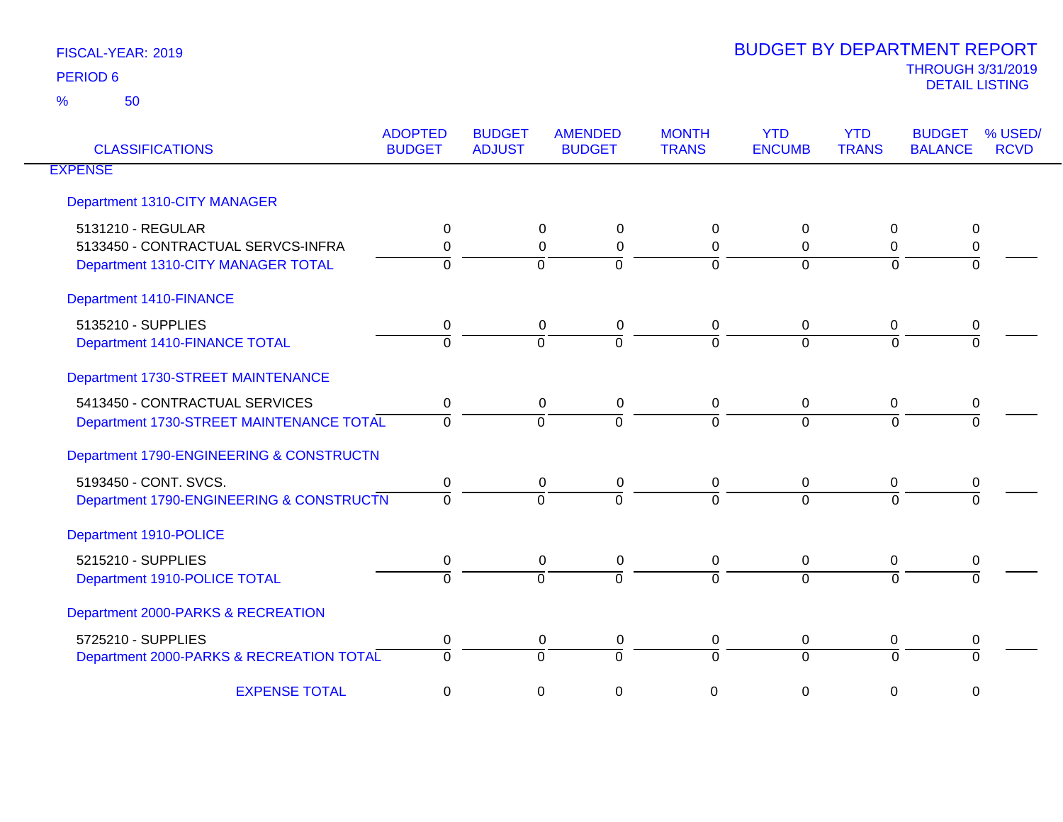| <b>CLASSIFICATIONS</b>                   | <b>ADOPTED</b><br><b>BUDGET</b> | <b>BUDGET</b><br><b>ADJUST</b> | <b>AMENDED</b><br><b>BUDGET</b> | <b>MONTH</b><br><b>TRANS</b> | <b>YTD</b><br><b>ENCUMB</b> | <b>YTD</b><br><b>TRANS</b> | <b>BUDGET</b><br><b>BALANCE</b> | % USED/<br><b>RCVD</b> |
|------------------------------------------|---------------------------------|--------------------------------|---------------------------------|------------------------------|-----------------------------|----------------------------|---------------------------------|------------------------|
| <b>EXPENSE</b>                           |                                 |                                |                                 |                              |                             |                            |                                 |                        |
| Department 1310-CITY MANAGER             |                                 |                                |                                 |                              |                             |                            |                                 |                        |
| 5131210 - REGULAR                        | 0                               |                                | $\Omega$<br>$\Omega$            | 0                            | $\Omega$                    | 0                          | 0                               |                        |
| 5133450 - CONTRACTUAL SERVCS-INFRA       | $\Omega$                        |                                | $\mathbf 0$<br>0                | 0                            | $\Omega$                    | 0                          | 0                               |                        |
| Department 1310-CITY MANAGER TOTAL       | $\Omega$                        |                                | $\Omega$<br>$\Omega$            | 0                            | $\Omega$                    | $\Omega$                   | $\Omega$                        |                        |
| <b>Department 1410-FINANCE</b>           |                                 |                                |                                 |                              |                             |                            |                                 |                        |
| 5135210 - SUPPLIES                       | 0                               |                                | 0<br>0                          | 0                            | 0                           | 0                          | 0                               |                        |
| Department 1410-FINANCE TOTAL            | $\Omega$                        |                                | $\overline{0}$<br>$\Omega$      | $\overline{0}$               | $\Omega$                    | $\overline{0}$             | $\Omega$                        |                        |
| Department 1730-STREET MAINTENANCE       |                                 |                                |                                 |                              |                             |                            |                                 |                        |
| 5413450 - CONTRACTUAL SERVICES           | $\mathbf 0$                     |                                | 0<br>0                          | 0                            | 0                           | 0                          | 0                               |                        |
| Department 1730-STREET MAINTENANCE TOTAL | $\Omega$                        |                                | $\Omega$<br>$\Omega$            | $\Omega$                     | $\Omega$                    | $\Omega$                   | $\Omega$                        |                        |
| Department 1790-ENGINEERING & CONSTRUCTN |                                 |                                |                                 |                              |                             |                            |                                 |                        |
| 5193450 - CONT. SVCS.                    | $\mathbf 0$                     |                                | 0<br>0                          | 0                            | 0                           | 0                          | 0                               |                        |
| Department 1790-ENGINEERING & CONSTRUCTN | $\Omega$                        |                                | $\Omega$<br>$\Omega$            | $\Omega$                     | $\Omega$                    | $\Omega$                   | $\Omega$                        |                        |
| Department 1910-POLICE                   |                                 |                                |                                 |                              |                             |                            |                                 |                        |
| 5215210 - SUPPLIES                       | 0                               |                                | 0<br>$\mathbf 0$                | 0                            | $\mathbf 0$                 | 0                          | 0                               |                        |
| Department 1910-POLICE TOTAL             | $\Omega$                        |                                | $\Omega$<br>$\Omega$            | $\Omega$                     | $\Omega$                    | $\Omega$                   | ∩                               |                        |
| Department 2000-PARKS & RECREATION       |                                 |                                |                                 |                              |                             |                            |                                 |                        |
| 5725210 - SUPPLIES                       | 0                               |                                | 0<br>0                          | 0                            | 0                           | 0                          | 0                               |                        |
| Department 2000-PARKS & RECREATION TOTAL | $\Omega$                        |                                | $\Omega$<br>$\Omega$            | 0                            | $\Omega$                    | $\Omega$                   | $\Omega$                        |                        |
| <b>EXPENSE TOTAL</b>                     | 0                               |                                | 0<br>0                          | 0                            | 0                           | 0                          | $\mathbf 0$                     |                        |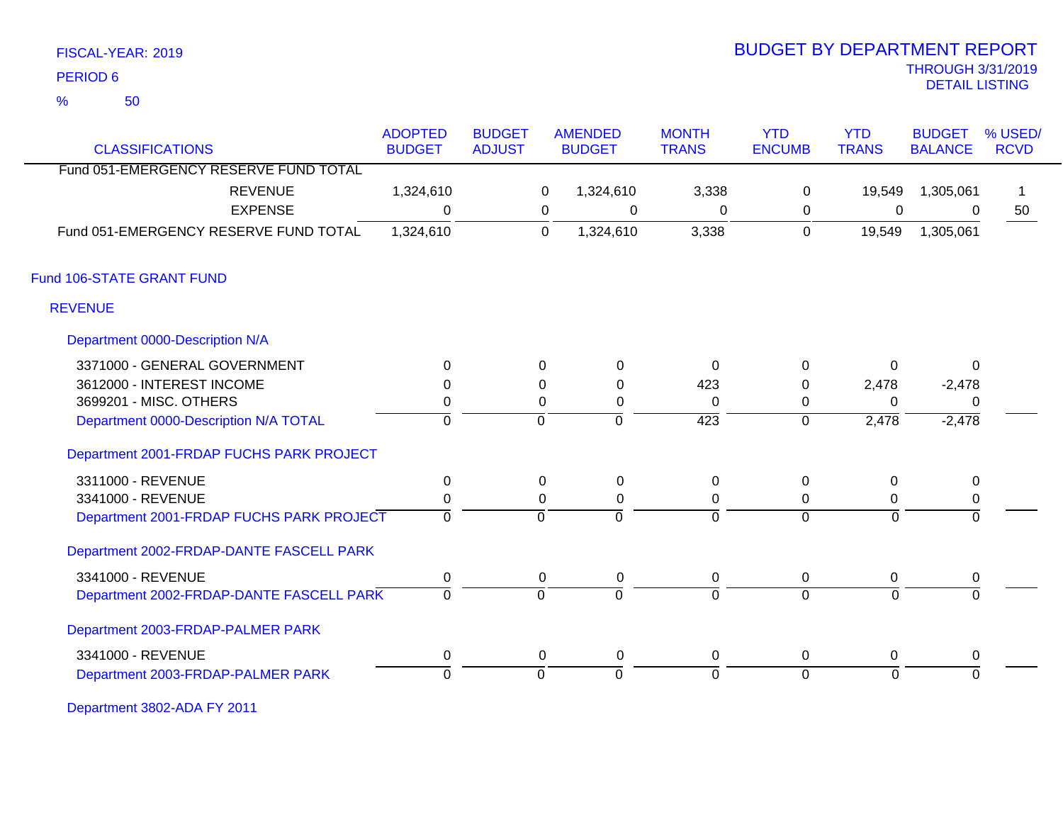50 %

# THROUGH 3/31/2019 DETAIL LISTING PERIOD <sup>6</sup> BUDGET BY DEPARTMENT REPORT

| <b>CLASSIFICATIONS</b>                   | <b>ADOPTED</b><br><b>BUDGET</b> | <b>BUDGET</b><br><b>ADJUST</b> |                | <b>AMENDED</b><br><b>BUDGET</b> | <b>MONTH</b>     | <b>YTD</b><br><b>ENCUMB</b> | <b>YTD</b><br><b>TRANS</b> | <b>BUDGET</b><br><b>BALANCE</b> | % USED/<br><b>RCVD</b> |
|------------------------------------------|---------------------------------|--------------------------------|----------------|---------------------------------|------------------|-----------------------------|----------------------------|---------------------------------|------------------------|
| Fund 051-EMERGENCY RESERVE FUND TOTAL    |                                 |                                |                |                                 | <b>TRANS</b>     |                             |                            |                                 |                        |
|                                          |                                 |                                |                |                                 |                  |                             |                            |                                 |                        |
| <b>REVENUE</b>                           | 1,324,610                       |                                | 0              | 1,324,610                       | 3,338            | 0                           | 19,549                     | 1,305,061                       |                        |
| <b>EXPENSE</b>                           | $\Omega$                        |                                | 0              | 0                               | 0                | 0                           | $\mathbf 0$                | $\Omega$                        | 50                     |
| Fund 051-EMERGENCY RESERVE FUND TOTAL    | 1,324,610                       |                                | $\overline{0}$ | 1,324,610                       | 3,338            | 0                           | 19,549                     | 1,305,061                       |                        |
| Fund 106-STATE GRANT FUND                |                                 |                                |                |                                 |                  |                             |                            |                                 |                        |
| <b>REVENUE</b>                           |                                 |                                |                |                                 |                  |                             |                            |                                 |                        |
| Department 0000-Description N/A          |                                 |                                |                |                                 |                  |                             |                            |                                 |                        |
| 3371000 - GENERAL GOVERNMENT             | $\Omega$                        |                                | 0              | $\mathbf 0$                     | 0                | $\mathbf 0$                 | 0                          | $\mathbf{0}$                    |                        |
| 3612000 - INTEREST INCOME                | $\Omega$                        |                                | $\Omega$       | $\Omega$                        | 423              | $\Omega$                    | 2,478                      | $-2,478$                        |                        |
| 3699201 - MISC. OTHERS                   | 0                               |                                | 0              | 0                               | $\Omega$         | 0                           | $\Omega$                   | 0                               |                        |
| Department 0000-Description N/A TOTAL    | $\overline{0}$                  |                                | $\mathbf 0$    | ō                               | $\overline{423}$ | $\overline{0}$              | 2,478                      | $-2,478$                        |                        |
| Department 2001-FRDAP FUCHS PARK PROJECT |                                 |                                |                |                                 |                  |                             |                            |                                 |                        |
| 3311000 - REVENUE                        | 0                               |                                | 0              | $\mathbf 0$                     | 0                | 0                           | 0                          | $\mathbf 0$                     |                        |
| 3341000 - REVENUE                        | $\mathbf 0$                     |                                | $\Omega$       | $\mathbf 0$                     | $\Omega$         | 0                           | 0                          | $\pmb{0}$                       |                        |
| Department 2001-FRDAP FUCHS PARK PROJECT | $\overline{0}$                  |                                | $\overline{0}$ | $\overline{0}$                  | 0                | $\overline{0}$              | $\mathbf 0$                | $\overline{0}$                  |                        |
| Department 2002-FRDAP-DANTE FASCELL PARK |                                 |                                |                |                                 |                  |                             |                            |                                 |                        |
| 3341000 - REVENUE                        | $\mathbf 0$                     |                                | 0              | $\mathbf 0$                     | $\mathbf 0$      | 0                           | 0                          | $\mathbf 0$                     |                        |
| Department 2002-FRDAP-DANTE FASCELL PARK | $\overline{0}$                  |                                | $\overline{0}$ | $\overline{0}$                  | $\overline{0}$   | $\overline{0}$              | $\overline{0}$             | $\overline{0}$                  |                        |
| Department 2003-FRDAP-PALMER PARK        |                                 |                                |                |                                 |                  |                             |                            |                                 |                        |
| 3341000 - REVENUE                        | $\pmb{0}$                       |                                | 0              | $\mathbf 0$                     | 0                | $\mathbf 0$                 | 0                          | 0                               |                        |
| Department 2003-FRDAP-PALMER PARK        | $\Omega$                        |                                | $\overline{0}$ | $\overline{0}$                  | $\overline{0}$   | $\overline{0}$              | $\Omega$                   | $\Omega$                        |                        |

Department 3802-ADA FY 2011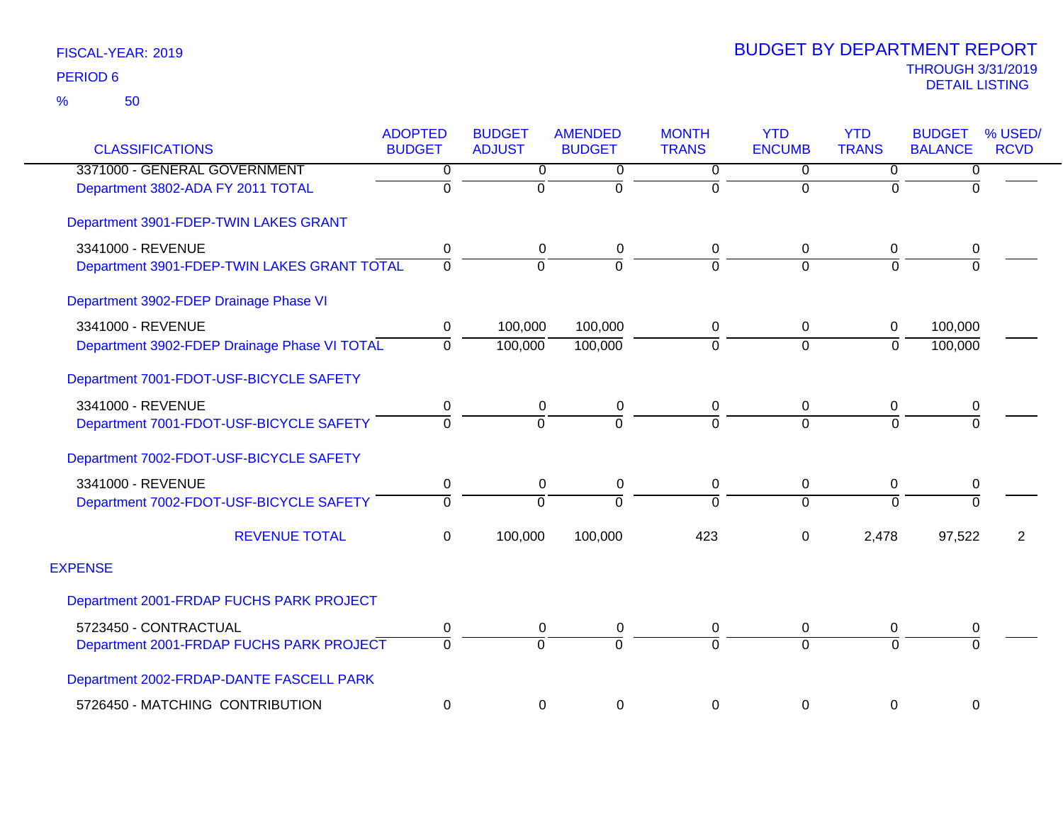| <b>CLASSIFICATIONS</b>                       | <b>ADOPTED</b><br><b>BUDGET</b> | <b>BUDGET</b><br><b>ADJUST</b> | <b>AMENDED</b><br><b>BUDGET</b> | <b>MONTH</b><br><b>TRANS</b> | <b>YTD</b><br><b>ENCUMB</b> | <b>YTD</b><br><b>TRANS</b> | <b>BUDGET</b><br><b>BALANCE</b> | % USED/<br><b>RCVD</b> |
|----------------------------------------------|---------------------------------|--------------------------------|---------------------------------|------------------------------|-----------------------------|----------------------------|---------------------------------|------------------------|
| 3371000 - GENERAL GOVERNMENT                 | 0                               | 0                              | 0                               | 0                            | $\Omega$                    | 0                          | 0                               |                        |
| Department 3802-ADA FY 2011 TOTAL            | $\overline{0}$                  | $\Omega$                       | $\Omega$                        | 0                            | $\Omega$                    | $\Omega$                   | $\Omega$                        |                        |
| Department 3901-FDEP-TWIN LAKES GRANT        |                                 |                                |                                 |                              |                             |                            |                                 |                        |
| 3341000 - REVENUE                            | 0                               | 0                              | 0                               | 0                            | $\mathbf 0$                 | 0                          | 0                               |                        |
| Department 3901-FDEP-TWIN LAKES GRANT TOTAL  | $\Omega$                        | $\Omega$                       | $\Omega$                        | 0                            | $\Omega$                    | $\Omega$                   | $\Omega$                        |                        |
| Department 3902-FDEP Drainage Phase VI       |                                 |                                |                                 |                              |                             |                            |                                 |                        |
| 3341000 - REVENUE                            | 0                               | 100,000                        | 100,000                         | 0                            | $\mathbf 0$                 | 0                          | 100,000                         |                        |
| Department 3902-FDEP Drainage Phase VI TOTAL | $\Omega$                        | 100,000                        | 100,000                         | $\overline{0}$               | $\overline{0}$              | $\mathbf 0$                | 100,000                         |                        |
| Department 7001-FDOT-USF-BICYCLE SAFETY      |                                 |                                |                                 |                              |                             |                            |                                 |                        |
| 3341000 - REVENUE                            | 0                               | 0                              | 0                               | 0                            | 0                           | 0                          | 0                               |                        |
| Department 7001-FDOT-USF-BICYCLE SAFETY      | $\Omega$                        | $\Omega$                       | $\Omega$                        | 0                            | $\Omega$                    | $\Omega$                   | $\Omega$                        |                        |
| Department 7002-FDOT-USF-BICYCLE SAFETY      |                                 |                                |                                 |                              |                             |                            |                                 |                        |
| 3341000 - REVENUE                            | $\pmb{0}$                       | 0                              | 0                               | 0                            | $\mathbf 0$                 | 0                          | $\pmb{0}$                       |                        |
| Department 7002-FDOT-USF-BICYCLE SAFETY      | $\Omega$                        | $\Omega$                       | $\Omega$                        | $\Omega$                     | $\Omega$                    | $\overline{0}$             | $\overline{0}$                  |                        |
| <b>REVENUE TOTAL</b>                         | $\Omega$                        | 100,000                        | 100,000                         | 423                          | $\mathbf 0$                 | 2,478                      | 97,522                          | 2                      |
| <b>EXPENSE</b>                               |                                 |                                |                                 |                              |                             |                            |                                 |                        |
| Department 2001-FRDAP FUCHS PARK PROJECT     |                                 |                                |                                 |                              |                             |                            |                                 |                        |
| 5723450 - CONTRACTUAL                        | 0                               | 0                              | 0                               | 0                            | 0                           | 0                          | 0                               |                        |
| Department 2001-FRDAP FUCHS PARK PROJECT     | $\Omega$                        | $\Omega$                       | $\Omega$                        | $\overline{0}$               | $\Omega$                    | $\overline{0}$             | $\Omega$                        |                        |
| Department 2002-FRDAP-DANTE FASCELL PARK     |                                 |                                |                                 |                              |                             |                            |                                 |                        |
| 5726450 - MATCHING CONTRIBUTION              | $\mathbf 0$                     | 0                              | 0                               | 0                            | $\mathbf 0$                 | $\pmb{0}$                  | $\boldsymbol{0}$                |                        |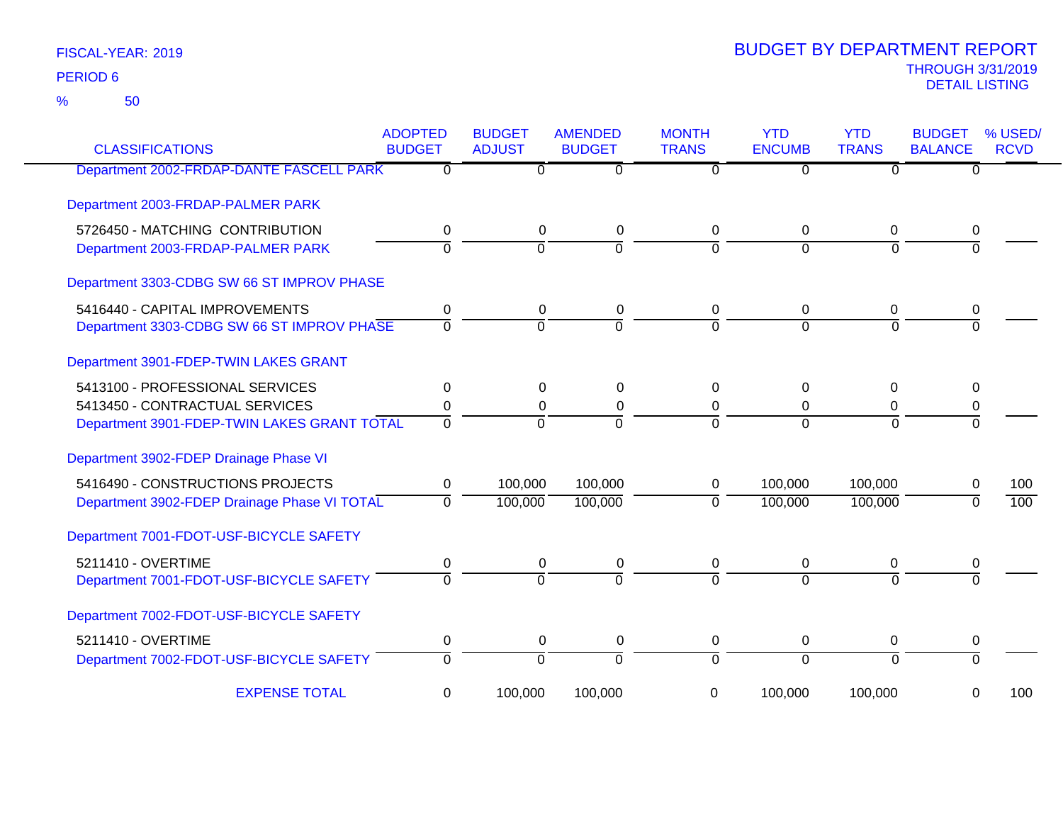50 %

| <b>CLASSIFICATIONS</b>                       | <b>ADOPTED</b><br><b>BUDGET</b> | <b>BUDGET</b><br><b>ADJUST</b> | <b>AMENDED</b><br><b>BUDGET</b> | <b>MONTH</b><br><b>TRANS</b> | <b>YTD</b><br><b>ENCUMB</b> | <b>YTD</b><br><b>TRANS</b> | <b>BUDGET</b><br><b>BALANCE</b> | % USED/<br><b>RCVD</b> |
|----------------------------------------------|---------------------------------|--------------------------------|---------------------------------|------------------------------|-----------------------------|----------------------------|---------------------------------|------------------------|
| Department 2002-FRDAP-DANTE FASCELL PARK     | 0                               | 0                              | 0                               | 0                            | $\Omega$                    | $\Omega$                   | 0                               |                        |
| Department 2003-FRDAP-PALMER PARK            |                                 |                                |                                 |                              |                             |                            |                                 |                        |
| 5726450 - MATCHING CONTRIBUTION              | 0                               | $\pmb{0}$                      | 0                               | 0                            | 0                           | 0                          | 0                               |                        |
| Department 2003-FRDAP-PALMER PARK            | $\overline{0}$                  | $\overline{0}$                 | $\overline{0}$                  | $\mathbf 0$                  | $\overline{0}$              | $\mathbf 0$                | $\Omega$                        |                        |
| Department 3303-CDBG SW 66 ST IMPROV PHASE   |                                 |                                |                                 |                              |                             |                            |                                 |                        |
| 5416440 - CAPITAL IMPROVEMENTS               | 0                               | 0                              | 0                               | 0                            | 0                           | 0                          |                                 |                        |
| Department 3303-CDBG SW 66 ST IMPROV PHASE   | $\Omega$                        | $\Omega$                       | $\Omega$                        | $\Omega$                     | $\Omega$                    | $\Omega$                   | $\Omega$                        |                        |
| Department 3901-FDEP-TWIN LAKES GRANT        |                                 |                                |                                 |                              |                             |                            |                                 |                        |
| 5413100 - PROFESSIONAL SERVICES              | $\mathbf{0}$                    | 0                              | $\Omega$                        | $\Omega$                     | 0                           | 0                          | 0                               |                        |
| 5413450 - CONTRACTUAL SERVICES               | 0                               | 0                              | $\pmb{0}$                       | 0                            | 0                           | 0                          | 0                               |                        |
| Department 3901-FDEP-TWIN LAKES GRANT TOTAL  | $\Omega$                        | $\Omega$                       | $\Omega$                        | $\Omega$                     | $\Omega$                    | $\Omega$                   | $\Omega$                        |                        |
| Department 3902-FDEP Drainage Phase VI       |                                 |                                |                                 |                              |                             |                            |                                 |                        |
| 5416490 - CONSTRUCTIONS PROJECTS             | 0                               | 100,000                        | 100,000                         | 0                            | 100,000                     | 100,000                    | 0                               | 100                    |
| Department 3902-FDEP Drainage Phase VI TOTAL | $\mathbf{0}$                    | 100,000                        | 100,000                         | $\mathbf 0$                  | 100,000                     | 100,000                    | $\Omega$                        | 100                    |
| Department 7001-FDOT-USF-BICYCLE SAFETY      |                                 |                                |                                 |                              |                             |                            |                                 |                        |
| 5211410 - OVERTIME                           | 0                               | $\boldsymbol{0}$               | $\pmb{0}$                       | $\overline{0}$               | 0                           | $\pmb{0}$                  | 0                               |                        |
| Department 7001-FDOT-USF-BICYCLE SAFETY      | $\Omega$                        | $\Omega$                       | $\Omega$                        | $\Omega$                     | $\Omega$                    | $\Omega$                   | $\Omega$                        |                        |
| Department 7002-FDOT-USF-BICYCLE SAFETY      |                                 |                                |                                 |                              |                             |                            |                                 |                        |
| 5211410 - OVERTIME                           | 0                               | $\pmb{0}$                      | 0                               | 0                            | 0                           | 0                          | 0                               |                        |
| Department 7002-FDOT-USF-BICYCLE SAFETY      | $\mathbf 0$                     | $\overline{0}$                 | $\overline{0}$                  | $\Omega$                     | $\overline{0}$              | $\Omega$                   | $\Omega$                        |                        |
| <b>EXPENSE TOTAL</b>                         | 0                               | 100,000                        | 100,000                         | 0                            | 100,000                     | 100,000                    | 0                               | 100                    |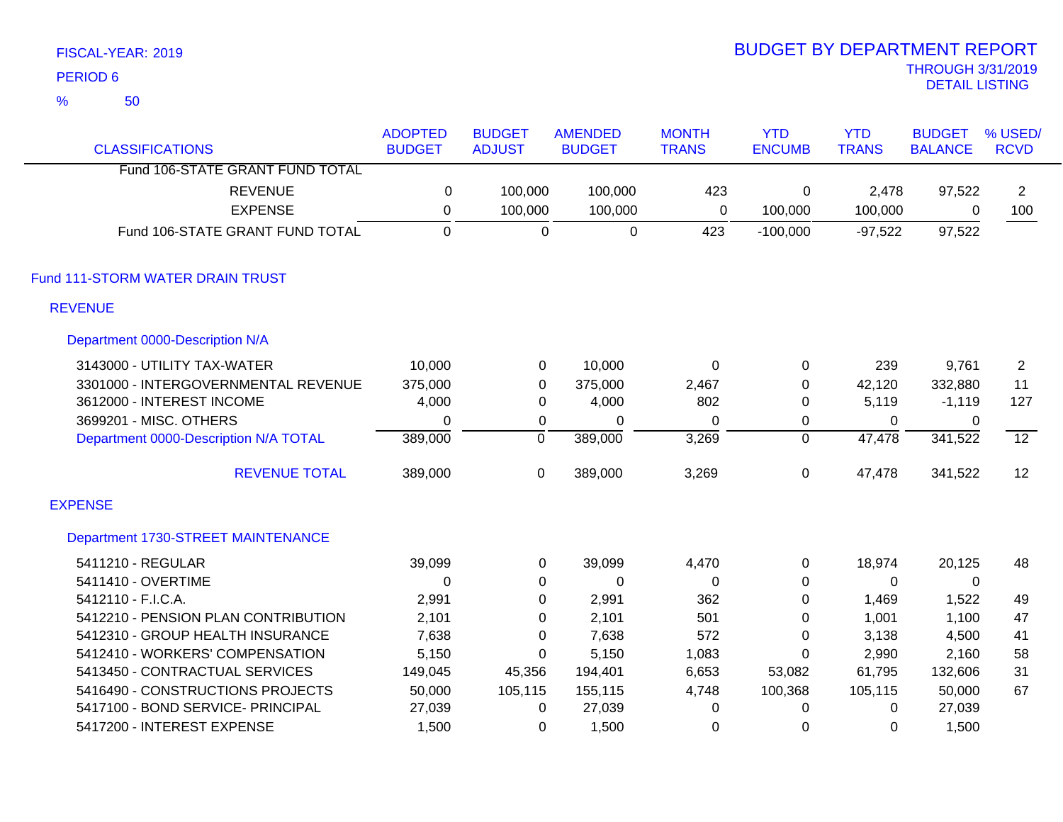|                | FISCAL-YEAR: 2019                     |                |                  |                |                  | <b>BUDGET BY DEPARTMENT REPORT</b> |              |                          |                 |
|----------------|---------------------------------------|----------------|------------------|----------------|------------------|------------------------------------|--------------|--------------------------|-----------------|
|                | <b>PERIOD 6</b>                       |                |                  |                |                  |                                    |              | <b>THROUGH 3/31/2019</b> |                 |
| $\frac{9}{6}$  | 50                                    |                |                  |                |                  |                                    |              | <b>DETAIL LISTING</b>    |                 |
|                |                                       | <b>ADOPTED</b> | <b>BUDGET</b>    | <b>AMENDED</b> | <b>MONTH</b>     | <b>YTD</b>                         | <b>YTD</b>   | <b>BUDGET</b>            | % USED/         |
|                | <b>CLASSIFICATIONS</b>                | <b>BUDGET</b>  | <b>ADJUST</b>    | <b>BUDGET</b>  | <b>TRANS</b>     | <b>ENCUMB</b>                      | <b>TRANS</b> | <b>BALANCE</b>           | <b>RCVD</b>     |
|                | Fund 106-STATE GRANT FUND TOTAL       |                |                  |                |                  |                                    |              |                          |                 |
|                | <b>REVENUE</b>                        | $\pmb{0}$      | 100,000          | 100,000        | 423              | 0                                  | 2,478        | 97,522                   | $\overline{2}$  |
|                | <b>EXPENSE</b>                        | $\pmb{0}$      | 100,000          | 100,000        | $\mathbf 0$      | 100,000                            | 100,000      | 0                        | 100             |
|                | Fund 106-STATE GRANT FUND TOTAL       | $\overline{0}$ | $\Omega$         | $\mathbf 0$    | 423              | $-100,000$                         | $-97,522$    | 97,522                   |                 |
|                | Fund 111-STORM WATER DRAIN TRUST      |                |                  |                |                  |                                    |              |                          |                 |
|                | <b>REVENUE</b>                        |                |                  |                |                  |                                    |              |                          |                 |
|                | Department 0000-Description N/A       |                |                  |                |                  |                                    |              |                          |                 |
|                | 3143000 - UTILITY TAX-WATER           | 10,000         | $\pmb{0}$        | 10,000         | $\boldsymbol{0}$ | 0                                  | 239          | 9,761                    | $\overline{2}$  |
|                | 3301000 - INTERGOVERNMENTAL REVENUE   | 375,000        | $\boldsymbol{0}$ | 375,000        | 2,467            | 0                                  | 42,120       | 332,880                  | 11              |
|                | 3612000 - INTEREST INCOME             | 4,000          | $\boldsymbol{0}$ | 4,000          | 802              | 0                                  | 5,119        | $-1,119$                 | 127             |
|                | 3699201 - MISC. OTHERS                | $\mathbf 0$    | $\pmb{0}$        | 0              | 0                | 0                                  | 0            | 0                        |                 |
|                | Department 0000-Description N/A TOTAL | 389,000        | $\overline{0}$   | 389,000        | 3,269            | $\overline{0}$                     | 47,478       | 341,522                  | $\overline{12}$ |
|                | <b>REVENUE TOTAL</b>                  | 389,000        | $\mathbf 0$      | 389,000        | 3,269            | 0                                  | 47,478       | 341,522                  | 12              |
| <b>EXPENSE</b> |                                       |                |                  |                |                  |                                    |              |                          |                 |
|                | Department 1730-STREET MAINTENANCE    |                |                  |                |                  |                                    |              |                          |                 |
|                | 5411210 - REGULAR                     | 39,099         | $\pmb{0}$        | 39,099         | 4,470            | 0                                  | 18,974       | 20,125                   | 48              |
|                | 5411410 - OVERTIME                    | $\mathbf 0$    | $\boldsymbol{0}$ | 0              | $\pmb{0}$        | 0                                  | 0            | 0                        |                 |
|                | 5412110 - F.I.C.A.                    | 2,991          | $\boldsymbol{0}$ | 2,991          | 362              | 0                                  | 1,469        | 1,522                    | 49              |
|                | 5412210 - PENSION PLAN CONTRIBUTION   | 2,101          | $\pmb{0}$        | 2,101          | 501              | 0                                  | 1,001        | 1,100                    | 47              |
|                | 5412310 - GROUP HEALTH INSURANCE      | 7,638          | $\mathbf 0$      | 7,638          | 572              | 0                                  | 3,138        | 4,500                    | 41              |
|                | 5412410 - WORKERS' COMPENSATION       | 5,150          | $\mathbf 0$      | 5,150          | 1,083            | 0                                  | 2,990        | 2,160                    | 58              |
|                | 5413450 - CONTRACTUAL SERVICES        | 149,045        | 45,356           | 194,401        | 6,653            | 53,082                             | 61,795       | 132,606                  | 31              |
|                | 5416490 - CONSTRUCTIONS PROJECTS      | 50,000         | 105,115          | 155,115        | 4,748            | 100,368                            | 105,115      | 50,000                   | 67              |
|                | 5417100 - BOND SERVICE- PRINCIPAL     | 27,039         | 0                | 27,039         | 0                | $\Omega$                           | 0            | 27,039                   |                 |

5417200 - INTEREST EXPENSE 1,500 0 1,500 0 0 0 1,500

BUDGET BY DEPARTMENT REPORT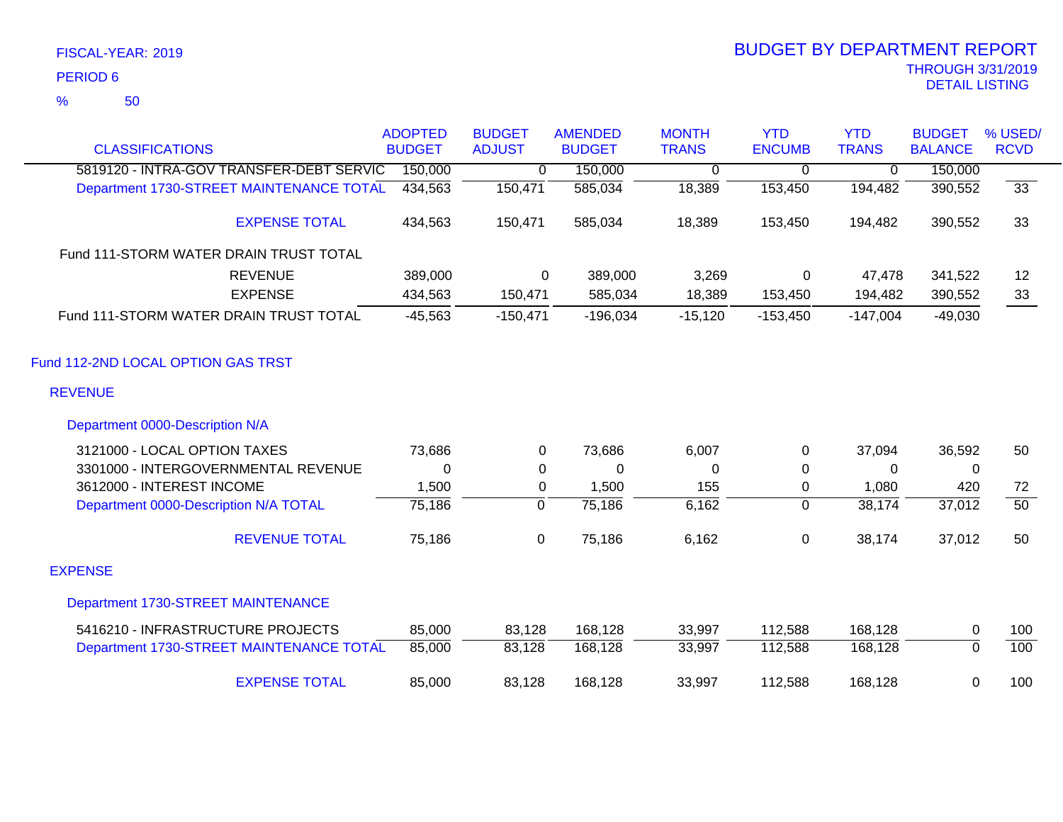### 50 %

| <b>CLASSIFICATIONS</b>                   | <b>ADOPTED</b><br><b>BUDGET</b> | <b>BUDGET</b><br><b>ADJUST</b> | <b>AMENDED</b><br><b>BUDGET</b> | <b>MONTH</b><br><b>TRANS</b> | <b>YTD</b><br><b>ENCUMB</b> | <b>YTD</b><br><b>TRANS</b> | <b>BUDGET</b><br><b>BALANCE</b> | % USED/<br><b>RCVD</b> |
|------------------------------------------|---------------------------------|--------------------------------|---------------------------------|------------------------------|-----------------------------|----------------------------|---------------------------------|------------------------|
| 5819120 - INTRA-GOV TRANSFER-DEBT SERVIC | 150,000                         | 0                              | 150,000                         |                              |                             | $\mathbf{0}$               | 150,000                         |                        |
| Department 1730-STREET MAINTENANCE TOTAL | 434,563                         | 150,471                        | 585,034                         | 0<br>18,389                  | 0<br>153,450                | 194,482                    | 390,552                         | $\overline{33}$        |
|                                          |                                 |                                |                                 |                              |                             |                            |                                 |                        |
| <b>EXPENSE TOTAL</b>                     | 434,563                         | 150,471                        | 585,034                         | 18,389                       | 153,450                     | 194,482                    | 390,552                         | 33                     |
| Fund 111-STORM WATER DRAIN TRUST TOTAL   |                                 |                                |                                 |                              |                             |                            |                                 |                        |
| <b>REVENUE</b>                           | 389,000                         | 0                              | 389,000                         | 3,269                        | 0                           | 47,478                     | 341,522                         | 12                     |
| <b>EXPENSE</b>                           | 434,563                         | 150,471                        | 585,034                         | 18,389                       | 153,450                     | 194,482                    | 390,552                         | 33                     |
| Fund 111-STORM WATER DRAIN TRUST TOTAL   | $-45,563$                       | $-150,471$                     | $-196,034$                      | $-15,120$                    | $-153,450$                  | $-147,004$                 | $-49,030$                       |                        |
| Fund 112-2ND LOCAL OPTION GAS TRST       |                                 |                                |                                 |                              |                             |                            |                                 |                        |
| <b>REVENUE</b>                           |                                 |                                |                                 |                              |                             |                            |                                 |                        |
| Department 0000-Description N/A          |                                 |                                |                                 |                              |                             |                            |                                 |                        |
| 3121000 - LOCAL OPTION TAXES             | 73,686                          | 0                              | 73,686                          | 6,007                        | 0                           | 37,094                     | 36,592                          | 50                     |
| 3301000 - INTERGOVERNMENTAL REVENUE      | 0                               | 0                              | 0                               | 0                            | $\pmb{0}$                   | 0                          | 0                               |                        |
| 3612000 - INTEREST INCOME                | 1,500                           | 0                              | 1,500                           | 155                          | 0                           | 1,080                      | 420                             | 72                     |
| Department 0000-Description N/A TOTAL    | 75,186                          | $\overline{0}$                 | 75,186                          | 6,162                        | $\mathbf 0$                 | 38,174                     | 37,012                          | $\overline{50}$        |
| <b>REVENUE TOTAL</b>                     | 75,186                          | 0                              | 75,186                          | 6,162                        | $\pmb{0}$                   | 38,174                     | 37,012                          | 50                     |
| <b>EXPENSE</b>                           |                                 |                                |                                 |                              |                             |                            |                                 |                        |
| Department 1730-STREET MAINTENANCE       |                                 |                                |                                 |                              |                             |                            |                                 |                        |
| 5416210 - INFRASTRUCTURE PROJECTS        | 85,000                          | 83,128                         | 168,128                         | 33,997                       | 112,588                     | 168,128                    | 0                               | 100                    |
| Department 1730-STREET MAINTENANCE TOTAL | 85,000                          | 83,128                         | 168,128                         | 33,997                       | 112,588                     | 168,128                    | $\overline{0}$                  | 100                    |
| <b>EXPENSE TOTAL</b>                     | 85,000                          | 83,128                         | 168,128                         | 33,997                       | 112,588                     | 168,128                    | 0                               | 100                    |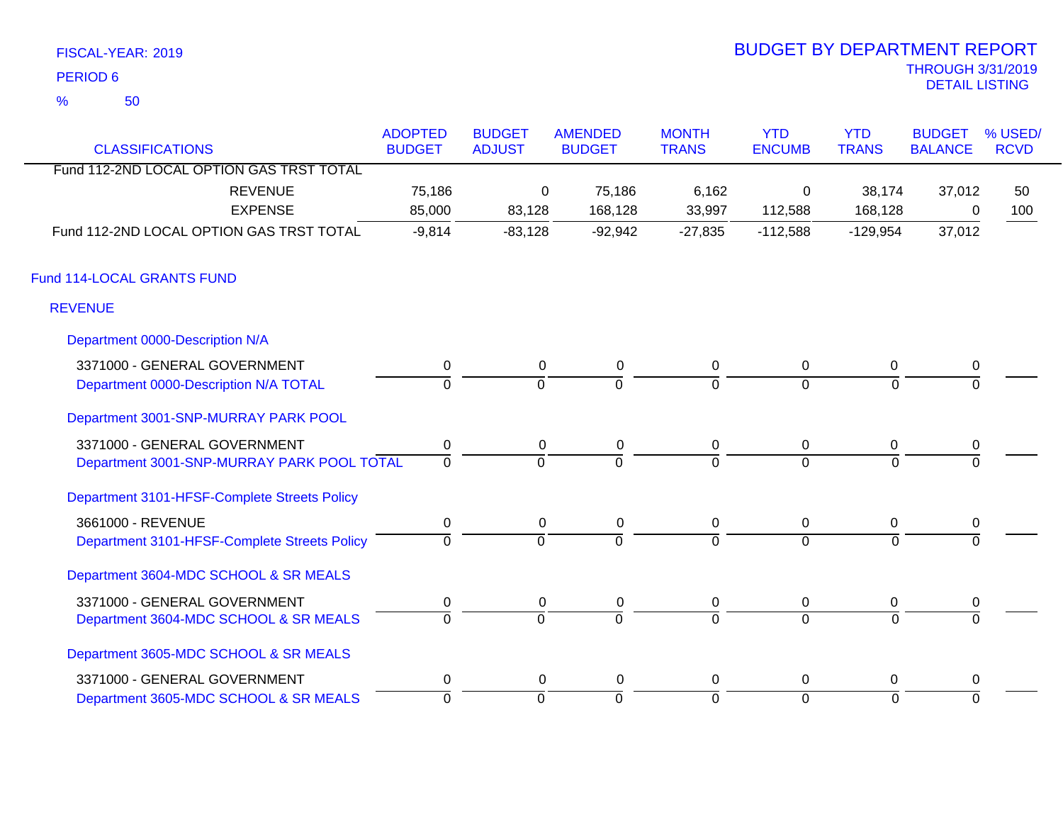| FISCAL-YEAR: 2019    | <b>BUDGET BY DEPARTMENT REPORT</b>         |
|----------------------|--------------------------------------------|
| PERIOD 6             | <b>THROUGH 3/31/2019</b><br>DETAIL LISTING |
| $\frac{1}{2}$<br>-50 |                                            |

# BUDGET BY DEPARTMENT REPORT

| <b>CLASSIFICATIONS</b>                       | <b>ADOPTED</b><br><b>BUDGET</b> | <b>BUDGET</b><br><b>ADJUST</b> | <b>AMENDED</b><br><b>BUDGET</b> | <b>MONTH</b><br><b>TRANS</b> | <b>YTD</b><br><b>ENCUMB</b> | <b>YTD</b><br><b>TRANS</b> | <b>BUDGET</b><br><b>BALANCE</b> | % USED/<br><b>RCVD</b> |
|----------------------------------------------|---------------------------------|--------------------------------|---------------------------------|------------------------------|-----------------------------|----------------------------|---------------------------------|------------------------|
| Fund 112-2ND LOCAL OPTION GAS TRST TOTAL     |                                 |                                |                                 |                              |                             |                            |                                 |                        |
| <b>REVENUE</b>                               | 75,186                          | 0                              | 75,186                          | 6,162                        | 0                           | 38,174                     | 37,012                          | 50                     |
| <b>EXPENSE</b>                               | 85,000                          | 83,128                         | 168,128                         | 33,997                       | 112,588                     | 168,128                    | 0                               | 100                    |
| Fund 112-2ND LOCAL OPTION GAS TRST TOTAL     | $-9,814$                        | $-83,128$                      | $-92,942$                       | $-27,835$                    | $-112,588$                  | $-129,954$                 | 37,012                          |                        |
| Fund 114-LOCAL GRANTS FUND                   |                                 |                                |                                 |                              |                             |                            |                                 |                        |
| <b>REVENUE</b>                               |                                 |                                |                                 |                              |                             |                            |                                 |                        |
| Department 0000-Description N/A              |                                 |                                |                                 |                              |                             |                            |                                 |                        |
| 3371000 - GENERAL GOVERNMENT                 | $\pmb{0}$                       | $\mathbf 0$                    | $\pmb{0}$                       | $\mathbf 0$                  | $\mathbf 0$                 | 0                          | 0                               |                        |
| Department 0000-Description N/A TOTAL        | $\Omega$                        | $\Omega$                       | $\Omega$                        | $\Omega$                     | $\Omega$                    | $\Omega$                   |                                 |                        |
| Department 3001-SNP-MURRAY PARK POOL         |                                 |                                |                                 |                              |                             |                            |                                 |                        |
| 3371000 - GENERAL GOVERNMENT                 | 0                               | 0                              | $\pmb{0}$                       | $\mathbf 0$                  | $\overline{0}$              | 0                          | 0                               |                        |
| Department 3001-SNP-MURRAY PARK POOL TOTAL   | $\overline{0}$                  | $\overline{0}$                 | $\Omega$                        | $\Omega$                     | $\Omega$                    | $\Omega$                   | $\Omega$                        |                        |
| Department 3101-HFSF-Complete Streets Policy |                                 |                                |                                 |                              |                             |                            |                                 |                        |
| 3661000 - REVENUE                            | $\mathbf 0$                     | $\mathbf 0$                    | $\mathbf 0$                     | $\pmb{0}$                    | $\overline{0}$              | 0                          | 0                               |                        |
| Department 3101-HFSF-Complete Streets Policy | $\overline{0}$                  | $\overline{0}$                 | $\overline{0}$                  | $\overline{0}$               | $\Omega$                    | $\Omega$                   |                                 |                        |
| Department 3604-MDC SCHOOL & SR MEALS        |                                 |                                |                                 |                              |                             |                            |                                 |                        |
| 3371000 - GENERAL GOVERNMENT                 | 0                               | 0                              | 0                               | 0                            | $\overline{0}$              | 0                          | 0                               |                        |
| Department 3604-MDC SCHOOL & SR MEALS        | $\overline{0}$                  | $\overline{0}$                 | $\overline{0}$                  | $\overline{0}$               | $\overline{0}$              | $\Omega$                   | $\Omega$                        |                        |
| Department 3605-MDC SCHOOL & SR MEALS        |                                 |                                |                                 |                              |                             |                            |                                 |                        |
| 3371000 - GENERAL GOVERNMENT                 | $\mathbf 0$                     | 0                              | $\mathbf 0$                     | 0                            | $\mathbf 0$                 | 0                          | 0                               |                        |
| Department 3605-MDC SCHOOL & SR MEALS        | 0                               | $\mathbf 0$                    | 0                               | ō                            | $\Omega$                    | $\Omega$                   | $\Omega$                        |                        |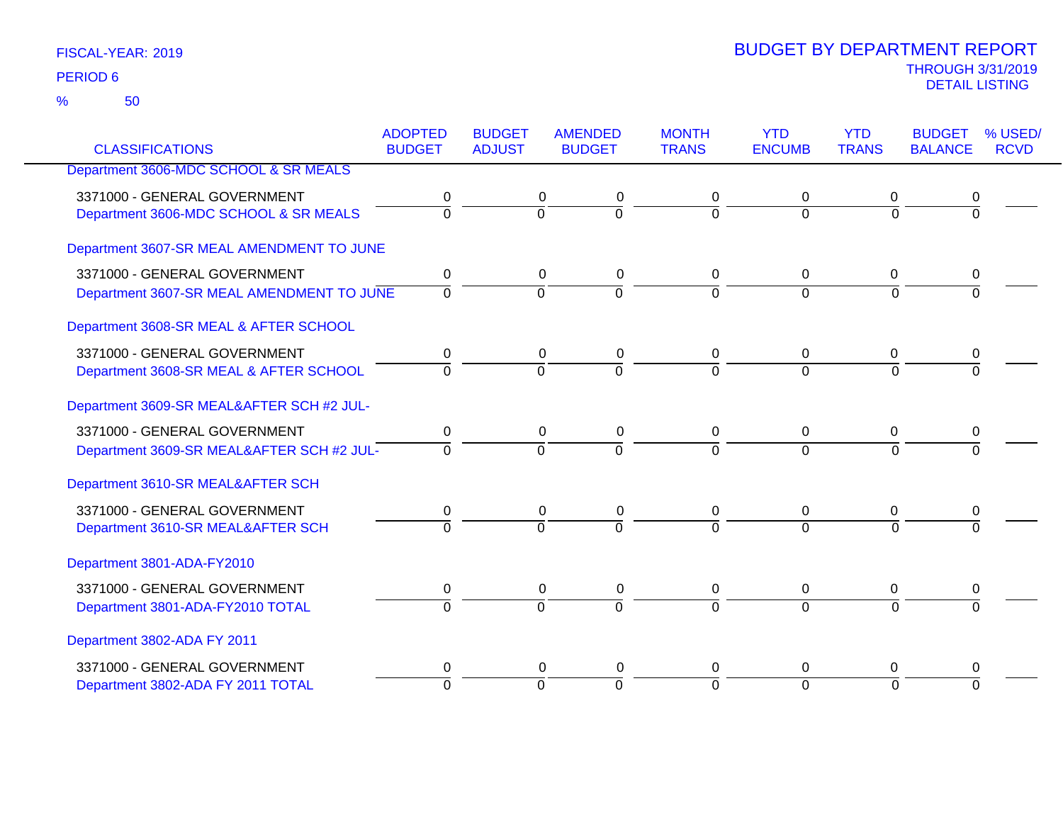|                                           | <b>ADOPTED</b> | <b>BUDGET</b>    | <b>AMENDED</b>   | <b>MONTH</b>   | <b>YTD</b>     | <b>YTD</b>     | <b>BUDGET</b>  | % USED/     |
|-------------------------------------------|----------------|------------------|------------------|----------------|----------------|----------------|----------------|-------------|
| <b>CLASSIFICATIONS</b>                    | <b>BUDGET</b>  | <b>ADJUST</b>    | <b>BUDGET</b>    | <b>TRANS</b>   | <b>ENCUMB</b>  | <b>TRANS</b>   | <b>BALANCE</b> | <b>RCVD</b> |
| Department 3606-MDC SCHOOL & SR MEALS     |                |                  |                  |                |                |                |                |             |
| 3371000 - GENERAL GOVERNMENT              | 0              | 0                | $\boldsymbol{0}$ | 0              | 0              | 0              |                |             |
| Department 3606-MDC SCHOOL & SR MEALS     | $\Omega$       | $\overline{0}$   | ō                | $\Omega$       | $\mathbf 0$    | $\overline{0}$ | $\Omega$       |             |
| Department 3607-SR MEAL AMENDMENT TO JUNE |                |                  |                  |                |                |                |                |             |
| 3371000 - GENERAL GOVERNMENT              | 0              | $\mathbf 0$      | 0                | $\mathbf 0$    | 0              | 0              | 0              |             |
| Department 3607-SR MEAL AMENDMENT TO JUNE | $\Omega$       | $\Omega$         | $\overline{0}$   | $\Omega$       | $\Omega$       | $\Omega$       | $\Omega$       |             |
| Department 3608-SR MEAL & AFTER SCHOOL    |                |                  |                  |                |                |                |                |             |
| 3371000 - GENERAL GOVERNMENT              | 0              | 0                | 0                | 0              | 0              | 0              | 0              |             |
| Department 3608-SR MEAL & AFTER SCHOOL    | $\Omega$       | $\overline{0}$   | $\overline{0}$   | $\overline{0}$ | $\overline{0}$ | $\overline{0}$ | $\overline{0}$ |             |
| Department 3609-SR MEAL&AFTER SCH #2 JUL- |                |                  |                  |                |                |                |                |             |
| 3371000 - GENERAL GOVERNMENT              | 0              | $\mathbf 0$      | $\mathbf 0$      | $\mathbf 0$    | 0              | 0              | 0              |             |
| Department 3609-SR MEAL&AFTER SCH #2 JUL- | $\Omega$       | $\Omega$         | $\overline{0}$   | $\Omega$       | $\Omega$       | $\Omega$       | 0              |             |
| Department 3610-SR MEAL&AFTER SCH         |                |                  |                  |                |                |                |                |             |
| 3371000 - GENERAL GOVERNMENT              | 0              | $\boldsymbol{0}$ | $\mathbf 0$      | 0              | $\pmb{0}$      | 0              | 0              |             |
| Department 3610-SR MEAL&AFTER SCH         | $\Omega$       | $\Omega$         | $\Omega$         | $\Omega$       | $\Omega$       | $\Omega$       | $\Omega$       |             |
| Department 3801-ADA-FY2010                |                |                  |                  |                |                |                |                |             |
| 3371000 - GENERAL GOVERNMENT              | $\mathbf 0$    | 0                | $\pmb{0}$        | $\mathbf 0$    | 0              | 0              | 0              |             |
| Department 3801-ADA-FY2010 TOTAL          | $\Omega$       | $\Omega$         | $\Omega$         | $\Omega$       | $\Omega$       | $\Omega$       | 0              |             |
| Department 3802-ADA FY 2011               |                |                  |                  |                |                |                |                |             |
| 3371000 - GENERAL GOVERNMENT              | 0              | 0                | 0                | 0              | 0              | 0              | 0              |             |
| Department 3802-ADA FY 2011 TOTAL         | $\Omega$       | $\Omega$         | $\overline{0}$   | $\Omega$       | $\overline{0}$ | $\Omega$       | $\Omega$       |             |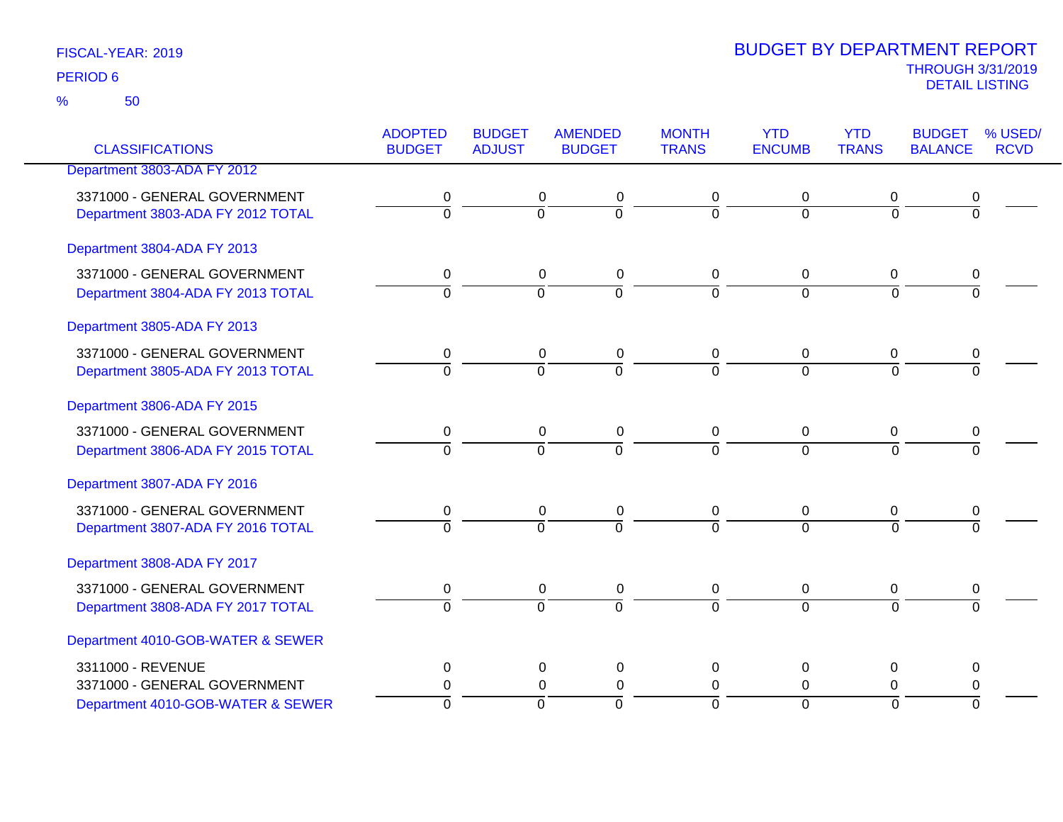50 %

|                                   | <b>ADOPTED</b> | <b>BUDGET</b>  | <b>AMENDED</b>                   | <b>MONTH</b>   | <b>YTD</b>     | <b>YTD</b>     | <b>BUDGET</b>  | % USED/     |
|-----------------------------------|----------------|----------------|----------------------------------|----------------|----------------|----------------|----------------|-------------|
| <b>CLASSIFICATIONS</b>            | <b>BUDGET</b>  | <b>ADJUST</b>  | <b>BUDGET</b>                    | <b>TRANS</b>   | <b>ENCUMB</b>  | <b>TRANS</b>   | <b>BALANCE</b> | <b>RCVD</b> |
| Department 3803-ADA FY 2012       |                |                |                                  |                |                |                |                |             |
| 3371000 - GENERAL GOVERNMENT      | 0              |                | 0<br>0                           | 0              | 0              | 0              | 0              |             |
| Department 3803-ADA FY 2012 TOTAL | $\overline{0}$ |                | $\overline{0}$<br>$\overline{0}$ | $\overline{0}$ | $\overline{0}$ | $\overline{0}$ | $\overline{0}$ |             |
| Department 3804-ADA FY 2013       |                |                |                                  |                |                |                |                |             |
| 3371000 - GENERAL GOVERNMENT      | 0              |                | 0<br>0                           | 0              | 0              | 0              | 0              |             |
| Department 3804-ADA FY 2013 TOTAL | $\overline{0}$ | $\overline{0}$ | $\overline{0}$                   | $\overline{0}$ | $\overline{0}$ | $\overline{0}$ | $\overline{0}$ |             |
| Department 3805-ADA FY 2013       |                |                |                                  |                |                |                |                |             |
| 3371000 - GENERAL GOVERNMENT      | 0              |                | 0<br>0                           | 0              | 0              | 0              | 0              |             |
| Department 3805-ADA FY 2013 TOTAL | $\overline{0}$ | $\overline{0}$ | $\overline{0}$                   | $\overline{0}$ | $\overline{0}$ | $\overline{0}$ | $\overline{0}$ |             |
| Department 3806-ADA FY 2015       |                |                |                                  |                |                |                |                |             |
| 3371000 - GENERAL GOVERNMENT      | 0              |                | 0<br>0                           | 0              | 0              | 0              | 0              |             |
| Department 3806-ADA FY 2015 TOTAL | $\overline{0}$ |                | $\overline{0}$<br>$\overline{0}$ | $\overline{0}$ | $\overline{0}$ | $\overline{0}$ | $\overline{0}$ |             |
| Department 3807-ADA FY 2016       |                |                |                                  |                |                |                |                |             |
| 3371000 - GENERAL GOVERNMENT      | 0              |                | 0<br>0                           | 0              | 0              | 0              | 0              |             |
| Department 3807-ADA FY 2016 TOTAL | $\overline{0}$ | $\overline{0}$ | $\overline{0}$                   | $\overline{0}$ | $\overline{0}$ | $\overline{0}$ | $\overline{0}$ |             |
| Department 3808-ADA FY 2017       |                |                |                                  |                |                |                |                |             |
| 3371000 - GENERAL GOVERNMENT      | 0              |                | 0<br>0                           | 0              | 0              | $\mathbf 0$    | 0              |             |
| Department 3808-ADA FY 2017 TOTAL | $\overline{0}$ | $\overline{0}$ | $\overline{0}$                   | $\overline{0}$ | $\overline{0}$ | $\overline{0}$ | $\Omega$       |             |
| Department 4010-GOB-WATER & SEWER |                |                |                                  |                |                |                |                |             |
| 3311000 - REVENUE                 | 0              |                | 0<br>0                           | 0              | 0              | 0              | 0              |             |
| 3371000 - GENERAL GOVERNMENT      | $\pmb{0}$      |                | $\pmb{0}$<br>$\pmb{0}$           | $\mathbf 0$    | $\pmb{0}$      | 0              | $\pmb{0}$      |             |
| Department 4010-GOB-WATER & SEWER | $\Omega$       | $\Omega$       | $\overline{0}$                   | $\Omega$       | $\overline{0}$ | $\overline{0}$ | $\Omega$       |             |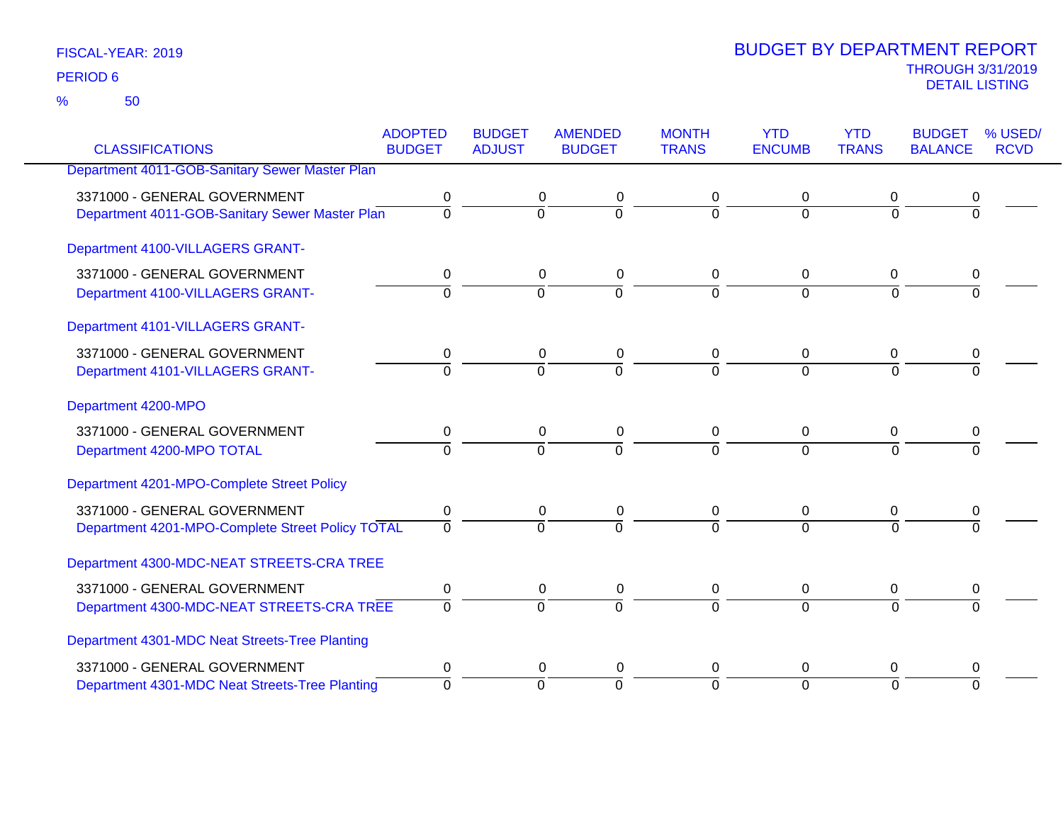50 %

|                                                  | <b>ADOPTED</b> | <b>BUDGET</b>  | <b>AMENDED</b> | <b>MONTH</b> | <b>YTD</b>       | <b>YTD</b>     | <b>BUDGET</b>  | % USED/     |
|--------------------------------------------------|----------------|----------------|----------------|--------------|------------------|----------------|----------------|-------------|
| <b>CLASSIFICATIONS</b>                           | <b>BUDGET</b>  | <b>ADJUST</b>  | <b>BUDGET</b>  | <b>TRANS</b> | <b>ENCUMB</b>    | <b>TRANS</b>   | <b>BALANCE</b> | <b>RCVD</b> |
| Department 4011-GOB-Sanitary Sewer Master Plan   |                |                |                |              |                  |                |                |             |
| 3371000 - GENERAL GOVERNMENT                     | 0              | 0              | 0              | 0            | 0                | 0              | 0              |             |
| Department 4011-GOB-Sanitary Sewer Master Plan   | $\mathbf 0$    | $\overline{0}$ | ō              | $\Omega$     | $\overline{0}$   | $\overline{0}$ | $\overline{0}$ |             |
| Department 4100-VILLAGERS GRANT-                 |                |                |                |              |                  |                |                |             |
| 3371000 - GENERAL GOVERNMENT                     | 0              | 0              | 0              | 0            | 0                | 0              | 0              |             |
| Department 4100-VILLAGERS GRANT-                 | $\Omega$       | $\Omega$       | $\overline{0}$ | $\Omega$     | $\overline{0}$   | $\Omega$       | $\Omega$       |             |
| Department 4101-VILLAGERS GRANT-                 |                |                |                |              |                  |                |                |             |
| 3371000 - GENERAL GOVERNMENT                     | 0              | 0              | 0              | 0            | 0                | 0              | 0              |             |
| Department 4101-VILLAGERS GRANT-                 | $\Omega$       | $\Omega$       | $\overline{0}$ | $\Omega$     | $\Omega$         | $\Omega$       | $\Omega$       |             |
| Department 4200-MPO                              |                |                |                |              |                  |                |                |             |
| 3371000 - GENERAL GOVERNMENT                     | 0              | 0              | 0              | 0            | 0                | 0              | 0              |             |
| Department 4200-MPO TOTAL                        | $\overline{0}$ | $\Omega$       | $\overline{0}$ | $\Omega$     | $\Omega$         | $\Omega$       | $\Omega$       |             |
| Department 4201-MPO-Complete Street Policy       |                |                |                |              |                  |                |                |             |
| 3371000 - GENERAL GOVERNMENT                     | $\pmb{0}$      | 0              | 0              | 0            | 0                | 0              | 0              |             |
| Department 4201-MPO-Complete Street Policy TOTAL | $\Omega$       | $\Omega$       | $\overline{0}$ | $\Omega$     | $\Omega$         | $\Omega$       | 0              |             |
| Department 4300-MDC-NEAT STREETS-CRA TREE        |                |                |                |              |                  |                |                |             |
| 3371000 - GENERAL GOVERNMENT                     | 0              | $\mathbf 0$    | $\pmb{0}$      | $\mathbf 0$  | $\boldsymbol{0}$ | $\overline{0}$ | 0              |             |
| Department 4300-MDC-NEAT STREETS-CRA TREE        | $\Omega$       | $\overline{0}$ | $\Omega$       | $\Omega$     | $\overline{0}$   | $\Omega$       | $\Omega$       |             |
| Department 4301-MDC Neat Streets-Tree Planting   |                |                |                |              |                  |                |                |             |
| 3371000 - GENERAL GOVERNMENT                     | 0              | 0              | 0              | 0            | 0                | 0              | 0              |             |
| Department 4301-MDC Neat Streets-Tree Planting   | $\Omega$       | $\Omega$       | $\Omega$       | $\Omega$     | $\overline{0}$   | $\Omega$       | $\Omega$       |             |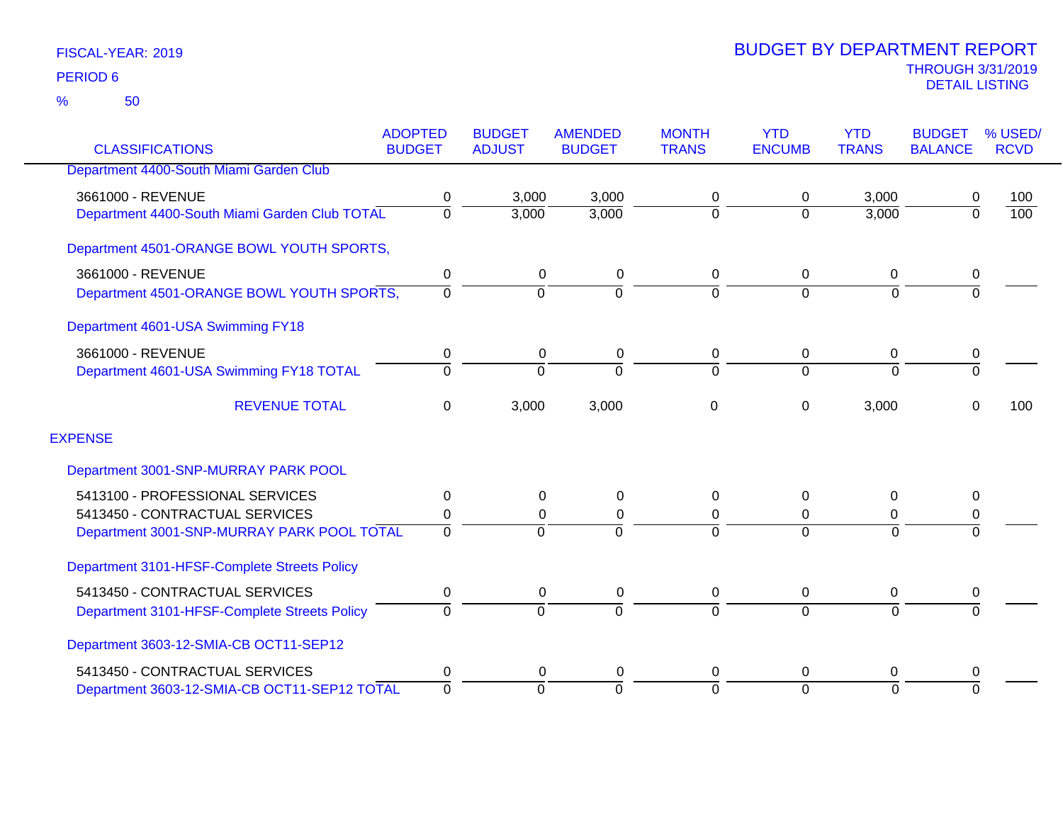|                                               | <b>ADOPTED</b> | <b>BUDGET</b>  | <b>AMENDED</b> | <b>MONTH</b>   | <b>YTD</b>    | <b>YTD</b>     | <b>BUDGET</b>  | % USED/          |
|-----------------------------------------------|----------------|----------------|----------------|----------------|---------------|----------------|----------------|------------------|
| <b>CLASSIFICATIONS</b>                        | <b>BUDGET</b>  | <b>ADJUST</b>  | <b>BUDGET</b>  | <b>TRANS</b>   | <b>ENCUMB</b> | <b>TRANS</b>   | <b>BALANCE</b> | <b>RCVD</b>      |
| Department 4400-South Miami Garden Club       |                |                |                |                |               |                |                |                  |
| 3661000 - REVENUE                             | 0              | 3,000          | 3,000          | 0              | 0             | 3,000          | 0              | 100              |
| Department 4400-South Miami Garden Club TOTAL | 0              | 3,000          | 3,000          | $\mathbf 0$    | $\Omega$      | 3,000          | $\overline{0}$ | $\overline{100}$ |
| Department 4501-ORANGE BOWL YOUTH SPORTS,     |                |                |                |                |               |                |                |                  |
| 3661000 - REVENUE                             | 0              | 0              | 0              | 0              | 0             | 0              | 0              |                  |
| Department 4501-ORANGE BOWL YOUTH SPORTS,     | $\Omega$       | $\overline{0}$ | $\Omega$       | $\overline{0}$ | $\Omega$      | $\overline{0}$ | $\overline{0}$ |                  |
| Department 4601-USA Swimming FY18             |                |                |                |                |               |                |                |                  |
| 3661000 - REVENUE                             | 0              | 0              | 0              | 0              | 0             | 0              | 0              |                  |
| Department 4601-USA Swimming FY18 TOTAL       | $\Omega$       | $\Omega$       | $\Omega$       | $\Omega$       | $\Omega$      | $\Omega$       | $\overline{0}$ |                  |
| <b>REVENUE TOTAL</b>                          | 0              | 3,000          | 3,000          | 0              | 0             | 3,000          | 0              | 100              |
| <b>EXPENSE</b>                                |                |                |                |                |               |                |                |                  |
| Department 3001-SNP-MURRAY PARK POOL          |                |                |                |                |               |                |                |                  |
| 5413100 - PROFESSIONAL SERVICES               | 0              | 0              | 0              | 0              | $\Omega$      | $\Omega$       | 0              |                  |
| 5413450 - CONTRACTUAL SERVICES                | 0              | 0              | 0              | 0              | 0             | 0              | 0              |                  |
| Department 3001-SNP-MURRAY PARK POOL TOTAL    | $\Omega$       | $\Omega$       |                | $\Omega$       | $\Omega$      | $\Omega$       | $\Omega$       |                  |
| Department 3101-HFSF-Complete Streets Policy  |                |                |                |                |               |                |                |                  |
| 5413450 - CONTRACTUAL SERVICES                | 0              | 0              | 0              | 0              | 0             | 0              | 0              |                  |
| Department 3101-HFSF-Complete Streets Policy  | $\Omega$       | $\overline{0}$ | $\Omega$       | 0              | $\Omega$      | $\overline{0}$ | $\Omega$       |                  |
| Department 3603-12-SMIA-CB OCT11-SEP12        |                |                |                |                |               |                |                |                  |
| 5413450 - CONTRACTUAL SERVICES                | 0              | 0              | 0              | 0              | $\Omega$      | 0              | 0              |                  |
| Department 3603-12-SMIA-CB OCT11-SEP12 TOTAL  | $\overline{0}$ | $\Omega$       | $\Omega$       | $\overline{0}$ | $\Omega$      | $\Omega$       | $\Omega$       |                  |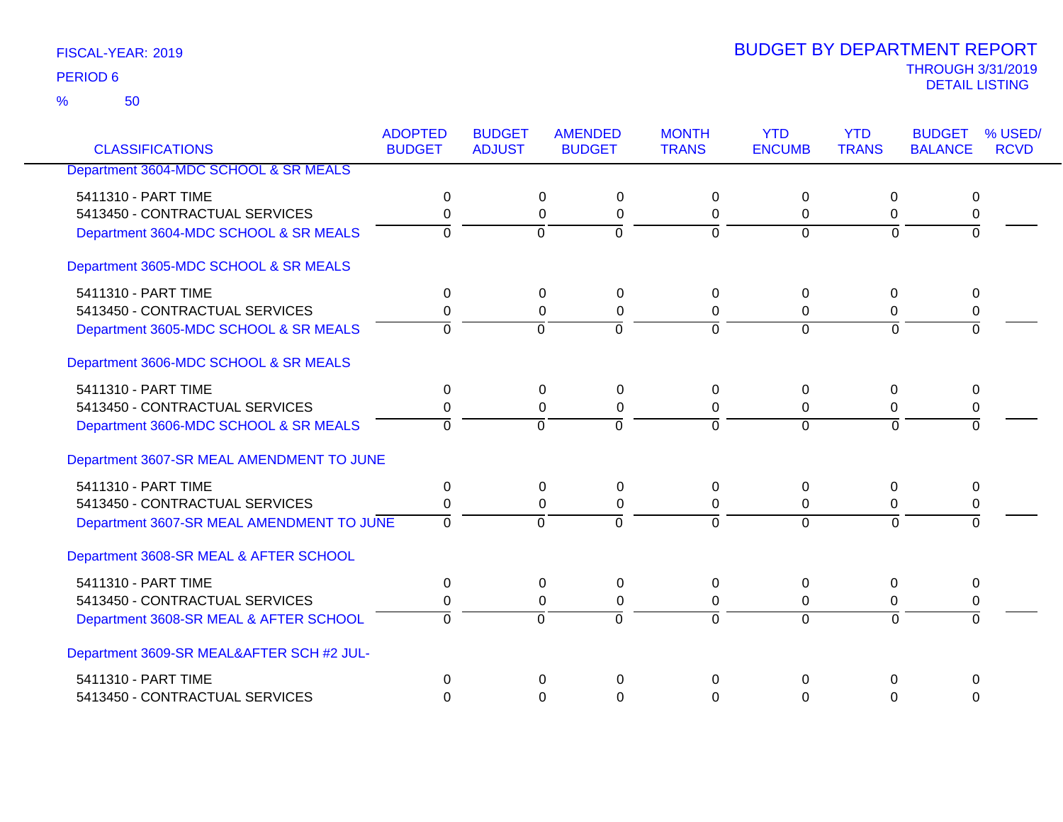50 %

| <b>CLASSIFICATIONS</b>                    | <b>ADOPTED</b><br><b>BUDGET</b> | <b>BUDGET</b><br><b>ADJUST</b> | <b>AMENDED</b><br><b>BUDGET</b> | <b>MONTH</b><br><b>TRANS</b> | <b>YTD</b><br><b>ENCUMB</b> | <b>YTD</b><br><b>TRANS</b> | <b>BUDGET</b><br><b>BALANCE</b> | % USED/<br><b>RCVD</b> |
|-------------------------------------------|---------------------------------|--------------------------------|---------------------------------|------------------------------|-----------------------------|----------------------------|---------------------------------|------------------------|
|                                           |                                 |                                |                                 |                              |                             |                            |                                 |                        |
| Department 3604-MDC SCHOOL & SR MEALS     |                                 |                                |                                 |                              |                             |                            |                                 |                        |
| 5411310 - PART TIME                       | 0                               |                                | 0<br>$\pmb{0}$                  | $\Omega$                     | 0                           | 0                          | 0                               |                        |
| 5413450 - CONTRACTUAL SERVICES            | 0                               |                                | 0<br>$\pmb{0}$                  | 0                            | 0                           | 0                          | 0                               |                        |
| Department 3604-MDC SCHOOL & SR MEALS     | 0                               | $\overline{0}$                 | $\overline{0}$                  | $\overline{0}$               | $\overline{0}$              | $\overline{0}$             | $\overline{0}$                  |                        |
| Department 3605-MDC SCHOOL & SR MEALS     |                                 |                                |                                 |                              |                             |                            |                                 |                        |
| 5411310 - PART TIME                       | $\mathbf 0$                     |                                | 0<br>$\pmb{0}$                  | 0                            | 0                           | $\boldsymbol{0}$           | 0                               |                        |
| 5413450 - CONTRACTUAL SERVICES            | 0                               |                                | $\pmb{0}$<br>0                  | 0                            | 0                           | 0                          | 0                               |                        |
| Department 3605-MDC SCHOOL & SR MEALS     | $\Omega$                        | $\Omega$                       | $\Omega$                        | $\Omega$                     | $\Omega$                    | $\Omega$                   | $\Omega$                        |                        |
| Department 3606-MDC SCHOOL & SR MEALS     |                                 |                                |                                 |                              |                             |                            |                                 |                        |
| 5411310 - PART TIME                       | 0                               |                                | 0<br>$\pmb{0}$                  | $\Omega$                     | 0                           | 0                          | 0                               |                        |
| 5413450 - CONTRACTUAL SERVICES            | 0                               |                                | $\Omega$<br>0                   | $\Omega$                     | $\Omega$                    | $\Omega$                   | 0                               |                        |
| Department 3606-MDC SCHOOL & SR MEALS     | $\Omega$                        | $\Omega$                       | $\Omega$                        | $\Omega$                     | $\Omega$                    | $\Omega$                   | 0                               |                        |
| Department 3607-SR MEAL AMENDMENT TO JUNE |                                 |                                |                                 |                              |                             |                            |                                 |                        |
| 5411310 - PART TIME                       | $\Omega$                        |                                | $\Omega$<br>$\Omega$            | $\Omega$                     | $\Omega$                    | $\mathbf{0}$               | $\Omega$                        |                        |
| 5413450 - CONTRACTUAL SERVICES            | $\Omega$                        |                                | 0<br>0                          | 0                            | 0                           | 0                          | 0                               |                        |
| Department 3607-SR MEAL AMENDMENT TO JUNE | $\overline{0}$                  | $\overline{0}$                 | $\overline{0}$                  | $\overline{0}$               | $\overline{0}$              | $\overline{0}$             | $\Omega$                        |                        |
| Department 3608-SR MEAL & AFTER SCHOOL    |                                 |                                |                                 |                              |                             |                            |                                 |                        |
| 5411310 - PART TIME                       | 0                               |                                | 0<br>0                          | 0                            | 0                           | 0                          | 0                               |                        |
| 5413450 - CONTRACTUAL SERVICES            | 0                               |                                | 0<br>$\pmb{0}$                  | 0                            | 0                           | 0                          | 0                               |                        |
| Department 3608-SR MEAL & AFTER SCHOOL    | $\Omega$                        | $\overline{0}$                 | $\overline{0}$                  | $\overline{0}$               | $\overline{0}$              | $\Omega$                   | $\Omega$                        |                        |
| Department 3609-SR MEAL&AFTER SCH #2 JUL- |                                 |                                |                                 |                              |                             |                            |                                 |                        |
| 5411310 - PART TIME                       | 0                               |                                | $\Omega$<br>$\Omega$            | 0                            | $\Omega$                    | 0                          | $\mathbf 0$                     |                        |
| 5413450 - CONTRACTUAL SERVICES            | $\Omega$                        |                                | $\Omega$<br>$\Omega$            | $\Omega$                     | $\Omega$                    | $\Omega$                   | $\Omega$                        |                        |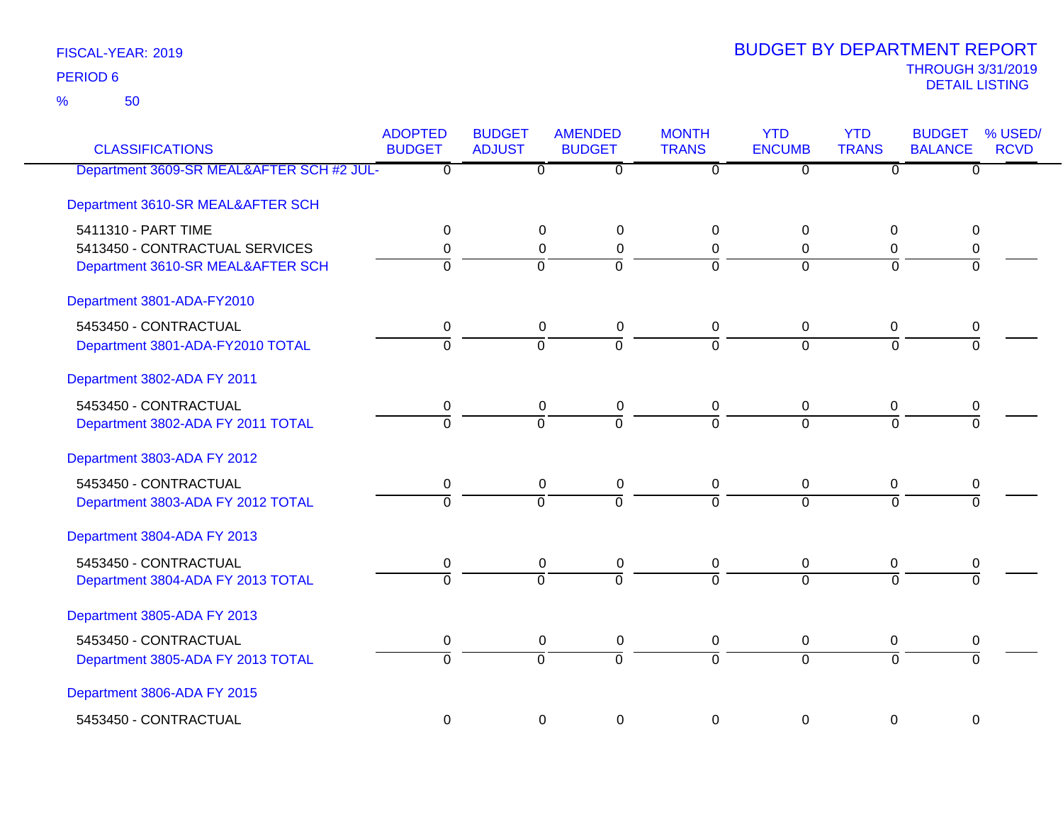50 %

| <b>CLASSIFICATIONS</b>                    | <b>ADOPTED</b><br><b>BUDGET</b> | <b>BUDGET</b><br><b>ADJUST</b> | <b>AMENDED</b><br><b>BUDGET</b> | <b>MONTH</b><br><b>TRANS</b> | <b>YTD</b><br><b>ENCUMB</b> | <b>YTD</b><br><b>TRANS</b> | <b>BUDGET</b><br><b>BALANCE</b> | % USED/<br><b>RCVD</b> |
|-------------------------------------------|---------------------------------|--------------------------------|---------------------------------|------------------------------|-----------------------------|----------------------------|---------------------------------|------------------------|
| Department 3609-SR MEAL&AFTER SCH #2 JUL- | $\overline{0}$                  | $\overline{0}$                 | ত                               | $\overline{0}$               | $\overline{0}$              | ত                          | $\overline{0}$                  |                        |
| Department 3610-SR MEAL&AFTER SCH         |                                 |                                |                                 |                              |                             |                            |                                 |                        |
| 5411310 - PART TIME                       | 0                               | $\Omega$                       | 0                               | $\Omega$                     | $\Omega$                    | $\Omega$                   | 0                               |                        |
| 5413450 - CONTRACTUAL SERVICES            | 0                               | 0                              | $\pmb{0}$                       | 0                            | 0                           | 0                          | 0                               |                        |
| Department 3610-SR MEAL&AFTER SCH         | $\overline{0}$                  | $\Omega$                       | 7                               | $\Omega$                     | $\Omega$                    | $\Omega$                   | $\Omega$                        |                        |
| Department 3801-ADA-FY2010                |                                 |                                |                                 |                              |                             |                            |                                 |                        |
| 5453450 - CONTRACTUAL                     | $\pmb{0}$                       | $\pmb{0}$                      | $\pmb{0}$                       | $\mathbf 0$                  | 0                           | 0                          | 0                               |                        |
| Department 3801-ADA-FY2010 TOTAL          | $\overline{0}$                  | $\overline{0}$                 | $\overline{0}$                  | $\Omega$                     | $\Omega$                    | $\Omega$                   | $\Omega$                        |                        |
| Department 3802-ADA FY 2011               |                                 |                                |                                 |                              |                             |                            |                                 |                        |
| 5453450 - CONTRACTUAL                     | $\mathbf 0$                     | 0                              | $\pmb{0}$                       | 0                            | 0                           | 0                          | 0                               |                        |
| Department 3802-ADA FY 2011 TOTAL         | $\Omega$                        | $\overline{0}$                 | $\overline{0}$                  | $\Omega$                     | $\Omega$                    | $\Omega$                   | $\Omega$                        |                        |
| Department 3803-ADA FY 2012               |                                 |                                |                                 |                              |                             |                            |                                 |                        |
| 5453450 - CONTRACTUAL                     | $\mathbf 0$                     | $\mathbf 0$                    | $\pmb{0}$                       | 0                            | 0                           | 0                          | 0                               |                        |
| Department 3803-ADA FY 2012 TOTAL         | $\overline{0}$                  | $\overline{0}$                 | $\overline{0}$                  | $\overline{0}$               | $\Omega$                    | $\Omega$                   | $\Omega$                        |                        |
| Department 3804-ADA FY 2013               |                                 |                                |                                 |                              |                             |                            |                                 |                        |
| 5453450 - CONTRACTUAL                     | 0                               | $\mathbf 0$                    | $\pmb{0}$                       | 0                            | 0                           | 0                          | 0                               |                        |
| Department 3804-ADA FY 2013 TOTAL         | $\overline{0}$                  | $\overline{0}$                 | $\overline{0}$                  | $\overline{0}$               | $\overline{0}$              | $\overline{0}$             | $\overline{0}$                  |                        |
| Department 3805-ADA FY 2013               |                                 |                                |                                 |                              |                             |                            |                                 |                        |
| 5453450 - CONTRACTUAL                     | $\mathbf 0$                     | $\mathbf 0$                    | $\pmb{0}$                       | 0                            | 0                           | 0                          | 0                               |                        |
| Department 3805-ADA FY 2013 TOTAL         | $\overline{0}$                  | $\overline{0}$                 | $\overline{0}$                  | $\overline{0}$               | $\overline{0}$              | $\overline{0}$             | $\overline{0}$                  |                        |
| Department 3806-ADA FY 2015               |                                 |                                |                                 |                              |                             |                            |                                 |                        |
| 5453450 - CONTRACTUAL                     | $\mathbf 0$                     | $\mathbf 0$                    | $\mathbf 0$                     | $\mathbf 0$                  | $\mathbf 0$                 | $\overline{0}$             | $\mathbf 0$                     |                        |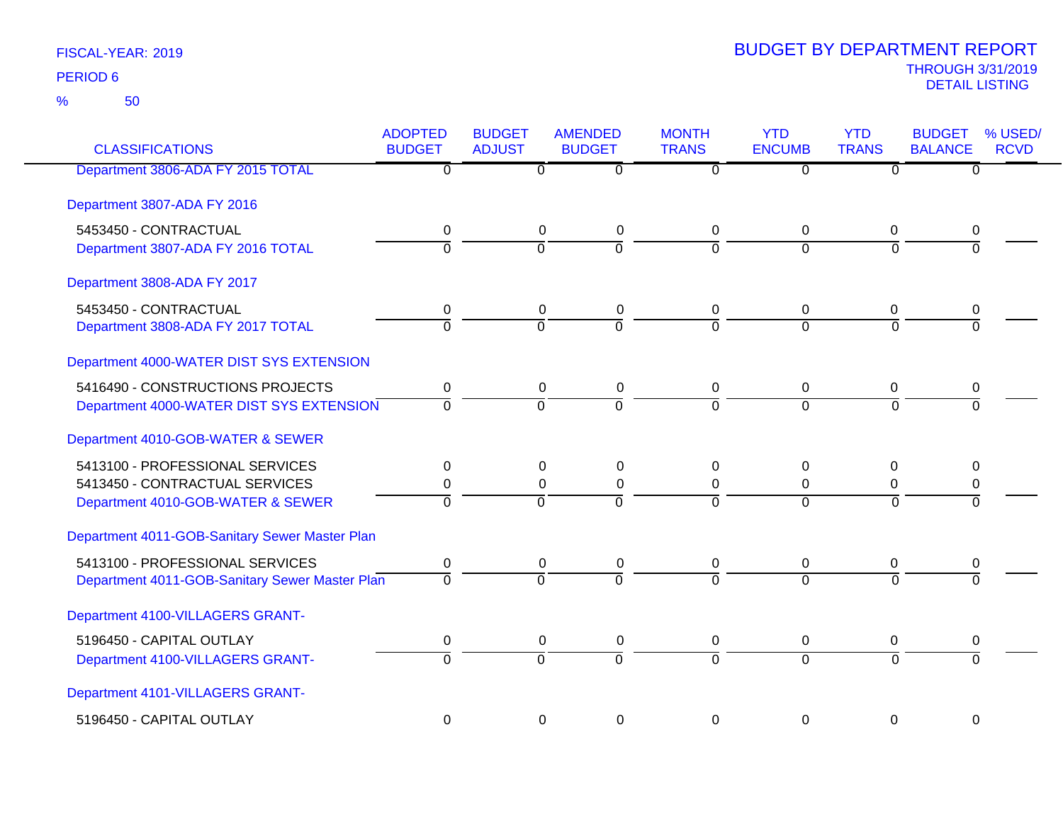50 %

| <b>CLASSIFICATIONS</b>                         | <b>ADOPTED</b><br><b>BUDGET</b> | <b>BUDGET</b><br><b>ADJUST</b> | <b>AMENDED</b><br><b>BUDGET</b> | <b>MONTH</b><br><b>TRANS</b> | <b>YTD</b><br><b>ENCUMB</b> | <b>YTD</b><br><b>TRANS</b> | <b>BUDGET</b><br><b>BALANCE</b> | % USED/<br><b>RCVD</b> |
|------------------------------------------------|---------------------------------|--------------------------------|---------------------------------|------------------------------|-----------------------------|----------------------------|---------------------------------|------------------------|
| Department 3806-ADA FY 2015 TOTAL              | $\overline{0}$                  | $\overline{0}$                 | $\overline{0}$                  | $\overline{0}$               | $\overline{0}$              | $\overline{\mathfrak{o}}$  | $\overline{0}$                  |                        |
| Department 3807-ADA FY 2016                    |                                 |                                |                                 |                              |                             |                            |                                 |                        |
| 5453450 - CONTRACTUAL                          | 0                               | 0                              | 0                               | $\mathbf 0$                  | 0                           | 0                          | 0                               |                        |
| Department 3807-ADA FY 2016 TOTAL              | $\overline{0}$                  | $\overline{0}$                 | $\overline{0}$                  | $\overline{0}$               | $\Omega$                    | $\overline{0}$             | $\overline{0}$                  |                        |
| Department 3808-ADA FY 2017                    |                                 |                                |                                 |                              |                             |                            |                                 |                        |
| 5453450 - CONTRACTUAL                          | 0                               | 0                              | 0                               | 0                            | 0                           | 0                          | 0                               |                        |
| Department 3808-ADA FY 2017 TOTAL              | $\overline{0}$                  | $\overline{0}$                 | $\overline{0}$                  | $\Omega$                     | $\Omega$                    | $\Omega$                   | $\overline{0}$                  |                        |
| Department 4000-WATER DIST SYS EXTENSION       |                                 |                                |                                 |                              |                             |                            |                                 |                        |
| 5416490 - CONSTRUCTIONS PROJECTS               | 0                               | 0                              | 0                               | $\mathbf 0$                  | 0                           | 0                          | 0                               |                        |
| Department 4000-WATER DIST SYS EXTENSION       | $\overline{0}$                  | $\Omega$                       | $\overline{0}$                  | $\Omega$                     | $\Omega$                    | $\Omega$                   | $\overline{0}$                  |                        |
| Department 4010-GOB-WATER & SEWER              |                                 |                                |                                 |                              |                             |                            |                                 |                        |
| 5413100 - PROFESSIONAL SERVICES                | 0                               | 0                              | 0                               | 0                            | 0                           | 0                          | 0                               |                        |
| 5413450 - CONTRACTUAL SERVICES                 | 0                               | 0                              | 0                               | 0                            | 0                           | 0                          | 0                               |                        |
| Department 4010-GOB-WATER & SEWER              | $\overline{0}$                  | $\Omega$                       | $\overline{0}$                  | $\Omega$                     | $\overline{0}$              | $\Omega$                   | $\Omega$                        |                        |
| Department 4011-GOB-Sanitary Sewer Master Plan |                                 |                                |                                 |                              |                             |                            |                                 |                        |
| 5413100 - PROFESSIONAL SERVICES                | 0                               | 0                              | 0                               | 0                            | 0                           | 0                          | 0                               |                        |
| Department 4011-GOB-Sanitary Sewer Master Plan | $\Omega$                        | $\Omega$                       | $\overline{0}$                  | $\Omega$                     | $\Omega$                    | $\Omega$                   | $\Omega$                        |                        |
| Department 4100-VILLAGERS GRANT-               |                                 |                                |                                 |                              |                             |                            |                                 |                        |
| 5196450 - CAPITAL OUTLAY                       | 0                               | $\pmb{0}$                      | $\pmb{0}$                       | 0                            | 0                           | 0                          | 0                               |                        |
| Department 4100-VILLAGERS GRANT-               | $\overline{0}$                  | $\overline{0}$                 | $\overline{0}$                  | $\overline{0}$               | $\overline{0}$              | $\Omega$                   | $\overline{0}$                  |                        |
| Department 4101-VILLAGERS GRANT-               |                                 |                                |                                 |                              |                             |                            |                                 |                        |
| 5196450 - CAPITAL OUTLAY                       | $\Omega$                        | $\Omega$                       | 0                               | $\Omega$                     | $\Omega$                    | $\Omega$                   | $\Omega$                        |                        |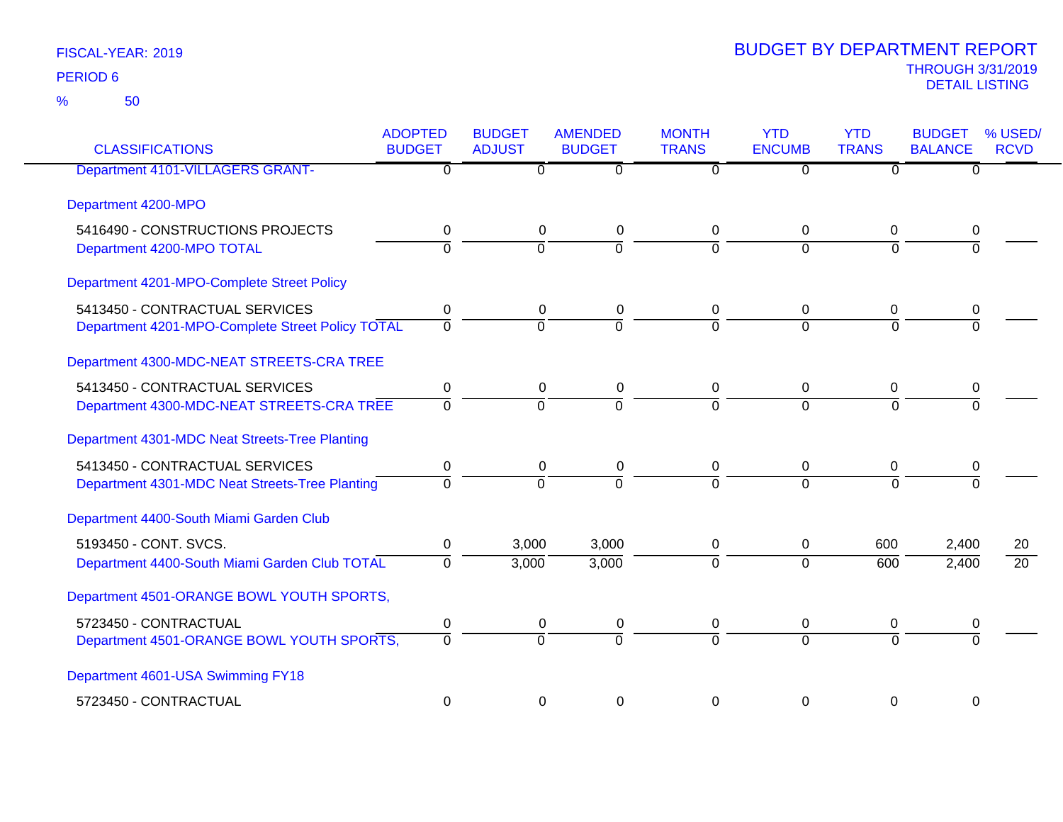| <b>CLASSIFICATIONS</b>                                                             | <b>ADOPTED</b><br><b>BUDGET</b> | <b>BUDGET</b><br><b>ADJUST</b> | <b>AMENDED</b><br><b>BUDGET</b> | <b>MONTH</b><br><b>TRANS</b> | <b>YTD</b><br><b>ENCUMB</b> | <b>YTD</b><br><b>TRANS</b> | <b>BUDGET</b><br><b>BALANCE</b> | % USED/<br><b>RCVD</b> |
|------------------------------------------------------------------------------------|---------------------------------|--------------------------------|---------------------------------|------------------------------|-----------------------------|----------------------------|---------------------------------|------------------------|
| <b>Department 4101-VILLAGERS GRANT-</b>                                            | $\mathbf 0$                     | $\Omega$                       | $\overline{0}$                  | $\Omega$                     | $\overline{0}$              | $\Omega$                   | 0                               |                        |
| Department 4200-MPO                                                                |                                 |                                |                                 |                              |                             |                            |                                 |                        |
| 5416490 - CONSTRUCTIONS PROJECTS<br>Department 4200-MPO TOTAL                      | $\mathbf 0$<br>$\overline{0}$   | $\mathbf 0$<br>$\overline{0}$  | 0<br>$\overline{0}$             | 0<br>$\overline{0}$          | 0<br>$\overline{0}$         | 0<br>$\Omega$              | 0<br>$\Omega$                   |                        |
| Department 4201-MPO-Complete Street Policy                                         |                                 |                                |                                 |                              |                             |                            |                                 |                        |
| 5413450 - CONTRACTUAL SERVICES<br>Department 4201-MPO-Complete Street Policy TOTAL | 0<br>$\overline{0}$             | 0<br>$\overline{0}$            | 0<br>$\overline{0}$             | 0<br>$\overline{0}$          | 0<br>$\Omega$               | 0<br>$\Omega$              | 0<br>$\Omega$                   |                        |
| Department 4300-MDC-NEAT STREETS-CRA TREE                                          |                                 |                                |                                 |                              |                             |                            |                                 |                        |
| 5413450 - CONTRACTUAL SERVICES<br>Department 4300-MDC-NEAT STREETS-CRA TREE        | 0<br>$\overline{0}$             | $\mathbf 0$<br>$\overline{0}$  | $\pmb{0}$<br>$\overline{0}$     | 0<br>$\overline{0}$          | 0<br>$\overline{0}$         | 0<br>$\Omega$              | 0<br>$\overline{0}$             |                        |
| Department 4301-MDC Neat Streets-Tree Planting                                     |                                 |                                |                                 |                              |                             |                            |                                 |                        |
| 5413450 - CONTRACTUAL SERVICES<br>Department 4301-MDC Neat Streets-Tree Planting   | 0<br>$\Omega$                   | $\mathbf 0$<br>$\overline{0}$  | $\mathbf 0$<br>$\overline{0}$   | 0<br>$\Omega$                | $\mathbf 0$<br>$\Omega$     | $\mathbf 0$<br>$\Omega$    | 0<br>$\Omega$                   |                        |
| Department 4400-South Miami Garden Club                                            |                                 |                                |                                 |                              |                             |                            |                                 |                        |
| 5193450 - CONT. SVCS.<br>Department 4400-South Miami Garden Club TOTAL             | $\pmb{0}$<br>$\Omega$           | 3,000<br>3,000                 | 3,000<br>3,000                  | $\mathbf 0$<br>$\Omega$      | $\mathbf 0$<br>$\Omega$     | 600<br>$\overline{600}$    | 2,400<br>2,400                  | 20<br>$\overline{20}$  |
| Department 4501-ORANGE BOWL YOUTH SPORTS,                                          |                                 |                                |                                 |                              |                             |                            |                                 |                        |
| 5723450 - CONTRACTUAL<br>Department 4501-ORANGE BOWL YOUTH SPORTS,                 | 0<br>$\Omega$                   | $\mathbf 0$<br>$\overline{0}$  | $\pmb{0}$<br>$\overline{0}$     | 0<br>$\Omega$                | $\mathbf 0$<br>$\Omega$     | $\mathbf 0$<br>$\Omega$    | 0<br>$\overline{0}$             |                        |
| Department 4601-USA Swimming FY18                                                  |                                 |                                |                                 |                              |                             |                            |                                 |                        |
| 5723450 - CONTRACTUAL                                                              | 0                               | $\mathbf 0$                    | $\mathbf 0$                     | $\Omega$                     | 0                           | 0                          | 0                               |                        |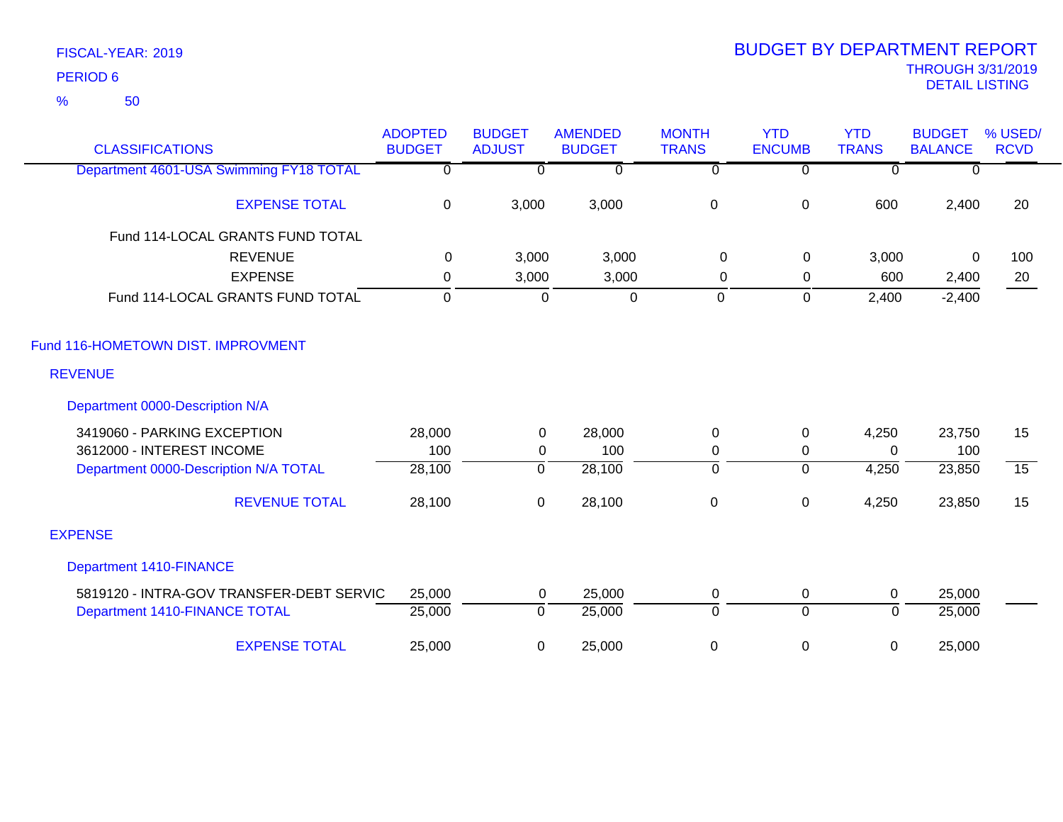50 %

| <b>CLASSIFICATIONS</b>                   | <b>ADOPTED</b><br><b>BUDGET</b> | <b>BUDGET</b><br><b>ADJUST</b> | <b>AMENDED</b><br><b>BUDGET</b> | <b>MONTH</b><br><b>TRANS</b> | <b>YTD</b><br><b>ENCUMB</b> | <b>YTD</b><br><b>TRANS</b> | <b>BUDGET</b><br><b>BALANCE</b> | % USED/<br><b>RCVD</b> |
|------------------------------------------|---------------------------------|--------------------------------|---------------------------------|------------------------------|-----------------------------|----------------------------|---------------------------------|------------------------|
| Department 4601-USA Swimming FY18 TOTAL  | $\overline{0}$                  | $\mathbf{0}$                   | $\overline{0}$                  | $\overline{\mathfrak{o}}$    | $\overline{0}$              | $\overline{0}$             | $\mathbf{0}$                    |                        |
| <b>EXPENSE TOTAL</b>                     | 0                               | 3,000                          | 3,000                           | $\pmb{0}$                    | $\mathbf 0$                 | 600                        | 2,400                           | 20                     |
| Fund 114-LOCAL GRANTS FUND TOTAL         |                                 |                                |                                 |                              |                             |                            |                                 |                        |
| <b>REVENUE</b>                           | 0                               | 3,000                          | 3,000                           | 0                            | 0                           | 3,000                      | 0                               | 100                    |
| <b>EXPENSE</b>                           | 0                               | 3,000                          | 3,000                           | $\mathbf 0$                  | 0                           | 600                        | 2,400                           | 20                     |
| Fund 114-LOCAL GRANTS FUND TOTAL         | $\Omega$                        | $\mathbf 0$                    | $\mathbf 0$                     | 0                            | $\mathbf 0$                 | 2,400                      | $-2,400$                        |                        |
| Fund 116-HOMETOWN DIST. IMPROVMENT       |                                 |                                |                                 |                              |                             |                            |                                 |                        |
| <b>REVENUE</b>                           |                                 |                                |                                 |                              |                             |                            |                                 |                        |
| Department 0000-Description N/A          |                                 |                                |                                 |                              |                             |                            |                                 |                        |
| 3419060 - PARKING EXCEPTION              | 28,000                          | 0                              | 28,000                          | 0                            | 0                           | 4,250                      | 23,750                          | 15                     |
| 3612000 - INTEREST INCOME                | 100                             | $\mathbf{0}$                   | 100                             | 0                            | $\mathbf 0$                 | $\Omega$                   | 100                             |                        |
| Department 0000-Description N/A TOTAL    | 28,100                          | $\overline{0}$                 | 28,100                          | 0                            | $\overline{0}$              | 4,250                      | 23,850                          | $\overline{15}$        |
| <b>REVENUE TOTAL</b>                     | 28,100                          | $\pmb{0}$                      | 28,100                          | $\pmb{0}$                    | $\boldsymbol{0}$            | 4,250                      | 23,850                          | 15                     |
| <b>EXPENSE</b>                           |                                 |                                |                                 |                              |                             |                            |                                 |                        |
| <b>Department 1410-FINANCE</b>           |                                 |                                |                                 |                              |                             |                            |                                 |                        |
| 5819120 - INTRA-GOV TRANSFER-DEBT SERVIC | 25,000                          | 0                              | 25,000                          | 0                            | 0                           | $\mathbf 0$                | 25,000                          |                        |
| Department 1410-FINANCE TOTAL            | 25,000                          | $\mathbf 0$                    | 25,000                          | $\mathbf 0$                  | $\overline{0}$              | $\mathbf{0}$               | 25,000                          |                        |
| <b>EXPENSE TOTAL</b>                     | 25,000                          | 0                              | 25,000                          | 0                            | $\mathbf 0$                 | 0                          | 25,000                          |                        |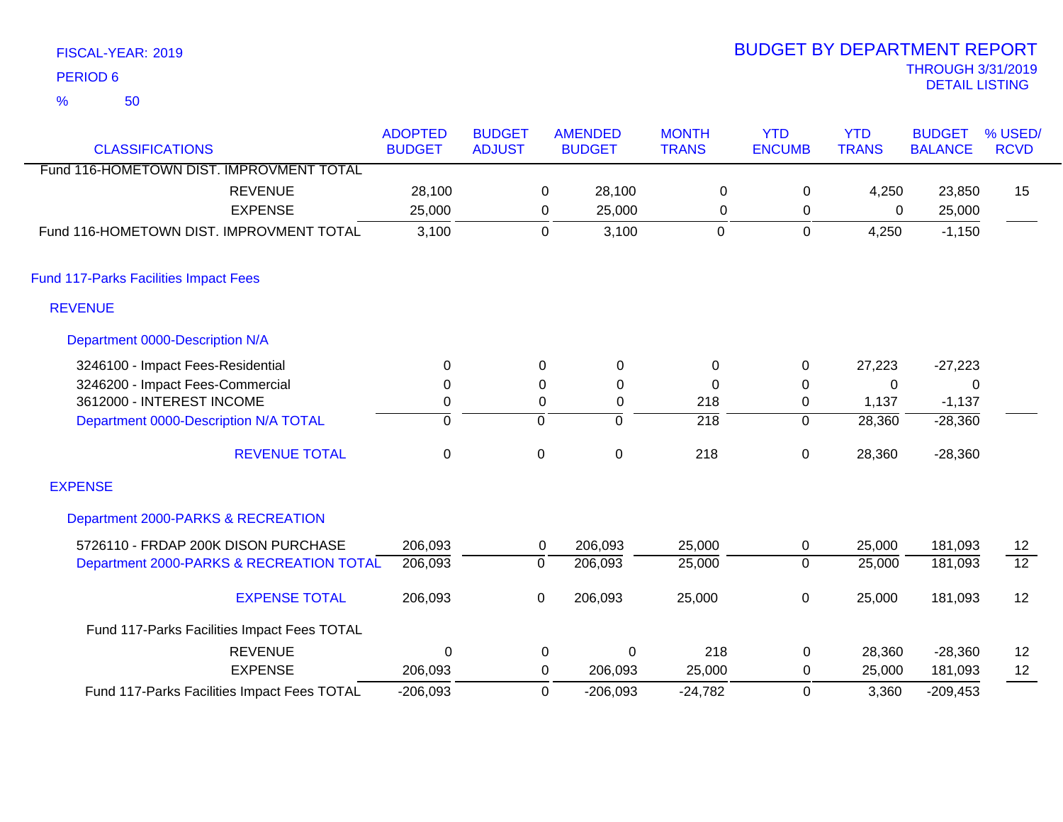|                 | FISCAL-YEAR: 2019 |  |
|-----------------|-------------------|--|
| <b>PERIOD 6</b> |                   |  |
| %               | 50                |  |

# THROUGH 3/31/2019 DETAIL LISTING PERIOD <sup>6</sup> BUDGET BY DEPARTMENT REPORT

| <b>CLASSIFICATIONS</b>                      | <b>ADOPTED</b><br><b>BUDGET</b> | <b>BUDGET</b><br><b>ADJUST</b> |                  | <b>AMENDED</b><br><b>BUDGET</b> | <b>MONTH</b><br><b>TRANS</b> | <b>YTD</b><br><b>ENCUMB</b> | <b>YTD</b><br><b>TRANS</b> | <b>BUDGET</b><br><b>BALANCE</b> | % USED/<br><b>RCVD</b> |
|---------------------------------------------|---------------------------------|--------------------------------|------------------|---------------------------------|------------------------------|-----------------------------|----------------------------|---------------------------------|------------------------|
| Fund 116-HOMETOWN DIST. IMPROVMENT TOTAL    |                                 |                                |                  |                                 |                              |                             |                            |                                 |                        |
| <b>REVENUE</b>                              | 28,100                          |                                | 0                | 28,100                          | $\mathbf 0$                  | 0                           | 4,250                      | 23,850                          | 15                     |
| <b>EXPENSE</b>                              | 25,000                          |                                | 0                | 25,000                          | 0                            | 0                           | 0                          | 25,000                          |                        |
| Fund 116-HOMETOWN DIST. IMPROVMENT TOTAL    | 3,100                           |                                | $\pmb{0}$        | 3,100                           | $\mathbf 0$                  | $\mathbf 0$                 | 4,250                      | $-1,150$                        |                        |
| Fund 117-Parks Facilities Impact Fees       |                                 |                                |                  |                                 |                              |                             |                            |                                 |                        |
| <b>REVENUE</b>                              |                                 |                                |                  |                                 |                              |                             |                            |                                 |                        |
| Department 0000-Description N/A             |                                 |                                |                  |                                 |                              |                             |                            |                                 |                        |
| 3246100 - Impact Fees-Residential           | 0                               |                                | 0                | 0                               | 0                            | 0                           | 27,223                     | $-27,223$                       |                        |
| 3246200 - Impact Fees-Commercial            | $\mathbf 0$                     |                                | $\boldsymbol{0}$ | 0                               | $\Omega$                     | $\pmb{0}$                   | 0                          | 0                               |                        |
| 3612000 - INTEREST INCOME                   | 0                               |                                | 0                | 0                               | 218                          | 0                           | 1,137                      | $-1,137$                        |                        |
| Department 0000-Description N/A TOTAL       | $\overline{0}$                  |                                | $\overline{0}$   | $\overline{0}$                  | $\overline{218}$             | $\mathbf 0$                 | 28,360                     | $-28,360$                       |                        |
| <b>REVENUE TOTAL</b>                        | $\mathbf 0$                     |                                | 0                | $\mathbf 0$                     | 218                          | $\pmb{0}$                   | 28,360                     | $-28,360$                       |                        |
| <b>EXPENSE</b>                              |                                 |                                |                  |                                 |                              |                             |                            |                                 |                        |
| Department 2000-PARKS & RECREATION          |                                 |                                |                  |                                 |                              |                             |                            |                                 |                        |
| 5726110 - FRDAP 200K DISON PURCHASE         | 206,093                         |                                | 0                | 206,093                         | 25,000                       | $\pmb{0}$                   | 25,000                     | 181,093                         | 12                     |
| Department 2000-PARKS & RECREATION TOTAL    | 206,093                         |                                | $\overline{0}$   | 206,093                         | 25,000                       | $\overline{0}$              | 25,000                     | 181,093                         | $\overline{12}$        |
| <b>EXPENSE TOTAL</b>                        | 206,093                         |                                | 0                | 206,093                         | 25,000                       | $\pmb{0}$                   | 25,000                     | 181,093                         | 12                     |
| Fund 117-Parks Facilities Impact Fees TOTAL |                                 |                                |                  |                                 |                              |                             |                            |                                 |                        |
| <b>REVENUE</b>                              | 0                               |                                | 0                | $\Omega$                        | 218                          | 0                           | 28,360                     | $-28,360$                       | 12                     |
| <b>EXPENSE</b>                              | 206,093                         |                                | 0                | 206,093                         | 25,000                       | 0                           | 25,000                     | 181,093                         | 12                     |
| Fund 117-Parks Facilities Impact Fees TOTAL | $-206,093$                      |                                | $\mathbf 0$      | $-206,093$                      | $-24,782$                    | 0                           | 3,360                      | $-209,453$                      |                        |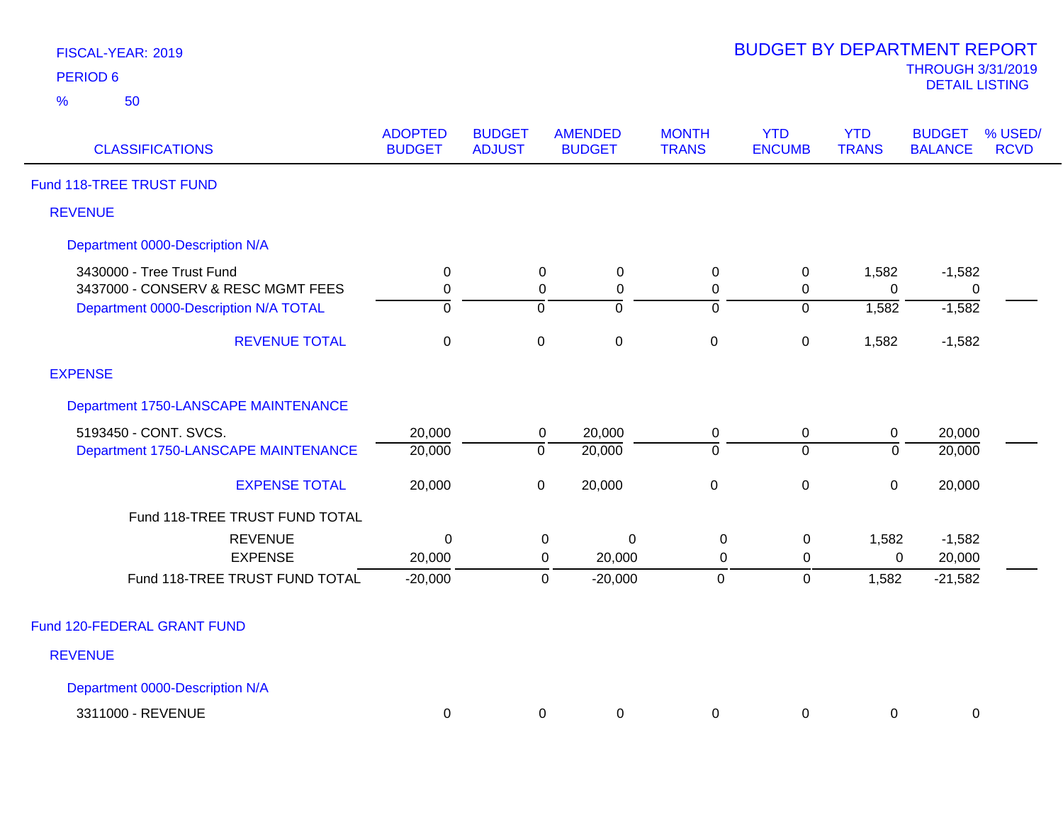| <b>FISCAL-YEAR: 2019</b> |  |
|--------------------------|--|
| <b>DEDIAN A</b>          |  |

| <b>CLASSIFICATIONS</b>                                          | <b>ADOPTED</b><br><b>BUDGET</b> | <b>BUDGET</b><br><b>ADJUST</b> | <b>AMENDED</b><br><b>BUDGET</b>      | <b>MONTH</b><br><b>TRANS</b> | <b>YTD</b><br><b>ENCUMB</b> | <b>YTD</b><br><b>TRANS</b> | <b>BUDGET</b><br><b>BALANCE</b> | % USED/<br><b>RCVD</b> |
|-----------------------------------------------------------------|---------------------------------|--------------------------------|--------------------------------------|------------------------------|-----------------------------|----------------------------|---------------------------------|------------------------|
| Fund 118-TREE TRUST FUND                                        |                                 |                                |                                      |                              |                             |                            |                                 |                        |
| <b>REVENUE</b>                                                  |                                 |                                |                                      |                              |                             |                            |                                 |                        |
| Department 0000-Description N/A                                 |                                 |                                |                                      |                              |                             |                            |                                 |                        |
| 3430000 - Tree Trust Fund<br>3437000 - CONSERV & RESC MGMT FEES | 0<br>$\mathbf 0$                |                                | 0<br>$\mathbf 0$<br>0<br>$\mathbf 0$ | 0<br>$\mathbf 0$             | $\mathbf 0$<br>0            | 1,582<br>$\Omega$          | $-1,582$<br>0                   |                        |
| Department 0000-Description N/A TOTAL                           | 0                               | 0                              | 0                                    | ō                            | $\overline{0}$              | 1,582                      | $-1,582$                        |                        |
| <b>REVENUE TOTAL</b>                                            | $\mathbf 0$                     | $\mathbf 0$                    | $\mathbf 0$                          | $\mathbf 0$                  | $\boldsymbol{0}$            | 1,582                      | $-1,582$                        |                        |
| <b>EXPENSE</b>                                                  |                                 |                                |                                      |                              |                             |                            |                                 |                        |
| Department 1750-LANSCAPE MAINTENANCE                            |                                 |                                |                                      |                              |                             |                            |                                 |                        |
| 5193450 - CONT. SVCS.                                           | 20,000                          |                                | 20,000<br>$\mathbf 0$                | $\mathbf 0$                  | $\pmb{0}$                   | $\boldsymbol{0}$           | 20,000                          |                        |
| Department 1750-LANSCAPE MAINTENANCE                            | 20,000                          | $\overline{0}$                 | 20,000                               | $\overline{0}$               | $\overline{0}$              | $\mathbf 0$                | 20,000                          |                        |
| <b>EXPENSE TOTAL</b>                                            | 20,000                          | $\pmb{0}$                      | 20,000                               | $\pmb{0}$                    | $\pmb{0}$                   | $\mathbf 0$                | 20,000                          |                        |
| Fund 118-TREE TRUST FUND TOTAL                                  |                                 |                                |                                      |                              |                             |                            |                                 |                        |
| <b>REVENUE</b>                                                  | $\Omega$                        |                                | 0<br>0                               | $\mathbf 0$                  | $\mathbf 0$                 | 1,582                      | $-1,582$                        |                        |
| <b>EXPENSE</b>                                                  | 20,000                          |                                | 20,000<br>0                          | $\mathbf 0$                  | $\pmb{0}$                   | $\mathbf 0$                | 20,000                          |                        |
| Fund 118-TREE TRUST FUND TOTAL                                  | $-20,000$                       |                                | $-20,000$<br>$\mathbf 0$             | $\mathbf 0$                  | $\mathbf 0$                 | 1,582                      | $-21,582$                       |                        |
| Fund 120-FEDERAL GRANT FUND                                     |                                 |                                |                                      |                              |                             |                            |                                 |                        |
| <b>REVENUE</b>                                                  |                                 |                                |                                      |                              |                             |                            |                                 |                        |
| Department 0000-Description N/A                                 |                                 |                                |                                      |                              |                             |                            |                                 |                        |
| 3311000 - REVENUE                                               | $\mathbf 0$                     |                                | 0<br>0                               | 0                            | 0                           | 0                          | 0                               |                        |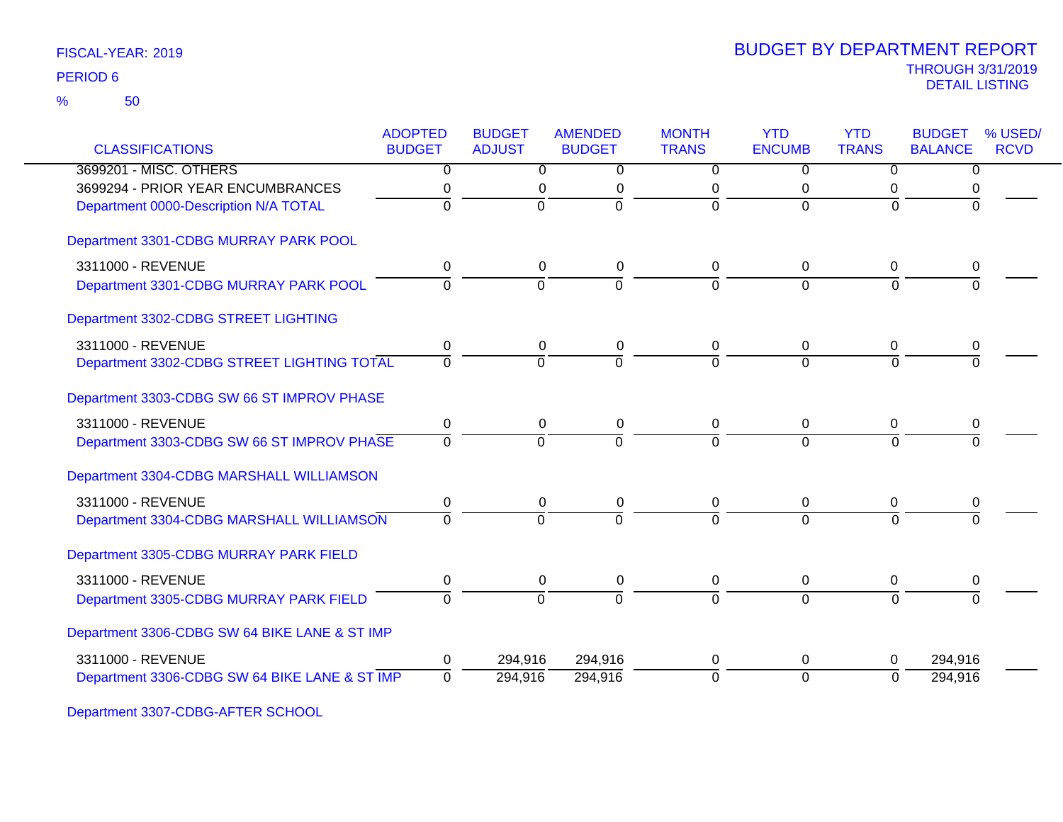50 %

|                                               | <b>ADOPTED</b> | <b>BUDGET</b>  | <b>AMENDED</b> | <b>MONTH</b>   | <b>YTD</b>     | <b>YTD</b>     | <b>BUDGET</b>  | % USED/     |
|-----------------------------------------------|----------------|----------------|----------------|----------------|----------------|----------------|----------------|-------------|
| <b>CLASSIFICATIONS</b>                        | <b>BUDGET</b>  | <b>ADJUST</b>  | <b>BUDGET</b>  | <b>TRANS</b>   | <b>ENCUMB</b>  | <b>TRANS</b>   | <b>BALANCE</b> | <b>RCVD</b> |
| 3699201 - MISC. OTHERS                        | $\overline{0}$ | $\overline{0}$ | $\overline{0}$ | $\overline{0}$ | $\overline{0}$ | $\overline{0}$ | $\overline{0}$ |             |
| 3699294 - PRIOR YEAR ENCUMBRANCES             | 0              | 0              | $\mathbf 0$    | 0              | 0              | 0              | 0              |             |
| Department 0000-Description N/A TOTAL         | 0              | $\mathbf 0$    | $\overline{0}$ | $\overline{0}$ | $\Omega$       | $\Omega$       | $\Omega$       |             |
| Department 3301-CDBG MURRAY PARK POOL         |                |                |                |                |                |                |                |             |
| 3311000 - REVENUE                             | 0              | 0              | 0              | 0              | 0              | 0              | 0              |             |
| Department 3301-CDBG MURRAY PARK POOL         | $\Omega$       | $\overline{0}$ | $\overline{0}$ | $\overline{0}$ | $\Omega$       | $\Omega$       | $\Omega$       |             |
| Department 3302-CDBG STREET LIGHTING          |                |                |                |                |                |                |                |             |
| 3311000 - REVENUE                             | 0              | 0              | 0              | $\mathbf 0$    | 0              | 0              | 0              |             |
| Department 3302-CDBG STREET LIGHTING TOTAL    | 0              | $\Omega$       | $\Omega$       | $\Omega$       | $\Omega$       | $\Omega$       | $\Omega$       |             |
| Department 3303-CDBG SW 66 ST IMPROV PHASE    |                |                |                |                |                |                |                |             |
| 3311000 - REVENUE                             | 0              | $\mathbf 0$    | $\pmb{0}$      | $\pmb{0}$      | $\mathbf 0$    | 0              | 0              |             |
| Department 3303-CDBG SW 66 ST IMPROV PHASE    | $\Omega$       | $\overline{0}$ | $\overline{0}$ | $\overline{0}$ | $\Omega$       | $\Omega$       |                |             |
| Department 3304-CDBG MARSHALL WILLIAMSON      |                |                |                |                |                |                |                |             |
| 3311000 - REVENUE                             | 0              | 0              | $\mathbf 0$    | 0              | 0              | 0              | 0              |             |
| Department 3304-CDBG MARSHALL WILLIAMSON      | $\Omega$       | $\Omega$       | $\Omega$       | $\Omega$       | $\Omega$       | $\Omega$       |                |             |
| Department 3305-CDBG MURRAY PARK FIELD        |                |                |                |                |                |                |                |             |
| 3311000 - REVENUE                             | 0              | 0              | 0              | 0              | 0              | 0              | 0              |             |
| Department 3305-CDBG MURRAY PARK FIELD        | $\overline{0}$ | $\overline{0}$ | $\overline{0}$ | $\overline{0}$ | $\overline{0}$ | $\Omega$       | $\Omega$       |             |
| Department 3306-CDBG SW 64 BIKE LANE & ST IMP |                |                |                |                |                |                |                |             |
|                                               |                |                |                |                |                |                |                |             |
| Department 3306-CDBG SW 64 BIKE LANE & ST IMP | $\Omega$       | 294,916        | 294,916        | $\overline{0}$ | $\overline{0}$ | $\Omega$       | 294,916        |             |
| 3311000 - REVENUE                             | 0              | 294,916        | 294,916        | 0              | 0              | 0              | 294,916        |             |

Department 3307-CDBG-AFTER SCHOOL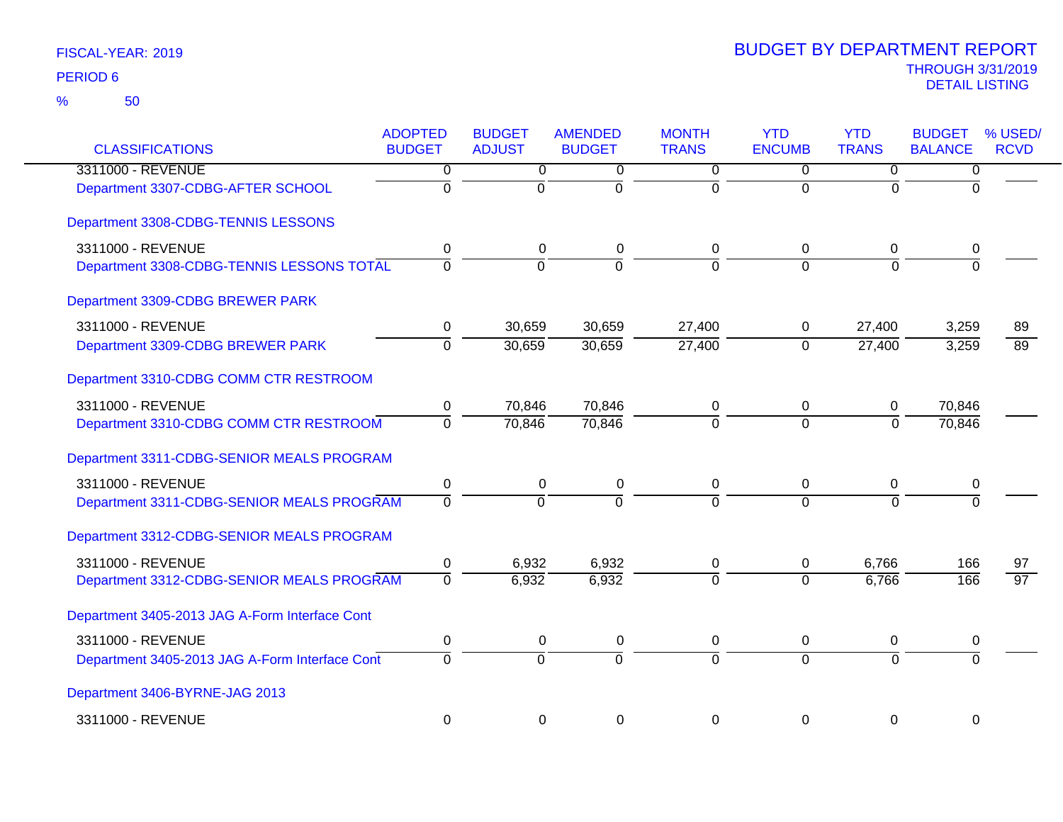| <b>CLASSIFICATIONS</b>                         | <b>ADOPTED</b><br><b>BUDGET</b> | <b>BUDGET</b><br><b>ADJUST</b> | <b>AMENDED</b><br><b>BUDGET</b> | <b>MONTH</b><br><b>TRANS</b> | <b>YTD</b><br><b>ENCUMB</b> | <b>YTD</b><br><b>TRANS</b> | <b>BUDGET</b><br><b>BALANCE</b> | % USED/<br><b>RCVD</b> |
|------------------------------------------------|---------------------------------|--------------------------------|---------------------------------|------------------------------|-----------------------------|----------------------------|---------------------------------|------------------------|
| 3311000 - REVENUE                              | 0                               | $\overline{0}$                 | 0                               | $\overline{0}$               | $\overline{0}$              | 0                          | 0                               |                        |
| Department 3307-CDBG-AFTER SCHOOL              | $\overline{0}$                  | $\overline{0}$                 | ō                               | ō                            | $\overline{0}$              | $\Omega$                   | $\Omega$                        |                        |
| Department 3308-CDBG-TENNIS LESSONS            |                                 |                                |                                 |                              |                             |                            |                                 |                        |
| 3311000 - REVENUE                              | 0                               | 0                              | 0                               | $\Omega$                     | 0                           | 0                          | 0                               |                        |
| Department 3308-CDBG-TENNIS LESSONS TOTAL      | $\Omega$                        | $\Omega$                       | $\Omega$                        | $\Omega$                     | $\Omega$                    | $\Omega$                   | $\overline{0}$                  |                        |
| Department 3309-CDBG BREWER PARK               |                                 |                                |                                 |                              |                             |                            |                                 |                        |
| 3311000 - REVENUE                              | 0                               | 30,659                         | 30,659                          | 27,400                       | 0                           | 27,400                     | 3,259                           | 89                     |
| Department 3309-CDBG BREWER PARK               | $\overline{0}$                  | 30,659                         | 30,659                          | 27,400                       | $\overline{0}$              | 27,400                     | 3,259                           | 89                     |
| Department 3310-CDBG COMM CTR RESTROOM         |                                 |                                |                                 |                              |                             |                            |                                 |                        |
| 3311000 - REVENUE                              | 0                               | 70,846                         | 70,846                          | 0                            | 0                           | 0                          | 70,846                          |                        |
| Department 3310-CDBG COMM CTR RESTROOM         | $\mathbf 0$                     | 70,846                         | 70,846                          | $\Omega$                     | $\overline{0}$              | $\Omega$                   | 70,846                          |                        |
| Department 3311-CDBG-SENIOR MEALS PROGRAM      |                                 |                                |                                 |                              |                             |                            |                                 |                        |
| 3311000 - REVENUE                              | $\pmb{0}$                       | $\pmb{0}$                      | 0                               | $\mathbf 0$                  | 0                           | 0                          | 0                               |                        |
| Department 3311-CDBG-SENIOR MEALS PROGRAM      | $\overline{0}$                  | $\overline{0}$                 | $\overline{0}$                  | $\overline{0}$               | $\overline{0}$              | $\Omega$                   | $\Omega$                        |                        |
| Department 3312-CDBG-SENIOR MEALS PROGRAM      |                                 |                                |                                 |                              |                             |                            |                                 |                        |
| 3311000 - REVENUE                              | 0                               | 6,932                          | 6,932                           | 0                            | 0                           | 6,766                      | 166                             | 97                     |
| Department 3312-CDBG-SENIOR MEALS PROGRAM      | $\overline{0}$                  | 6,932                          | 6,932                           | $\overline{0}$               | $\Omega$                    | 6,766                      | 166                             | $\overline{97}$        |
| Department 3405-2013 JAG A-Form Interface Cont |                                 |                                |                                 |                              |                             |                            |                                 |                        |
| 3311000 - REVENUE                              | $\pmb{0}$                       | 0                              | 0                               | 0                            | 0                           | 0                          | 0                               |                        |
| Department 3405-2013 JAG A-Form Interface Cont | $\Omega$                        | $\mathbf 0$                    | $\mathbf 0$                     | $\Omega$                     | $\overline{0}$              | $\Omega$                   | $\Omega$                        |                        |
| Department 3406-BYRNE-JAG 2013                 |                                 |                                |                                 |                              |                             |                            |                                 |                        |
| 3311000 - REVENUE                              | $\mathbf 0$                     | $\mathbf 0$                    | 0                               | $\Omega$                     | $\mathbf 0$                 | $\mathbf 0$                | $\mathbf 0$                     |                        |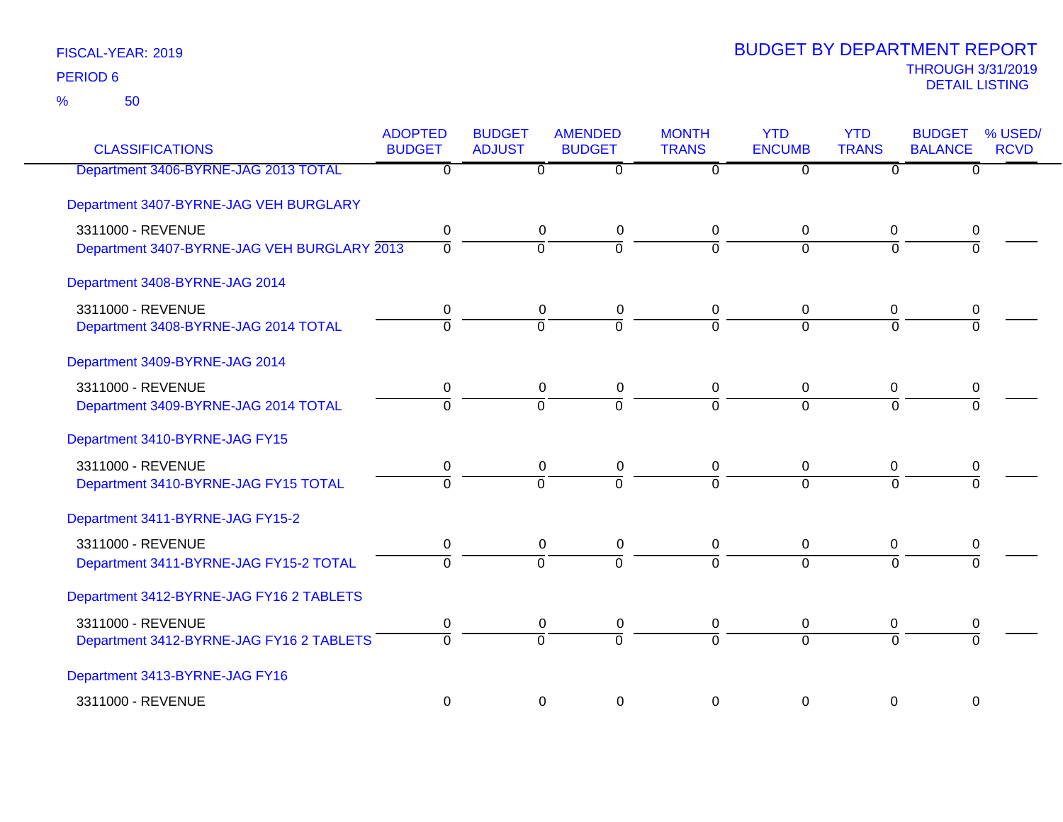| <b>CLASSIFICATIONS</b>                      | <b>ADOPTED</b><br><b>BUDGET</b> | <b>BUDGET</b><br><b>ADJUST</b> | <b>AMENDED</b><br><b>BUDGET</b> | <b>MONTH</b><br><b>TRANS</b> | <b>YTD</b><br><b>ENCUMB</b> | <b>YTD</b><br><b>TRANS</b> | <b>BUDGET</b><br><b>BALANCE</b> | % USED/<br><b>RCVD</b> |
|---------------------------------------------|---------------------------------|--------------------------------|---------------------------------|------------------------------|-----------------------------|----------------------------|---------------------------------|------------------------|
| Department 3406-BYRNE-JAG 2013 TOTAL        | $\overline{0}$                  | $\overline{0}$                 | $\overline{0}$                  | $\overline{0}$               | $\overline{0}$              | $\overline{0}$             | $\overline{0}$                  |                        |
| Department 3407-BYRNE-JAG VEH BURGLARY      |                                 |                                |                                 |                              |                             |                            |                                 |                        |
| 3311000 - REVENUE                           | 0                               | $\mathbf 0$                    | $\pmb{0}$                       | 0                            | 0                           | $\mathbf 0$                | 0                               |                        |
| Department 3407-BYRNE-JAG VEH BURGLARY 2013 | $\mathbf 0$                     | $\overline{0}$                 | $\overline{0}$                  | $\Omega$                     | $\overline{0}$              | $\Omega$                   | $\Omega$                        |                        |
| Department 3408-BYRNE-JAG 2014              |                                 |                                |                                 |                              |                             |                            |                                 |                        |
| 3311000 - REVENUE                           | 0                               | $\pmb{0}$                      | $\pmb{0}$                       | 0                            | 0                           | 0                          | 0                               |                        |
| Department 3408-BYRNE-JAG 2014 TOTAL        | $\Omega$                        | $\overline{0}$                 | $\Omega$                        | $\overline{0}$               | $\overline{0}$              | $\Omega$                   | $\Omega$                        |                        |
| Department 3409-BYRNE-JAG 2014              |                                 |                                |                                 |                              |                             |                            |                                 |                        |
| 3311000 - REVENUE                           | $\mathbf 0$                     | $\pmb{0}$                      | $\pmb{0}$                       | $\mathbf 0$                  | $\mathbf 0$                 | $\mathbf 0$                | 0                               |                        |
| Department 3409-BYRNE-JAG 2014 TOTAL        | $\overline{0}$                  | $\overline{0}$                 | $\overline{0}$                  | $\overline{0}$               | $\Omega$                    | $\overline{0}$             | $\overline{0}$                  |                        |
| Department 3410-BYRNE-JAG FY15              |                                 |                                |                                 |                              |                             |                            |                                 |                        |
| 3311000 - REVENUE                           | 0                               | $\mathbf 0$                    | $\pmb{0}$                       | 0                            | 0                           | $\mathbf 0$                | 0                               |                        |
| Department 3410-BYRNE-JAG FY15 TOTAL        | $\Omega$                        | $\overline{0}$                 | $\overline{0}$                  | $\Omega$                     | $\Omega$                    | $\Omega$                   | $\Omega$                        |                        |
| Department 3411-BYRNE-JAG FY15-2            |                                 |                                |                                 |                              |                             |                            |                                 |                        |
| 3311000 - REVENUE                           | 0                               | $\pmb{0}$                      | $\pmb{0}$                       | $\mathbf 0$                  | $\mathbf 0$                 | 0                          | 0                               |                        |
| Department 3411-BYRNE-JAG FY15-2 TOTAL      | $\Omega$                        | $\overline{0}$                 | $\Omega$                        | $\overline{0}$               | $\overline{0}$              | $\overline{0}$             | $\Omega$                        |                        |
| Department 3412-BYRNE-JAG FY16 2 TABLETS    |                                 |                                |                                 |                              |                             |                            |                                 |                        |
| 3311000 - REVENUE                           | 0                               | $\pmb{0}$                      | $\pmb{0}$                       | 0                            | 0                           | 0                          | 0                               |                        |
| Department 3412-BYRNE-JAG FY16 2 TABLETS    | $\Omega$                        | $\overline{0}$                 | $\overline{0}$                  | $\Omega$                     | $\Omega$                    | $\Omega$                   | $\Omega$                        |                        |
| Department 3413-BYRNE-JAG FY16              |                                 |                                |                                 |                              |                             |                            |                                 |                        |
| 3311000 - REVENUE                           | $\pmb{0}$                       | $\boldsymbol{0}$               | $\pmb{0}$                       | 0                            | 0                           | 0                          | 0                               |                        |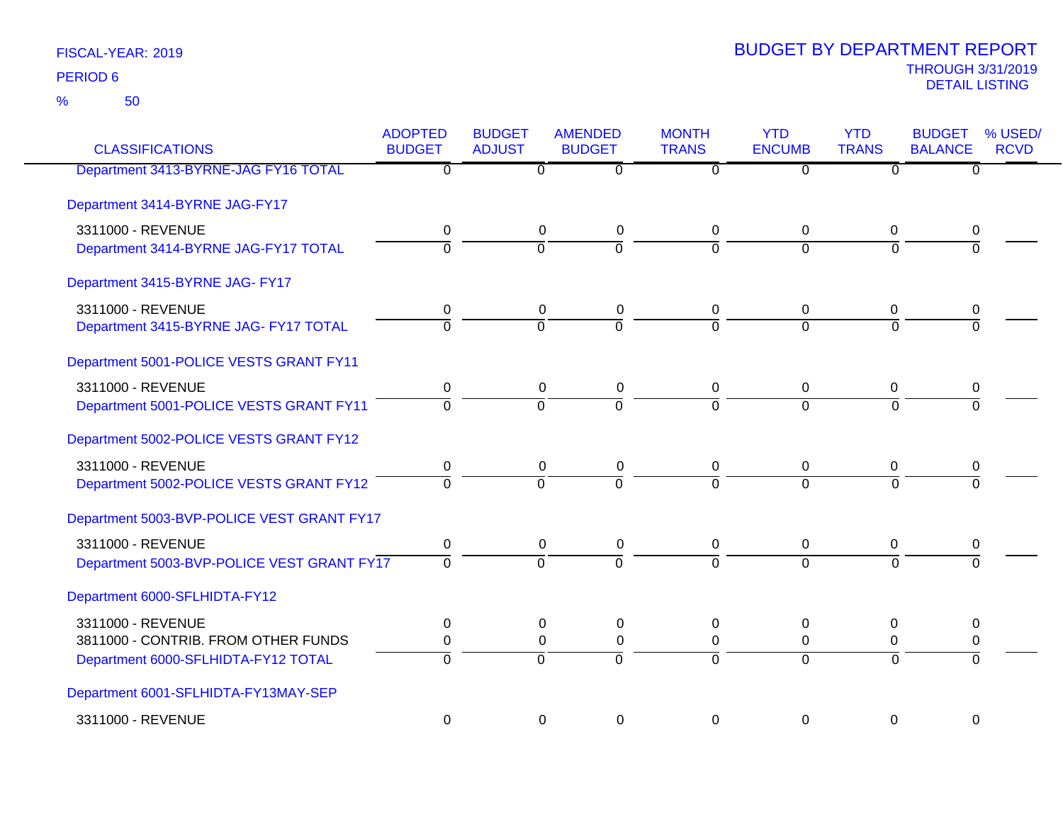50 %

| <b>CLASSIFICATIONS</b>                     | <b>ADOPTED</b><br><b>BUDGET</b> | <b>BUDGET</b><br><b>ADJUST</b> | <b>AMENDED</b><br><b>BUDGET</b> | <b>MONTH</b><br><b>TRANS</b> | <b>YTD</b><br><b>ENCUMB</b> | <b>YTD</b><br><b>TRANS</b> | <b>BUDGET</b><br><b>BALANCE</b> | % USED/<br><b>RCVD</b> |
|--------------------------------------------|---------------------------------|--------------------------------|---------------------------------|------------------------------|-----------------------------|----------------------------|---------------------------------|------------------------|
| Department 3413-BYRNE-JAG FY16 TOTAL       | $\overline{\mathfrak{o}}$       | $\overline{0}$                 | $\overline{\mathfrak{o}}$       | $\overline{\mathfrak{o}}$    | $\overline{0}$              | $\overline{\mathfrak{o}}$  | $\overline{0}$                  |                        |
| Department 3414-BYRNE JAG-FY17             |                                 |                                |                                 |                              |                             |                            |                                 |                        |
| 3311000 - REVENUE                          | 0                               | 0                              | 0                               | 0                            | 0                           | 0                          | 0                               |                        |
| Department 3414-BYRNE JAG-FY17 TOTAL       | $\overline{0}$                  | $\Omega$                       | $\overline{0}$                  | $\Omega$                     | $\Omega$                    | $\Omega$                   | $\Omega$                        |                        |
| Department 3415-BYRNE JAG- FY17            |                                 |                                |                                 |                              |                             |                            |                                 |                        |
| 3311000 - REVENUE                          | 0                               | $\mathbf 0$                    | 0                               | 0                            | 0                           | 0                          | 0                               |                        |
| Department 3415-BYRNE JAG- FY17 TOTAL      | $\mathbf 0$                     | $\Omega$                       | $\overline{0}$                  | $\Omega$                     | $\Omega$                    | $\Omega$                   | $\Omega$                        |                        |
| Department 5001-POLICE VESTS GRANT FY11    |                                 |                                |                                 |                              |                             |                            |                                 |                        |
| 3311000 - REVENUE                          | $\mathbf 0$                     | $\mathbf 0$                    | $\mathbf 0$                     | $\mathbf 0$                  | $\mathbf 0$                 | 0                          | 0                               |                        |
| Department 5001-POLICE VESTS GRANT FY11    | $\Omega$                        | $\Omega$                       | $\Omega$                        | $\Omega$                     | $\Omega$                    | $\Omega$                   | $\Omega$                        |                        |
| Department 5002-POLICE VESTS GRANT FY12    |                                 |                                |                                 |                              |                             |                            |                                 |                        |
| 3311000 - REVENUE                          | $\mathbf 0$                     | 0                              | 0                               | 0                            | 0                           | 0                          | 0                               |                        |
| Department 5002-POLICE VESTS GRANT FY12    | $\overline{0}$                  | $\overline{0}$                 | $\overline{0}$                  | $\Omega$                     | $\overline{0}$              | $\overline{0}$             | $\overline{0}$                  |                        |
| Department 5003-BVP-POLICE VEST GRANT FY17 |                                 |                                |                                 |                              |                             |                            |                                 |                        |
| 3311000 - REVENUE                          | 0                               | 0                              | 0                               | 0                            | 0                           | 0                          | 0                               |                        |
| Department 5003-BVP-POLICE VEST GRANT FY17 | $\overline{0}$                  | $\overline{0}$                 | $\overline{0}$                  | $\Omega$                     | $\overline{0}$              | $\Omega$                   | $\overline{0}$                  |                        |
| Department 6000-SFLHIDTA-FY12              |                                 |                                |                                 |                              |                             |                            |                                 |                        |
| 3311000 - REVENUE                          | $\mathbf 0$                     | $\mathbf 0$                    | $\pmb{0}$                       | 0                            | 0                           | 0                          | $\mathbf 0$                     |                        |
| 3811000 - CONTRIB. FROM OTHER FUNDS        | 0                               | 0                              | $\pmb{0}$                       | 0                            | 0                           | 0                          | 0                               |                        |
| Department 6000-SFLHIDTA-FY12 TOTAL        | $\Omega$                        | $\overline{0}$                 | $\overline{0}$                  | $\overline{0}$               | $\overline{0}$              | $\Omega$                   | $\Omega$                        |                        |
| Department 6001-SFLHIDTA-FY13MAY-SEP       |                                 |                                |                                 |                              |                             |                            |                                 |                        |
| 3311000 - REVENUE                          | $\mathbf 0$                     | 0                              | $\mathbf 0$                     | $\Omega$                     | $\Omega$                    | $\Omega$                   | $\Omega$                        |                        |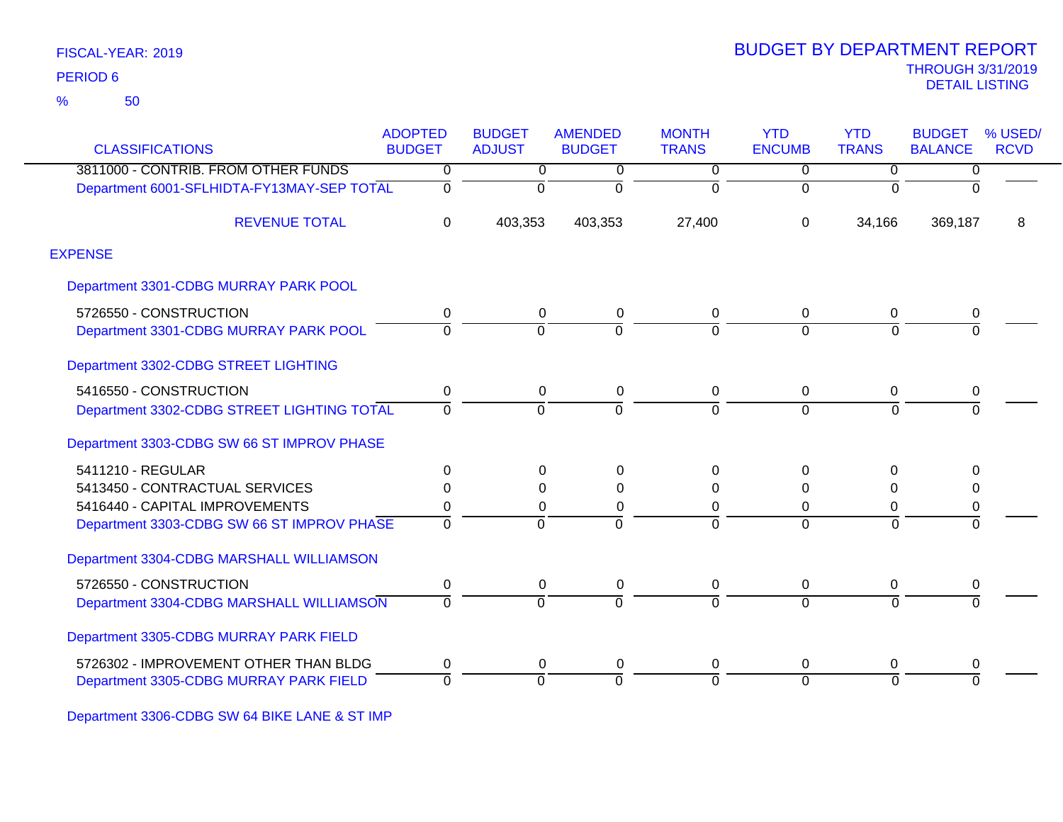50 %

| <b>CLASSIFICATIONS</b>                     | <b>ADOPTED</b><br><b>BUDGET</b> | <b>BUDGET</b><br><b>ADJUST</b> | <b>AMENDED</b><br><b>BUDGET</b> | <b>MONTH</b><br><b>TRANS</b> | <b>YTD</b><br><b>ENCUMB</b> | <b>YTD</b><br><b>TRANS</b> | <b>BUDGET</b><br><b>BALANCE</b> | % USED/<br><b>RCVD</b> |
|--------------------------------------------|---------------------------------|--------------------------------|---------------------------------|------------------------------|-----------------------------|----------------------------|---------------------------------|------------------------|
| 3811000 - CONTRIB. FROM OTHER FUNDS        | $\overline{0}$                  | $\overline{0}$                 | 0                               | $\overline{0}$               | $\overline{0}$              | $\mathbf 0$                | $\overline{0}$                  |                        |
| Department 6001-SFLHIDTA-FY13MAY-SEP TOTAL | 0                               | $\mathbf 0$                    | $\Omega$                        | $\Omega$                     | $\Omega$                    | $\Omega$                   | $\Omega$                        |                        |
| <b>REVENUE TOTAL</b>                       | $\mathbf 0$                     | 403,353                        | 403,353                         | 27,400                       | $\Omega$                    | 34,166                     | 369,187                         | 8                      |
| <b>EXPENSE</b>                             |                                 |                                |                                 |                              |                             |                            |                                 |                        |
| Department 3301-CDBG MURRAY PARK POOL      |                                 |                                |                                 |                              |                             |                            |                                 |                        |
| 5726550 - CONSTRUCTION                     | 0                               | 0                              | 0                               | 0                            | $\mathbf 0$                 | 0                          | 0                               |                        |
| Department 3301-CDBG MURRAY PARK POOL      | 0                               | $\Omega$                       |                                 | $\overline{0}$               | $\Omega$                    | $\Omega$                   | $\overline{0}$                  |                        |
| Department 3302-CDBG STREET LIGHTING       |                                 |                                |                                 |                              |                             |                            |                                 |                        |
| 5416550 - CONSTRUCTION                     | 0                               | 0                              | 0                               | 0                            | $\mathbf 0$                 | $\mathbf 0$                | 0                               |                        |
| Department 3302-CDBG STREET LIGHTING TOTAL | $\Omega$                        | $\Omega$                       | $\Omega$                        | $\Omega$                     | $\Omega$                    | $\Omega$                   | $\Omega$                        |                        |
| Department 3303-CDBG SW 66 ST IMPROV PHASE |                                 |                                |                                 |                              |                             |                            |                                 |                        |
| 5411210 - REGULAR                          | $\Omega$                        | 0                              | $\Omega$                        | $\Omega$                     | $\Omega$                    | $\Omega$                   | 0                               |                        |
| 5413450 - CONTRACTUAL SERVICES             | 0                               | $\Omega$                       | $\Omega$                        | 0                            | $\Omega$                    | $\Omega$                   | 0                               |                        |
| 5416440 - CAPITAL IMPROVEMENTS             | 0                               | 0                              | $\Omega$                        | $\Omega$                     | 0                           | $\Omega$                   | 0                               |                        |
| Department 3303-CDBG SW 66 ST IMPROV PHASE | 0                               | $\Omega$                       | $\Omega$                        | $\Omega$                     | $\Omega$                    | $\Omega$                   | $\Omega$                        |                        |
| Department 3304-CDBG MARSHALL WILLIAMSON   |                                 |                                |                                 |                              |                             |                            |                                 |                        |
| 5726550 - CONSTRUCTION                     | 0                               | 0                              | 0                               | 0                            | $\mathbf{0}$                | $\mathbf 0$                | 0                               |                        |
| Department 3304-CDBG MARSHALL WILLIAMSON   | $\Omega$                        | $\overline{0}$                 | $\Omega$                        | $\overline{0}$               | $\Omega$                    | $\overline{0}$             | $\overline{0}$                  |                        |
| Department 3305-CDBG MURRAY PARK FIELD     |                                 |                                |                                 |                              |                             |                            |                                 |                        |
| 5726302 - IMPROVEMENT OTHER THAN BLDG      | 0                               | 0                              | 0                               | 0                            | $\Omega$                    | 0                          | 0                               |                        |
| Department 3305-CDBG MURRAY PARK FIELD     | $\Omega$                        | $\Omega$                       | $\Omega$                        | ō                            | $\Omega$                    | $\Omega$                   | $\overline{0}$                  |                        |

Department 3306-CDBG SW 64 BIKE LANE & ST IMP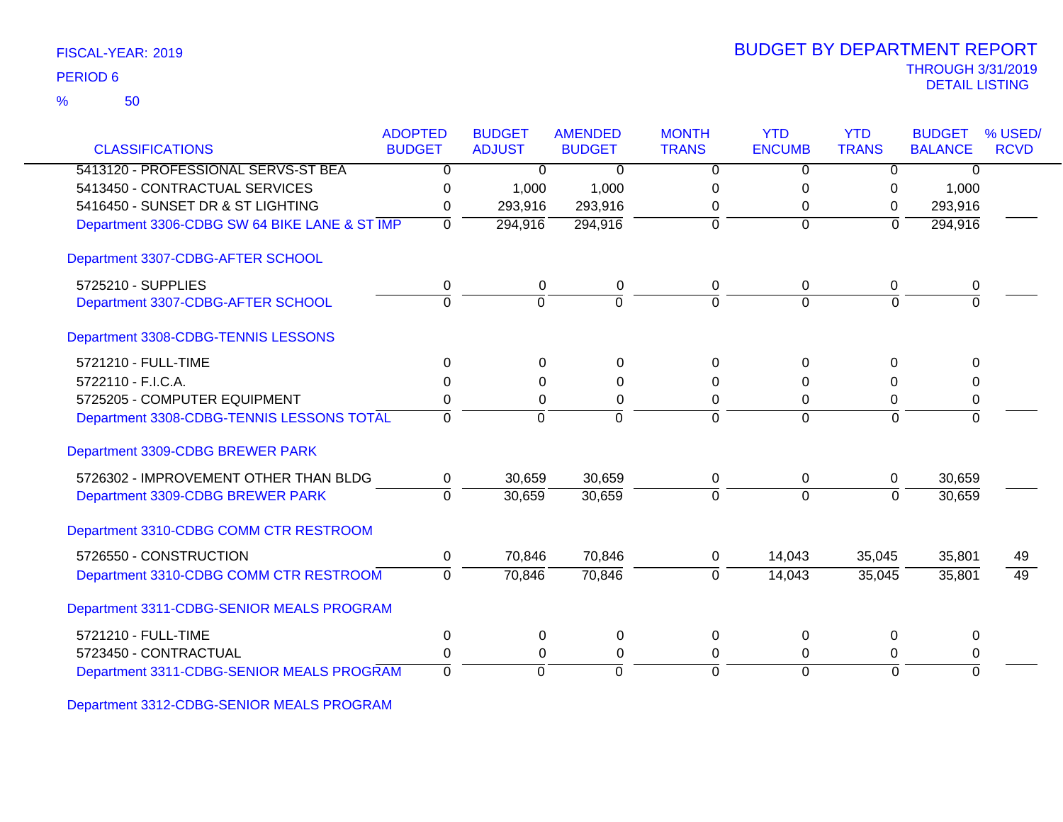| FISCAL-YEAR: 2019 |  |
|-------------------|--|
|-------------------|--|

50 %

| <b>CLASSIFICATIONS</b>                        | <b>ADOPTED</b><br><b>BUDGET</b> | <b>BUDGET</b><br><b>ADJUST</b> | <b>AMENDED</b><br><b>BUDGET</b> | <b>MONTH</b><br><b>TRANS</b> | <b>YTD</b><br><b>ENCUMB</b> | <b>YTD</b><br><b>TRANS</b> | <b>BUDGET</b><br><b>BALANCE</b> | % USED/<br><b>RCVD</b> |
|-----------------------------------------------|---------------------------------|--------------------------------|---------------------------------|------------------------------|-----------------------------|----------------------------|---------------------------------|------------------------|
| 5413120 - PROFESSIONAL SERVS-ST BEA           | 0                               | $\Omega$                       | 0                               | 0                            | $\Omega$                    | $\Omega$                   | 0                               |                        |
| 5413450 - CONTRACTUAL SERVICES                |                                 |                                | 1,000                           | 0                            | 0                           |                            | 1,000                           |                        |
| 5416450 - SUNSET DR & ST LIGHTING             | 0<br>0                          | 1,000<br>293,916               | 293,916                         | 0                            | 0                           | 0<br>$\Omega$              | 293,916                         |                        |
| Department 3306-CDBG SW 64 BIKE LANE & ST IMP | $\overline{0}$                  | 294,916                        | 294,916                         | $\Omega$                     | $\mathbf 0$                 | $\overline{0}$             | 294,916                         |                        |
|                                               |                                 |                                |                                 |                              |                             |                            |                                 |                        |
| Department 3307-CDBG-AFTER SCHOOL             |                                 |                                |                                 |                              |                             |                            |                                 |                        |
| 5725210 - SUPPLIES                            | 0                               | 0                              | 0                               | 0                            | 0                           | 0                          | 0                               |                        |
| Department 3307-CDBG-AFTER SCHOOL             | $\mathbf 0$                     | $\overline{0}$                 | $\Omega$                        | $\Omega$                     | $\Omega$                    | $\mathbf 0$                | $\Omega$                        |                        |
| Department 3308-CDBG-TENNIS LESSONS           |                                 |                                |                                 |                              |                             |                            |                                 |                        |
| 5721210 - FULL-TIME                           | 0                               | $\Omega$                       | $\Omega$                        | 0                            | $\Omega$                    | $\Omega$                   | $\Omega$                        |                        |
| 5722110 - F.I.C.A.                            | 0                               | 0                              | 0                               | 0                            | 0                           | 0                          | 0                               |                        |
| 5725205 - COMPUTER EQUIPMENT                  | 0                               | 0                              | 0                               | $\Omega$                     | 0                           | 0                          | 0                               |                        |
| Department 3308-CDBG-TENNIS LESSONS TOTAL     | $\Omega$                        | $\Omega$                       | $\Omega$                        | $\Omega$                     | $\overline{0}$              | $\Omega$                   | 0                               |                        |
| Department 3309-CDBG BREWER PARK              |                                 |                                |                                 |                              |                             |                            |                                 |                        |
| 5726302 - IMPROVEMENT OTHER THAN BLDG         | 0                               | 30,659                         | 30,659                          | 0                            | 0                           | 0                          | 30,659                          |                        |
| Department 3309-CDBG BREWER PARK              | $\Omega$                        | 30,659                         | 30,659                          | $\Omega$                     | $\Omega$                    | $\Omega$                   | 30,659                          |                        |
| Department 3310-CDBG COMM CTR RESTROOM        |                                 |                                |                                 |                              |                             |                            |                                 |                        |
| 5726550 - CONSTRUCTION                        | 0                               | 70,846                         | 70,846                          | 0                            | 14,043                      | 35,045                     | 35,801                          | 49                     |
| Department 3310-CDBG COMM CTR RESTROOM        | $\Omega$                        | 70,846                         | 70,846                          | $\Omega$                     | 14,043                      | 35,045                     | 35,801                          | 49                     |
| Department 3311-CDBG-SENIOR MEALS PROGRAM     |                                 |                                |                                 |                              |                             |                            |                                 |                        |
| 5721210 - FULL-TIME                           | 0                               | $\mathbf 0$                    | 0                               | $\mathbf 0$                  | 0                           | $\mathbf 0$                | $\Omega$                        |                        |
| 5723450 - CONTRACTUAL                         | 0                               | 0                              | 0                               | $\Omega$                     | 0                           | 0                          | 0                               |                        |
| Department 3311-CDBG-SENIOR MEALS PROGRAM     | $\Omega$                        | $\Omega$                       | $\Omega$                        | $\Omega$                     | $\Omega$                    | $\Omega$                   | $\Omega$                        |                        |

Department 3312-CDBG-SENIOR MEALS PROGRAM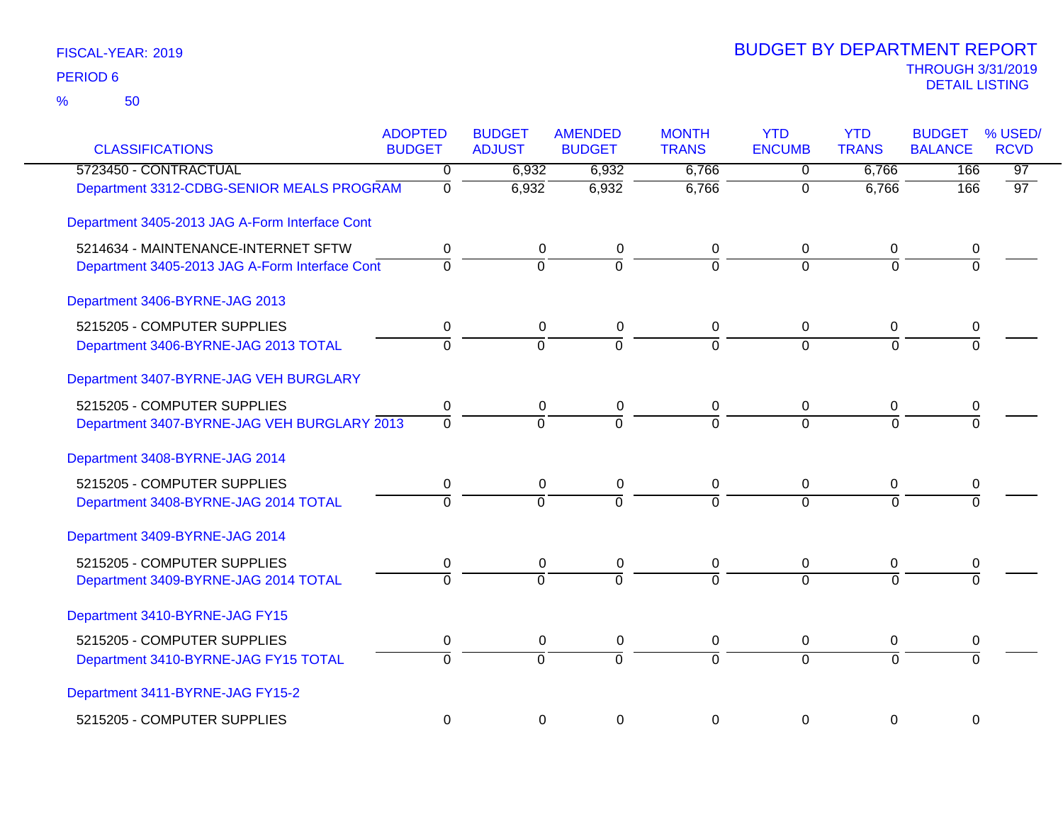| <b>CLASSIFICATIONS</b>                         | <b>ADOPTED</b><br><b>BUDGET</b> | <b>BUDGET</b><br><b>ADJUST</b> | <b>AMENDED</b><br><b>BUDGET</b> | <b>MONTH</b><br><b>TRANS</b> | <b>YTD</b><br><b>ENCUMB</b> | <b>YTD</b><br><b>TRANS</b> | <b>BUDGET</b><br><b>BALANCE</b> | % USED/<br><b>RCVD</b> |
|------------------------------------------------|---------------------------------|--------------------------------|---------------------------------|------------------------------|-----------------------------|----------------------------|---------------------------------|------------------------|
| 5723450 - CONTRACTUAL                          | 0                               | 6,932                          | 6,932                           | 6,766                        | 0                           | 6,766                      | 166                             | $\overline{97}$        |
| Department 3312-CDBG-SENIOR MEALS PROGRAM      | $\overline{0}$                  | 6,932                          | 6,932                           | 6,766                        | $\overline{0}$              | 6,766                      | 166                             | 97                     |
| Department 3405-2013 JAG A-Form Interface Cont |                                 |                                |                                 |                              |                             |                            |                                 |                        |
| 5214634 - MAINTENANCE-INTERNET SFTW            | 0                               | 0                              | 0                               | 0                            | 0                           | 0                          | 0                               |                        |
| Department 3405-2013 JAG A-Form Interface Cont | $\overline{0}$                  | $\Omega$                       | $\overline{0}$                  | $\Omega$                     | $\Omega$                    | $\Omega$                   | $\Omega$                        |                        |
| Department 3406-BYRNE-JAG 2013                 |                                 |                                |                                 |                              |                             |                            |                                 |                        |
| 5215205 - COMPUTER SUPPLIES                    | 0                               | $\mathbf 0$                    | $\pmb{0}$                       | 0                            | 0                           | 0                          | 0                               |                        |
| Department 3406-BYRNE-JAG 2013 TOTAL           | $\overline{0}$                  | $\overline{0}$                 | $\overline{0}$                  | $\overline{0}$               | $\Omega$                    | $\Omega$                   | $\overline{0}$                  |                        |
| Department 3407-BYRNE-JAG VEH BURGLARY         |                                 |                                |                                 |                              |                             |                            |                                 |                        |
| 5215205 - COMPUTER SUPPLIES                    | $\pmb{0}$                       | $\mathbf 0$                    | $\pmb{0}$                       | 0                            | $\mathbf 0$                 | $\overline{0}$             | 0                               |                        |
| Department 3407-BYRNE-JAG VEH BURGLARY 2013    | $\Omega$                        | $\Omega$                       | $\Omega$                        | $\Omega$                     | $\Omega$                    | $\Omega$                   | $\Omega$                        |                        |
| Department 3408-BYRNE-JAG 2014                 |                                 |                                |                                 |                              |                             |                            |                                 |                        |
| 5215205 - COMPUTER SUPPLIES                    | 0                               | $\mathbf 0$                    | $\pmb{0}$                       | $\mathbf 0$                  | $\pmb{0}$                   | $\mathbf 0$                | 0                               |                        |
| Department 3408-BYRNE-JAG 2014 TOTAL           | $\Omega$                        | $\Omega$                       | $\overline{0}$                  | $\Omega$                     | $\Omega$                    | $\Omega$                   | $\Omega$                        |                        |
| Department 3409-BYRNE-JAG 2014                 |                                 |                                |                                 |                              |                             |                            |                                 |                        |
| 5215205 - COMPUTER SUPPLIES                    | 0                               | 0                              | 0                               | 0                            | 0                           | 0                          | 0                               |                        |
| Department 3409-BYRNE-JAG 2014 TOTAL           | $\overline{0}$                  | $\overline{0}$                 | $\overline{0}$                  | $\overline{0}$               | $\overline{0}$              | $\overline{0}$             | $\overline{\Omega}$             |                        |
| Department 3410-BYRNE-JAG FY15                 |                                 |                                |                                 |                              |                             |                            |                                 |                        |
| 5215205 - COMPUTER SUPPLIES                    | $\mathbf 0$                     | $\mathbf 0$                    | $\pmb{0}$                       | $\mathbf 0$                  | $\mathbf 0$                 | $\mathbf 0$                | 0                               |                        |
| Department 3410-BYRNE-JAG FY15 TOTAL           | $\overline{0}$                  | $\overline{0}$                 | $\overline{0}$                  | $\overline{0}$               | $\Omega$                    | $\Omega$                   | $\overline{0}$                  |                        |
| Department 3411-BYRNE-JAG FY15-2               |                                 |                                |                                 |                              |                             |                            |                                 |                        |
| 5215205 - COMPUTER SUPPLIES                    | $\mathbf 0$                     | $\mathbf 0$                    | $\mathbf 0$                     | $\mathbf 0$                  | $\mathbf 0$                 | $\mathbf 0$                | 0                               |                        |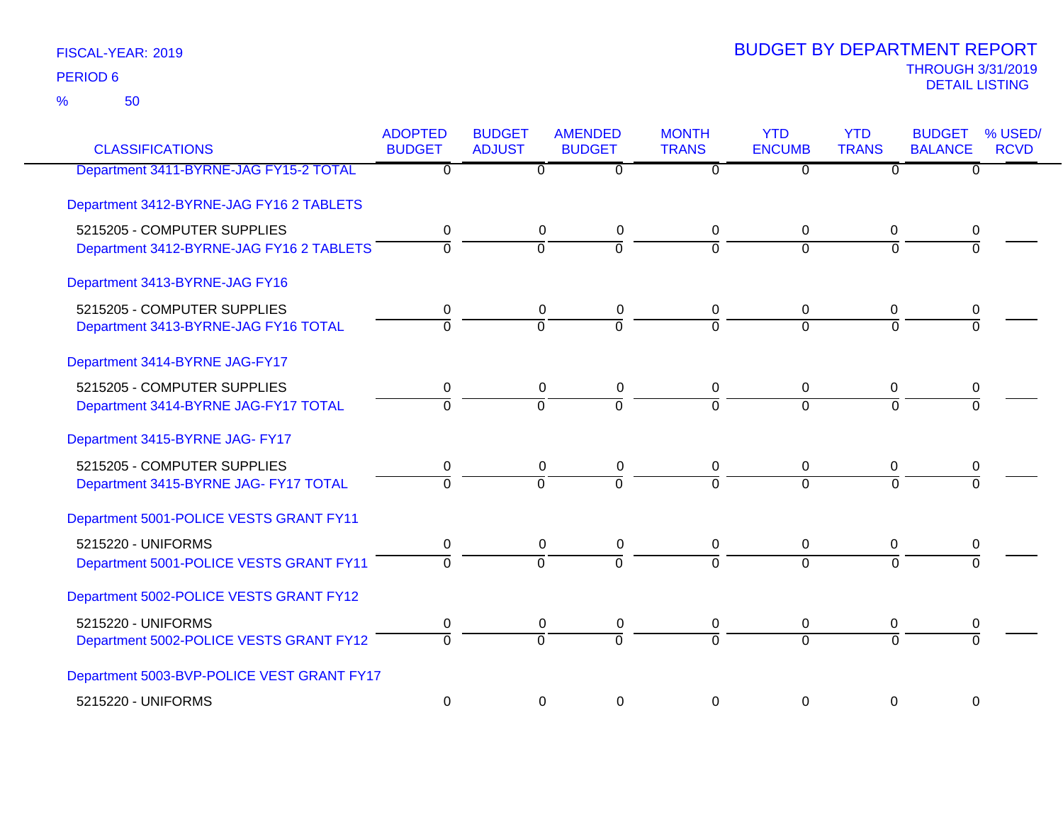50 %

| <b>CLASSIFICATIONS</b>                                                  | <b>ADOPTED</b><br><b>BUDGET</b> | <b>BUDGET</b><br><b>ADJUST</b> | <b>AMENDED</b><br><b>BUDGET</b> | <b>MONTH</b><br><b>TRANS</b> | <b>YTD</b><br><b>ENCUMB</b>   | <b>YTD</b><br><b>TRANS</b> | <b>BUDGET</b><br><b>BALANCE</b> | % USED/<br><b>RCVD</b> |
|-------------------------------------------------------------------------|---------------------------------|--------------------------------|---------------------------------|------------------------------|-------------------------------|----------------------------|---------------------------------|------------------------|
| Department 3411-BYRNE-JAG FY15-2 TOTAL                                  | $\overline{0}$                  | $\Omega$                       | $\Omega$                        | $\Omega$                     | 0                             | $\mathbf{0}$               | 0                               |                        |
| Department 3412-BYRNE-JAG FY16 2 TABLETS                                |                                 |                                |                                 |                              |                               |                            |                                 |                        |
| 5215205 - COMPUTER SUPPLIES<br>Department 3412-BYRNE-JAG FY16 2 TABLETS | 0<br>$\overline{0}$             | $\mathbf 0$<br>$\overline{0}$  | $\pmb{0}$<br>$\overline{0}$     | 0<br>$\overline{0}$          | 0<br>$\overline{0}$           | 0<br>$\overline{0}$        | 0<br>$\overline{0}$             |                        |
| Department 3413-BYRNE-JAG FY16                                          |                                 |                                |                                 |                              |                               |                            |                                 |                        |
| 5215205 - COMPUTER SUPPLIES<br>Department 3413-BYRNE-JAG FY16 TOTAL     | 0<br>$\overline{0}$             | 0<br>$\overline{0}$            | $\pmb{0}$<br>ō                  | 0<br>$\Omega$                | $\mathbf 0$<br>$\Omega$       | 0<br>$\overline{0}$        | 0<br>$\Omega$                   |                        |
| Department 3414-BYRNE JAG-FY17                                          |                                 |                                |                                 |                              |                               |                            |                                 |                        |
| 5215205 - COMPUTER SUPPLIES<br>Department 3414-BYRNE JAG-FY17 TOTAL     | 0<br>$\overline{0}$             | 0<br>$\overline{0}$            | 0<br>ō                          | 0<br>$\overline{0}$          | $\mathbf 0$<br>$\overline{0}$ | 0<br>$\overline{0}$        | 0<br>$\overline{0}$             |                        |
| Department 3415-BYRNE JAG- FY17                                         |                                 |                                |                                 |                              |                               |                            |                                 |                        |
| 5215205 - COMPUTER SUPPLIES<br>Department 3415-BYRNE JAG- FY17 TOTAL    | 0<br>ō                          | 0<br>$\overline{0}$            | 0<br>$\overline{0}$             | 0<br>$\Omega$                | $\mathbf 0$<br>$\Omega$       | 0<br>$\overline{0}$        | 0<br>$\overline{0}$             |                        |
| Department 5001-POLICE VESTS GRANT FY11                                 |                                 |                                |                                 |                              |                               |                            |                                 |                        |
| 5215220 - UNIFORMS<br>Department 5001-POLICE VESTS GRANT FY11           | 0<br>$\overline{0}$             | 0<br>$\overline{0}$            | 0<br>$\overline{0}$             | 0<br>$\Omega$                | 0<br>$\Omega$                 | 0<br>$\Omega$              | 0<br>$\Omega$                   |                        |
| Department 5002-POLICE VESTS GRANT FY12                                 |                                 |                                |                                 |                              |                               |                            |                                 |                        |
| 5215220 - UNIFORMS<br>Department 5002-POLICE VESTS GRANT FY12           | 0<br>$\overline{0}$             | 0<br>$\overline{0}$            | 0<br>$\overline{0}$             | 0<br>$\Omega$                | 0<br>$\Omega$                 | 0<br>$\Omega$              | 0<br>$\overline{0}$             |                        |
| Department 5003-BVP-POLICE VEST GRANT FY17                              |                                 |                                |                                 |                              |                               |                            |                                 |                        |
| 5215220 - UNIFORMS                                                      | $\mathbf 0$                     | 0                              | 0                               | $\Omega$                     | $\Omega$                      | 0                          | $\Omega$                        |                        |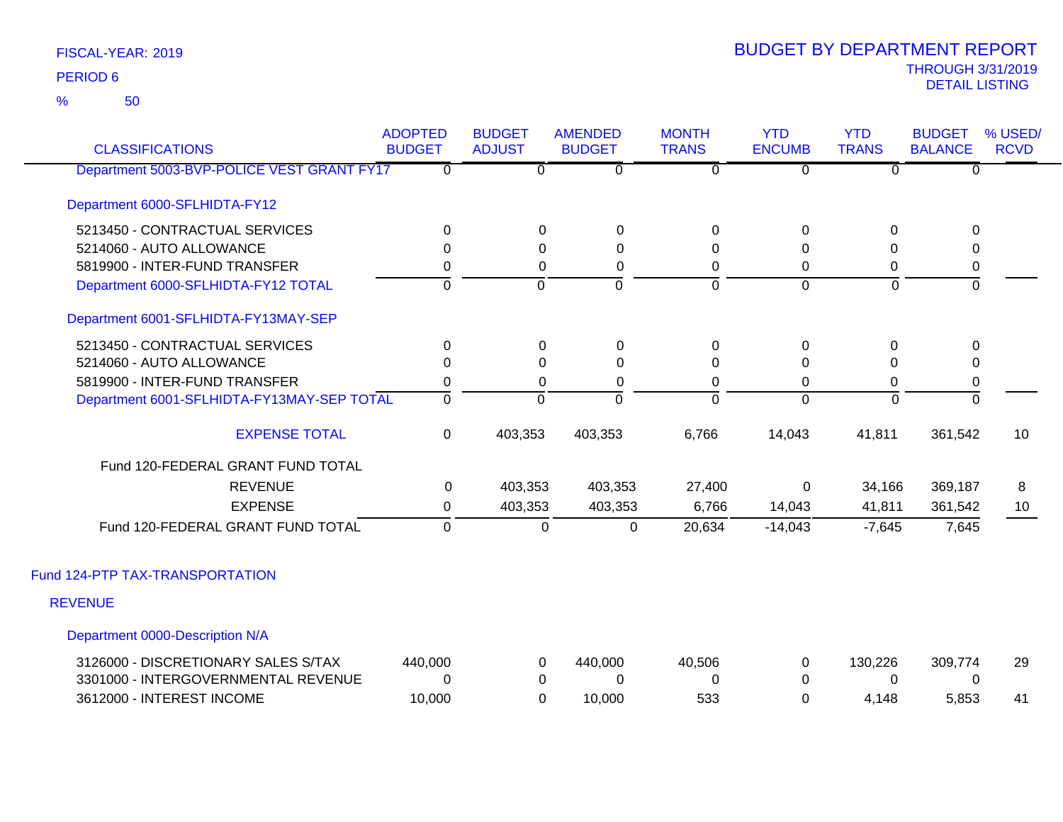50 %

| <b>CLASSIFICATIONS</b>                     | <b>ADOPTED</b><br><b>BUDGET</b> | <b>BUDGET</b><br><b>ADJUST</b> | <b>AMENDED</b><br><b>BUDGET</b> | <b>MONTH</b><br><b>TRANS</b> | <b>YTD</b><br><b>ENCUMB</b> | <b>YTD</b><br><b>TRANS</b> | <b>BUDGET</b><br><b>BALANCE</b> | % USED/<br><b>RCVD</b> |
|--------------------------------------------|---------------------------------|--------------------------------|---------------------------------|------------------------------|-----------------------------|----------------------------|---------------------------------|------------------------|
| Department 5003-BVP-POLICE VEST GRANT FY17 | $\Omega$                        | $\overline{0}$                 | $\mathbf 0$                     | $\overline{0}$               | $\overline{0}$              | 0                          | $\mathbf{0}$                    |                        |
| Department 6000-SFLHIDTA-FY12              |                                 |                                |                                 |                              |                             |                            |                                 |                        |
| 5213450 - CONTRACTUAL SERVICES             | $\Omega$                        | 0                              | 0                               | $\Omega$                     | 0                           | $\Omega$                   | 0                               |                        |
| 5214060 - AUTO ALLOWANCE                   | $\Omega$                        | $\Omega$                       | 0                               | 0                            | $\Omega$                    | $\Omega$                   | $\mathbf{0}$                    |                        |
| 5819900 - INTER-FUND TRANSFER              | 0                               | 0                              | 0                               | 0                            | 0                           | 0                          | 0                               |                        |
| Department 6000-SFLHIDTA-FY12 TOTAL        | $\Omega$                        | $\mathbf 0$                    | $\overline{0}$                  | $\overline{0}$               | $\overline{0}$              | $\mathbf 0$                | $\overline{0}$                  |                        |
| Department 6001-SFLHIDTA-FY13MAY-SEP       |                                 |                                |                                 |                              |                             |                            |                                 |                        |
| 5213450 - CONTRACTUAL SERVICES             | $\Omega$                        | 0                              | 0                               | 0                            | 0                           | $\Omega$                   | 0                               |                        |
| 5214060 - AUTO ALLOWANCE                   | $\Omega$                        | $\Omega$                       | $\overline{0}$                  | $\Omega$                     | 0                           | 0                          | $\Omega$                        |                        |
| 5819900 - INTER-FUND TRANSFER              | $\mathbf 0$                     | 0                              | 0                               | 0                            | 0                           | 0                          | 0                               |                        |
| Department 6001-SFLHIDTA-FY13MAY-SEP TOTAL | $\mathbf 0$                     | $\mathbf 0$                    | $\Omega$                        | $\overline{0}$               | $\mathbf{0}$                | $\mathbf 0$                | ō                               |                        |
| <b>EXPENSE TOTAL</b>                       | 0                               | 403,353                        | 403,353                         | 6,766                        | 14,043                      | 41,811                     | 361,542                         | 10                     |
| Fund 120-FEDERAL GRANT FUND TOTAL          |                                 |                                |                                 |                              |                             |                            |                                 |                        |
| <b>REVENUE</b>                             | 0                               | 403,353                        | 403,353                         | 27,400                       | 0                           | 34,166                     | 369,187                         | 8                      |
| <b>EXPENSE</b>                             | 0                               | 403,353                        | 403,353                         | 6,766                        | 14,043                      | 41,811                     | 361,542                         | 10                     |
| Fund 120-FEDERAL GRANT FUND TOTAL          | $\mathbf 0$                     | 0                              | $\mathbf 0$                     | 20,634                       | $-14,043$                   | $-7,645$                   | 7,645                           |                        |
| Fund 124-PTP TAX-TRANSPORTATION            |                                 |                                |                                 |                              |                             |                            |                                 |                        |
| <b>REVENUE</b>                             |                                 |                                |                                 |                              |                             |                            |                                 |                        |
| Department 0000-Description N/A            |                                 |                                |                                 |                              |                             |                            |                                 |                        |
| 3126000 - DISCRETIONARY SALES S/TAX        | 440,000                         | 0                              | 440,000                         | 40,506                       | 0                           | 130,226                    | 309,774                         | 29                     |
| 3301000 - INTERGOVERNMENTAL REVENUE        | 0                               | 0                              | 0                               | 0                            | 0                           | $\Omega$                   | 0                               |                        |
| 3612000 - INTEREST INCOME                  | 10,000                          | $\Omega$                       | 10,000                          | 533                          | $\Omega$                    | 4,148                      | 5,853                           | 41                     |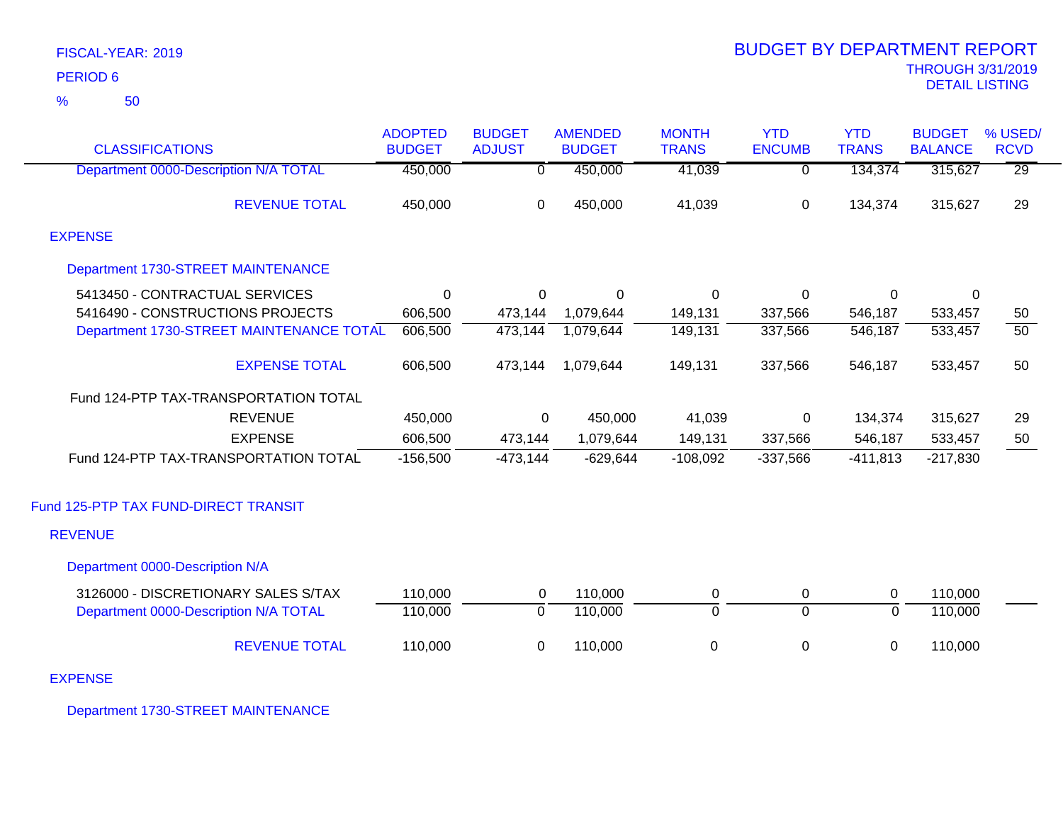| FISCAL-YEAR: 2019   |
|---------------------|
| PERIOD <sub>6</sub> |

50 %

|                                          | <b>ADOPTED</b> | <b>BUDGET</b> | <b>AMENDED</b> | <b>MONTH</b>     | <b>YTD</b>    | <b>YTD</b>   | <b>BUDGET</b>  | % USED/         |
|------------------------------------------|----------------|---------------|----------------|------------------|---------------|--------------|----------------|-----------------|
| <b>CLASSIFICATIONS</b>                   | <b>BUDGET</b>  | <b>ADJUST</b> | <b>BUDGET</b>  | <b>TRANS</b>     | <b>ENCUMB</b> | <b>TRANS</b> | <b>BALANCE</b> | <b>RCVD</b>     |
| Department 0000-Description N/A TOTAL    | 450,000        | 0             | 450,000        | 41,039           | 0             | 134,374      | 315,627        | $\overline{29}$ |
| <b>REVENUE TOTAL</b>                     | 450,000        | 0             | 450,000        | 41,039           | 0             | 134,374      | 315,627        | 29              |
| <b>EXPENSE</b>                           |                |               |                |                  |               |              |                |                 |
| Department 1730-STREET MAINTENANCE       |                |               |                |                  |               |              |                |                 |
| 5413450 - CONTRACTUAL SERVICES           | $\Omega$       | $\Omega$      | $\Omega$       | $\Omega$         | $\Omega$      | $\Omega$     | $\mathbf{0}$   |                 |
| 5416490 - CONSTRUCTIONS PROJECTS         | 606,500        | 473,144       | 1,079,644      | 149,131          | 337,566       | 546,187      | 533,457        | 50              |
| Department 1730-STREET MAINTENANCE TOTAL | 606,500        | 473,144       | 1,079,644      | 149,131          | 337,566       | 546,187      | 533,457        | 50              |
| <b>EXPENSE TOTAL</b>                     | 606,500        | 473,144       | 1,079,644      | 149,131          | 337,566       | 546,187      | 533,457        | 50              |
| Fund 124-PTP TAX-TRANSPORTATION TOTAL    |                |               |                |                  |               |              |                |                 |
| <b>REVENUE</b>                           | 450,000        | 0             | 450,000        | 41,039           | 0             | 134,374      | 315,627        | 29              |
| <b>EXPENSE</b>                           | 606,500        | 473,144       | 1,079,644      | 149,131          | 337,566       | 546,187      | 533,457        | 50              |
| Fund 124-PTP TAX-TRANSPORTATION TOTAL    | $-156,500$     | $-473,144$    | $-629,644$     | $-108,092$       | $-337,566$    | $-411,813$   | $-217,830$     |                 |
| Fund 125-PTP TAX FUND-DIRECT TRANSIT     |                |               |                |                  |               |              |                |                 |
| <b>REVENUE</b>                           |                |               |                |                  |               |              |                |                 |
| Department 0000-Description N/A          |                |               |                |                  |               |              |                |                 |
| 3126000 - DISCRETIONARY SALES S/TAX      | 110,000        | 0             | 110,000        | 0                | 0             | 0            | 110,000        |                 |
| Department 0000-Description N/A TOTAL    | 110,000        | 0             | 110,000        | $\overline{0}$   | $\Omega$      | $\mathbf 0$  | 110,000        |                 |
| <b>REVENUE TOTAL</b>                     | 110,000        | $\mathbf 0$   | 110,000        | $\boldsymbol{0}$ | 0             | 0            | 110,000        |                 |
|                                          |                |               |                |                  |               |              |                |                 |

EXPENSE

Department 1730-STREET MAINTENANCE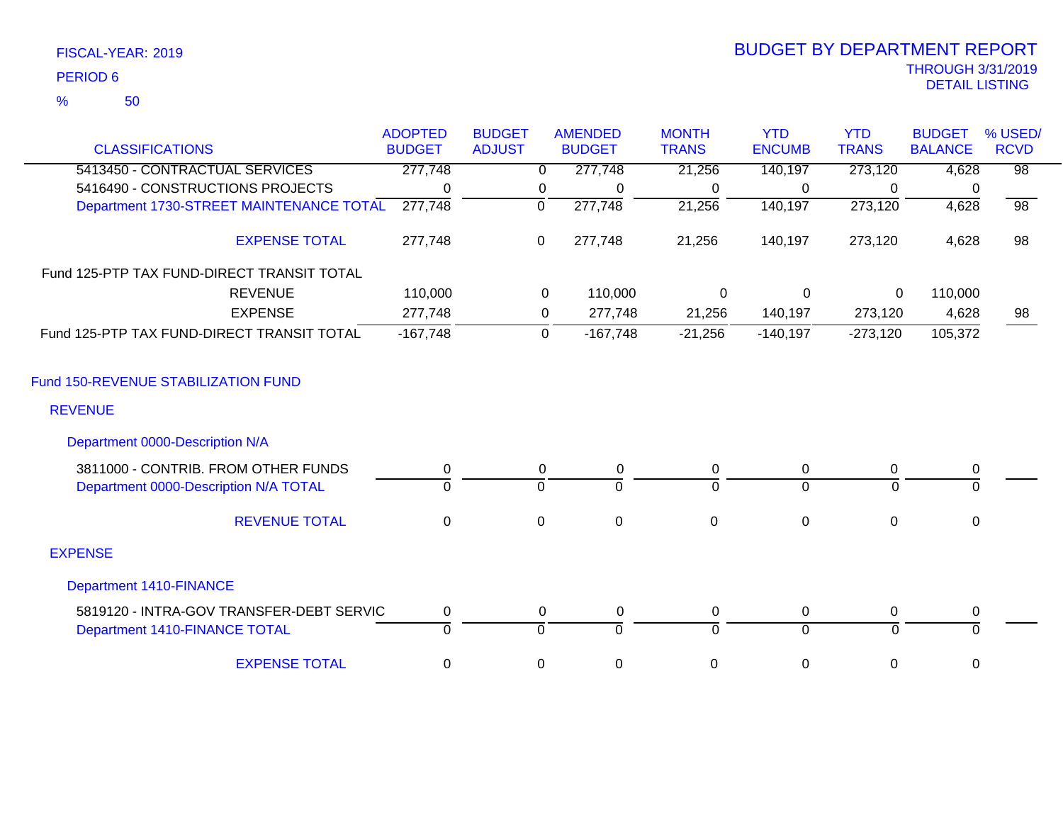| FISCAL-YEAR: 2019 |  |
|-------------------|--|
| <b>PERIOD 6</b>   |  |

# THROUGH 3/31/2019 DETAIL LISTING PERIOD <sup>6</sup> BUDGET BY DEPARTMENT REPORT

|                                            | <b>ADOPTED</b> | <b>BUDGET</b> |             | <b>AMENDED</b> | <b>MONTH</b>     | <b>YTD</b>     | <b>YTD</b>   | <b>BUDGET</b>  | % USED/         |
|--------------------------------------------|----------------|---------------|-------------|----------------|------------------|----------------|--------------|----------------|-----------------|
| <b>CLASSIFICATIONS</b>                     | <b>BUDGET</b>  | <b>ADJUST</b> |             | <b>BUDGET</b>  | <b>TRANS</b>     | <b>ENCUMB</b>  | <b>TRANS</b> | <b>BALANCE</b> | <b>RCVD</b>     |
| 5413450 - CONTRACTUAL SERVICES             | 277,748        |               | 0           | 277,748        | 21,256           | 140,197        | 273,120      | 4,628          | $\overline{98}$ |
| 5416490 - CONSTRUCTIONS PROJECTS           | 0              |               | 0           | $\Omega$       | 0                | 0              | $\Omega$     | -0             |                 |
| Department 1730-STREET MAINTENANCE TOTAL   | 277,748        |               | $\mathbf 0$ | 277,748        | 21,256           | 140,197        | 273,120      | 4,628          | $\overline{98}$ |
| <b>EXPENSE TOTAL</b>                       | 277,748        |               | 0           | 277,748        | 21,256           | 140,197        | 273,120      | 4,628          | 98              |
| Fund 125-PTP TAX FUND-DIRECT TRANSIT TOTAL |                |               |             |                |                  |                |              |                |                 |
| <b>REVENUE</b>                             | 110,000        |               | $\mathbf 0$ | 110,000        | 0                | $\mathbf 0$    | 0            | 110,000        |                 |
| <b>EXPENSE</b>                             | 277,748        |               | 0           | 277,748        | 21,256           | 140,197        | 273,120      | 4,628          | 98              |
| Fund 125-PTP TAX FUND-DIRECT TRANSIT TOTAL | $-167,748$     |               | 0           | $-167,748$     | $-21,256$        | $-140,197$     | $-273,120$   | 105,372        |                 |
| Fund 150-REVENUE STABILIZATION FUND        |                |               |             |                |                  |                |              |                |                 |
| <b>REVENUE</b>                             |                |               |             |                |                  |                |              |                |                 |
| Department 0000-Description N/A            |                |               |             |                |                  |                |              |                |                 |
| 3811000 - CONTRIB, FROM OTHER FUNDS        | 0              |               | 0           | $\mathbf 0$    | $\pmb{0}$        | 0              | $\Omega$     | $\mathbf 0$    |                 |
| Department 0000-Description N/A TOTAL      | $\overline{0}$ |               | $\Omega$    | $\overline{0}$ | $\Omega$         | $\overline{0}$ | $\Omega$     | $\overline{0}$ |                 |
| <b>REVENUE TOTAL</b>                       | $\mathbf 0$    |               | $\mathbf 0$ | $\mathbf 0$    | $\mathbf 0$      | $\mathbf 0$    | $\mathbf 0$  | $\mathbf 0$    |                 |
| <b>EXPENSE</b>                             |                |               |             |                |                  |                |              |                |                 |
| <b>Department 1410-FINANCE</b>             |                |               |             |                |                  |                |              |                |                 |
| 5819120 - INTRA-GOV TRANSFER-DEBT SERVIC   | $\mathbf 0$    |               | $\mathbf 0$ | $\mathbf 0$    | $\mathbf 0$      | 0              | 0            | $\pmb{0}$      |                 |
| Department 1410-FINANCE TOTAL              | $\Omega$       |               | $\Omega$    | $\overline{0}$ | $\Omega$         | $\overline{0}$ | $\Omega$     | $\Omega$       |                 |
| <b>EXPENSE TOTAL</b>                       | 0              |               | 0           | $\mathbf 0$    | $\boldsymbol{0}$ | $\pmb{0}$      | 0            | $\mathbf 0$    |                 |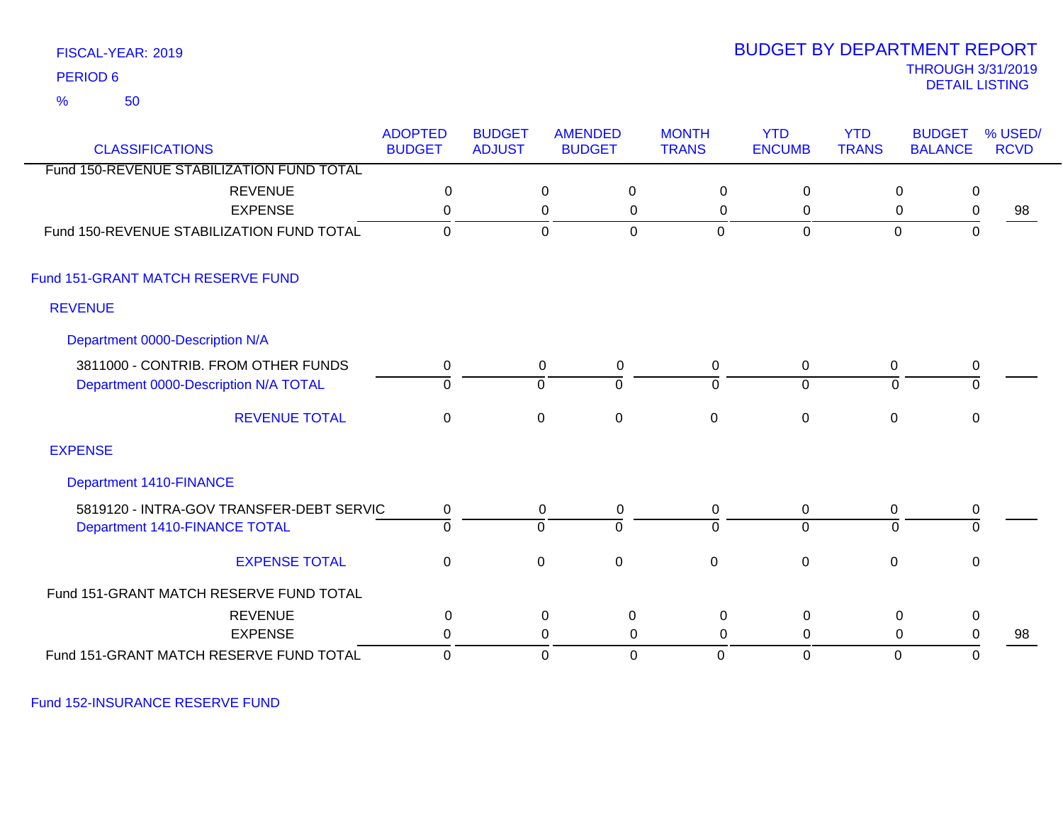50 %

### THROUGH 3/31/2019<br>DETAIL LISTING DETAIL LISTING PERIOD <sup>6</sup> BUDGET BY DEPARTMENT REPORT

| <b>CLASSIFICATIONS</b>                    | <b>ADOPTED</b><br><b>BUDGET</b> | <b>BUDGET</b><br><b>ADJUST</b> | <b>AMENDED</b><br><b>BUDGET</b> |                | <b>MONTH</b><br><b>TRANS</b> | <b>YTD</b><br><b>ENCUMB</b> | <b>YTD</b><br><b>TRANS</b> | <b>BUDGET</b><br><b>BALANCE</b> | % USED/<br><b>RCVD</b> |
|-------------------------------------------|---------------------------------|--------------------------------|---------------------------------|----------------|------------------------------|-----------------------------|----------------------------|---------------------------------|------------------------|
| Fund 150-REVENUE STABILIZATION FUND TOTAL |                                 |                                |                                 |                |                              |                             |                            |                                 |                        |
| <b>REVENUE</b>                            | $\mathbf 0$                     |                                | 0                               | 0              | $\mathbf 0$                  | $\mathbf 0$                 |                            | 0<br>$\mathbf 0$                |                        |
| <b>EXPENSE</b>                            | 0                               |                                | 0                               | 0              | 0                            | 0                           |                            | 0<br>0                          | 98                     |
| Fund 150-REVENUE STABILIZATION FUND TOTAL | $\Omega$                        |                                | $\overline{0}$                  | $\mathbf 0$    | $\mathbf 0$                  | $\mathbf 0$                 |                            | $\mathbf 0$<br>$\mathbf 0$      |                        |
| Fund 151-GRANT MATCH RESERVE FUND         |                                 |                                |                                 |                |                              |                             |                            |                                 |                        |
| <b>REVENUE</b>                            |                                 |                                |                                 |                |                              |                             |                            |                                 |                        |
| Department 0000-Description N/A           |                                 |                                |                                 |                |                              |                             |                            |                                 |                        |
| 3811000 - CONTRIB. FROM OTHER FUNDS       | 0                               |                                | 0                               | 0              | 0                            | $\mathbf 0$                 | 0                          | $\mathbf 0$                     |                        |
| Department 0000-Description N/A TOTAL     | 0                               |                                | $\Omega$                        | 0              | $\mathbf{0}$                 | $\overline{0}$              | 0                          | 0                               |                        |
| <b>REVENUE TOTAL</b>                      | 0                               |                                | 0                               | $\overline{0}$ | $\mathbf 0$                  | $\mathbf 0$                 | 0                          | 0                               |                        |
| <b>EXPENSE</b>                            |                                 |                                |                                 |                |                              |                             |                            |                                 |                        |
| Department 1410-FINANCE                   |                                 |                                |                                 |                |                              |                             |                            |                                 |                        |
| 5819120 - INTRA-GOV TRANSFER-DEBT SERVIC  | 0                               |                                | 0                               | 0              | $\mathbf 0$                  | 0                           | $\mathbf 0$                | 0                               |                        |
| Department 1410-FINANCE TOTAL             | $\overline{0}$                  |                                | $\Omega$                        | $\overline{0}$ | $\Omega$                     | $\overline{0}$              | $\Omega$                   | $\overline{0}$                  |                        |
| <b>EXPENSE TOTAL</b>                      | $\mathbf 0$                     |                                | $\mathbf 0$                     | $\overline{0}$ | $\mathbf 0$                  | $\mathbf 0$                 | $\mathbf 0$                | $\mathbf 0$                     |                        |
| Fund 151-GRANT MATCH RESERVE FUND TOTAL   |                                 |                                |                                 |                |                              |                             |                            |                                 |                        |
| <b>REVENUE</b>                            | $\pmb{0}$                       |                                | $\mathbf 0$                     | $\pmb{0}$      | $\mathbf 0$                  | $\pmb{0}$                   |                            | $\pmb{0}$<br>$\pmb{0}$          |                        |
| <b>EXPENSE</b>                            | $\Omega$                        |                                | 0                               | $\mathbf{0}$   | $\mathbf{0}$                 | 0                           |                            | 0<br>0                          | 98                     |
| Fund 151-GRANT MATCH RESERVE FUND TOTAL   | 0                               |                                | $\mathbf 0$                     | $\mathbf 0$    | 0                            | $\mathbf 0$                 |                            | $\mathbf 0$<br>0                |                        |

Fund 152-INSURANCE RESERVE FUND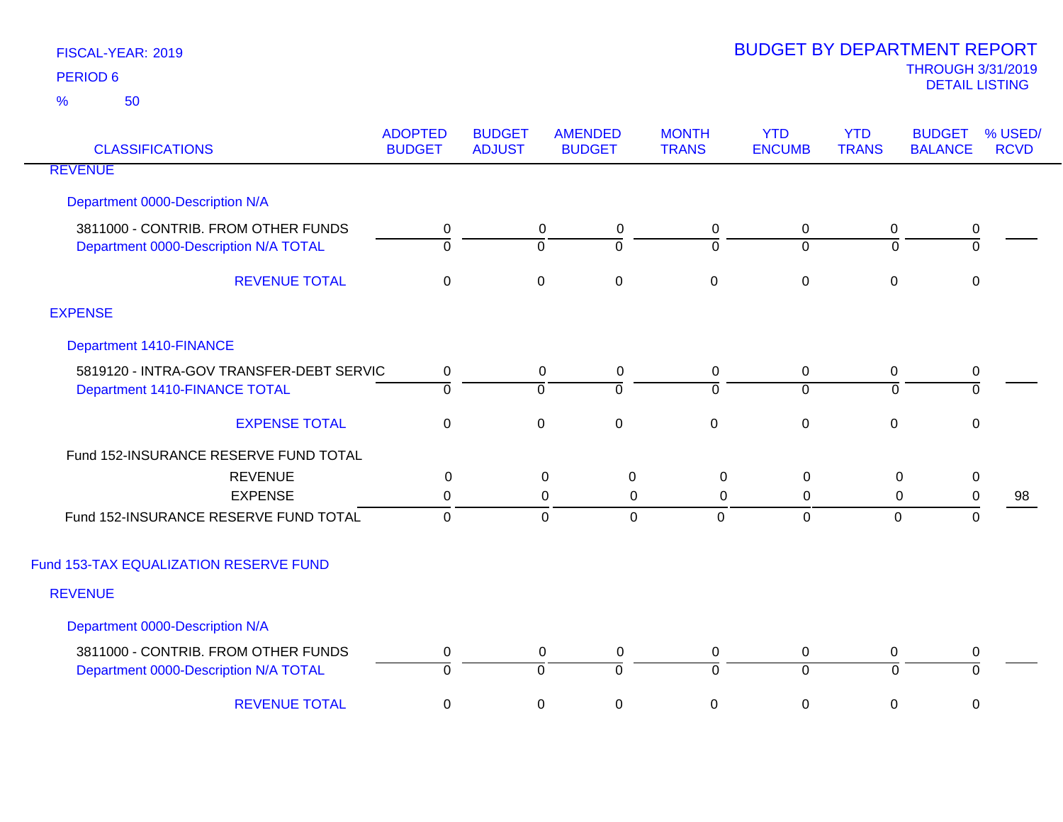| <b>CLASSIFICATIONS</b>                   | <b>ADOPTED</b><br><b>BUDGET</b> | <b>BUDGET</b><br><b>ADJUST</b> | <b>AMENDED</b><br><b>BUDGET</b> | <b>MONTH</b><br><b>TRANS</b> | <b>YTD</b><br><b>ENCUMB</b> | <b>YTD</b><br><b>TRANS</b> | <b>BUDGET</b><br><b>BALANCE</b> | % USED/<br><b>RCVD</b> |
|------------------------------------------|---------------------------------|--------------------------------|---------------------------------|------------------------------|-----------------------------|----------------------------|---------------------------------|------------------------|
| <b>REVENUE</b>                           |                                 |                                |                                 |                              |                             |                            |                                 |                        |
| Department 0000-Description N/A          |                                 |                                |                                 |                              |                             |                            |                                 |                        |
| 3811000 - CONTRIB. FROM OTHER FUNDS      | 0                               |                                | $\mathbf 0$<br>0                | 0                            | $\mathbf 0$                 | 0                          | 0                               |                        |
| Department 0000-Description N/A TOTAL    | $\overline{0}$                  | $\Omega$                       | $\overline{0}$                  | $\overline{0}$               | $\Omega$                    | $\Omega$                   | $\overline{0}$                  |                        |
| <b>REVENUE TOTAL</b>                     | $\boldsymbol{0}$                | $\mathbf 0$                    | $\boldsymbol{0}$                | $\mathbf 0$                  | $\boldsymbol{0}$            | $\mathbf 0$                | 0                               |                        |
| <b>EXPENSE</b>                           |                                 |                                |                                 |                              |                             |                            |                                 |                        |
| <b>Department 1410-FINANCE</b>           |                                 |                                |                                 |                              |                             |                            |                                 |                        |
| 5819120 - INTRA-GOV TRANSFER-DEBT SERVIC | $\mathbf 0$                     |                                | 0<br>$\mathbf 0$                | $\mathbf 0$                  | $\mathbf 0$                 | $\mathbf 0$                | 0                               |                        |
| Department 1410-FINANCE TOTAL            | $\overline{0}$                  | $\overline{0}$                 | $\overline{0}$                  | $\overline{0}$               | $\overline{0}$              | $\overline{0}$             | $\overline{0}$                  |                        |
| <b>EXPENSE TOTAL</b>                     | $\mathbf 0$                     | $\mathbf 0$                    | $\pmb{0}$                       | $\pmb{0}$                    | $\pmb{0}$                   | $\mathbf 0$                | $\mathbf 0$                     |                        |
| Fund 152-INSURANCE RESERVE FUND TOTAL    |                                 |                                |                                 |                              |                             |                            |                                 |                        |
| <b>REVENUE</b>                           | 0                               |                                | $\pmb{0}$<br>$\boldsymbol{0}$   | $\mathsf 0$                  | 0                           | 0                          | $\mathbf 0$                     |                        |
| <b>EXPENSE</b>                           | 0                               |                                | 0<br>0                          | 0                            | 0                           | 0                          | $\pmb{0}$                       | 98                     |
| Fund 152-INSURANCE RESERVE FUND TOTAL    | $\mathbf{0}$                    |                                | $\overline{0}$<br>$\mathbf 0$   | $\mathbf 0$                  | $\mathbf 0$                 | $\overline{0}$             | $\overline{0}$                  |                        |
| Fund 153-TAX EQUALIZATION RESERVE FUND   |                                 |                                |                                 |                              |                             |                            |                                 |                        |
| <b>REVENUE</b>                           |                                 |                                |                                 |                              |                             |                            |                                 |                        |
| Department 0000-Description N/A          |                                 |                                |                                 |                              |                             |                            |                                 |                        |
| 3811000 - CONTRIB. FROM OTHER FUNDS      | 0                               |                                | 0<br>0                          | $\mathbf 0$                  | $\mathbf 0$                 | $\mathbf 0$                | 0                               |                        |
| Department 0000-Description N/A TOTAL    | $\overline{0}$                  | $\overline{0}$                 | $\overline{0}$                  | $\overline{0}$               | $\overline{0}$              | $\mathbf 0$                | ō                               |                        |
| <b>REVENUE TOTAL</b>                     | $\pmb{0}$                       | $\pmb{0}$                      | $\boldsymbol{0}$                | $\mathsf 0$                  | $\boldsymbol{0}$            | $\mathbf 0$                | 0                               |                        |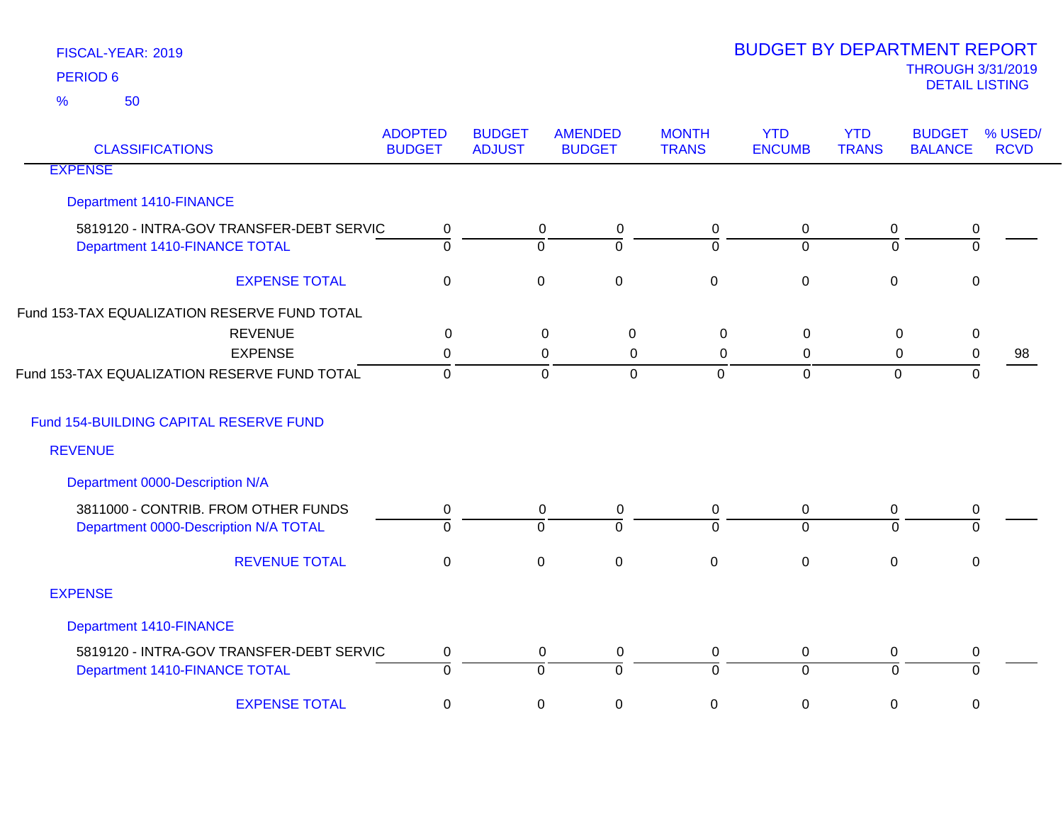| <b>CLASSIFICATIONS</b>                                                    | <b>ADOPTED</b><br><b>BUDGET</b> | <b>BUDGET</b><br><b>ADJUST</b> | <b>AMENDED</b><br><b>BUDGET</b>                      | <b>MONTH</b><br><b>TRANS</b> | <b>YTD</b><br><b>ENCUMB</b> | <b>YTD</b><br><b>TRANS</b> | <b>BUDGET</b><br><b>BALANCE</b> | % USED/<br><b>RCVD</b> |
|---------------------------------------------------------------------------|---------------------------------|--------------------------------|------------------------------------------------------|------------------------------|-----------------------------|----------------------------|---------------------------------|------------------------|
| <b>EXPENSE</b>                                                            |                                 |                                |                                                      |                              |                             |                            |                                 |                        |
| <b>Department 1410-FINANCE</b>                                            |                                 |                                |                                                      |                              |                             |                            |                                 |                        |
| 5819120 - INTRA-GOV TRANSFER-DEBT SERVIC<br>Department 1410-FINANCE TOTAL | 0<br>$\overline{0}$             |                                | $\mathbf 0$<br>0<br>$\overline{0}$<br>$\overline{0}$ | 0<br>$\Omega$                | 0<br>$\overline{0}$         | 0<br>$\overline{0}$        | 0<br>$\overline{0}$             |                        |
| <b>EXPENSE TOTAL</b>                                                      | $\mathbf 0$                     |                                | $\mathbf 0$<br>$\mathbf 0$                           | $\mathbf 0$                  | $\mathbf 0$                 | $\mathbf 0$                | 0                               |                        |
| Fund 153-TAX EQUALIZATION RESERVE FUND TOTAL                              |                                 |                                |                                                      |                              |                             |                            |                                 |                        |
| <b>REVENUE</b>                                                            | 0                               |                                | $\mathbf 0$<br>$\mathbf 0$                           | $\mathbf 0$                  | $\mathbf 0$                 | $\mathbf 0$                | $\pmb{0}$                       |                        |
| <b>EXPENSE</b>                                                            | 0                               |                                | 0<br>0                                               | $\Omega$                     | 0                           | 0                          | 0                               | 98                     |
| Fund 153-TAX EQUALIZATION RESERVE FUND TOTAL                              | $\mathbf 0$                     |                                | $\mathbf 0$<br>$\mathbf 0$                           | $\mathbf 0$                  | $\mathbf 0$                 | $\mathbf 0$                | 0                               |                        |
| Fund 154-BUILDING CAPITAL RESERVE FUND                                    |                                 |                                |                                                      |                              |                             |                            |                                 |                        |
| <b>REVENUE</b>                                                            |                                 |                                |                                                      |                              |                             |                            |                                 |                        |
| Department 0000-Description N/A                                           |                                 |                                |                                                      |                              |                             |                            |                                 |                        |
| 3811000 - CONTRIB. FROM OTHER FUNDS                                       | 0                               |                                | 0<br>0                                               | 0                            | $\mathbf 0$                 | 0                          | 0                               |                        |
| Department 0000-Description N/A TOTAL                                     | $\overline{0}$                  |                                | $\overline{0}$<br>$\Omega$                           | $\Omega$                     | $\overline{0}$              | $\Omega$                   | $\Omega$                        |                        |
| <b>REVENUE TOTAL</b>                                                      | $\pmb{0}$                       |                                | $\mathsf{O}\xspace$<br>$\pmb{0}$                     | $\mathsf 0$                  | $\pmb{0}$                   | $\pmb{0}$                  | $\pmb{0}$                       |                        |
| <b>EXPENSE</b>                                                            |                                 |                                |                                                      |                              |                             |                            |                                 |                        |
| <b>Department 1410-FINANCE</b>                                            |                                 |                                |                                                      |                              |                             |                            |                                 |                        |
| 5819120 - INTRA-GOV TRANSFER-DEBT SERVIC                                  | 0                               |                                | $\mathbf 0$<br>0                                     | $\mathbf 0$                  | $\mathbf 0$                 | $\pmb{0}$                  | 0                               |                        |
| Department 1410-FINANCE TOTAL                                             | $\overline{0}$                  |                                | $\overline{0}$<br>ō                                  | $\overline{0}$               | $\overline{0}$              | ō                          | ō                               |                        |
| <b>EXPENSE TOTAL</b>                                                      | $\mathbf 0$                     |                                | $\mathbf 0$<br>0                                     | 0                            | 0                           | 0                          | 0                               |                        |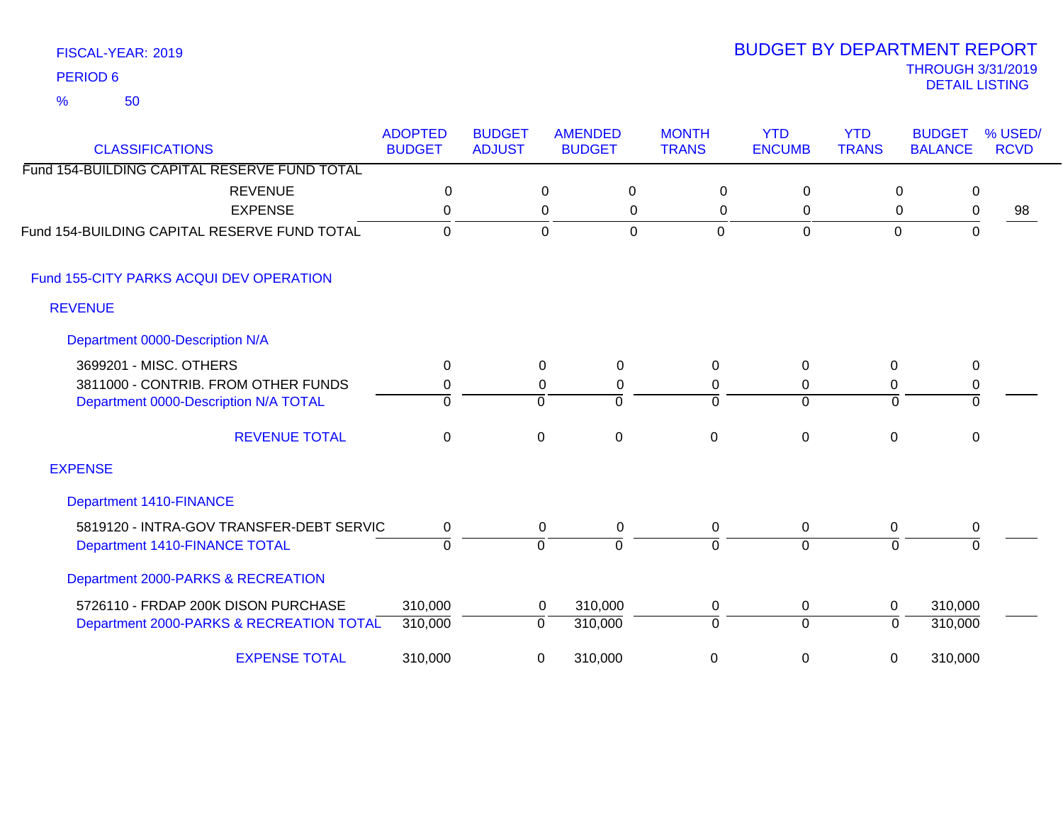| <b>CLASSIFICATIONS</b>                       | <b>ADOPTED</b><br><b>BUDGET</b> | <b>BUDGET</b><br><b>ADJUST</b> | <b>AMENDED</b><br><b>BUDGET</b> | <b>MONTH</b><br><b>TRANS</b> | <b>YTD</b><br><b>ENCUMB</b> | <b>YTD</b><br><b>TRANS</b> | <b>BUDGET</b><br><b>BALANCE</b> | % USED/<br><b>RCVD</b> |
|----------------------------------------------|---------------------------------|--------------------------------|---------------------------------|------------------------------|-----------------------------|----------------------------|---------------------------------|------------------------|
| Fund 154-BUILDING CAPITAL RESERVE FUND TOTAL |                                 |                                |                                 |                              |                             |                            |                                 |                        |
| <b>REVENUE</b>                               | 0                               |                                | 0<br>0                          | 0                            | 0                           | 0                          | 0                               |                        |
| <b>EXPENSE</b>                               | $\mathbf 0$                     |                                | 0<br>0                          | 0                            | 0                           | 0                          | 0                               | 98                     |
| Fund 154-BUILDING CAPITAL RESERVE FUND TOTAL | $\overline{0}$                  |                                | $\Omega$<br>$\mathbf 0$         | $\overline{0}$               | $\mathbf 0$                 | $\mathbf 0$                | $\mathbf 0$                     |                        |
| Fund 155-CITY PARKS ACQUI DEV OPERATION      |                                 |                                |                                 |                              |                             |                            |                                 |                        |
| <b>REVENUE</b>                               |                                 |                                |                                 |                              |                             |                            |                                 |                        |
| Department 0000-Description N/A              |                                 |                                |                                 |                              |                             |                            |                                 |                        |
| 3699201 - MISC. OTHERS                       | 0                               |                                | 0<br>0                          | 0                            | $\Omega$                    | 0                          | $\mathbf 0$                     |                        |
| 3811000 - CONTRIB. FROM OTHER FUNDS          | 0                               |                                | 0<br>$\pmb{0}$                  | 0                            | 0                           | 0                          | 0                               |                        |
| Department 0000-Description N/A TOTAL        | $\Omega$                        | $\Omega$                       | $\Omega$                        | $\Omega$                     | $\overline{0}$              | $\Omega$                   | $\Omega$                        |                        |
| <b>REVENUE TOTAL</b>                         | 0                               | 0                              | $\mathbf 0$                     | $\Omega$                     | $\mathbf 0$                 | $\Omega$                   | 0                               |                        |
| <b>EXPENSE</b>                               |                                 |                                |                                 |                              |                             |                            |                                 |                        |
| <b>Department 1410-FINANCE</b>               |                                 |                                |                                 |                              |                             |                            |                                 |                        |
| 5819120 - INTRA-GOV TRANSFER-DEBT SERVIC     | 0                               |                                | 0<br>0                          | 0                            | 0                           | 0                          | 0                               |                        |
| Department 1410-FINANCE TOTAL                | $\overline{0}$                  | $\overline{0}$                 | $\Omega$                        | $\Omega$                     | $\overline{0}$              | $\Omega$                   | $\Omega$                        |                        |
| Department 2000-PARKS & RECREATION           |                                 |                                |                                 |                              |                             |                            |                                 |                        |
| 5726110 - FRDAP 200K DISON PURCHASE          | 310,000                         |                                | 310,000<br>0                    | 0                            | 0                           | $\mathbf 0$                | 310,000                         |                        |
| Department 2000-PARKS & RECREATION TOTAL     | 310,000                         | 0                              | 310,000                         | $\Omega$                     | $\overline{0}$              | $\overline{0}$             | 310,000                         |                        |
| <b>EXPENSE TOTAL</b>                         | 310,000                         | 0                              | 310,000                         | 0                            | 0                           | 0                          | 310,000                         |                        |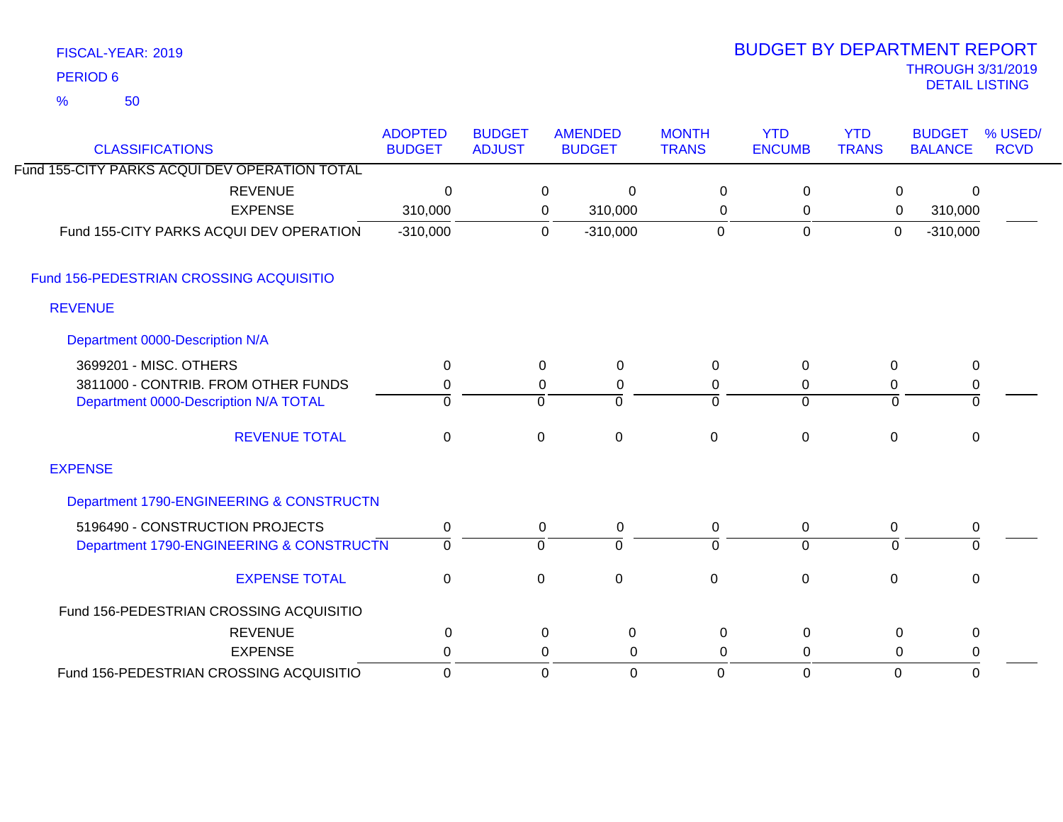| FISCAL-YEAR: 2019 |
|-------------------|
| <b>PERIOD 6</b>   |

# THROUGH 3/31/2019 DETAIL LISTING PERIOD <sup>6</sup> BUDGET BY DEPARTMENT REPORT

| <b>CLASSIFICATIONS</b>                        | <b>ADOPTED</b><br><b>BUDGET</b> | <b>BUDGET</b><br><b>ADJUST</b> |              | <b>AMENDED</b><br><b>BUDGET</b> | <b>MONTH</b><br><b>TRANS</b> | <b>YTD</b><br><b>ENCUMB</b> | <b>YTD</b><br><b>TRANS</b> | <b>BUDGET</b><br><b>BALANCE</b> | % USED/<br><b>RCVD</b> |
|-----------------------------------------------|---------------------------------|--------------------------------|--------------|---------------------------------|------------------------------|-----------------------------|----------------------------|---------------------------------|------------------------|
| Fund 155-CITY PARKS ACQUI DEV OPERATION TOTAL |                                 |                                |              |                                 |                              |                             |                            |                                 |                        |
| <b>REVENUE</b>                                | 0                               |                                | 0            | $\Omega$                        | $\Omega$                     | $\mathbf 0$                 | 0                          | 0                               |                        |
| <b>EXPENSE</b>                                | 310,000                         |                                | 0            | 310,000                         | $\pmb{0}$                    | 0                           | 0                          | 310,000                         |                        |
| Fund 155-CITY PARKS ACQUI DEV OPERATION       | $-310,000$                      |                                | $\Omega$     | $-310,000$                      | $\overline{0}$               | $\mathbf 0$                 | $\overline{0}$             | $-310,000$                      |                        |
| Fund 156-PEDESTRIAN CROSSING ACQUISITIO       |                                 |                                |              |                                 |                              |                             |                            |                                 |                        |
| <b>REVENUE</b>                                |                                 |                                |              |                                 |                              |                             |                            |                                 |                        |
| Department 0000-Description N/A               |                                 |                                |              |                                 |                              |                             |                            |                                 |                        |
| 3699201 - MISC. OTHERS                        | $\Omega$                        |                                | 0            | $\mathbf 0$                     | 0                            | $\Omega$                    | 0                          | $\mathbf 0$                     |                        |
| 3811000 - CONTRIB. FROM OTHER FUNDS           | 0                               |                                | 0            | 0                               | 0                            | 0                           | 0                          | 0                               |                        |
| Department 0000-Description N/A TOTAL         | $\Omega$                        |                                | $\mathbf 0$  | $\Omega$                        | $\Omega$                     | $\Omega$                    | $\Omega$                   | 0                               |                        |
| <b>REVENUE TOTAL</b>                          | $\mathbf 0$                     |                                | $\mathbf 0$  | $\mathbf 0$                     | $\mathbf 0$                  | $\mathbf 0$                 | $\mathbf 0$                | 0                               |                        |
| <b>EXPENSE</b>                                |                                 |                                |              |                                 |                              |                             |                            |                                 |                        |
| Department 1790-ENGINEERING & CONSTRUCTN      |                                 |                                |              |                                 |                              |                             |                            |                                 |                        |
| 5196490 - CONSTRUCTION PROJECTS               | 0                               |                                | 0            | 0                               | 0                            | 0                           | $\mathbf 0$                | 0                               |                        |
| Department 1790-ENGINEERING & CONSTRUCTN      | $\mathbf 0$                     |                                | $\mathbf 0$  | $\Omega$                        | $\Omega$                     | $\Omega$                    | $\Omega$                   | $\Omega$                        |                        |
| <b>EXPENSE TOTAL</b>                          | $\mathbf 0$                     |                                | $\mathbf 0$  | $\mathbf 0$                     | $\mathbf 0$                  | $\mathbf 0$                 | 0                          | $\pmb{0}$                       |                        |
| Fund 156-PEDESTRIAN CROSSING ACQUISITIO       |                                 |                                |              |                                 |                              |                             |                            |                                 |                        |
| <b>REVENUE</b>                                | 0                               |                                | 0            | 0                               | 0                            | 0                           | 0                          | $\mathbf 0$                     |                        |
| <b>EXPENSE</b>                                | 0                               |                                | 0            | 0                               | $\Omega$                     | 0                           | $\Omega$                   | 0                               |                        |
| Fund 156-PEDESTRIAN CROSSING ACQUISITIO       | $\mathbf 0$                     |                                | $\mathbf{0}$ | 0                               | $\Omega$                     | $\Omega$                    | $\mathbf 0$                | $\Omega$                        |                        |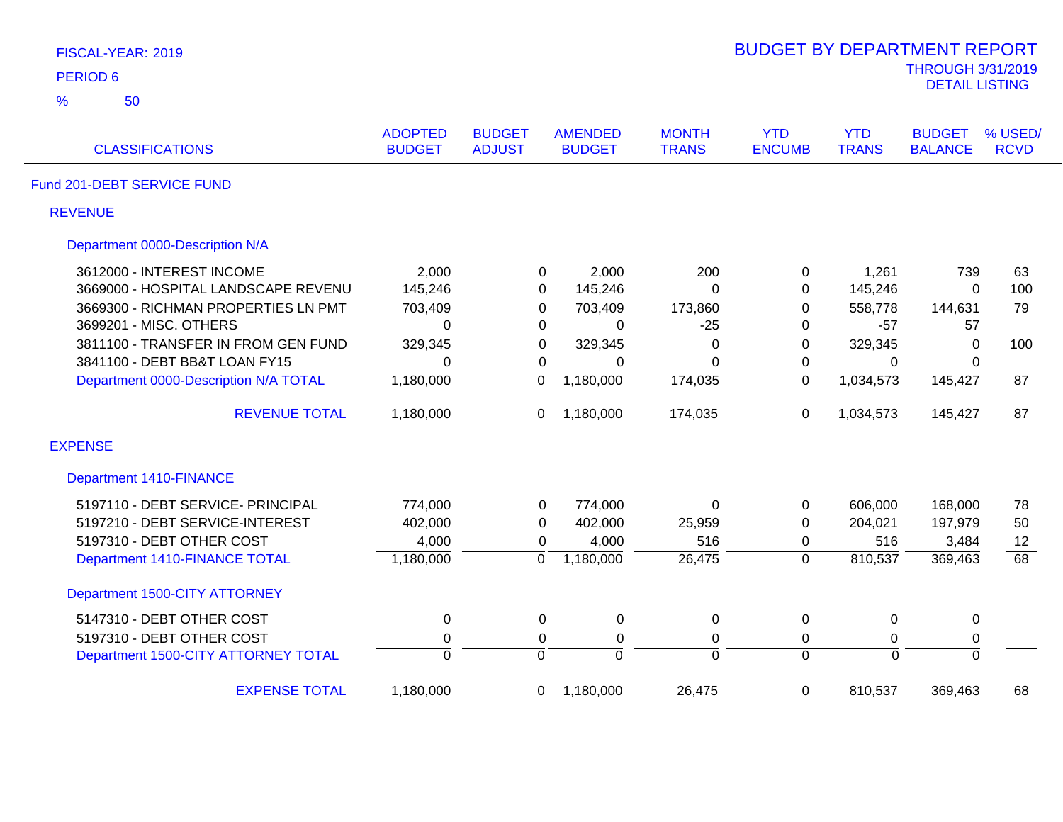| FISCAL-YEAR: 2019                     |                                 |                                |                                 |                              | <b>BUDGET BY DEPARTMENT REPORT</b> |                            |                                                   |                        |
|---------------------------------------|---------------------------------|--------------------------------|---------------------------------|------------------------------|------------------------------------|----------------------------|---------------------------------------------------|------------------------|
| <b>PERIOD 6</b>                       |                                 |                                |                                 |                              |                                    |                            | <b>THROUGH 3/31/2019</b><br><b>DETAIL LISTING</b> |                        |
| 50<br>%                               |                                 |                                |                                 |                              |                                    |                            |                                                   |                        |
| <b>CLASSIFICATIONS</b>                | <b>ADOPTED</b><br><b>BUDGET</b> | <b>BUDGET</b><br><b>ADJUST</b> | <b>AMENDED</b><br><b>BUDGET</b> | <b>MONTH</b><br><b>TRANS</b> | <b>YTD</b><br><b>ENCUMB</b>        | <b>YTD</b><br><b>TRANS</b> | <b>BUDGET</b><br><b>BALANCE</b>                   | % USED/<br><b>RCVD</b> |
| Fund 201-DEBT SERVICE FUND            |                                 |                                |                                 |                              |                                    |                            |                                                   |                        |
| <b>REVENUE</b>                        |                                 |                                |                                 |                              |                                    |                            |                                                   |                        |
| Department 0000-Description N/A       |                                 |                                |                                 |                              |                                    |                            |                                                   |                        |
| 3612000 - INTEREST INCOME             | 2,000                           | 0                              | 2,000                           | 200                          | 0                                  | 1,261                      | 739                                               | 63                     |
| 3669000 - HOSPITAL LANDSCAPE REVENU   | 145,246                         | $\mathbf 0$                    | 145,246                         | $\Omega$                     | 0                                  | 145,246                    | 0                                                 | 100                    |
| 3669300 - RICHMAN PROPERTIES LN PMT   | 703,409                         | $\mathbf 0$                    | 703,409                         | 173,860                      | 0                                  | 558,778                    | 144,631                                           | 79                     |
| 3699201 - MISC. OTHERS                | $\Omega$                        | 0                              | 0                               | $-25$                        | 0                                  | $-57$                      | 57                                                |                        |
| 3811100 - TRANSFER IN FROM GEN FUND   | 329,345                         | $\mathbf 0$                    | 329,345                         | 0                            | $\mathbf 0$                        | 329,345                    | $\mathbf 0$                                       | 100                    |
| 3841100 - DEBT BB&T LOAN FY15         | $\Omega$                        | $\mathbf 0$                    | 0                               | $\overline{0}$               | 0                                  | $\Omega$                   | 0                                                 |                        |
| Department 0000-Description N/A TOTAL | 1,180,000                       | $\overline{0}$                 | 1,180,000                       | 174,035                      | $\overline{0}$                     | 1,034,573                  | 145,427                                           | $\overline{87}$        |
| <b>REVENUE TOTAL</b>                  | 1,180,000                       | 0                              | 1,180,000                       | 174,035                      | $\mathbf 0$                        | 1,034,573                  | 145,427                                           | 87                     |
| <b>EXPENSE</b>                        |                                 |                                |                                 |                              |                                    |                            |                                                   |                        |
| <b>Department 1410-FINANCE</b>        |                                 |                                |                                 |                              |                                    |                            |                                                   |                        |
| 5197110 - DEBT SERVICE- PRINCIPAL     | 774,000                         | $\mathbf 0$                    | 774,000                         | $\Omega$                     | $\mathbf 0$                        | 606,000                    | 168,000                                           | 78                     |
| 5197210 - DEBT SERVICE-INTEREST       | 402,000                         | 0                              | 402,000                         | 25,959                       | $\pmb{0}$                          | 204,021                    | 197,979                                           | 50                     |
| 5197310 - DEBT OTHER COST             | 4,000                           | 0                              | 4,000                           | 516                          | 0                                  | 516                        | 3,484                                             | 12                     |
| Department 1410-FINANCE TOTAL         | 1,180,000                       | $\overline{0}$                 | 1,180,000                       | 26,475                       | $\overline{0}$                     | 810,537                    | 369,463                                           | 68                     |
| Department 1500-CITY ATTORNEY         |                                 |                                |                                 |                              |                                    |                            |                                                   |                        |
| 5147310 - DEBT OTHER COST             | $\pmb{0}$                       | 0                              | 0                               | 0                            | $\pmb{0}$                          | 0                          | 0                                                 |                        |
| 5197310 - DEBT OTHER COST             | $\pmb{0}$                       | 0                              | $\pmb{0}$                       | $\pmb{0}$                    | 0                                  | $\pmb{0}$                  | $\pmb{0}$                                         |                        |
| Department 1500-CITY ATTORNEY TOTAL   | $\overline{0}$                  | $\overline{0}$                 | $\overline{0}$                  | $\overline{0}$               | $\mathbf 0$                        | $\overline{0}$             | $\overline{0}$                                    |                        |
| <b>EXPENSE TOTAL</b>                  | 1,180,000                       | 0                              | 1,180,000                       | 26,475                       | 0                                  | 810,537                    | 369,463                                           | 68                     |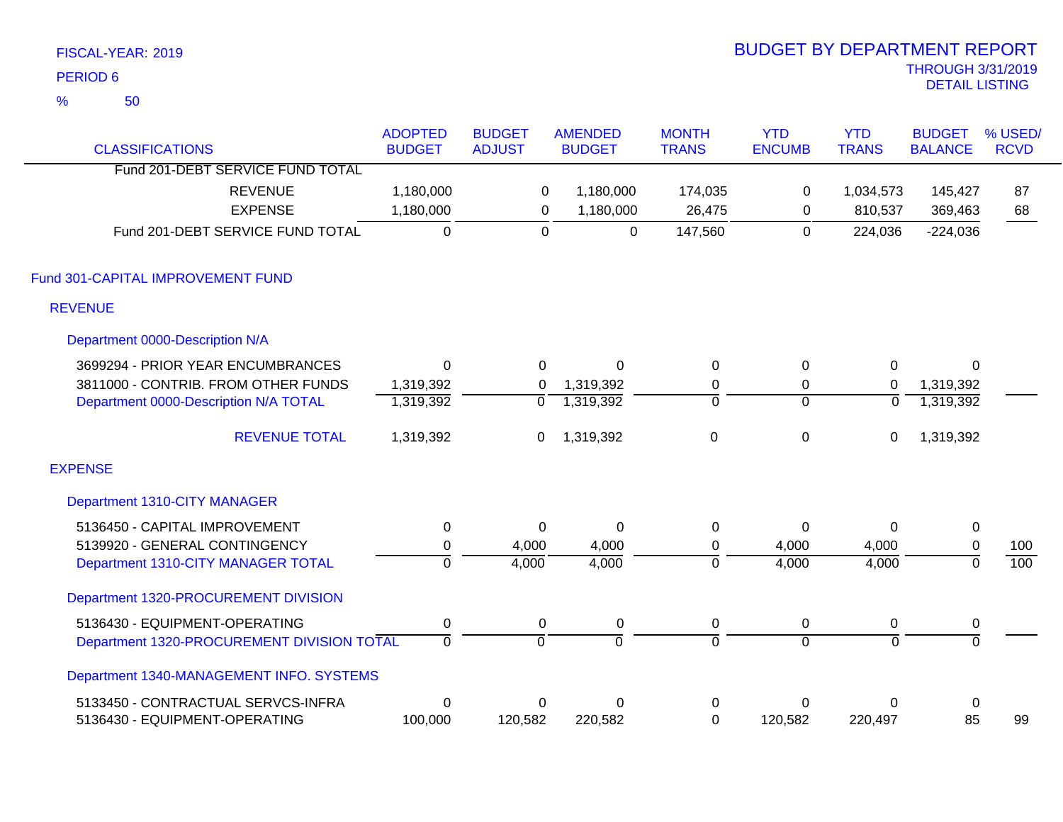|               | FISCAL-YEAR: 2019                          |                |                |                |                | <b>BUDGET BY DEPARTMENT REPORT</b> |                |                          |                  |
|---------------|--------------------------------------------|----------------|----------------|----------------|----------------|------------------------------------|----------------|--------------------------|------------------|
|               | <b>PERIOD 6</b>                            |                |                |                |                |                                    |                | <b>THROUGH 3/31/2019</b> |                  |
| $\frac{9}{6}$ | 50                                         |                |                |                |                |                                    |                | <b>DETAIL LISTING</b>    |                  |
|               |                                            | <b>ADOPTED</b> | <b>BUDGET</b>  | <b>AMENDED</b> | <b>MONTH</b>   | <b>YTD</b>                         | <b>YTD</b>     | <b>BUDGET</b>            | % USED/          |
|               | <b>CLASSIFICATIONS</b>                     | <b>BUDGET</b>  | <b>ADJUST</b>  | <b>BUDGET</b>  | <b>TRANS</b>   | <b>ENCUMB</b>                      | <b>TRANS</b>   | <b>BALANCE</b>           | <b>RCVD</b>      |
|               | Fund 201-DEBT SERVICE FUND TOTAL           |                |                |                |                |                                    |                |                          |                  |
|               | <b>REVENUE</b>                             | 1,180,000      | 0              | 1,180,000      | 174,035        | 0                                  | 1,034,573      | 145,427                  | 87               |
|               | <b>EXPENSE</b>                             | 1,180,000      | $\mathsf 0$    | 1,180,000      | 26,475         | 0                                  | 810,537        | 369,463                  | 68               |
|               | Fund 201-DEBT SERVICE FUND TOTAL           | $\overline{0}$ | $\overline{0}$ | $\overline{0}$ | 147,560        | $\overline{0}$                     | 224,036        | $-224,036$               |                  |
|               | Fund 301-CAPITAL IMPROVEMENT FUND          |                |                |                |                |                                    |                |                          |                  |
|               | <b>REVENUE</b>                             |                |                |                |                |                                    |                |                          |                  |
|               | Department 0000-Description N/A            |                |                |                |                |                                    |                |                          |                  |
|               | 3699294 - PRIOR YEAR ENCUMBRANCES          | $\mathbf 0$    | $\Omega$       | $\Omega$       | $\mathbf 0$    | 0                                  | 0              | $\Omega$                 |                  |
|               | 3811000 - CONTRIB. FROM OTHER FUNDS        | 1,319,392      | 0              | 1,319,392      | $\pmb{0}$      | 0                                  | $\mathbf 0$    | 1,319,392                |                  |
|               | Department 0000-Description N/A TOTAL      | 1,319,392      | 0              | 1,319,392      | $\overline{0}$ | $\Omega$                           | $\mathbf 0$    | 1,319,392                |                  |
|               | <b>REVENUE TOTAL</b>                       | 1,319,392      | 0              | 1,319,392      | $\pmb{0}$      | $\mathbf 0$                        | 0              | 1,319,392                |                  |
|               | <b>EXPENSE</b>                             |                |                |                |                |                                    |                |                          |                  |
|               | Department 1310-CITY MANAGER               |                |                |                |                |                                    |                |                          |                  |
|               | 5136450 - CAPITAL IMPROVEMENT              | $\pmb{0}$      | $\Omega$       | $\mathbf 0$    | $\pmb{0}$      | $\mathbf 0$                        | $\Omega$       | $\pmb{0}$                |                  |
|               | 5139920 - GENERAL CONTINGENCY              | $\pmb{0}$      | 4,000          | 4,000          | $\pmb{0}$      | 4,000                              | 4,000          | $\pmb{0}$                | 100              |
|               | Department 1310-CITY MANAGER TOTAL         | $\overline{0}$ | 4,000          | 4,000          | $\overline{0}$ | 4,000                              | 4,000          | $\overline{0}$           | $\overline{100}$ |
|               | Department 1320-PROCUREMENT DIVISION       |                |                |                |                |                                    |                |                          |                  |
|               | 5136430 - EQUIPMENT-OPERATING              | $\pmb{0}$      | 0              | $\pmb{0}$      | $\pmb{0}$      | 0                                  | $\pmb{0}$      | 0                        |                  |
|               | Department 1320-PROCUREMENT DIVISION TOTAL | 0              | $\overline{0}$ | 0              | 0              | $\overline{0}$                     | $\overline{0}$ | $\overline{0}$           |                  |
|               | Department 1340-MANAGEMENT INFO. SYSTEMS   |                |                |                |                |                                    |                |                          |                  |
|               | 5133450 - CONTRACTUAL SERVCS-INFRA         | $\mathbf 0$    | 0              | $\mathbf 0$    | 0              | 0                                  | 0              | $\pmb{0}$                |                  |
|               | 5136430 - EQUIPMENT-OPERATING              | 100,000        | 120,582        | 220,582        | $\mathbf 0$    | 120,582                            | 220,497        | 85                       | 99               |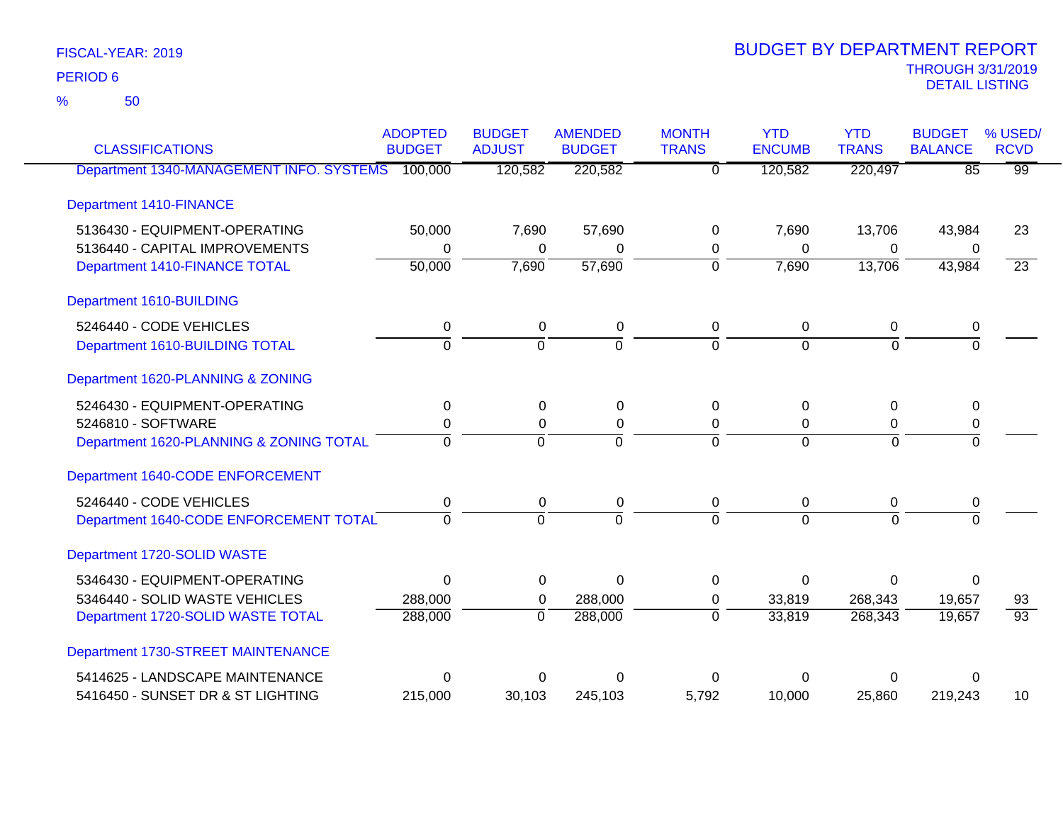50 %

| <b>CLASSIFICATIONS</b>                   | <b>ADOPTED</b><br><b>BUDGET</b> | <b>BUDGET</b><br><b>ADJUST</b> | <b>AMENDED</b><br><b>BUDGET</b> | <b>MONTH</b><br><b>TRANS</b> | <b>YTD</b><br><b>ENCUMB</b> | <b>YTD</b><br><b>TRANS</b> | <b>BUDGET</b><br><b>BALANCE</b> | % USED/<br><b>RCVD</b> |
|------------------------------------------|---------------------------------|--------------------------------|---------------------------------|------------------------------|-----------------------------|----------------------------|---------------------------------|------------------------|
| Department 1340-MANAGEMENT INFO. SYSTEMS | 100,000                         | 120,582                        | 220,582                         | $\overline{0}$               | 120,582                     | 220,497                    | $\overline{85}$                 | $\overline{99}$        |
| <b>Department 1410-FINANCE</b>           |                                 |                                |                                 |                              |                             |                            |                                 |                        |
| 5136430 - EQUIPMENT-OPERATING            | 50,000                          | 7,690                          | 57,690                          | 0                            | 7,690                       | 13,706                     | 43,984                          | 23                     |
| 5136440 - CAPITAL IMPROVEMENTS           | 0                               | 0                              | $\Omega$                        | 0                            | $\Omega$                    | $\mathbf 0$                | 0                               |                        |
| Department 1410-FINANCE TOTAL            | 50,000                          | 7,690                          | 57,690                          | $\overline{0}$               | 7,690                       | 13,706                     | 43,984                          | $\overline{23}$        |
| Department 1610-BUILDING                 |                                 |                                |                                 |                              |                             |                            |                                 |                        |
| 5246440 - CODE VEHICLES                  | $\mathbf 0$                     | $\mathbf 0$                    | $\mathbf 0$                     | $\mathbf 0$                  | $\mathbf 0$                 | 0                          | 0                               |                        |
| Department 1610-BUILDING TOTAL           | $\overline{0}$                  | $\overline{0}$                 | $\overline{0}$                  | $\Omega$                     | $\Omega$                    | $\overline{0}$             | $\overline{0}$                  |                        |
| Department 1620-PLANNING & ZONING        |                                 |                                |                                 |                              |                             |                            |                                 |                        |
| 5246430 - EQUIPMENT-OPERATING            | 0                               | $\mathbf 0$                    | 0                               | $\Omega$                     | $\Omega$                    | 0                          | 0                               |                        |
| 5246810 - SOFTWARE                       | 0                               | $\mathbf 0$                    | $\boldsymbol{0}$                | $\mathbf 0$                  | $\mathbf 0$                 | $\mathbf 0$                | 0                               |                        |
| Department 1620-PLANNING & ZONING TOTAL  | $\Omega$                        | $\Omega$                       | $\Omega$                        | $\Omega$                     | $\Omega$                    | $\Omega$                   | $\Omega$                        |                        |
| Department 1640-CODE ENFORCEMENT         |                                 |                                |                                 |                              |                             |                            |                                 |                        |
| 5246440 - CODE VEHICLES                  | 0                               | $\pmb{0}$                      | $\pmb{0}$                       | 0                            | $\pmb{0}$                   | $\mathbf 0$                | 0                               |                        |
| Department 1640-CODE ENFORCEMENT TOTAL   | $\Omega$                        | $\Omega$                       | $\Omega$                        | $\Omega$                     | $\Omega$                    | $\Omega$                   | $\Omega$                        |                        |
| Department 1720-SOLID WASTE              |                                 |                                |                                 |                              |                             |                            |                                 |                        |
| 5346430 - EQUIPMENT-OPERATING            | $\mathbf 0$                     | $\boldsymbol{0}$               | $\mathbf 0$                     | $\mathbf 0$                  | $\Omega$                    | $\mathbf 0$                | $\overline{0}$                  |                        |
| 5346440 - SOLID WASTE VEHICLES           | 288,000                         | 0                              | 288,000                         | 0                            | 33,819                      | 268,343                    | 19,657                          | 93                     |
| Department 1720-SOLID WASTE TOTAL        | 288,000                         | $\overline{0}$                 | 288,000                         | $\overline{0}$               | 33,819                      | 268,343                    | 19,657                          | $\overline{93}$        |
| Department 1730-STREET MAINTENANCE       |                                 |                                |                                 |                              |                             |                            |                                 |                        |
| 5414625 - LANDSCAPE MAINTENANCE          | 0                               | 0                              | $\Omega$                        | U                            | ∩                           | 0                          | 0                               |                        |
| 5416450 - SUNSET DR & ST LIGHTING        | 215,000                         | 30,103                         | 245,103                         | 5,792                        | 10,000                      | 25,860                     | 219,243                         | 10                     |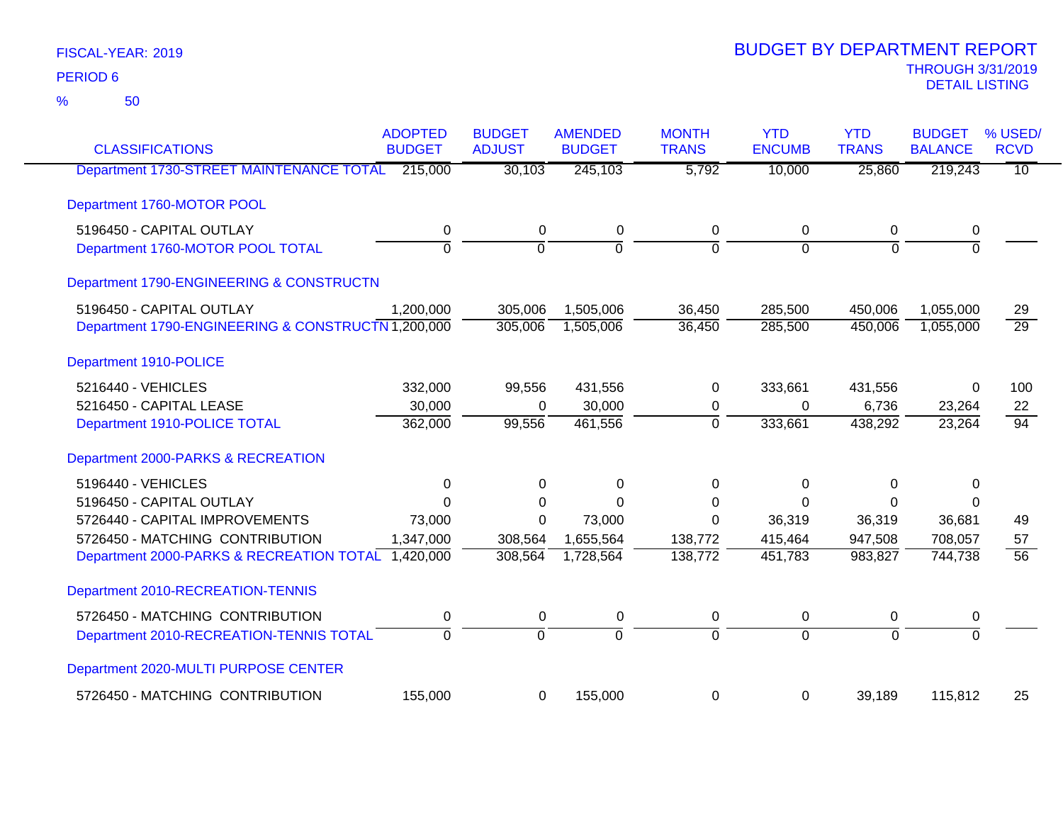| <b>CLASSIFICATIONS</b>                             | <b>ADOPTED</b><br><b>BUDGET</b> | <b>BUDGET</b><br><b>ADJUST</b> | <b>AMENDED</b><br><b>BUDGET</b> | <b>MONTH</b><br><b>TRANS</b> | <b>YTD</b><br><b>ENCUMB</b> | <b>YTD</b><br><b>TRANS</b> | <b>BUDGET</b><br><b>BALANCE</b> | % USED/<br><b>RCVD</b> |
|----------------------------------------------------|---------------------------------|--------------------------------|---------------------------------|------------------------------|-----------------------------|----------------------------|---------------------------------|------------------------|
| Department 1730-STREET MAINTENANCE TOTAL           | 215,000                         | 30,103                         | 245,103                         | 5,792                        | 10,000                      | 25,860                     | 219,243                         | $\overline{10}$        |
| Department 1760-MOTOR POOL                         |                                 |                                |                                 |                              |                             |                            |                                 |                        |
| 5196450 - CAPITAL OUTLAY                           | 0                               | $\mathbf 0$                    | $\pmb{0}$                       | $\mathbf 0$                  | 0                           | $\mathbf 0$                | 0                               |                        |
| Department 1760-MOTOR POOL TOTAL                   | $\overline{0}$                  | $\overline{0}$                 | $\overline{0}$                  | $\overline{0}$               | $\overline{0}$              | $\overline{0}$             | $\overline{0}$                  |                        |
| Department 1790-ENGINEERING & CONSTRUCTN           |                                 |                                |                                 |                              |                             |                            |                                 |                        |
| 5196450 - CAPITAL OUTLAY                           | 1,200,000                       | 305,006                        | 1,505,006                       | 36,450                       | 285,500                     | 450,006                    | 1,055,000                       | 29                     |
| Department 1790-ENGINEERING & CONSTRUCTN 1,200,000 |                                 | 305,006                        | 1,505,006                       | 36,450                       | 285,500                     | 450,006                    | 1,055,000                       | $\overline{29}$        |
| Department 1910-POLICE                             |                                 |                                |                                 |                              |                             |                            |                                 |                        |
| 5216440 - VEHICLES                                 | 332,000                         | 99,556                         | 431,556                         | 0                            | 333,661                     | 431,556                    | 0                               | 100                    |
| 5216450 - CAPITAL LEASE                            | 30,000                          | $\Omega$                       | 30,000                          | 0                            | 0                           | 6,736                      | 23,264                          | 22                     |
| Department 1910-POLICE TOTAL                       | 362,000                         | 99,556                         | 461,556                         | $\Omega$                     | 333,661                     | 438,292                    | 23,264                          | $\overline{94}$        |
| Department 2000-PARKS & RECREATION                 |                                 |                                |                                 |                              |                             |                            |                                 |                        |
| 5196440 - VEHICLES                                 | 0                               | 0                              | 0                               | $\Omega$                     | $\Omega$                    | 0                          | $\Omega$                        |                        |
| 5196450 - CAPITAL OUTLAY                           | $\Omega$                        | 0                              | $\Omega$                        | $\Omega$                     | $\Omega$                    | $\Omega$                   | $\Omega$                        |                        |
| 5726440 - CAPITAL IMPROVEMENTS                     | 73,000                          | $\Omega$                       | 73,000                          | $\Omega$                     | 36,319                      | 36,319                     | 36,681                          | 49                     |
| 5726450 - MATCHING CONTRIBUTION                    | 1,347,000                       | 308,564                        | 1,655,564                       | 138,772                      | 415,464                     | 947,508                    | 708,057                         | 57                     |
| Department 2000-PARKS & RECREATION TOTAL 1,420,000 |                                 | 308,564                        | 1,728,564                       | 138,772                      | 451,783                     | 983,827                    | 744,738                         | $\overline{56}$        |
| Department 2010-RECREATION-TENNIS                  |                                 |                                |                                 |                              |                             |                            |                                 |                        |
| 5726450 - MATCHING CONTRIBUTION                    | 0                               | $\pmb{0}$                      | $\pmb{0}$                       | $\pmb{0}$                    | $\pmb{0}$                   | 0                          | 0                               |                        |
| Department 2010-RECREATION-TENNIS TOTAL            | $\overline{0}$                  | $\overline{0}$                 | $\overline{0}$                  | $\overline{0}$               | $\overline{0}$              | $\overline{0}$             | $\overline{0}$                  |                        |
| Department 2020-MULTI PURPOSE CENTER               |                                 |                                |                                 |                              |                             |                            |                                 |                        |
| 5726450 - MATCHING CONTRIBUTION                    | 155,000                         | $\mathbf 0$                    | 155,000                         | 0                            | 0                           | 39,189                     | 115,812                         | 25                     |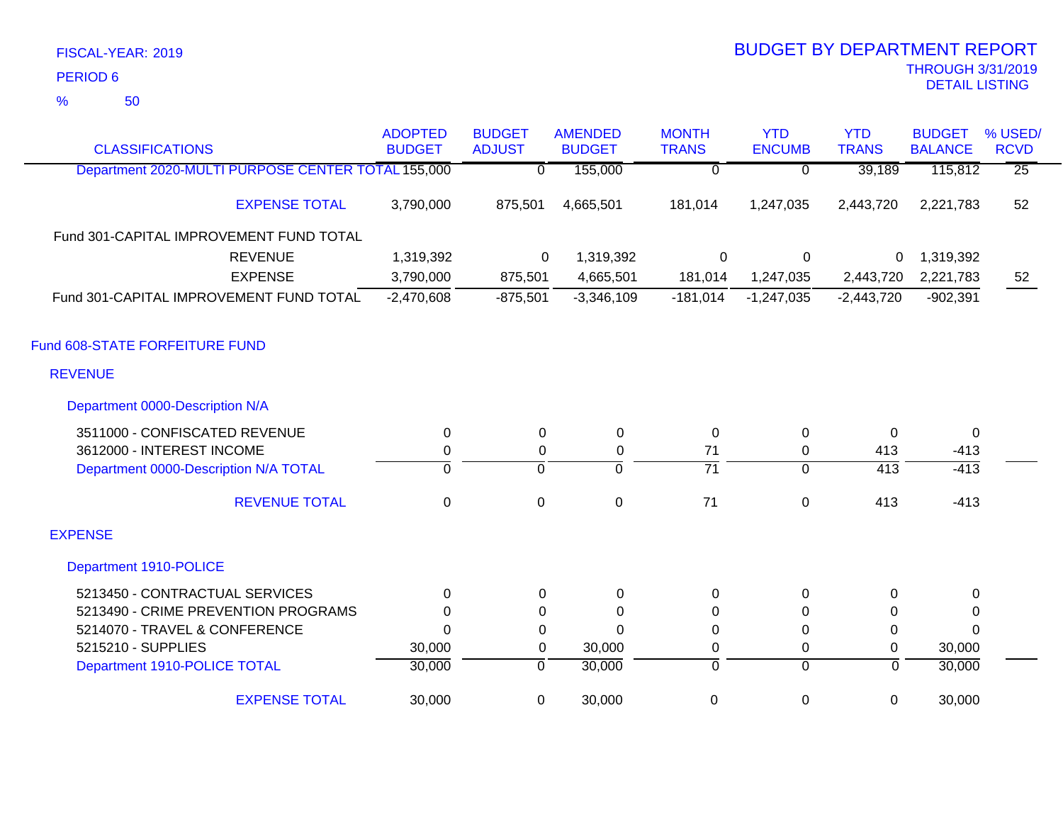50 %

| <b>CLASSIFICATIONS</b>                             | <b>ADOPTED</b><br><b>BUDGET</b> | <b>BUDGET</b><br><b>ADJUST</b> | <b>AMENDED</b><br><b>BUDGET</b> | <b>MONTH</b><br><b>TRANS</b> | <b>YTD</b><br><b>ENCUMB</b> | <b>YTD</b><br><b>TRANS</b> | <b>BUDGET</b><br><b>BALANCE</b> | % USED/<br><b>RCVD</b> |
|----------------------------------------------------|---------------------------------|--------------------------------|---------------------------------|------------------------------|-----------------------------|----------------------------|---------------------------------|------------------------|
| Department 2020-MULTI PURPOSE CENTER TOTAL 155,000 |                                 | $\Omega$                       | 155,000                         | $\overline{0}$               | $\overline{0}$              | 39,189                     | 115,812                         | $\overline{25}$        |
| <b>EXPENSE TOTAL</b>                               | 3,790,000                       | 875,501                        | 4,665,501                       | 181,014                      | 1,247,035                   | 2,443,720                  | 2,221,783                       | 52                     |
| Fund 301-CAPITAL IMPROVEMENT FUND TOTAL            |                                 |                                |                                 |                              |                             |                            |                                 |                        |
| <b>REVENUE</b>                                     | 1,319,392                       | 0                              | 1,319,392                       | $\mathsf 0$                  | $\mathbf 0$                 | 0                          | 1,319,392                       |                        |
| <b>EXPENSE</b>                                     | 3,790,000                       | 875,501                        | 4,665,501                       | 181,014                      | 1,247,035                   | 2,443,720                  | 2,221,783                       | 52                     |
| Fund 301-CAPITAL IMPROVEMENT FUND TOTAL            | $-2,470,608$                    | $-875,501$                     | $-3,346,109$                    | $-181,014$                   | $-1,247,035$                | $-2,443,720$               | $-902,391$                      |                        |
| Fund 608-STATE FORFEITURE FUND                     |                                 |                                |                                 |                              |                             |                            |                                 |                        |
| <b>REVENUE</b>                                     |                                 |                                |                                 |                              |                             |                            |                                 |                        |
| Department 0000-Description N/A                    |                                 |                                |                                 |                              |                             |                            |                                 |                        |
| 3511000 - CONFISCATED REVENUE                      | 0                               | $\mathbf 0$                    | 0                               | 0                            | $\mathbf 0$                 | $\Omega$                   | $\overline{0}$                  |                        |
| 3612000 - INTEREST INCOME                          | $\pmb{0}$                       | $\mathsf 0$                    | $\boldsymbol{0}$                | 71                           | $\mathbf 0$                 | 413                        | $-413$                          |                        |
| Department 0000-Description N/A TOTAL              | $\overline{0}$                  | $\overline{0}$                 | 0                               | $\overline{71}$              | $\overline{0}$              | $\overline{413}$           | $-413$                          |                        |
| <b>REVENUE TOTAL</b>                               | 0                               | 0                              | $\mathbf 0$                     | 71                           | $\mathbf 0$                 | 413                        | $-413$                          |                        |
| <b>EXPENSE</b>                                     |                                 |                                |                                 |                              |                             |                            |                                 |                        |
| Department 1910-POLICE                             |                                 |                                |                                 |                              |                             |                            |                                 |                        |
| 5213450 - CONTRACTUAL SERVICES                     | $\Omega$                        | $\Omega$                       | 0                               | 0                            | 0                           | $\Omega$                   | 0                               |                        |
| 5213490 - CRIME PREVENTION PROGRAMS                | $\Omega$                        | 0                              | 0                               | 0                            | $\mathbf{0}$                | 0                          | 0                               |                        |
| 5214070 - TRAVEL & CONFERENCE                      | $\Omega$                        | 0                              | $\overline{0}$                  | 0                            | $\pmb{0}$                   | 0                          | $\Omega$                        |                        |
| 5215210 - SUPPLIES                                 | 30,000                          | 0                              | 30,000                          | 0                            | 0                           | $\Omega$                   | 30,000                          |                        |
| Department 1910-POLICE TOTAL                       | 30,000                          | $\overline{0}$                 | 30,000                          | ō                            | $\overline{0}$              | $\mathbf 0$                | 30,000                          |                        |
| <b>EXPENSE TOTAL</b>                               | 30,000                          | $\mathbf 0$                    | 30,000                          | 0                            | $\boldsymbol{0}$            | $\mathbf 0$                | 30,000                          |                        |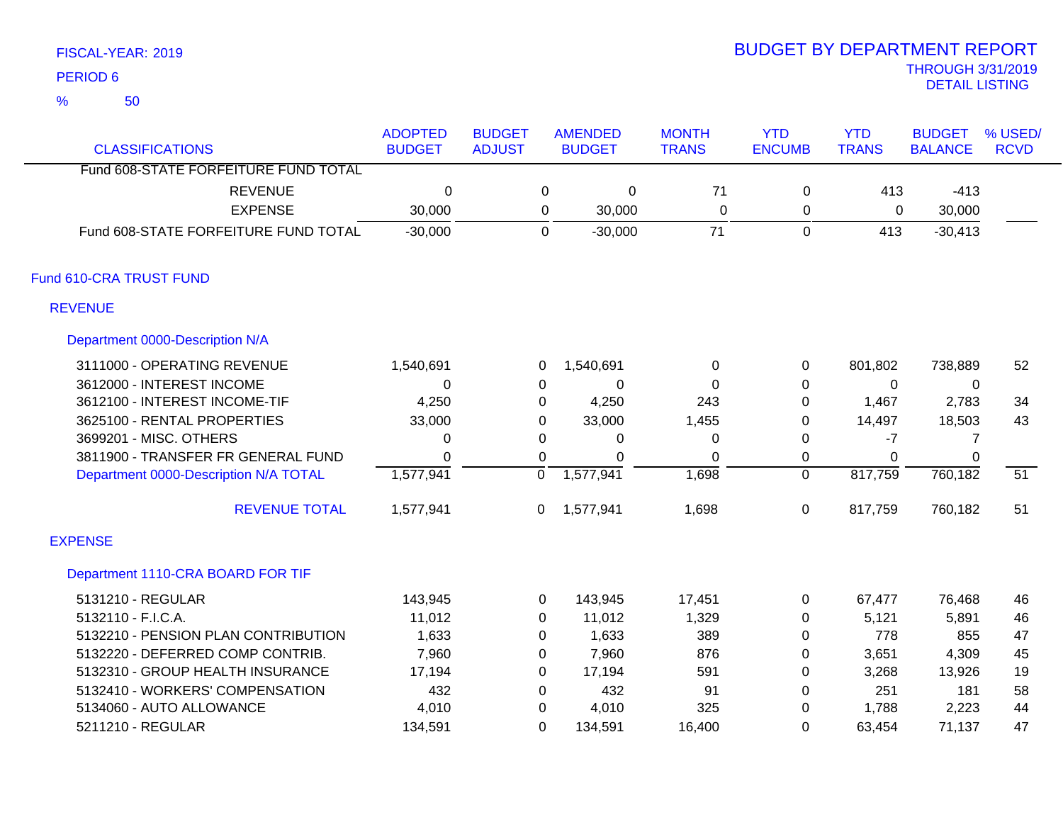50

### THROUGH 3/31/2019<br>DETAIL LISTING DETAIL LISTING PERIOD <sup>6</sup> BUDGET BY DEPARTMENT REPORT

| <b>CLASSIFICATIONS</b>                | <b>ADOPTED</b><br><b>BUDGET</b> | <b>BUDGET</b><br><b>ADJUST</b> |                | <b>AMENDED</b><br><b>BUDGET</b> | <b>MONTH</b><br><b>TRANS</b> | <b>YTD</b><br><b>ENCUMB</b> | <b>YTD</b><br><b>TRANS</b> | <b>BUDGET</b><br><b>BALANCE</b> | % USED/<br><b>RCVD</b> |
|---------------------------------------|---------------------------------|--------------------------------|----------------|---------------------------------|------------------------------|-----------------------------|----------------------------|---------------------------------|------------------------|
| Fund 608-STATE FORFEITURE FUND TOTAL  |                                 |                                |                |                                 |                              |                             |                            |                                 |                        |
| <b>REVENUE</b>                        | $\mathbf 0$                     |                                | 0              | $\pmb{0}$                       | 71                           | 0                           | 413                        | $-413$                          |                        |
| <b>EXPENSE</b>                        | 30,000                          |                                | 0              | 30,000                          | $\Omega$                     | 0                           | 0                          | 30,000                          |                        |
| Fund 608-STATE FORFEITURE FUND TOTAL  | $-30,000$                       |                                | $\Omega$       | $-30,000$                       | 71                           | $\mathbf 0$                 | 413                        | $-30,413$                       |                        |
| Fund 610-CRA TRUST FUND               |                                 |                                |                |                                 |                              |                             |                            |                                 |                        |
| <b>REVENUE</b>                        |                                 |                                |                |                                 |                              |                             |                            |                                 |                        |
| Department 0000-Description N/A       |                                 |                                |                |                                 |                              |                             |                            |                                 |                        |
| 3111000 - OPERATING REVENUE           | 1,540,691                       |                                | 0              | 1,540,691                       | 0                            | 0                           | 801,802                    | 738,889                         | 52                     |
| 3612000 - INTEREST INCOME             | 0                               |                                | 0              | $\mathbf 0$                     | 0                            | 0                           | 0                          | $\mathbf 0$                     |                        |
| 3612100 - INTEREST INCOME-TIF         | 4,250                           |                                | 0              | 4,250                           | 243                          | 0                           | 1,467                      | 2,783                           | 34                     |
| 3625100 - RENTAL PROPERTIES           | 33,000                          |                                | 0              | 33,000                          | 1,455                        | 0                           | 14,497                     | 18,503                          | 43                     |
| 3699201 - MISC. OTHERS                | 0                               |                                | 0              | 0                               | 0                            | 0                           | $-7$                       | 7                               |                        |
| 3811900 - TRANSFER FR GENERAL FUND    | $\Omega$                        |                                | $\Omega$       | $\mathbf 0$                     | $\Omega$                     | 0                           | $\Omega$                   | $\Omega$                        |                        |
| Department 0000-Description N/A TOTAL | 1,577,941                       |                                | 0              | 1,577,941                       | 1,698                        | $\mathbf{0}$                | 817,759                    | 760,182                         | 51                     |
| <b>REVENUE TOTAL</b>                  | 1,577,941                       |                                | 0              | 1,577,941                       | 1,698                        | 0                           | 817,759                    | 760,182                         | 51                     |
| <b>EXPENSE</b>                        |                                 |                                |                |                                 |                              |                             |                            |                                 |                        |
| Department 1110-CRA BOARD FOR TIF     |                                 |                                |                |                                 |                              |                             |                            |                                 |                        |
| 5131210 - REGULAR                     | 143,945                         |                                | 0              | 143,945                         | 17,451                       | 0                           | 67,477                     | 76,468                          | 46                     |
| 5132110 - F.I.C.A.                    | 11,012                          |                                | 0              | 11,012                          | 1,329                        | 0                           | 5,121                      | 5,891                           | 46                     |
| 5132210 - PENSION PLAN CONTRIBUTION   | 1,633                           |                                | 0              | 1,633                           | 389                          | 0                           | 778                        | 855                             | 47                     |
| 5132220 - DEFERRED COMP CONTRIB.      | 7,960                           |                                | 0              | 7,960                           | 876                          | 0                           | 3,651                      | 4,309                           | 45                     |
| 5132310 - GROUP HEALTH INSURANCE      | 17,194                          |                                | 0              | 17,194                          | 591                          | 0                           | 3,268                      | 13,926                          | 19                     |
| 5132410 - WORKERS' COMPENSATION       | 432                             |                                | 0              | 432                             | 91                           | 0                           | 251                        | 181                             | 58                     |
| 5134060 - AUTO ALLOWANCE              | 4,010                           |                                | 0              | 4,010                           | 325                          | 0                           | 1,788                      | 2,223                           | 44                     |
| 5211210 - REGULAR                     | 134,591                         |                                | $\overline{0}$ | 134,591                         | 16,400                       | $\overline{0}$              | 63,454                     | 71,137                          | 47                     |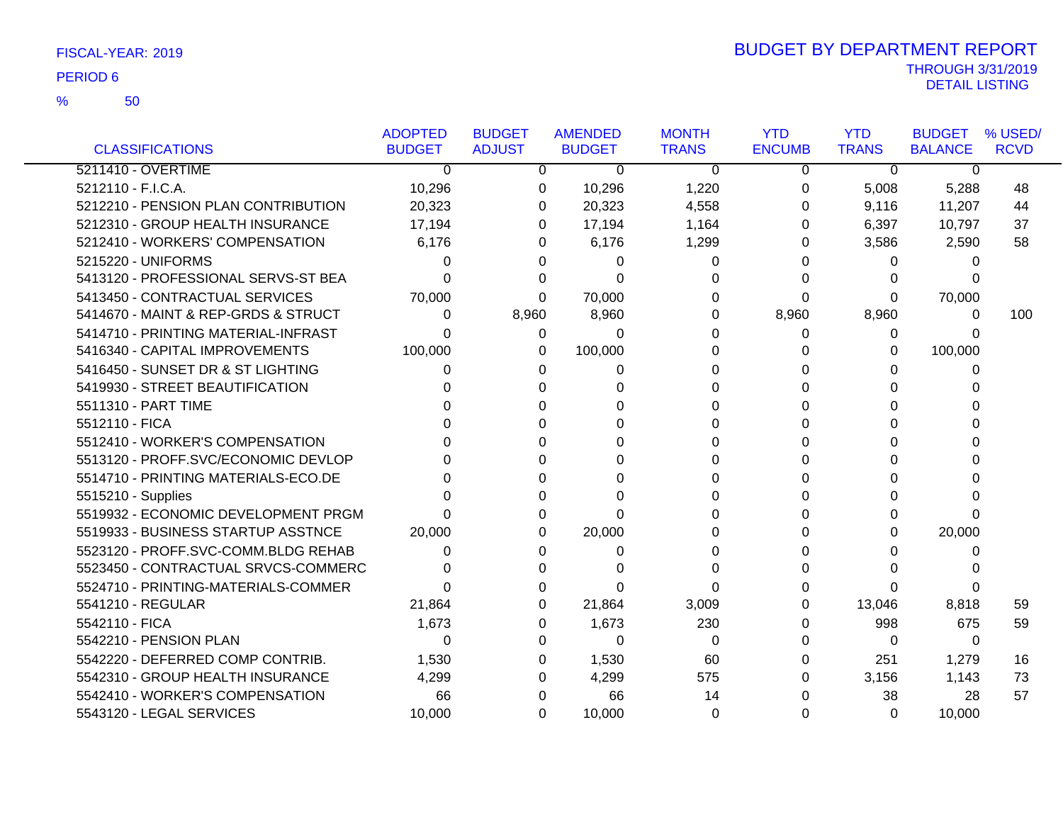50 %

|                                     | <b>ADOPTED</b> | <b>BUDGET</b> | <b>AMENDED</b> | <b>MONTH</b> | <b>YTD</b>    | <b>YTD</b>   | <b>BUDGET</b>  | % USED/     |
|-------------------------------------|----------------|---------------|----------------|--------------|---------------|--------------|----------------|-------------|
| <b>CLASSIFICATIONS</b>              | <b>BUDGET</b>  | <b>ADJUST</b> | <b>BUDGET</b>  | <b>TRANS</b> | <b>ENCUMB</b> | <b>TRANS</b> | <b>BALANCE</b> | <b>RCVD</b> |
| 5211410 - OVERTIME                  | $\Omega$       | 0             | $\Omega$       | $\Omega$     | 0             | $\Omega$     | $\mathbf{0}$   |             |
| 5212110 - F.I.C.A.                  | 10,296         | 0             | 10,296         | 1,220        | 0             | 5,008        | 5,288          | 48          |
| 5212210 - PENSION PLAN CONTRIBUTION | 20,323         | 0             | 20,323         | 4,558        | 0             | 9,116        | 11,207         | 44          |
| 5212310 - GROUP HEALTH INSURANCE    | 17,194         | 0             | 17,194         | 1,164        | 0             | 6,397        | 10,797         | 37          |
| 5212410 - WORKERS' COMPENSATION     | 6,176          | 0             | 6,176          | 1,299        | 0             | 3,586        | 2,590          | 58          |
| 5215220 - UNIFORMS                  | 0              |               | 0              | 0            |               | 0            | 0              |             |
| 5413120 - PROFESSIONAL SERVS-ST BEA | 0              |               | 0              | 0            |               | 0            | O              |             |
| 5413450 - CONTRACTUAL SERVICES      | 70,000         | $\Omega$      | 70,000         | 0            | 0             | 0            | 70,000         |             |
| 5414670 - MAINT & REP-GRDS & STRUCT | 0              | 8,960         | 8,960          | 0            | 8,960         | 8,960        | 0              | 100         |
| 5414710 - PRINTING MATERIAL-INFRAST | 0              | 0             | 0              | 0            | 0             | 0            | 0              |             |
| 5416340 - CAPITAL IMPROVEMENTS      | 100,000        | 0             | 100,000        | 0            | 0             | 0            | 100,000        |             |
| 5416450 - SUNSET DR & ST LIGHTING   | 0              | 0             | 0              | 0            | O             | O            | 0              |             |
| 5419930 - STREET BEAUTIFICATION     |                |               |                | 0            |               | 0            |                |             |
| 5511310 - PART TIME                 |                |               | 0              | 0            |               | 0            |                |             |
| 5512110 - FICA                      |                |               | 0              | 0            | 0             | 0            | 0              |             |
| 5512410 - WORKER'S COMPENSATION     |                |               | 0              | 0            |               | 0            | O              |             |
| 5513120 - PROFF.SVC/ECONOMIC DEVLOP |                |               | 0              | 0            |               | 0            |                |             |
| 5514710 - PRINTING MATERIALS-ECO.DE |                |               | 0              | 0            |               | 0            |                |             |
| 5515210 - Supplies                  |                |               | 0              |              |               | O            |                |             |
| 5519932 - ECONOMIC DEVELOPMENT PRGM |                | 0             | $\Omega$       |              |               | 0            | O              |             |
| 5519933 - BUSINESS STARTUP ASSTNCE  | 20,000         | 0             | 20,000         | 0            |               | 0            | 20,000         |             |
| 5523120 - PROFF.SVC-COMM.BLDG REHAB | 0              |               | 0              | 0            |               | 0            | O              |             |
| 5523450 - CONTRACTUAL SRVCS-COMMERC | 0              | 0             | 0              | 0            | O             | U            |                |             |
| 5524710 - PRINTING-MATERIALS-COMMER | 0              |               | 0              | 0            |               | $\Omega$     | 0              |             |
| 5541210 - REGULAR                   | 21,864         |               | 21,864         | 3,009        | 0             | 13,046       | 8,818          | 59          |
| 5542110 - FICA                      | 1,673          | 0             | 1,673          | 230          | 0             | 998          | 675            | 59          |
| 5542210 - PENSION PLAN              | 0              | 0             | 0              | $\Omega$     | 0             | 0            | $\Omega$       |             |
| 5542220 - DEFERRED COMP CONTRIB.    | 1,530          | 0             | 1,530          | 60           | 0             | 251          | 1,279          | 16          |
| 5542310 - GROUP HEALTH INSURANCE    | 4,299          | 0             | 4,299          | 575          | 0             | 3,156        | 1,143          | 73          |
| 5542410 - WORKER'S COMPENSATION     | 66             | 0             | 66             | 14           |               | 38           | 28             | 57          |
| 5543120 - LEGAL SERVICES            | 10,000         | 0             | 10,000         | $\Omega$     | 0             | 0            | 10,000         |             |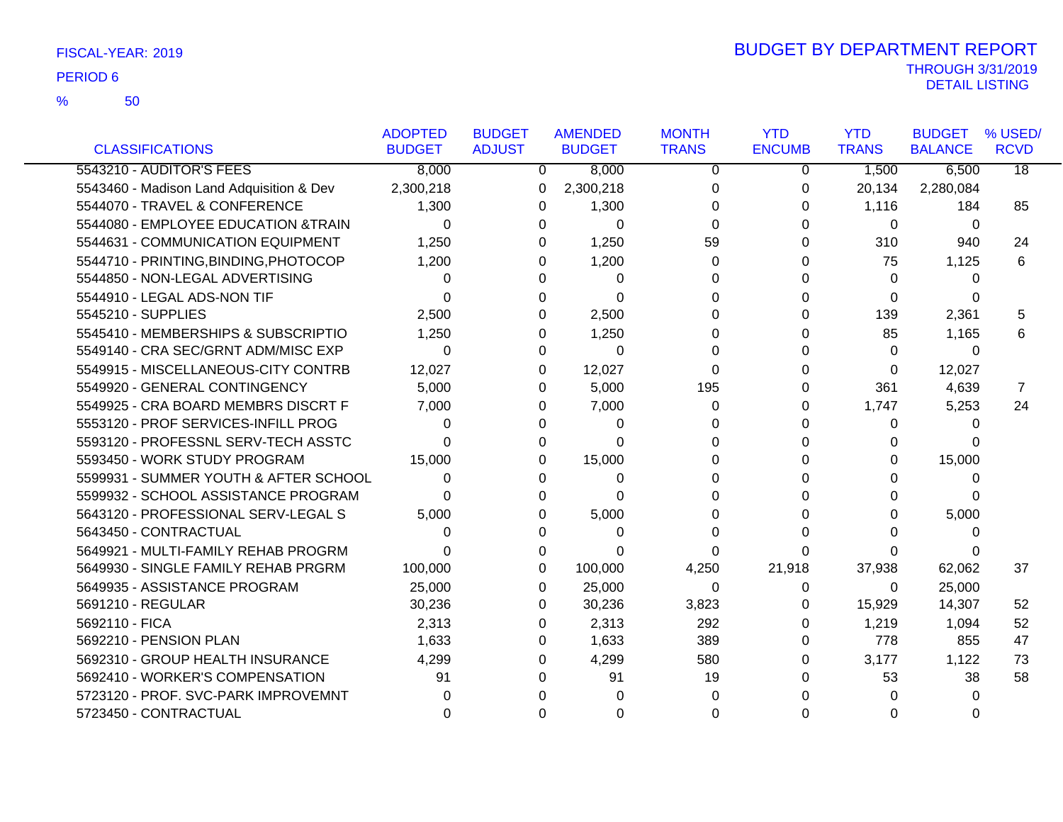|                                          | <b>ADOPTED</b> | <b>BUDGET</b> | <b>AMENDED</b> | <b>MONTH</b> | <b>YTD</b>    | <b>YTD</b>   | <b>BUDGET</b>  | % USED/         |
|------------------------------------------|----------------|---------------|----------------|--------------|---------------|--------------|----------------|-----------------|
| <b>CLASSIFICATIONS</b>                   | <b>BUDGET</b>  | <b>ADJUST</b> | <b>BUDGET</b>  | <b>TRANS</b> | <b>ENCUMB</b> | <b>TRANS</b> | <b>BALANCE</b> | <b>RCVD</b>     |
| 5543210 - AUDITOR'S FEES                 | 8,000          | $\mathbf{0}$  | 8,000          | $\mathbf 0$  | 0             | 1,500        | 6,500          | $\overline{18}$ |
| 5543460 - Madison Land Adquisition & Dev | 2,300,218      | 0             | 2,300,218      | 0            | 0             | 20,134       | 2,280,084      |                 |
| 5544070 - TRAVEL & CONFERENCE            | 1,300          | 0             | 1,300          | $\Omega$     | 0             | 1,116        | 184            | 85              |
| 5544080 - EMPLOYEE EDUCATION &TRAIN      | 0              | 0             | $\Omega$       | $\Omega$     | 0             | 0            | 0              |                 |
| 5544631 - COMMUNICATION EQUIPMENT        | 1,250          | 0             | 1,250          | 59           | 0             | 310          | 940            | 24              |
| 5544710 - PRINTING, BINDING, PHOTOCOP    | 1,200          | 0             | 1,200          | $\Omega$     | 0             | 75           | 1,125          | 6               |
| 5544850 - NON-LEGAL ADVERTISING          | 0              | 0             | $\Omega$       | 0            | U             | $\Omega$     | 0              |                 |
| 5544910 - LEGAL ADS-NON TIF              | $\Omega$       | 0             | $\Omega$       | 0            |               | 0            | 0              |                 |
| 5545210 - SUPPLIES                       | 2,500          | 0             | 2,500          | 0            | 0             | 139          | 2,361          | 5               |
| 5545410 - MEMBERSHIPS & SUBSCRIPTIO      | 1,250          | 0             | 1,250          | 0            |               | 85           | 1,165          | 6               |
| 5549140 - CRA SEC/GRNT ADM/MISC EXP      | $\Omega$       | $\Omega$      | $\Omega$       | 0            |               | $\Omega$     | $\Omega$       |                 |
| 5549915 - MISCELLANEOUS-CITY CONTRB      | 12,027         | 0             | 12,027         | $\Omega$     | 0             | 0            | 12,027         |                 |
| 5549920 - GENERAL CONTINGENCY            | 5,000          | 0             | 5,000          | 195          | 0             | 361          | 4,639          | 7               |
| 5549925 - CRA BOARD MEMBRS DISCRT F      | 7,000          | 0             | 7,000          | 0            | 0             | 1,747        | 5,253          | 24              |
| 5553120 - PROF SERVICES-INFILL PROG      | 0              | U             | 0              | 0            |               | 0            | 0              |                 |
| 5593120 - PROFESSNL SERV-TECH ASSTC      | 0              | 0             | $\Omega$       | 0            |               | 0            | n              |                 |
| 5593450 - WORK STUDY PROGRAM             | 15,000         | 0             | 15,000         | 0            |               | 0            | 15,000         |                 |
| 5599931 - SUMMER YOUTH & AFTER SCHOOL    | 0              | 0             | 0              | 0            |               | O            | 0              |                 |
| 5599932 - SCHOOL ASSISTANCE PROGRAM      | O              | U             | 0              | 0            |               | U            | O              |                 |
| 5643120 - PROFESSIONAL SERV-LEGAL S      | 5,000          | 0             | 5,000          | 0            |               | 0            | 5,000          |                 |
| 5643450 - CONTRACTUAL                    | 0              | 0             | 0              | 0            |               | O            | 0              |                 |
| 5649921 - MULTI-FAMILY REHAB PROGRM      | 0              | 0             | 0              | 0            | ∩             | 0            | $\Omega$       |                 |
| 5649930 - SINGLE FAMILY REHAB PRGRM      | 100,000        | 0             | 100,000        | 4,250        | 21,918        | 37,938       | 62,062         | 37              |
| 5649935 - ASSISTANCE PROGRAM             | 25,000         | 0             | 25,000         | $\Omega$     | 0             | 0            | 25,000         |                 |
| 5691210 - REGULAR                        | 30,236         | 0             | 30,236         | 3,823        | 0             | 15,929       | 14,307         | 52              |
| 5692110 - FICA                           | 2,313          | 0             | 2,313          | 292          | 0             | 1,219        | 1,094          | 52              |
| 5692210 - PENSION PLAN                   | 1,633          | 0             | 1,633          | 389          | 0             | 778          | 855            | 47              |
| 5692310 - GROUP HEALTH INSURANCE         | 4,299          | 0             | 4,299          | 580          | 0             | 3,177        | 1,122          | 73              |
| 5692410 - WORKER'S COMPENSATION          | 91             | 0             | 91             | 19           |               | 53           | 38             | 58              |
| 5723120 - PROF. SVC-PARK IMPROVEMNT      |                |               |                | 0            |               | U            | 0              |                 |
| 5723450 - CONTRACTUAL                    |                |               | O              | 0            |               | 0            |                |                 |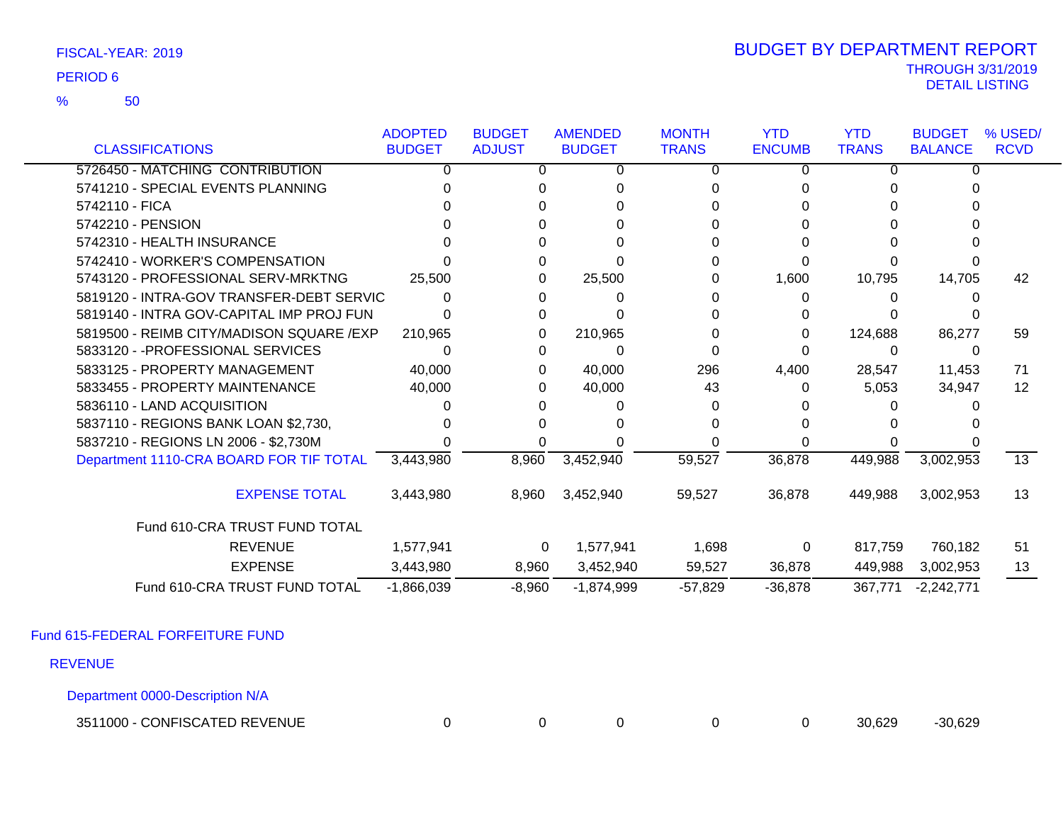50 %

### THROUGH 3/31/2019<br>DETAIL LISTING DETAIL LISTING PERIOD <sup>6</sup> BUDGET BY DEPARTMENT REPORT

|                                           | <b>ADOPTED</b> | <b>BUDGET</b> | <b>AMENDED</b> | <b>MONTH</b> | <b>YTD</b>    | <b>YTD</b>   | <b>BUDGET</b>  | % USED/         |
|-------------------------------------------|----------------|---------------|----------------|--------------|---------------|--------------|----------------|-----------------|
| <b>CLASSIFICATIONS</b>                    | <b>BUDGET</b>  | <b>ADJUST</b> | <b>BUDGET</b>  | <b>TRANS</b> | <b>ENCUMB</b> | <b>TRANS</b> | <b>BALANCE</b> | <b>RCVD</b>     |
| 5726450 - MATCHING CONTRIBUTION           | $\Omega$       | O             | 0              | $\Omega$     | 0             | 0            | <sup>0</sup>   |                 |
| 5741210 - SPECIAL EVENTS PLANNING         |                |               |                |              | U             |              |                |                 |
| 5742110 - FICA                            |                |               |                |              |               |              |                |                 |
| 5742210 - PENSION                         |                |               |                |              |               |              |                |                 |
| 5742310 - HEALTH INSURANCE                |                |               |                |              |               |              |                |                 |
| 5742410 - WORKER'S COMPENSATION           |                |               |                |              | <sup>0</sup>  |              |                |                 |
| 5743120 - PROFESSIONAL SERV-MRKTNG        | 25,500         |               | 25,500         |              | 1,600         | 10,795       | 14,705         | 42              |
| 5819120 - INTRA-GOV TRANSFER-DEBT SERVIC  | $\Omega$       |               |                |              | 0             |              |                |                 |
| 5819140 - INTRA GOV-CAPITAL IMP PROJ FUN  |                |               |                |              |               |              |                |                 |
| 5819500 - REIMB CITY/MADISON SQUARE / EXP | 210,965        |               | 210,965        |              | 0             | 124,688      | 86,277         | 59              |
| 5833120 - - PROFESSIONAL SERVICES         | 0              |               | 0              |              |               | 0            | $\Omega$       |                 |
| 5833125 - PROPERTY MANAGEMENT             | 40,000         | 0             | 40,000         | 296          | 4,400         | 28,547       | 11,453         | 71              |
| 5833455 - PROPERTY MAINTENANCE            | 40,000         |               | 40,000         | 43           | 0             | 5,053        | 34,947         | 12              |
| 5836110 - LAND ACQUISITION                |                |               |                |              |               |              |                |                 |
| 5837110 - REGIONS BANK LOAN \$2,730,      |                |               |                |              |               |              |                |                 |
| 5837210 - REGIONS LN 2006 - \$2,730M      |                |               |                |              |               |              |                |                 |
| Department 1110-CRA BOARD FOR TIF TOTAL   | 3,443,980      | 8,960         | 3,452,940      | 59,527       | 36,878        | 449,988      | 3,002,953      | $\overline{13}$ |
| <b>EXPENSE TOTAL</b>                      | 3,443,980      | 8,960         | 3,452,940      | 59,527       | 36,878        | 449,988      | 3,002,953      | 13              |
| Fund 610-CRA TRUST FUND TOTAL             |                |               |                |              |               |              |                |                 |
| <b>REVENUE</b>                            | 1,577,941      | $\mathbf 0$   | 1,577,941      | 1,698        | 0             | 817,759      | 760,182        | 51              |
| <b>EXPENSE</b>                            | 3,443,980      | 8,960         | 3,452,940      | 59,527       | 36,878        | 449,988      | 3,002,953      | 13              |
| Fund 610-CRA TRUST FUND TOTAL             | $-1,866,039$   | $-8,960$      | $-1,874,999$   | $-57,829$    | $-36,878$     | 367,771      | $-2,242,771$   |                 |

Fund 615-FEDERAL FORFEITURE FUND

REVENUE

Department 0000-Description N/A

3511000 - CONFISCATED REVENUE 0 0 0 0 0 30,629 -30,629